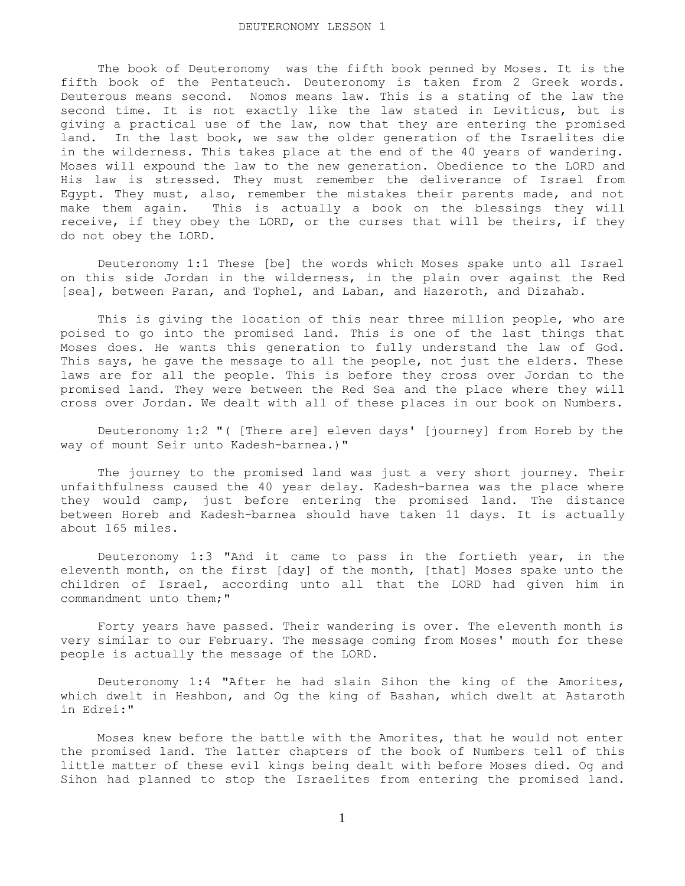The book of Deuteronomy was the fifth book penned by Moses. It is the fifth book of the Pentateuch. Deuteronomy is taken from 2 Greek words. Deuterous means second. Nomos means law. This is a stating of the law the second time. It is not exactly like the law stated in Leviticus, but is giving a practical use of the law, now that they are entering the promised land. In the last book, we saw the older generation of the Israelites die in the wilderness. This takes place at the end of the 40 years of wandering. Moses will expound the law to the new generation. Obedience to the LORD and His law is stressed. They must remember the deliverance of Israel from Egypt. They must, also, remember the mistakes their parents made, and not make them again. This is actually a book on the blessings they will receive, if they obey the LORD, or the curses that will be theirs, if they do not obey the LORD.

 Deuteronomy 1:1 These [be] the words which Moses spake unto all Israel on this side Jordan in the wilderness, in the plain over against the Red [sea], between Paran, and Tophel, and Laban, and Hazeroth, and Dizahab.

 This is giving the location of this near three million people, who are poised to go into the promised land. This is one of the last things that Moses does. He wants this generation to fully understand the law of God. This says, he gave the message to all the people, not just the elders. These laws are for all the people. This is before they cross over Jordan to the promised land. They were between the Red Sea and the place where they will cross over Jordan. We dealt with all of these places in our book on Numbers.

 Deuteronomy 1:2 "( [There are] eleven days' [journey] from Horeb by the way of mount Seir unto Kadesh-barnea.)"

 The journey to the promised land was just a very short journey. Their unfaithfulness caused the 40 year delay. Kadesh-barnea was the place where they would camp, just before entering the promised land. The distance between Horeb and Kadesh-barnea should have taken 11 days. It is actually about 165 miles.

 Deuteronomy 1:3 "And it came to pass in the fortieth year, in the eleventh month, on the first [day] of the month, [that] Moses spake unto the children of Israel, according unto all that the LORD had given him in commandment unto them;"

 Forty years have passed. Their wandering is over. The eleventh month is very similar to our February. The message coming from Moses' mouth for these people is actually the message of the LORD.

 Deuteronomy 1:4 "After he had slain Sihon the king of the Amorites, which dwelt in Heshbon, and Og the king of Bashan, which dwelt at Astaroth in Edrei:"

 Moses knew before the battle with the Amorites, that he would not enter the promised land. The latter chapters of the book of Numbers tell of this little matter of these evil kings being dealt with before Moses died. Og and Sihon had planned to stop the Israelites from entering the promised land.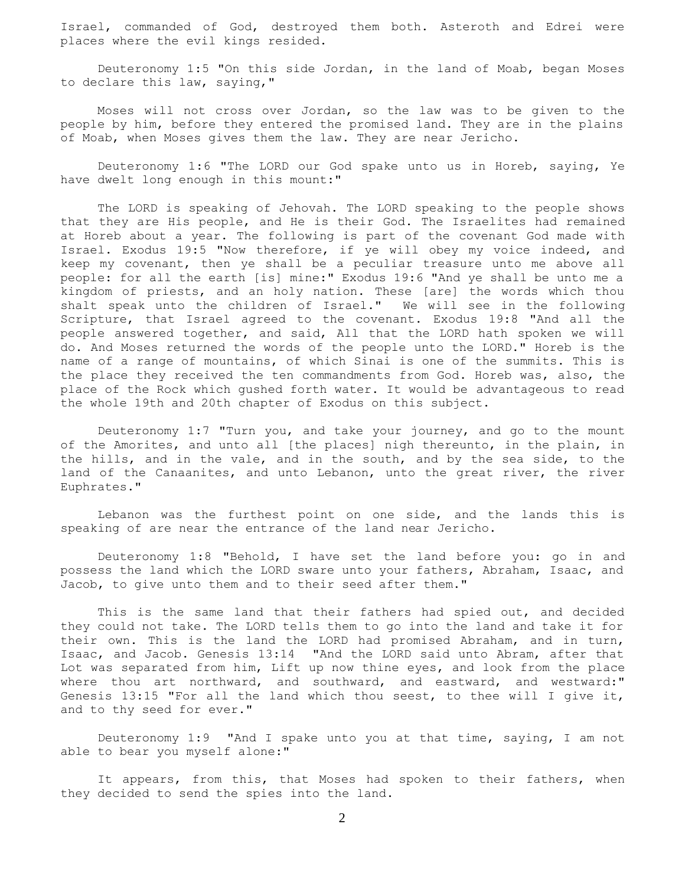Israel, commanded of God, destroyed them both. Asteroth and Edrei were places where the evil kings resided.

 Deuteronomy 1:5 "On this side Jordan, in the land of Moab, began Moses to declare this law, saying,"

 Moses will not cross over Jordan, so the law was to be given to the people by him, before they entered the promised land. They are in the plains of Moab, when Moses gives them the law. They are near Jericho.

 Deuteronomy 1:6 "The LORD our God spake unto us in Horeb, saying, Ye have dwelt long enough in this mount:"

 The LORD is speaking of Jehovah. The LORD speaking to the people shows that they are His people, and He is their God. The Israelites had remained at Horeb about a year. The following is part of the covenant God made with Israel. Exodus 19:5 "Now therefore, if ye will obey my voice indeed, and keep my covenant, then ye shall be a peculiar treasure unto me above all people: for all the earth [is] mine:" Exodus 19:6 "And ye shall be unto me a kingdom of priests, and an holy nation. These [are] the words which thou shalt speak unto the children of Israel." We will see in the following Scripture, that Israel agreed to the covenant. Exodus 19:8 "And all the people answered together, and said, All that the LORD hath spoken we will do. And Moses returned the words of the people unto the LORD." Horeb is the name of a range of mountains, of which Sinai is one of the summits. This is the place they received the ten commandments from God. Horeb was, also, the place of the Rock which gushed forth water. It would be advantageous to read the whole 19th and 20th chapter of Exodus on this subject.

 Deuteronomy 1:7 "Turn you, and take your journey, and go to the mount of the Amorites, and unto all [the places] nigh thereunto, in the plain, in the hills, and in the vale, and in the south, and by the sea side, to the land of the Canaanites, and unto Lebanon, unto the great river, the river Euphrates."

 Lebanon was the furthest point on one side, and the lands this is speaking of are near the entrance of the land near Jericho.

 Deuteronomy 1:8 "Behold, I have set the land before you: go in and possess the land which the LORD sware unto your fathers, Abraham, Isaac, and Jacob, to give unto them and to their seed after them."

 This is the same land that their fathers had spied out, and decided they could not take. The LORD tells them to go into the land and take it for their own. This is the land the LORD had promised Abraham, and in turn, Isaac, and Jacob. Genesis 13:14 "And the LORD said unto Abram, after that Lot was separated from him, Lift up now thine eyes, and look from the place where thou art northward, and southward, and eastward, and westward:" Genesis 13:15 "For all the land which thou seest, to thee will I give it, and to thy seed for ever."

 Deuteronomy 1:9 "And I spake unto you at that time, saying, I am not able to bear you myself alone:"

It appears, from this, that Moses had spoken to their fathers, when they decided to send the spies into the land.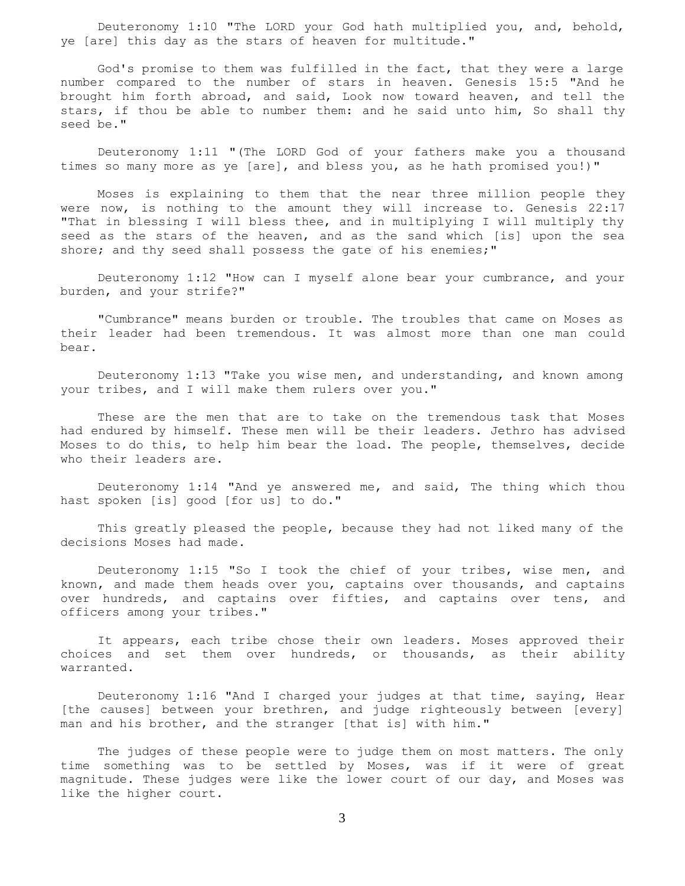Deuteronomy 1:10 "The LORD your God hath multiplied you, and, behold, ye [are] this day as the stars of heaven for multitude."

 God's promise to them was fulfilled in the fact, that they were a large number compared to the number of stars in heaven. Genesis 15:5 "And he brought him forth abroad, and said, Look now toward heaven, and tell the stars, if thou be able to number them: and he said unto him, So shall thy seed be."

 Deuteronomy 1:11 "(The LORD God of your fathers make you a thousand times so many more as ye [are], and bless you, as he hath promised you!)"

 Moses is explaining to them that the near three million people they were now, is nothing to the amount they will increase to. Genesis 22:17 "That in blessing I will bless thee, and in multiplying I will multiply thy seed as the stars of the heaven, and as the sand which [is] upon the sea shore; and thy seed shall possess the gate of his enemies;"

 Deuteronomy 1:12 "How can I myself alone bear your cumbrance, and your burden, and your strife?"

 "Cumbrance" means burden or trouble. The troubles that came on Moses as their leader had been tremendous. It was almost more than one man could bear.

 Deuteronomy 1:13 "Take you wise men, and understanding, and known among your tribes, and I will make them rulers over you."

 These are the men that are to take on the tremendous task that Moses had endured by himself. These men will be their leaders. Jethro has advised Moses to do this, to help him bear the load. The people, themselves, decide who their leaders are.

 Deuteronomy 1:14 "And ye answered me, and said, The thing which thou hast spoken [is] good [for us] to do."

 This greatly pleased the people, because they had not liked many of the decisions Moses had made.

 Deuteronomy 1:15 "So I took the chief of your tribes, wise men, and known, and made them heads over you, captains over thousands, and captains over hundreds, and captains over fifties, and captains over tens, and officers among your tribes."

 It appears, each tribe chose their own leaders. Moses approved their choices and set them over hundreds, or thousands, as their ability warranted.

 Deuteronomy 1:16 "And I charged your judges at that time, saying, Hear [the causes] between your brethren, and judge righteously between [every] man and his brother, and the stranger [that is] with him."

 The judges of these people were to judge them on most matters. The only time something was to be settled by Moses, was if it were of great magnitude. These judges were like the lower court of our day, and Moses was like the higher court.

3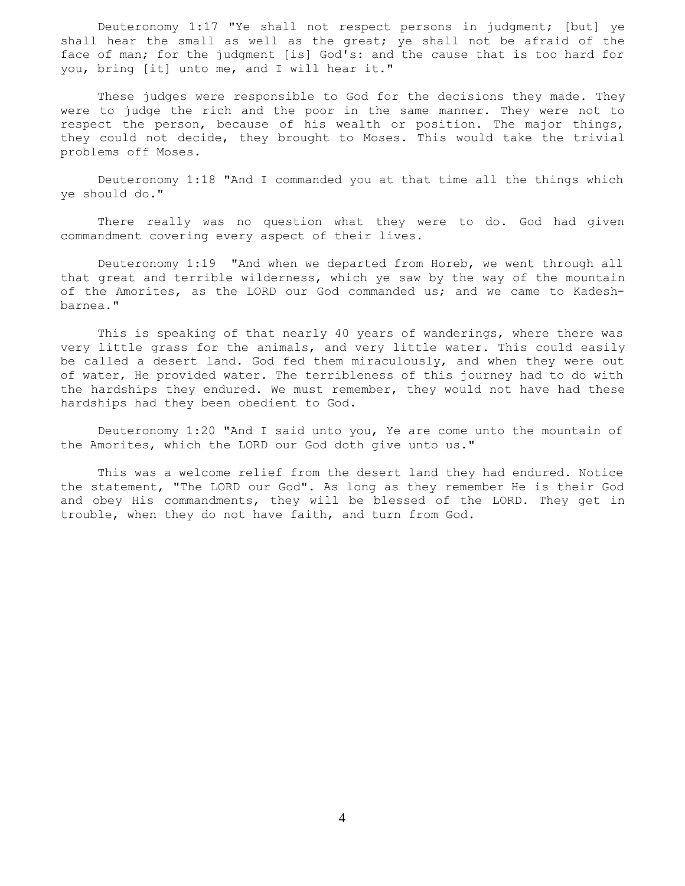Deuteronomy 1:17 "Ye shall not respect persons in judgment; [but] ye shall hear the small as well as the great; ye shall not be afraid of the face of man; for the judgment [is] God's: and the cause that is too hard for you, bring [it] unto me, and I will hear it."

 These judges were responsible to God for the decisions they made. They were to judge the rich and the poor in the same manner. They were not to respect the person, because of his wealth or position. The major things, they could not decide, they brought to Moses. This would take the trivial problems off Moses.

 Deuteronomy 1:18 "And I commanded you at that time all the things which ye should do."

 There really was no question what they were to do. God had given commandment covering every aspect of their lives.

 Deuteronomy 1:19 "And when we departed from Horeb, we went through all that great and terrible wilderness, which ye saw by the way of the mountain of the Amorites, as the LORD our God commanded us; and we came to Kadeshbarnea."

 This is speaking of that nearly 40 years of wanderings, where there was very little grass for the animals, and very little water. This could easily be called a desert land. God fed them miraculously, and when they were out of water, He provided water. The terribleness of this journey had to do with the hardships they endured. We must remember, they would not have had these hardships had they been obedient to God.

 Deuteronomy 1:20 "And I said unto you, Ye are come unto the mountain of the Amorites, which the LORD our God doth give unto us."

 This was a welcome relief from the desert land they had endured. Notice the statement, "The LORD our God". As long as they remember He is their God and obey His commandments, they will be blessed of the LORD. They get in trouble, when they do not have faith, and turn from God.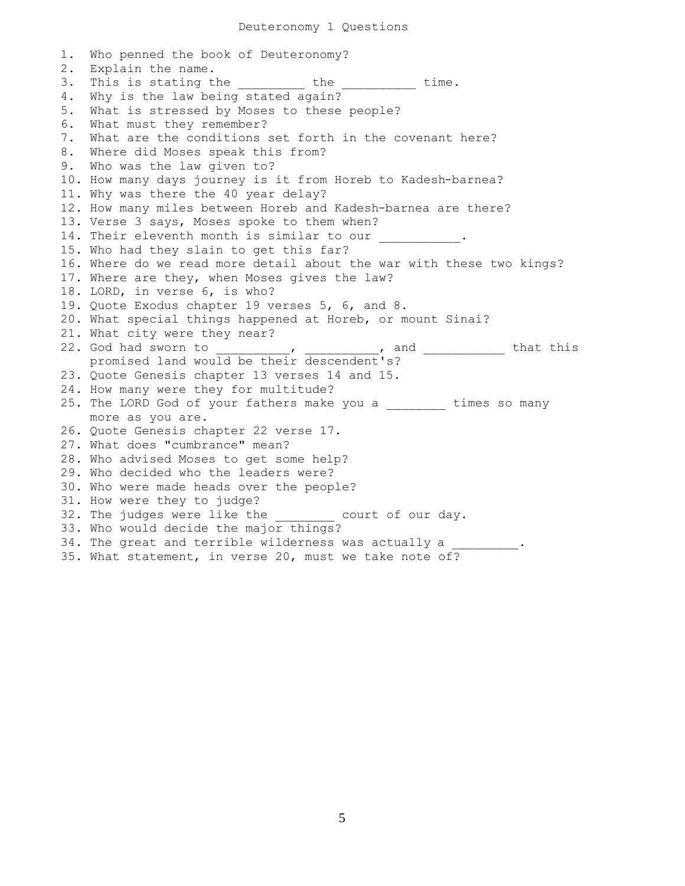1. Who penned the book of Deuteronomy? 2. Explain the name. 3. This is stating the \_\_\_\_\_\_\_\_\_ the \_\_\_\_\_\_\_\_\_ time. 4. Why is the law being stated again? 5. What is stressed by Moses to these people? 6. What must they remember? 7. What are the conditions set forth in the covenant here? 8. Where did Moses speak this from? 9. Who was the law given to? 10. How many days journey is it from Horeb to Kadesh-barnea? 11. Why was there the 40 year delay? 12. How many miles between Horeb and Kadesh-barnea are there? 13. Verse 3 says, Moses spoke to them when? 14. Their eleventh month is similar to our 15. Who had they slain to get this far? 16. Where do we read more detail about the war with these two kings? 17. Where are they, when Moses gives the law? 18. LORD, in verse 6, is who? 19. Quote Exodus chapter 19 verses 5, 6, and 8. 20. What special things happened at Horeb, or mount Sinai? 21. What city were they near?<br>22. God had sworn to \_\_\_, \_\_\_\_\_\_\_\_\_\_, and \_\_\_\_\_\_\_\_\_\_\_\_ that this promised land would be their descendent's? 23. Quote Genesis chapter 13 verses 14 and 15. 24. How many were they for multitude? 25. The LORD God of your fathers make you a \_\_\_\_\_\_\_\_ times so many more as you are. 26. Quote Genesis chapter 22 verse 17. 27. What does "cumbrance" mean? 28. Who advised Moses to get some help? 29. Who decided who the leaders were? 30. Who were made heads over the people? 31. How were they to judge? 32. The judges were like the example court of our day. 33. Who would decide the major things? 34. The great and terrible wilderness was actually a 35. What statement, in verse 20, must we take note of?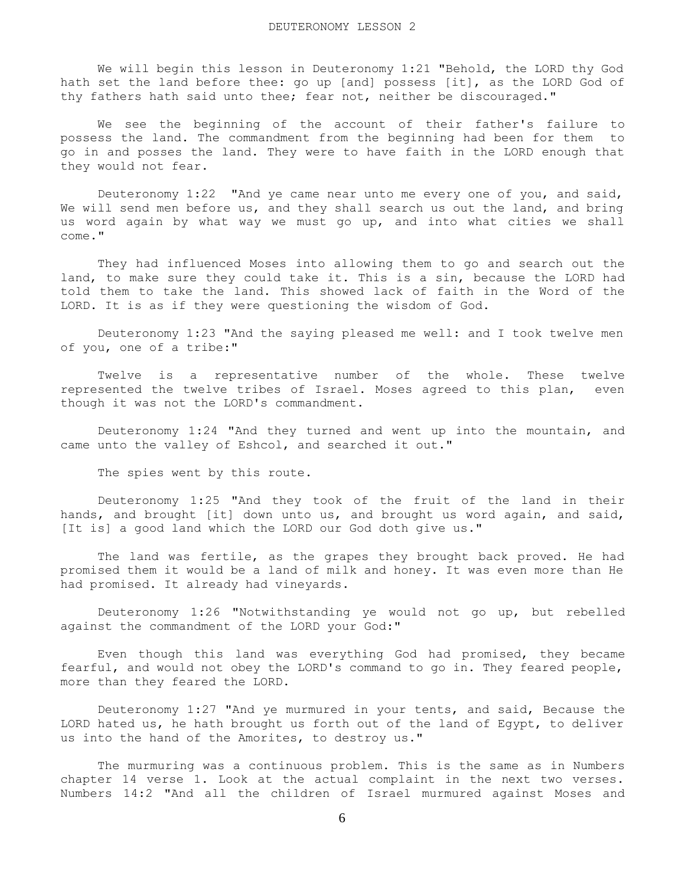We will begin this lesson in Deuteronomy 1:21 "Behold, the LORD thy God hath set the land before thee: go up [and] possess [it], as the LORD God of thy fathers hath said unto thee; fear not, neither be discouraged."

 We see the beginning of the account of their father's failure to possess the land. The commandment from the beginning had been for them to go in and posses the land. They were to have faith in the LORD enough that they would not fear.

 Deuteronomy 1:22 "And ye came near unto me every one of you, and said, We will send men before us, and they shall search us out the land, and bring us word again by what way we must go up, and into what cities we shall come."

 They had influenced Moses into allowing them to go and search out the land, to make sure they could take it. This is a sin, because the LORD had told them to take the land. This showed lack of faith in the Word of the LORD. It is as if they were questioning the wisdom of God.

 Deuteronomy 1:23 "And the saying pleased me well: and I took twelve men of you, one of a tribe:"

 Twelve is a representative number of the whole. These twelve represented the twelve tribes of Israel. Moses agreed to this plan, even though it was not the LORD's commandment.

 Deuteronomy 1:24 "And they turned and went up into the mountain, and came unto the valley of Eshcol, and searched it out."

The spies went by this route.

 Deuteronomy 1:25 "And they took of the fruit of the land in their hands, and brought [it] down unto us, and brought us word again, and said, [It is] a good land which the LORD our God doth give us."

 The land was fertile, as the grapes they brought back proved. He had promised them it would be a land of milk and honey. It was even more than He had promised. It already had vineyards.

 Deuteronomy 1:26 "Notwithstanding ye would not go up, but rebelled against the commandment of the LORD your God:"

 Even though this land was everything God had promised, they became fearful, and would not obey the LORD's command to go in. They feared people, more than they feared the LORD.

 Deuteronomy 1:27 "And ye murmured in your tents, and said, Because the LORD hated us, he hath brought us forth out of the land of Egypt, to deliver us into the hand of the Amorites, to destroy us."

 The murmuring was a continuous problem. This is the same as in Numbers chapter 14 verse 1. Look at the actual complaint in the next two verses. Numbers 14:2 "And all the children of Israel murmured against Moses and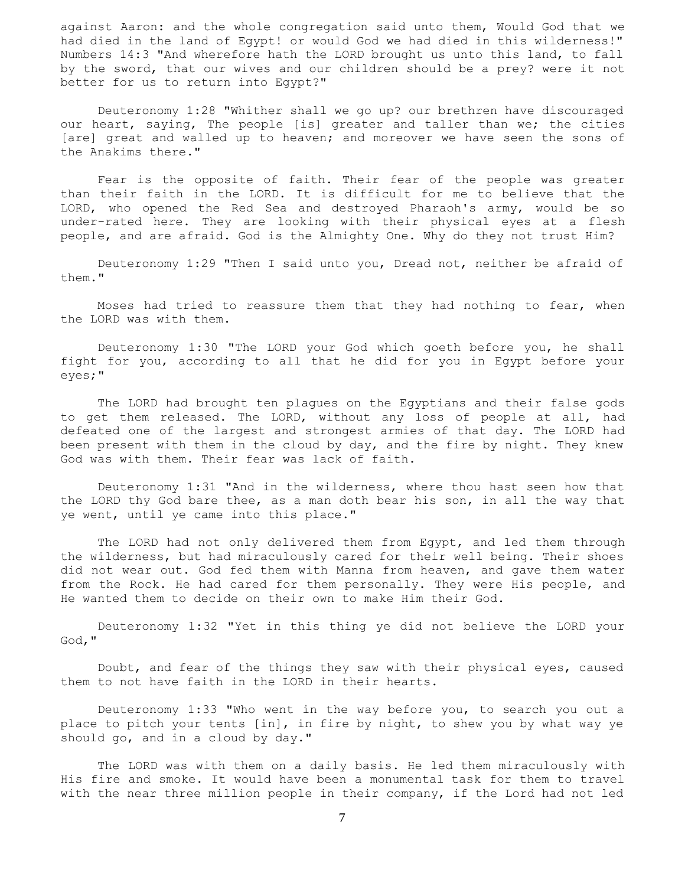against Aaron: and the whole congregation said unto them, Would God that we had died in the land of Egypt! or would God we had died in this wilderness!" Numbers 14:3 "And wherefore hath the LORD brought us unto this land, to fall by the sword, that our wives and our children should be a prey? were it not better for us to return into Egypt?"

 Deuteronomy 1:28 "Whither shall we go up? our brethren have discouraged our heart, saying, The people [is] greater and taller than we; the cities [are] great and walled up to heaven; and moreover we have seen the sons of the Anakims there."

 Fear is the opposite of faith. Their fear of the people was greater than their faith in the LORD. It is difficult for me to believe that the LORD, who opened the Red Sea and destroyed Pharaoh's army, would be so under-rated here. They are looking with their physical eyes at a flesh people, and are afraid. God is the Almighty One. Why do they not trust Him?

 Deuteronomy 1:29 "Then I said unto you, Dread not, neither be afraid of them."

 Moses had tried to reassure them that they had nothing to fear, when the LORD was with them.

 Deuteronomy 1:30 "The LORD your God which goeth before you, he shall fight for you, according to all that he did for you in Egypt before your eyes;"

 The LORD had brought ten plagues on the Egyptians and their false gods to get them released. The LORD, without any loss of people at all, had defeated one of the largest and strongest armies of that day. The LORD had been present with them in the cloud by day, and the fire by night. They knew God was with them. Their fear was lack of faith.

 Deuteronomy 1:31 "And in the wilderness, where thou hast seen how that the LORD thy God bare thee, as a man doth bear his son, in all the way that ye went, until ye came into this place."

 The LORD had not only delivered them from Egypt, and led them through the wilderness, but had miraculously cared for their well being. Their shoes did not wear out. God fed them with Manna from heaven, and gave them water from the Rock. He had cared for them personally. They were His people, and He wanted them to decide on their own to make Him their God.

 Deuteronomy 1:32 "Yet in this thing ye did not believe the LORD your God,"

 Doubt, and fear of the things they saw with their physical eyes, caused them to not have faith in the LORD in their hearts.

 Deuteronomy 1:33 "Who went in the way before you, to search you out a place to pitch your tents [in], in fire by night, to shew you by what way ye should go, and in a cloud by day."

 The LORD was with them on a daily basis. He led them miraculously with His fire and smoke. It would have been a monumental task for them to travel with the near three million people in their company, if the Lord had not led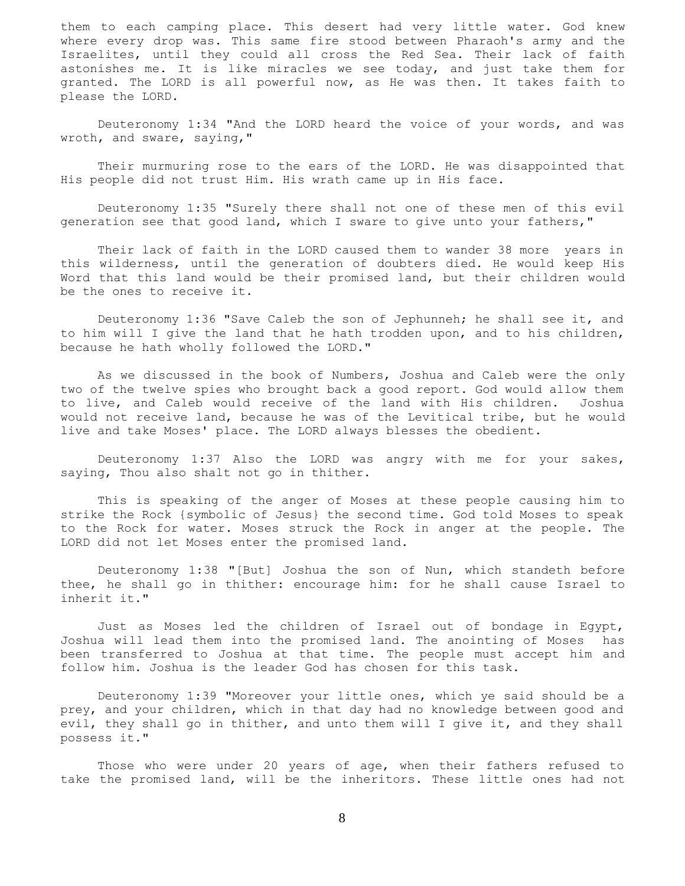them to each camping place. This desert had very little water. God knew where every drop was. This same fire stood between Pharaoh's army and the Israelites, until they could all cross the Red Sea. Their lack of faith astonishes me. It is like miracles we see today, and just take them for granted. The LORD is all powerful now, as He was then. It takes faith to please the LORD.

 Deuteronomy 1:34 "And the LORD heard the voice of your words, and was wroth, and sware, saying,"

 Their murmuring rose to the ears of the LORD. He was disappointed that His people did not trust Him. His wrath came up in His face.

 Deuteronomy 1:35 "Surely there shall not one of these men of this evil generation see that good land, which I sware to give unto your fathers,"

 Their lack of faith in the LORD caused them to wander 38 more years in this wilderness, until the generation of doubters died. He would keep His Word that this land would be their promised land, but their children would be the ones to receive it.

 Deuteronomy 1:36 "Save Caleb the son of Jephunneh; he shall see it, and to him will I give the land that he hath trodden upon, and to his children, because he hath wholly followed the LORD."

 As we discussed in the book of Numbers, Joshua and Caleb were the only two of the twelve spies who brought back a good report. God would allow them to live, and Caleb would receive of the land with His children. Joshua would not receive land, because he was of the Levitical tribe, but he would live and take Moses' place. The LORD always blesses the obedient.

 Deuteronomy 1:37 Also the LORD was angry with me for your sakes, saying, Thou also shalt not go in thither.

 This is speaking of the anger of Moses at these people causing him to strike the Rock {symbolic of Jesus} the second time. God told Moses to speak to the Rock for water. Moses struck the Rock in anger at the people. The LORD did not let Moses enter the promised land.

 Deuteronomy 1:38 "[But] Joshua the son of Nun, which standeth before thee, he shall go in thither: encourage him: for he shall cause Israel to inherit it."

 Just as Moses led the children of Israel out of bondage in Egypt, Joshua will lead them into the promised land. The anointing of Moses has been transferred to Joshua at that time. The people must accept him and follow him. Joshua is the leader God has chosen for this task.

 Deuteronomy 1:39 "Moreover your little ones, which ye said should be a prey, and your children, which in that day had no knowledge between good and evil, they shall go in thither, and unto them will I give it, and they shall possess it."

 Those who were under 20 years of age, when their fathers refused to take the promised land, will be the inheritors. These little ones had not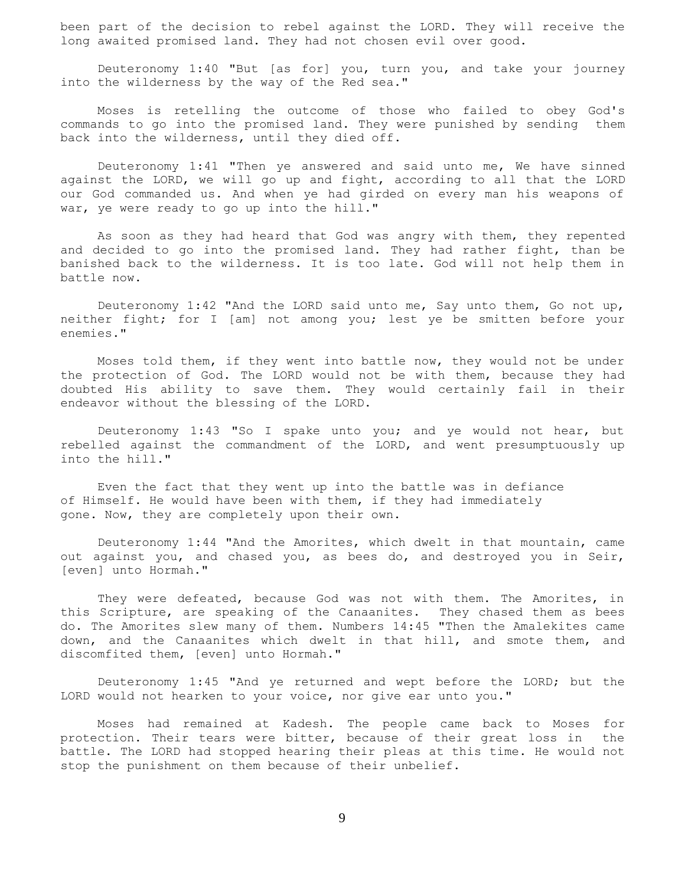been part of the decision to rebel against the LORD. They will receive the long awaited promised land. They had not chosen evil over good.

 Deuteronomy 1:40 "But [as for] you, turn you, and take your journey into the wilderness by the way of the Red sea."

 Moses is retelling the outcome of those who failed to obey God's commands to go into the promised land. They were punished by sending them back into the wilderness, until they died off.

 Deuteronomy 1:41 "Then ye answered and said unto me, We have sinned against the LORD, we will go up and fight, according to all that the LORD our God commanded us. And when ye had girded on every man his weapons of war, ye were ready to go up into the hill."

 As soon as they had heard that God was angry with them, they repented and decided to go into the promised land. They had rather fight, than be banished back to the wilderness. It is too late. God will not help them in battle now.

 Deuteronomy 1:42 "And the LORD said unto me, Say unto them, Go not up, neither fight; for I [am] not among you; lest ye be smitten before your enemies."

 Moses told them, if they went into battle now, they would not be under the protection of God. The LORD would not be with them, because they had doubted His ability to save them. They would certainly fail in their endeavor without the blessing of the LORD.

 Deuteronomy 1:43 "So I spake unto you; and ye would not hear, but rebelled against the commandment of the LORD, and went presumptuously up into the hill."

 Even the fact that they went up into the battle was in defiance of Himself. He would have been with them, if they had immediately gone. Now, they are completely upon their own.

 Deuteronomy 1:44 "And the Amorites, which dwelt in that mountain, came out against you, and chased you, as bees do, and destroyed you in Seir, [even] unto Hormah."

 They were defeated, because God was not with them. The Amorites, in this Scripture, are speaking of the Canaanites. They chased them as bees do. The Amorites slew many of them. Numbers 14:45 "Then the Amalekites came down, and the Canaanites which dwelt in that hill, and smote them, and discomfited them, [even] unto Hormah."

 Deuteronomy 1:45 "And ye returned and wept before the LORD; but the LORD would not hearken to your voice, nor give ear unto you."

 Moses had remained at Kadesh. The people came back to Moses for protection. Their tears were bitter, because of their great loss in the battle. The LORD had stopped hearing their pleas at this time. He would not stop the punishment on them because of their unbelief.

9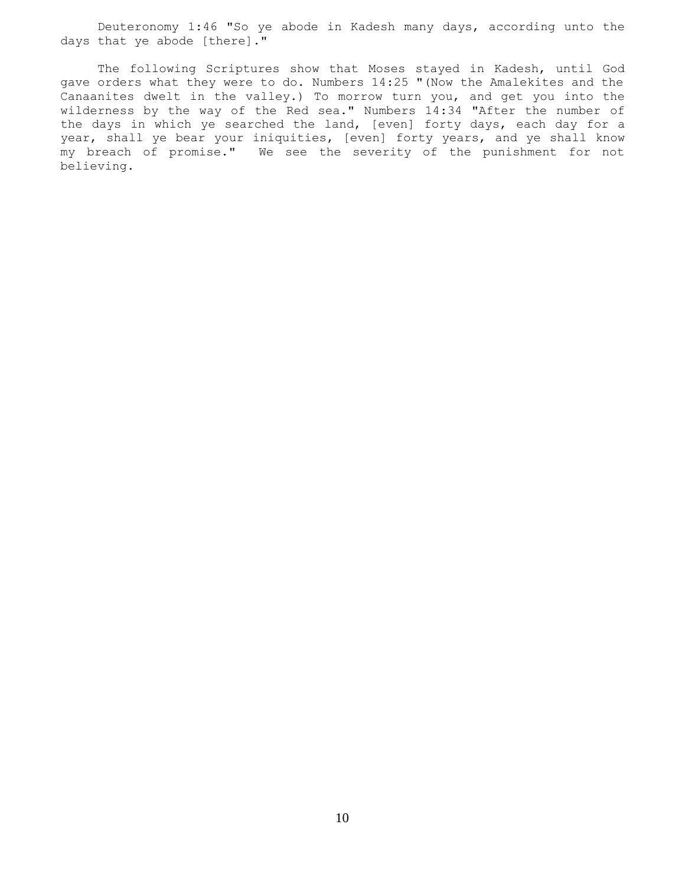Deuteronomy 1:46 "So ye abode in Kadesh many days, according unto the days that ye abode [there]."

 The following Scriptures show that Moses stayed in Kadesh, until God gave orders what they were to do. Numbers 14:25 "(Now the Amalekites and the Canaanites dwelt in the valley.) To morrow turn you, and get you into the wilderness by the way of the Red sea." Numbers 14:34 "After the number of the days in which ye searched the land, [even] forty days, each day for a year, shall ye bear your iniquities, [even] forty years, and ye shall know my breach of promise." We see the severity of the punishment for not believing.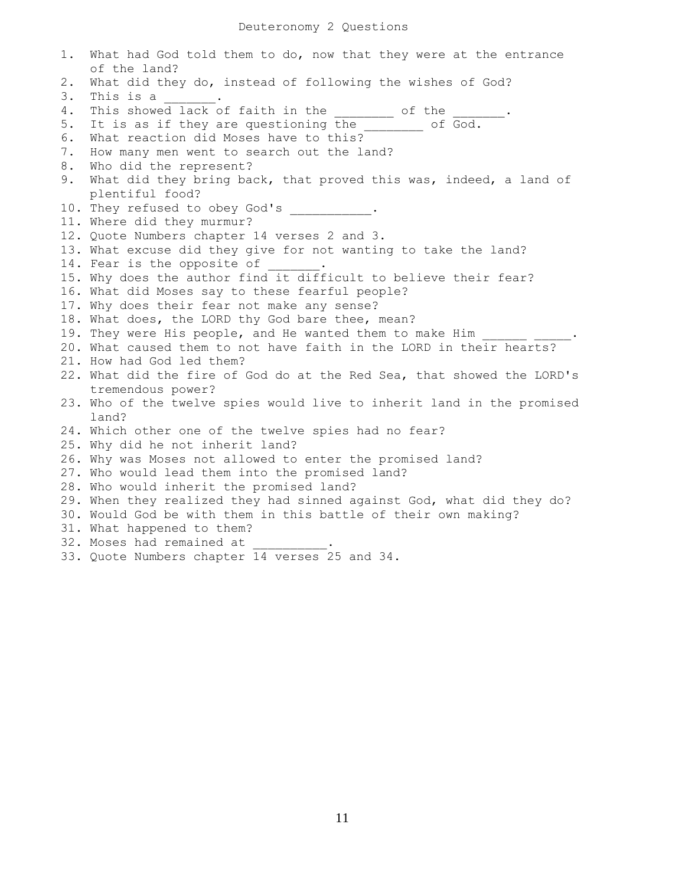## Deuteronomy 2 Questions

1. What had God told them to do, now that they were at the entrance of the land? 2. What did they do, instead of following the wishes of God? 3. This is a way . 4. This showed lack of faith in the  $\frac{1}{2}$  of the 5. It is as if they are questioning the \_\_\_\_\_\_\_ of God. 6. What reaction did Moses have to this? 7. How many men went to search out the land? 8. Who did the represent? 9. What did they bring back, that proved this was, indeed, a land of plentiful food? 10. They refused to obey God's . 11. Where did they murmur? 12. Quote Numbers chapter 14 verses 2 and 3. 13. What excuse did they give for not wanting to take the land? 14. Fear is the opposite of 15. Why does the author find it difficult to believe their fear? 16. What did Moses say to these fearful people? 17. Why does their fear not make any sense? 18. What does, the LORD thy God bare thee, mean? 19. They were His people, and He wanted them to make Him 20. What caused them to not have faith in the LORD in their hearts? 21. How had God led them? 22. What did the fire of God do at the Red Sea, that showed the LORD's tremendous power? 23. Who of the twelve spies would live to inherit land in the promised land? 24. Which other one of the twelve spies had no fear? 25. Why did he not inherit land? 26. Why was Moses not allowed to enter the promised land? 27. Who would lead them into the promised land? 28. Who would inherit the promised land? 29. When they realized they had sinned against God, what did they do? 30. Would God be with them in this battle of their own making? 31. What happened to them? 32. Moses had remained at 33. Quote Numbers chapter 14 verses 25 and 34.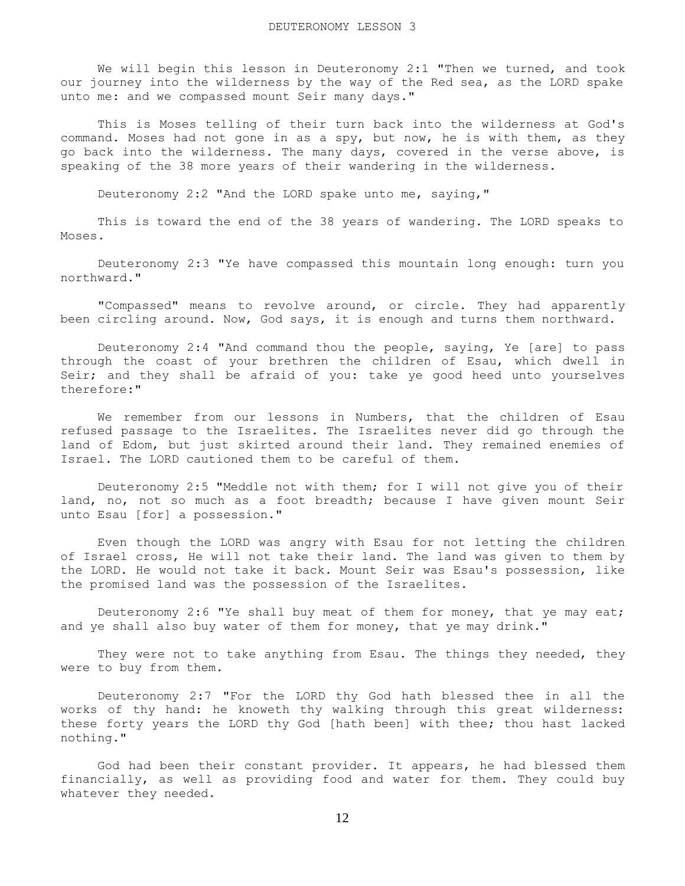We will begin this lesson in Deuteronomy 2:1 "Then we turned, and took our journey into the wilderness by the way of the Red sea, as the LORD spake unto me: and we compassed mount Seir many days."

 This is Moses telling of their turn back into the wilderness at God's command. Moses had not gone in as a spy, but now, he is with them, as they go back into the wilderness. The many days, covered in the verse above, is speaking of the 38 more years of their wandering in the wilderness.

Deuteronomy 2:2 "And the LORD spake unto me, saying,"

 This is toward the end of the 38 years of wandering. The LORD speaks to Moses.

 Deuteronomy 2:3 "Ye have compassed this mountain long enough: turn you northward."

 "Compassed" means to revolve around, or circle. They had apparently been circling around. Now, God says, it is enough and turns them northward.

 Deuteronomy 2:4 "And command thou the people, saying, Ye [are] to pass through the coast of your brethren the children of Esau, which dwell in Seir; and they shall be afraid of you: take ye good heed unto yourselves therefore:"

 We remember from our lessons in Numbers, that the children of Esau refused passage to the Israelites. The Israelites never did go through the land of Edom, but just skirted around their land. They remained enemies of Israel. The LORD cautioned them to be careful of them.

 Deuteronomy 2:5 "Meddle not with them; for I will not give you of their land, no, not so much as a foot breadth; because I have given mount Seir unto Esau [for] a possession."

 Even though the LORD was angry with Esau for not letting the children of Israel cross, He will not take their land. The land was given to them by the LORD. He would not take it back. Mount Seir was Esau's possession, like the promised land was the possession of the Israelites.

 Deuteronomy 2:6 "Ye shall buy meat of them for money, that ye may eat; and ye shall also buy water of them for money, that ye may drink."

They were not to take anything from Esau. The things they needed, they were to buy from them.

 Deuteronomy 2:7 "For the LORD thy God hath blessed thee in all the works of thy hand: he knoweth thy walking through this great wilderness: these forty years the LORD thy God [hath been] with thee; thou hast lacked nothing."

 God had been their constant provider. It appears, he had blessed them financially, as well as providing food and water for them. They could buy whatever they needed.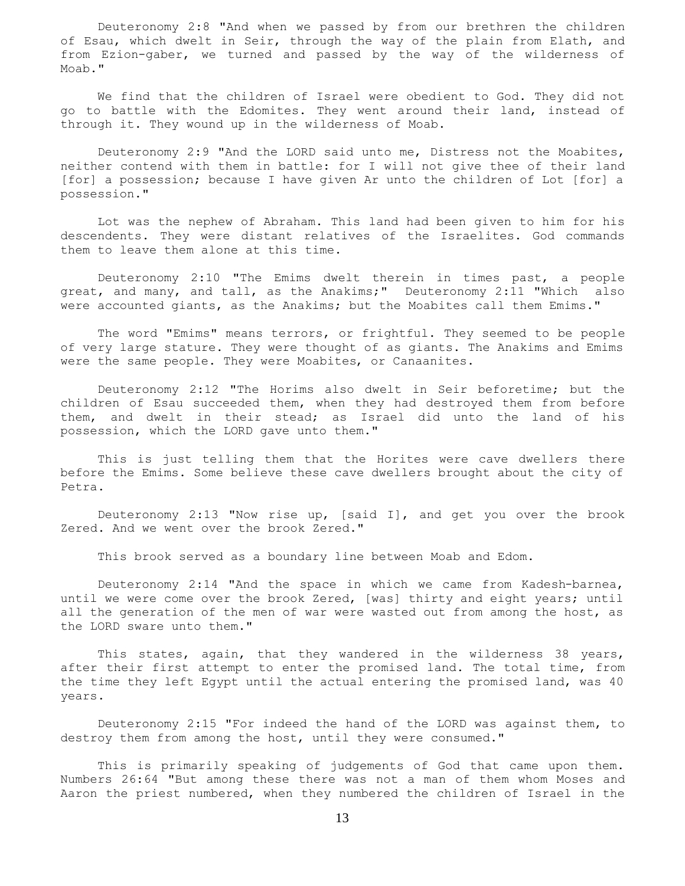Deuteronomy 2:8 "And when we passed by from our brethren the children of Esau, which dwelt in Seir, through the way of the plain from Elath, and from Ezion-gaber, we turned and passed by the way of the wilderness of Moab."

 We find that the children of Israel were obedient to God. They did not go to battle with the Edomites. They went around their land, instead of through it. They wound up in the wilderness of Moab.

 Deuteronomy 2:9 "And the LORD said unto me, Distress not the Moabites, neither contend with them in battle: for I will not give thee of their land [for] a possession; because I have given Ar unto the children of Lot [for] a possession."

 Lot was the nephew of Abraham. This land had been given to him for his descendents. They were distant relatives of the Israelites. God commands them to leave them alone at this time.

 Deuteronomy 2:10 "The Emims dwelt therein in times past, a people great, and many, and tall, as the Anakims;" Deuteronomy 2:11 "Which also were accounted giants, as the Anakims; but the Moabites call them Emims."

 The word "Emims" means terrors, or frightful. They seemed to be people of very large stature. They were thought of as giants. The Anakims and Emims were the same people. They were Moabites, or Canaanites.

 Deuteronomy 2:12 "The Horims also dwelt in Seir beforetime; but the children of Esau succeeded them, when they had destroyed them from before them, and dwelt in their stead; as Israel did unto the land of his possession, which the LORD gave unto them."

 This is just telling them that the Horites were cave dwellers there before the Emims. Some believe these cave dwellers brought about the city of Petra.

 Deuteronomy 2:13 "Now rise up, [said I], and get you over the brook Zered. And we went over the brook Zered."

This brook served as a boundary line between Moab and Edom.

 Deuteronomy 2:14 "And the space in which we came from Kadesh-barnea, until we were come over the brook Zered, [was] thirty and eight years; until all the generation of the men of war were wasted out from among the host, as the LORD sware unto them."

 This states, again, that they wandered in the wilderness 38 years, after their first attempt to enter the promised land. The total time, from the time they left Egypt until the actual entering the promised land, was 40 years.

 Deuteronomy 2:15 "For indeed the hand of the LORD was against them, to destroy them from among the host, until they were consumed."

 This is primarily speaking of judgements of God that came upon them. Numbers 26:64 "But among these there was not a man of them whom Moses and Aaron the priest numbered, when they numbered the children of Israel in the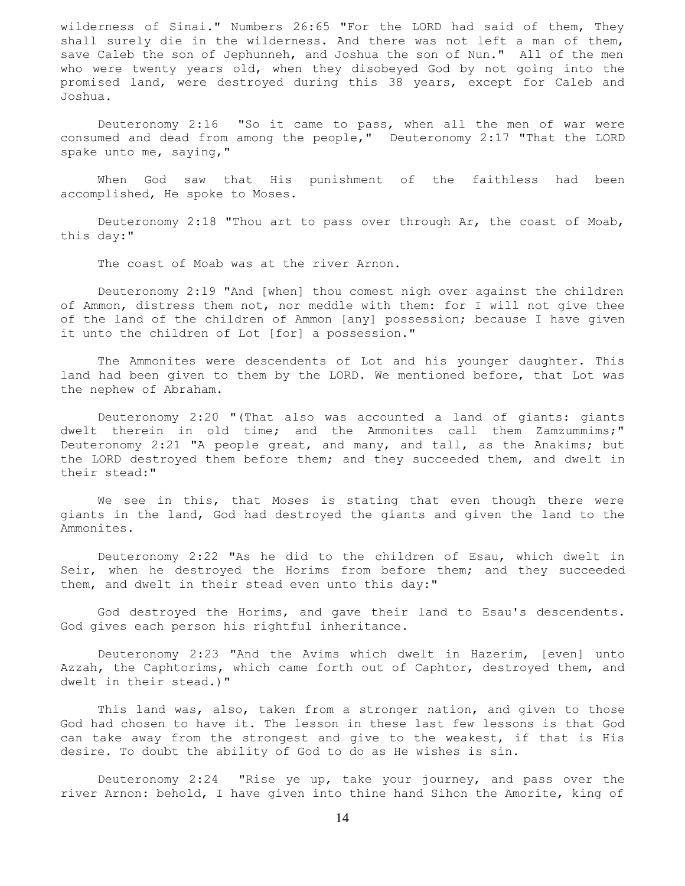wilderness of Sinai." Numbers 26:65 "For the LORD had said of them, They shall surely die in the wilderness. And there was not left a man of them, save Caleb the son of Jephunneh, and Joshua the son of Nun." All of the men who were twenty years old, when they disobeyed God by not going into the promised land, were destroyed during this 38 years, except for Caleb and Joshua.

 Deuteronomy 2:16 "So it came to pass, when all the men of war were consumed and dead from among the people," Deuteronomy 2:17 "That the LORD spake unto me, saying,"

 When God saw that His punishment of the faithless had been accomplished, He spoke to Moses.

 Deuteronomy 2:18 "Thou art to pass over through Ar, the coast of Moab, this day:"

The coast of Moab was at the river Arnon.

 Deuteronomy 2:19 "And [when] thou comest nigh over against the children of Ammon, distress them not, nor meddle with them: for I will not give thee of the land of the children of Ammon [any] possession; because I have given it unto the children of Lot [for] a possession."

 The Ammonites were descendents of Lot and his younger daughter. This land had been given to them by the LORD. We mentioned before, that Lot was the nephew of Abraham.

 Deuteronomy 2:20 "(That also was accounted a land of giants: giants dwelt therein in old time; and the Ammonites call them Zamzummims;" Deuteronomy 2:21 "A people great, and many, and tall, as the Anakims; but the LORD destroyed them before them; and they succeeded them, and dwelt in their stead:"

 We see in this, that Moses is stating that even though there were giants in the land, God had destroyed the giants and given the land to the Ammonites.

 Deuteronomy 2:22 "As he did to the children of Esau, which dwelt in Seir, when he destroyed the Horims from before them; and they succeeded them, and dwelt in their stead even unto this day:"

 God destroyed the Horims, and gave their land to Esau's descendents. God gives each person his rightful inheritance.

 Deuteronomy 2:23 "And the Avims which dwelt in Hazerim, [even] unto Azzah, the Caphtorims, which came forth out of Caphtor, destroyed them, and dwelt in their stead.)"

 This land was, also, taken from a stronger nation, and given to those God had chosen to have it. The lesson in these last few lessons is that God can take away from the strongest and give to the weakest, if that is His desire. To doubt the ability of God to do as He wishes is sin.

 Deuteronomy 2:24 "Rise ye up, take your journey, and pass over the river Arnon: behold, I have given into thine hand Sihon the Amorite, king of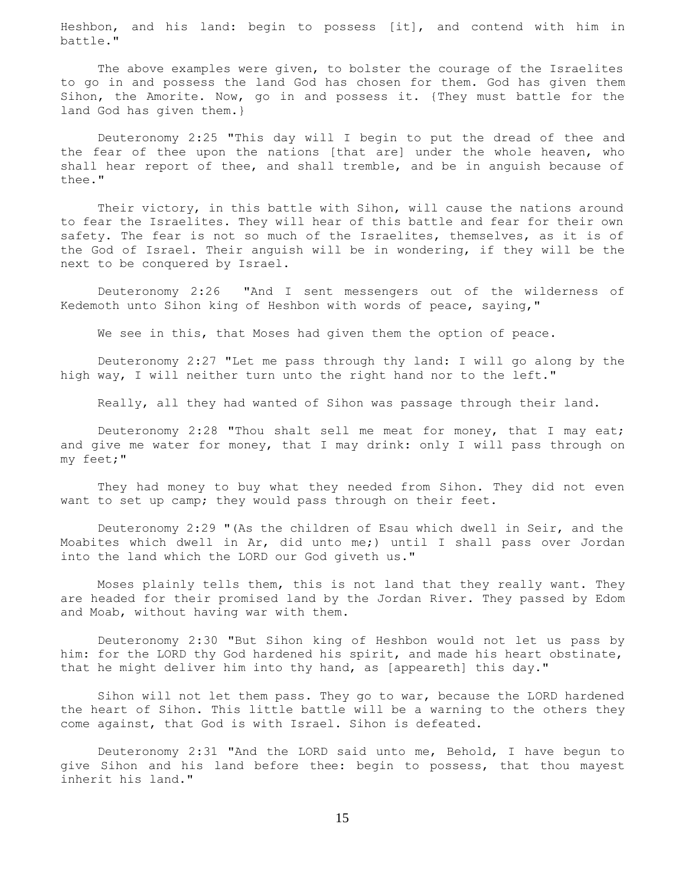Heshbon, and his land: begin to possess [it], and contend with him in battle."

 The above examples were given, to bolster the courage of the Israelites to go in and possess the land God has chosen for them. God has given them Sihon, the Amorite. Now, go in and possess it. {They must battle for the land God has given them.}

 Deuteronomy 2:25 "This day will I begin to put the dread of thee and the fear of thee upon the nations [that are] under the whole heaven, who shall hear report of thee, and shall tremble, and be in anguish because of thee."

 Their victory, in this battle with Sihon, will cause the nations around to fear the Israelites. They will hear of this battle and fear for their own safety. The fear is not so much of the Israelites, themselves, as it is of the God of Israel. Their anguish will be in wondering, if they will be the next to be conquered by Israel.

 Deuteronomy 2:26 "And I sent messengers out of the wilderness of Kedemoth unto Sihon king of Heshbon with words of peace, saying,"

We see in this, that Moses had given them the option of peace.

 Deuteronomy 2:27 "Let me pass through thy land: I will go along by the high way, I will neither turn unto the right hand nor to the left."

Really, all they had wanted of Sihon was passage through their land.

 Deuteronomy 2:28 "Thou shalt sell me meat for money, that I may eat; and give me water for money, that I may drink: only I will pass through on my feet;"

 They had money to buy what they needed from Sihon. They did not even want to set up camp; they would pass through on their feet.

 Deuteronomy 2:29 "(As the children of Esau which dwell in Seir, and the Moabites which dwell in Ar, did unto me;) until I shall pass over Jordan into the land which the LORD our God giveth us."

 Moses plainly tells them, this is not land that they really want. They are headed for their promised land by the Jordan River. They passed by Edom and Moab, without having war with them.

 Deuteronomy 2:30 "But Sihon king of Heshbon would not let us pass by him: for the LORD thy God hardened his spirit, and made his heart obstinate, that he might deliver him into thy hand, as [appeareth] this day."

 Sihon will not let them pass. They go to war, because the LORD hardened the heart of Sihon. This little battle will be a warning to the others they come against, that God is with Israel. Sihon is defeated.

 Deuteronomy 2:31 "And the LORD said unto me, Behold, I have begun to give Sihon and his land before thee: begin to possess, that thou mayest inherit his land."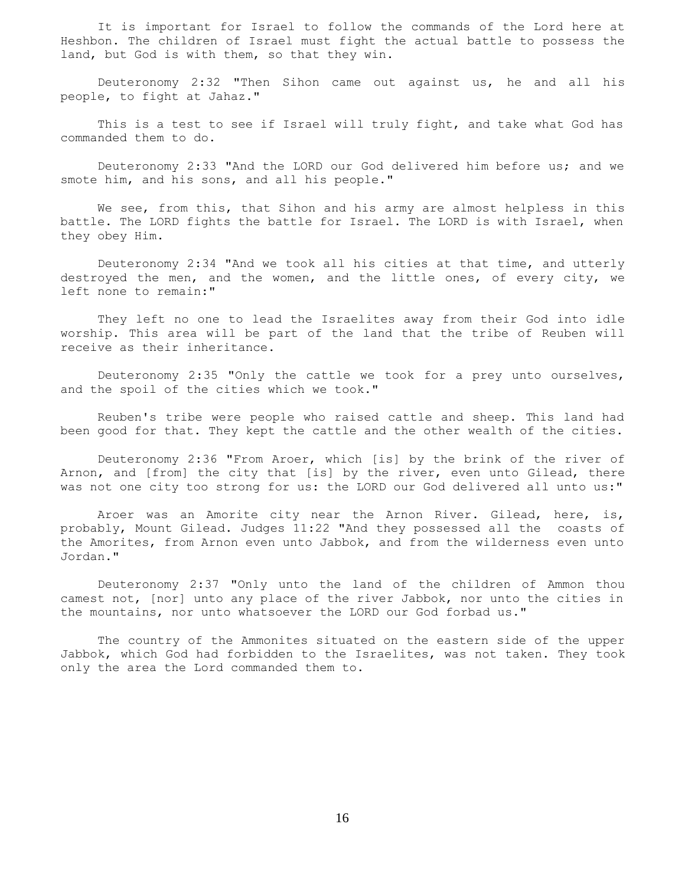It is important for Israel to follow the commands of the Lord here at Heshbon. The children of Israel must fight the actual battle to possess the land, but God is with them, so that they win.

 Deuteronomy 2:32 "Then Sihon came out against us, he and all his people, to fight at Jahaz."

 This is a test to see if Israel will truly fight, and take what God has commanded them to do.

 Deuteronomy 2:33 "And the LORD our God delivered him before us; and we smote him, and his sons, and all his people."

We see, from this, that Sihon and his army are almost helpless in this battle. The LORD fights the battle for Israel. The LORD is with Israel, when they obey Him.

 Deuteronomy 2:34 "And we took all his cities at that time, and utterly destroyed the men, and the women, and the little ones, of every city, we left none to remain:"

 They left no one to lead the Israelites away from their God into idle worship. This area will be part of the land that the tribe of Reuben will receive as their inheritance.

 Deuteronomy 2:35 "Only the cattle we took for a prey unto ourselves, and the spoil of the cities which we took."

 Reuben's tribe were people who raised cattle and sheep. This land had been good for that. They kept the cattle and the other wealth of the cities.

 Deuteronomy 2:36 "From Aroer, which [is] by the brink of the river of Arnon, and [from] the city that [is] by the river, even unto Gilead, there was not one city too strong for us: the LORD our God delivered all unto us:"

 Aroer was an Amorite city near the Arnon River. Gilead, here, is, probably, Mount Gilead. Judges 11:22 "And they possessed all the coasts of the Amorites, from Arnon even unto Jabbok, and from the wilderness even unto Jordan."

 Deuteronomy 2:37 "Only unto the land of the children of Ammon thou camest not, [nor] unto any place of the river Jabbok, nor unto the cities in the mountains, nor unto whatsoever the LORD our God forbad us."

 The country of the Ammonites situated on the eastern side of the upper Jabbok, which God had forbidden to the Israelites, was not taken. They took only the area the Lord commanded them to.

16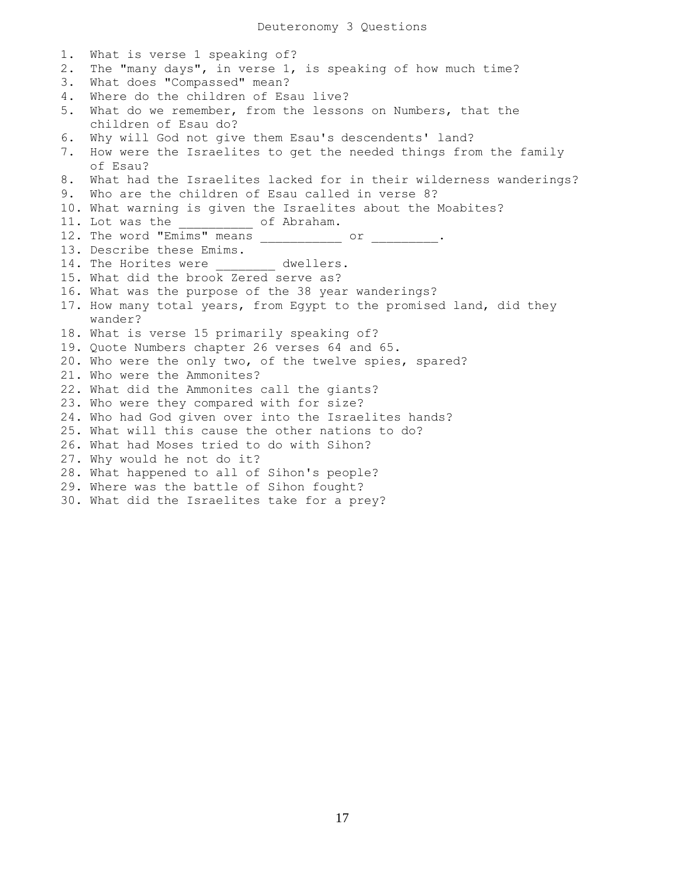Deuteronomy 3 Questions

1. What is verse 1 speaking of? 2. The "many days", in verse 1, is speaking of how much time? 3. What does "Compassed" mean? 4. Where do the children of Esau live? 5. What do we remember, from the lessons on Numbers, that the children of Esau do? 6. Why will God not give them Esau's descendents' land? 7. How were the Israelites to get the needed things from the family of Esau? 8. What had the Israelites lacked for in their wilderness wanderings? 9. Who are the children of Esau called in verse 8? 10. What warning is given the Israelites about the Moabites? 11. Lot was the  $\qquad \qquad$  of Abraham. 12. The word "Emims" means \_\_\_\_\_\_\_\_\_\_\_\_ or \_\_\_\_\_\_\_\_\_\_. 13. Describe these Emims. 14. The Horites were dwellers. 15. What did the brook Zered serve as? 16. What was the purpose of the 38 year wanderings? 17. How many total years, from Egypt to the promised land, did they wander? 18. What is verse 15 primarily speaking of? 19. Quote Numbers chapter 26 verses 64 and 65. 20. Who were the only two, of the twelve spies, spared? 21. Who were the Ammonites? 22. What did the Ammonites call the giants? 23. Who were they compared with for size? 24. Who had God given over into the Israelites hands? 25. What will this cause the other nations to do? 26. What had Moses tried to do with Sihon? 27. Why would he not do it? 28. What happened to all of Sihon's people? 29. Where was the battle of Sihon fought? 30. What did the Israelites take for a prey?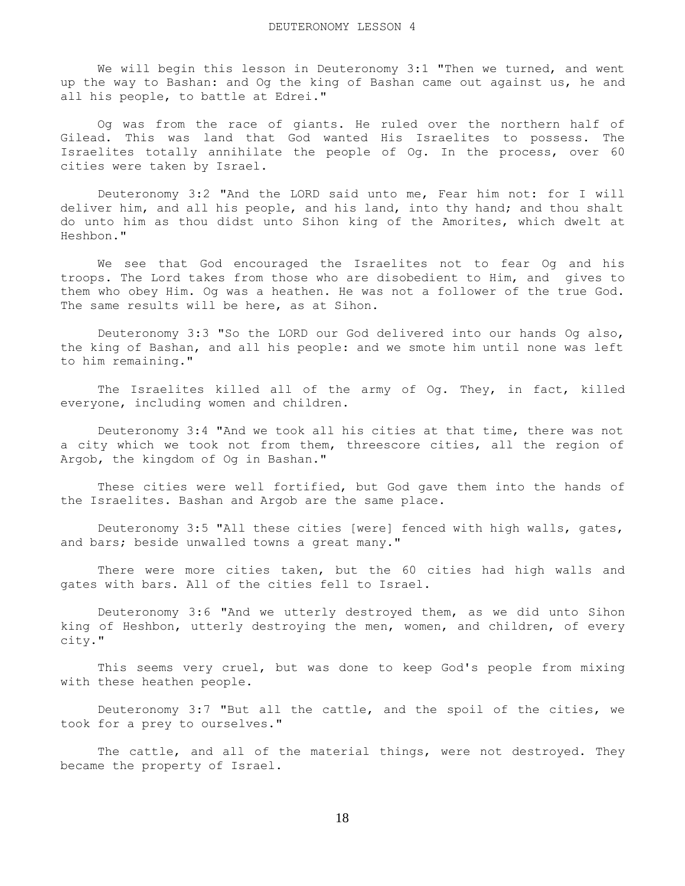We will begin this lesson in Deuteronomy 3:1 "Then we turned, and went up the way to Bashan: and Og the king of Bashan came out against us, he and all his people, to battle at Edrei."

 Og was from the race of giants. He ruled over the northern half of Gilead. This was land that God wanted His Israelites to possess. The Israelites totally annihilate the people of Og. In the process, over 60 cities were taken by Israel.

 Deuteronomy 3:2 "And the LORD said unto me, Fear him not: for I will deliver him, and all his people, and his land, into thy hand; and thou shalt do unto him as thou didst unto Sihon king of the Amorites, which dwelt at Heshbon."

 We see that God encouraged the Israelites not to fear Og and his troops. The Lord takes from those who are disobedient to Him, and gives to them who obey Him. Og was a heathen. He was not a follower of the true God. The same results will be here, as at Sihon.

 Deuteronomy 3:3 "So the LORD our God delivered into our hands Og also, the king of Bashan, and all his people: and we smote him until none was left to him remaining."

The Israelites killed all of the army of Og. They, in fact, killed everyone, including women and children.

 Deuteronomy 3:4 "And we took all his cities at that time, there was not a city which we took not from them, threescore cities, all the region of Argob, the kingdom of Og in Bashan."

 These cities were well fortified, but God gave them into the hands of the Israelites. Bashan and Argob are the same place.

 Deuteronomy 3:5 "All these cities [were] fenced with high walls, gates, and bars; beside unwalled towns a great many."

 There were more cities taken, but the 60 cities had high walls and gates with bars. All of the cities fell to Israel.

 Deuteronomy 3:6 "And we utterly destroyed them, as we did unto Sihon king of Heshbon, utterly destroying the men, women, and children, of every city."

 This seems very cruel, but was done to keep God's people from mixing with these heathen people.

 Deuteronomy 3:7 "But all the cattle, and the spoil of the cities, we took for a prey to ourselves."

The cattle, and all of the material things, were not destroyed. They became the property of Israel.

18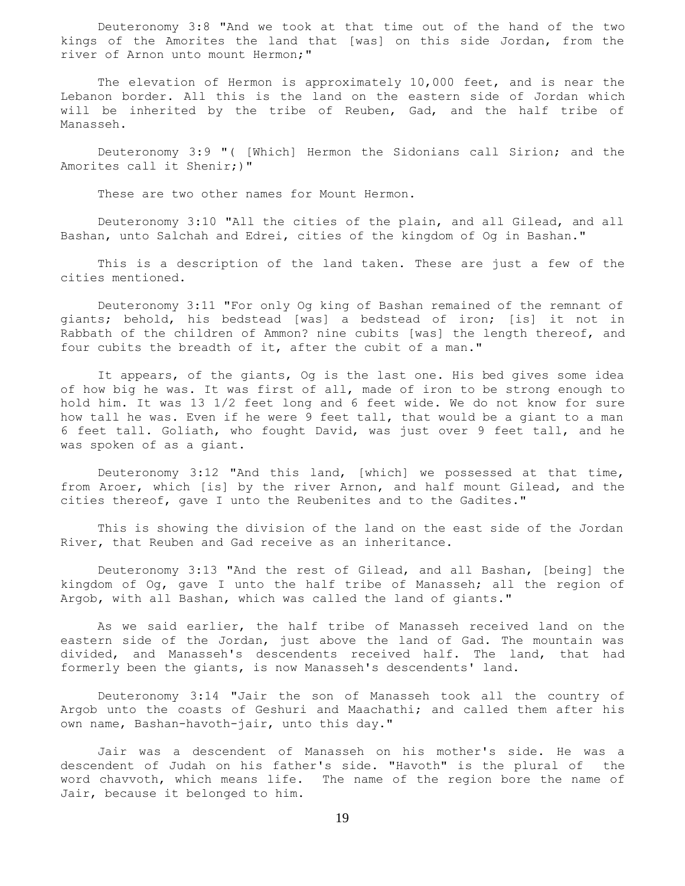Deuteronomy 3:8 "And we took at that time out of the hand of the two kings of the Amorites the land that [was] on this side Jordan, from the river of Arnon unto mount Hermon;"

 The elevation of Hermon is approximately 10,000 feet, and is near the Lebanon border. All this is the land on the eastern side of Jordan which will be inherited by the tribe of Reuben, Gad, and the half tribe of Manasseh.

 Deuteronomy 3:9 "( [Which] Hermon the Sidonians call Sirion; and the Amorites call it Shenir;)"

These are two other names for Mount Hermon.

 Deuteronomy 3:10 "All the cities of the plain, and all Gilead, and all Bashan, unto Salchah and Edrei, cities of the kingdom of Og in Bashan."

 This is a description of the land taken. These are just a few of the cities mentioned.

 Deuteronomy 3:11 "For only Og king of Bashan remained of the remnant of giants; behold, his bedstead [was] a bedstead of iron; [is] it not in Rabbath of the children of Ammon? nine cubits [was] the length thereof, and four cubits the breadth of it, after the cubit of a man."

 It appears, of the giants, Og is the last one. His bed gives some idea of how big he was. It was first of all, made of iron to be strong enough to hold him. It was 13 1/2 feet long and 6 feet wide. We do not know for sure how tall he was. Even if he were 9 feet tall, that would be a giant to a man 6 feet tall. Goliath, who fought David, was just over 9 feet tall, and he was spoken of as a giant.

 Deuteronomy 3:12 "And this land, [which] we possessed at that time, from Aroer, which [is] by the river Arnon, and half mount Gilead, and the cities thereof, gave I unto the Reubenites and to the Gadites."

 This is showing the division of the land on the east side of the Jordan River, that Reuben and Gad receive as an inheritance.

 Deuteronomy 3:13 "And the rest of Gilead, and all Bashan, [being] the kingdom of Og, gave I unto the half tribe of Manasseh; all the region of Argob, with all Bashan, which was called the land of giants."

 As we said earlier, the half tribe of Manasseh received land on the eastern side of the Jordan, just above the land of Gad. The mountain was divided, and Manasseh's descendents received half. The land, that had formerly been the giants, is now Manasseh's descendents' land.

 Deuteronomy 3:14 "Jair the son of Manasseh took all the country of Argob unto the coasts of Geshuri and Maachathi; and called them after his own name, Bashan-havoth-jair, unto this day."

 Jair was a descendent of Manasseh on his mother's side. He was a descendent of Judah on his father's side. "Havoth" is the plural of the word chavvoth, which means life. The name of the region bore the name of Jair, because it belonged to him.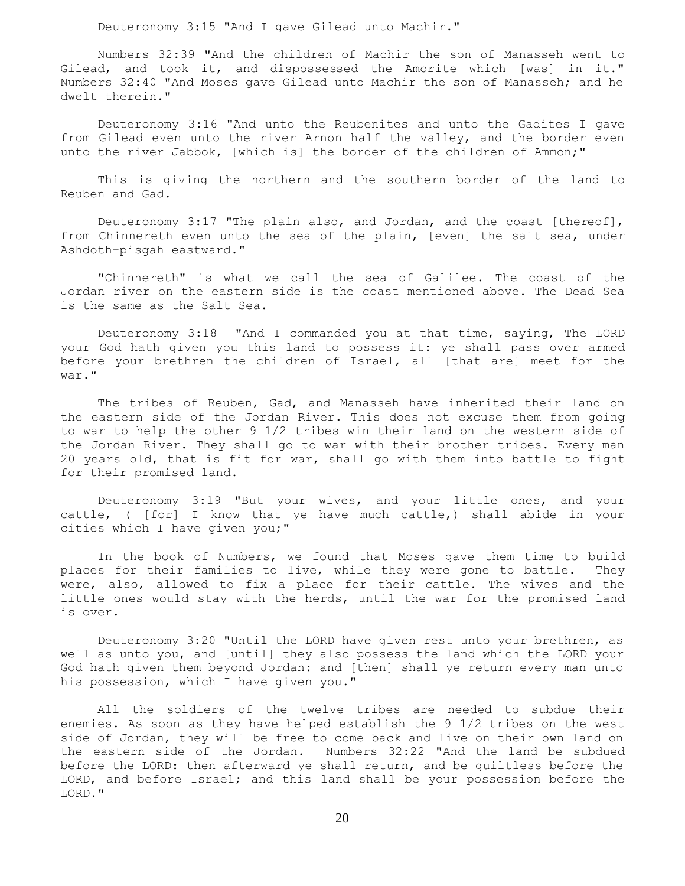Deuteronomy 3:15 "And I gave Gilead unto Machir."

 Numbers 32:39 "And the children of Machir the son of Manasseh went to Gilead, and took it, and dispossessed the Amorite which [was] in it." Numbers 32:40 "And Moses gave Gilead unto Machir the son of Manasseh; and he dwelt therein."

 Deuteronomy 3:16 "And unto the Reubenites and unto the Gadites I gave from Gilead even unto the river Arnon half the valley, and the border even unto the river Jabbok, [which is] the border of the children of Ammon;"

 This is giving the northern and the southern border of the land to Reuben and Gad.

 Deuteronomy 3:17 "The plain also, and Jordan, and the coast [thereof], from Chinnereth even unto the sea of the plain, [even] the salt sea, under Ashdoth-pisgah eastward."

 "Chinnereth" is what we call the sea of Galilee. The coast of the Jordan river on the eastern side is the coast mentioned above. The Dead Sea is the same as the Salt Sea.

 Deuteronomy 3:18 "And I commanded you at that time, saying, The LORD your God hath given you this land to possess it: ye shall pass over armed before your brethren the children of Israel, all [that are] meet for the war."

 The tribes of Reuben, Gad, and Manasseh have inherited their land on the eastern side of the Jordan River. This does not excuse them from going to war to help the other 9 1/2 tribes win their land on the western side of the Jordan River. They shall go to war with their brother tribes. Every man 20 years old, that is fit for war, shall go with them into battle to fight for their promised land.

 Deuteronomy 3:19 "But your wives, and your little ones, and your cattle, ( [for] I know that ye have much cattle,) shall abide in your cities which I have given you;"

 In the book of Numbers, we found that Moses gave them time to build places for their families to live, while they were gone to battle. They were, also, allowed to fix a place for their cattle. The wives and the little ones would stay with the herds, until the war for the promised land is over.

 Deuteronomy 3:20 "Until the LORD have given rest unto your brethren, as well as unto you, and [until] they also possess the land which the LORD your God hath given them beyond Jordan: and [then] shall ye return every man unto his possession, which I have given you."

 All the soldiers of the twelve tribes are needed to subdue their enemies. As soon as they have helped establish the 9 1/2 tribes on the west side of Jordan, they will be free to come back and live on their own land on the eastern side of the Jordan. Numbers 32:22 "And the land be subdued before the LORD: then afterward ye shall return, and be guiltless before the LORD, and before Israel; and this land shall be your possession before the LORD."

20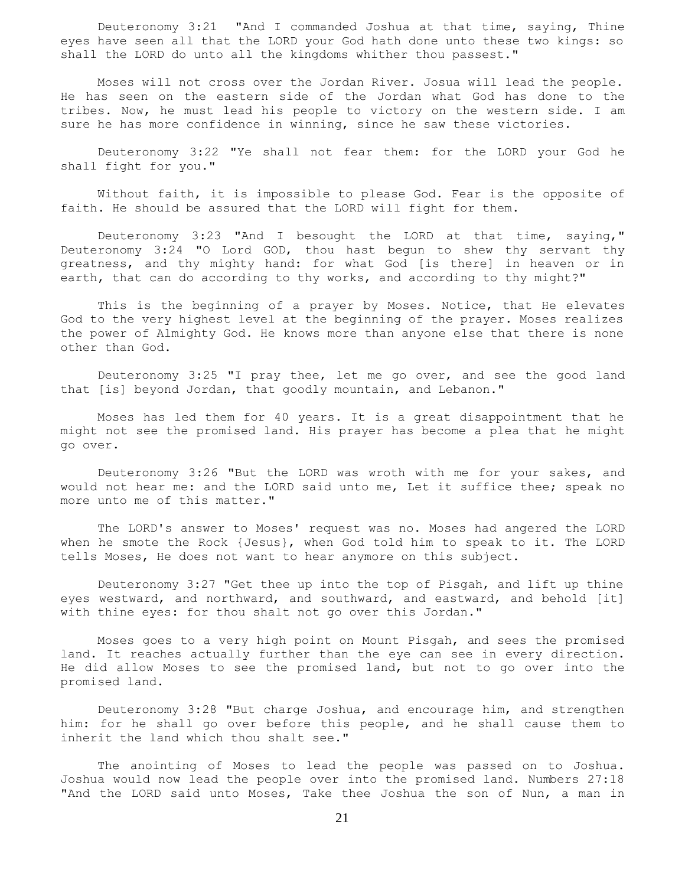Deuteronomy 3:21 "And I commanded Joshua at that time, saying, Thine eyes have seen all that the LORD your God hath done unto these two kings: so shall the LORD do unto all the kingdoms whither thou passest."

 Moses will not cross over the Jordan River. Josua will lead the people. He has seen on the eastern side of the Jordan what God has done to the tribes. Now, he must lead his people to victory on the western side. I am sure he has more confidence in winning, since he saw these victories.

 Deuteronomy 3:22 "Ye shall not fear them: for the LORD your God he shall fight for you."

 Without faith, it is impossible to please God. Fear is the opposite of faith. He should be assured that the LORD will fight for them.

 Deuteronomy 3:23 "And I besought the LORD at that time, saying," Deuteronomy 3:24 "O Lord GOD, thou hast begun to shew thy servant thy greatness, and thy mighty hand: for what God [is there] in heaven or in earth, that can do according to thy works, and according to thy might?"

 This is the beginning of a prayer by Moses. Notice, that He elevates God to the very highest level at the beginning of the prayer. Moses realizes the power of Almighty God. He knows more than anyone else that there is none other than God.

 Deuteronomy 3:25 "I pray thee, let me go over, and see the good land that [is] beyond Jordan, that goodly mountain, and Lebanon."

 Moses has led them for 40 years. It is a great disappointment that he might not see the promised land. His prayer has become a plea that he might go over.

 Deuteronomy 3:26 "But the LORD was wroth with me for your sakes, and would not hear me: and the LORD said unto me, Let it suffice thee; speak no more unto me of this matter."

 The LORD's answer to Moses' request was no. Moses had angered the LORD when he smote the Rock {Jesus}, when God told him to speak to it. The LORD tells Moses, He does not want to hear anymore on this subject.

 Deuteronomy 3:27 "Get thee up into the top of Pisgah, and lift up thine eyes westward, and northward, and southward, and eastward, and behold [it] with thine eyes: for thou shalt not go over this Jordan."

 Moses goes to a very high point on Mount Pisgah, and sees the promised land. It reaches actually further than the eye can see in every direction. He did allow Moses to see the promised land, but not to go over into the promised land.

 Deuteronomy 3:28 "But charge Joshua, and encourage him, and strengthen him: for he shall go over before this people, and he shall cause them to inherit the land which thou shalt see."

 The anointing of Moses to lead the people was passed on to Joshua. Joshua would now lead the people over into the promised land. Numbers 27:18 "And the LORD said unto Moses, Take thee Joshua the son of Nun, a man in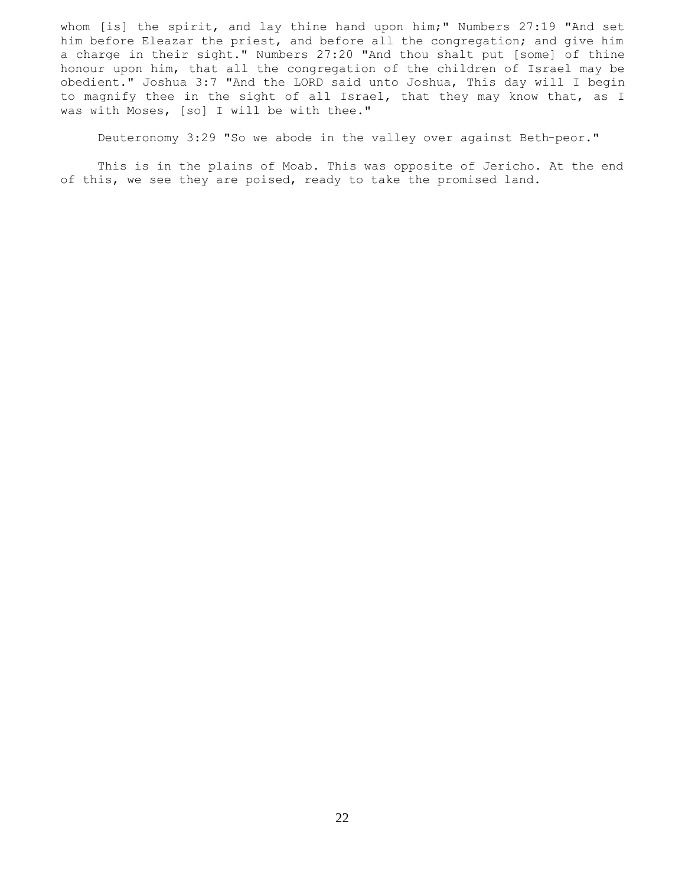whom [is] the spirit, and lay thine hand upon him;" Numbers 27:19 "And set him before Eleazar the priest, and before all the congregation; and give him a charge in their sight." Numbers 27:20 "And thou shalt put [some] of thine honour upon him, that all the congregation of the children of Israel may be obedient." Joshua 3:7 "And the LORD said unto Joshua, This day will I begin to magnify thee in the sight of all Israel, that they may know that, as I was with Moses, [so] I will be with thee."

Deuteronomy 3:29 "So we abode in the valley over against Beth-peor."

 This is in the plains of Moab. This was opposite of Jericho. At the end of this, we see they are poised, ready to take the promised land.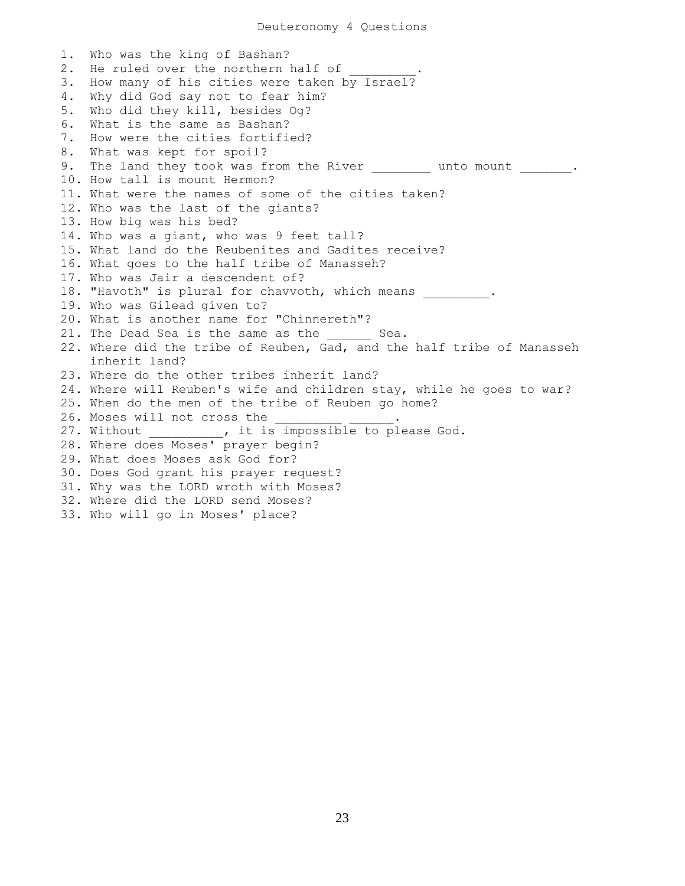1. Who was the king of Bashan? 2. He ruled over the northern half of 3. How many of his cities were taken by Israel? 4. Why did God say not to fear him? 5. Who did they kill, besides Og? 6. What is the same as Bashan? 7. How were the cities fortified? 8. What was kept for spoil? 9. The land they took was from the River and unto mount . 10. How tall is mount Hermon? 11. What were the names of some of the cities taken? 12. Who was the last of the giants? 13. How big was his bed? 14. Who was a giant, who was 9 feet tall? 15. What land do the Reubenites and Gadites receive? 16. What goes to the half tribe of Manasseh? 17. Who was Jair a descendent of? 18. "Havoth" is plural for chavvoth, which means . 19. Who was Gilead given to? 20. What is another name for "Chinnereth"? 21. The Dead Sea is the same as the Sea. 22. Where did the tribe of Reuben, Gad, and the half tribe of Manasseh inherit land? 23. Where do the other tribes inherit land? 24. Where will Reuben's wife and children stay, while he goes to war? 25. When do the men of the tribe of Reuben go home? 26. Moses will not cross the \_\_\_\_\_ 27. Without \_\_\_\_\_\_\_\_\_\_, it is impossible to please God. 28. Where does Moses' prayer begin? 29. What does Moses ask God for? 30. Does God grant his prayer request? 31. Why was the LORD wroth with Moses? 32. Where did the LORD send Moses? 33. Who will go in Moses' place?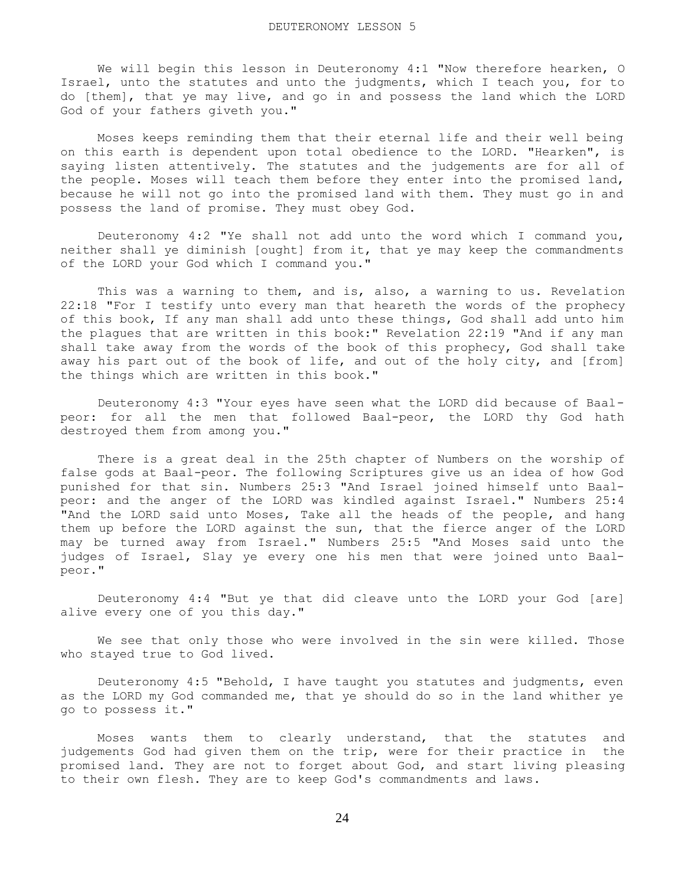We will begin this lesson in Deuteronomy 4:1 "Now therefore hearken, O Israel, unto the statutes and unto the judgments, which I teach you, for to do [them], that ye may live, and go in and possess the land which the LORD God of your fathers giveth you."

 Moses keeps reminding them that their eternal life and their well being on this earth is dependent upon total obedience to the LORD. "Hearken", is saying listen attentively. The statutes and the judgements are for all of the people. Moses will teach them before they enter into the promised land, because he will not go into the promised land with them. They must go in and possess the land of promise. They must obey God.

 Deuteronomy 4:2 "Ye shall not add unto the word which I command you, neither shall ye diminish [ought] from it, that ye may keep the commandments of the LORD your God which I command you."

 This was a warning to them, and is, also, a warning to us. Revelation 22:18 "For I testify unto every man that heareth the words of the prophecy of this book, If any man shall add unto these things, God shall add unto him the plagues that are written in this book:" Revelation 22:19 "And if any man shall take away from the words of the book of this prophecy, God shall take away his part out of the book of life, and out of the holy city, and [from] the things which are written in this book."

 Deuteronomy 4:3 "Your eyes have seen what the LORD did because of Baalpeor: for all the men that followed Baal-peor, the LORD thy God hath destroyed them from among you."

 There is a great deal in the 25th chapter of Numbers on the worship of false gods at Baal-peor. The following Scriptures give us an idea of how God punished for that sin. Numbers 25:3 "And Israel joined himself unto Baalpeor: and the anger of the LORD was kindled against Israel." Numbers 25:4 "And the LORD said unto Moses, Take all the heads of the people, and hang them up before the LORD against the sun, that the fierce anger of the LORD may be turned away from Israel." Numbers 25:5 "And Moses said unto the judges of Israel, Slay ye every one his men that were joined unto Baalpeor."

 Deuteronomy 4:4 "But ye that did cleave unto the LORD your God [are] alive every one of you this day."

 We see that only those who were involved in the sin were killed. Those who stayed true to God lived.

 Deuteronomy 4:5 "Behold, I have taught you statutes and judgments, even as the LORD my God commanded me, that ye should do so in the land whither ye go to possess it."

 Moses wants them to clearly understand, that the statutes and judgements God had given them on the trip, were for their practice in the promised land. They are not to forget about God, and start living pleasing to their own flesh. They are to keep God's commandments and laws.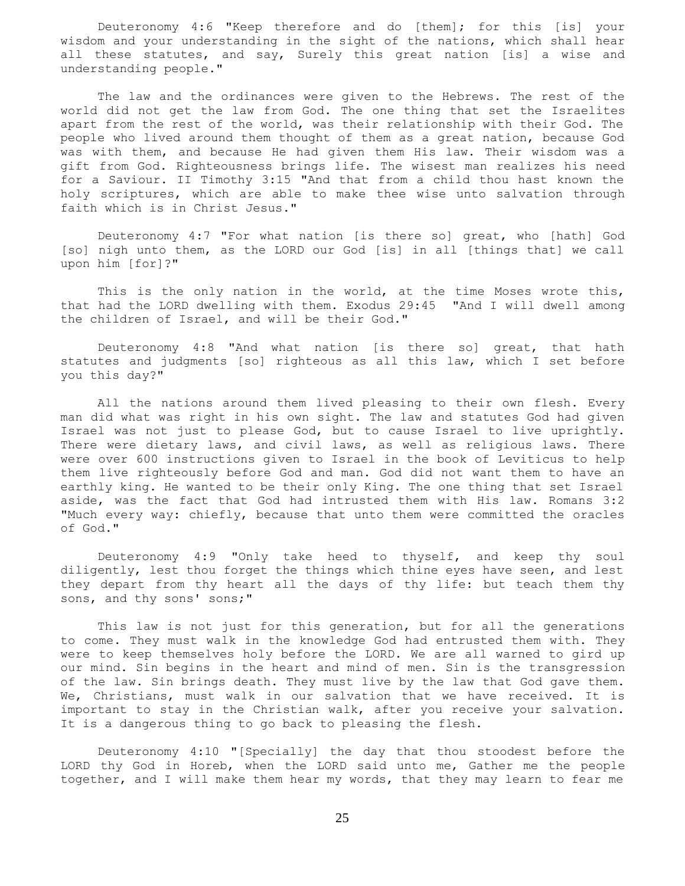Deuteronomy 4:6 "Keep therefore and do [them]; for this [is] your wisdom and your understanding in the sight of the nations, which shall hear all these statutes, and say, Surely this great nation [is] a wise and understanding people."

 The law and the ordinances were given to the Hebrews. The rest of the world did not get the law from God. The one thing that set the Israelites apart from the rest of the world, was their relationship with their God. The people who lived around them thought of them as a great nation, because God was with them, and because He had given them His law. Their wisdom was a gift from God. Righteousness brings life. The wisest man realizes his need for a Saviour. II Timothy 3:15 "And that from a child thou hast known the holy scriptures, which are able to make thee wise unto salvation through faith which is in Christ Jesus."

 Deuteronomy 4:7 "For what nation [is there so] great, who [hath] God [so] nigh unto them, as the LORD our God [is] in all [things that] we call upon him [for]?"

This is the only nation in the world, at the time Moses wrote this, that had the LORD dwelling with them. Exodus 29:45 "And I will dwell among the children of Israel, and will be their God."

 Deuteronomy 4:8 "And what nation [is there so] great, that hath statutes and judgments [so] righteous as all this law, which I set before you this day?"

 All the nations around them lived pleasing to their own flesh. Every man did what was right in his own sight. The law and statutes God had given Israel was not just to please God, but to cause Israel to live uprightly. There were dietary laws, and civil laws, as well as religious laws. There were over 600 instructions given to Israel in the book of Leviticus to help them live righteously before God and man. God did not want them to have an earthly king. He wanted to be their only King. The one thing that set Israel aside, was the fact that God had intrusted them with His law. Romans 3:2 "Much every way: chiefly, because that unto them were committed the oracles of God."

 Deuteronomy 4:9 "Only take heed to thyself, and keep thy soul diligently, lest thou forget the things which thine eyes have seen, and lest they depart from thy heart all the days of thy life: but teach them thy sons, and thy sons' sons;"

 This law is not just for this generation, but for all the generations to come. They must walk in the knowledge God had entrusted them with. They were to keep themselves holy before the LORD. We are all warned to gird up our mind. Sin begins in the heart and mind of men. Sin is the transgression of the law. Sin brings death. They must live by the law that God gave them. We, Christians, must walk in our salvation that we have received. It is important to stay in the Christian walk, after you receive your salvation. It is a dangerous thing to go back to pleasing the flesh.

 Deuteronomy 4:10 "[Specially] the day that thou stoodest before the LORD thy God in Horeb, when the LORD said unto me, Gather me the people together, and I will make them hear my words, that they may learn to fear me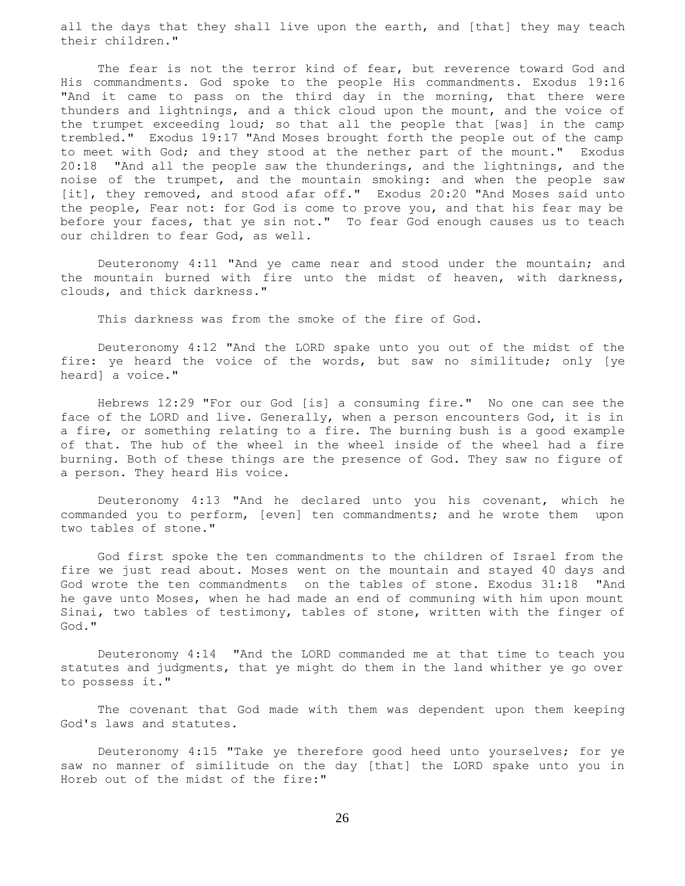all the days that they shall live upon the earth, and [that] they may teach their children."

 The fear is not the terror kind of fear, but reverence toward God and His commandments. God spoke to the people His commandments. Exodus 19:16 "And it came to pass on the third day in the morning, that there were thunders and lightnings, and a thick cloud upon the mount, and the voice of the trumpet exceeding loud; so that all the people that [was] in the camp trembled." Exodus 19:17 "And Moses brought forth the people out of the camp to meet with God; and they stood at the nether part of the mount." Exodus 20:18 "And all the people saw the thunderings, and the lightnings, and the noise of the trumpet, and the mountain smoking: and when the people saw [it], they removed, and stood afar off." Exodus 20:20 "And Moses said unto the people, Fear not: for God is come to prove you, and that his fear may be before your faces, that ye sin not." To fear God enough causes us to teach our children to fear God, as well.

 Deuteronomy 4:11 "And ye came near and stood under the mountain; and the mountain burned with fire unto the midst of heaven, with darkness, clouds, and thick darkness."

This darkness was from the smoke of the fire of God.

 Deuteronomy 4:12 "And the LORD spake unto you out of the midst of the fire: ye heard the voice of the words, but saw no similitude; only [ye heard] a voice."

 Hebrews 12:29 "For our God [is] a consuming fire." No one can see the face of the LORD and live. Generally, when a person encounters God, it is in a fire, or something relating to a fire. The burning bush is a good example of that. The hub of the wheel in the wheel inside of the wheel had a fire burning. Both of these things are the presence of God. They saw no figure of a person. They heard His voice.

 Deuteronomy 4:13 "And he declared unto you his covenant, which he commanded you to perform, [even] ten commandments; and he wrote them upon two tables of stone."

 God first spoke the ten commandments to the children of Israel from the fire we just read about. Moses went on the mountain and stayed 40 days and God wrote the ten commandments on the tables of stone. Exodus 31:18 "And he gave unto Moses, when he had made an end of communing with him upon mount Sinai, two tables of testimony, tables of stone, written with the finger of God."

 Deuteronomy 4:14 "And the LORD commanded me at that time to teach you statutes and judgments, that ye might do them in the land whither ye go over to possess it."

 The covenant that God made with them was dependent upon them keeping God's laws and statutes.

 Deuteronomy 4:15 "Take ye therefore good heed unto yourselves; for ye saw no manner of similitude on the day [that] the LORD spake unto you in Horeb out of the midst of the fire:"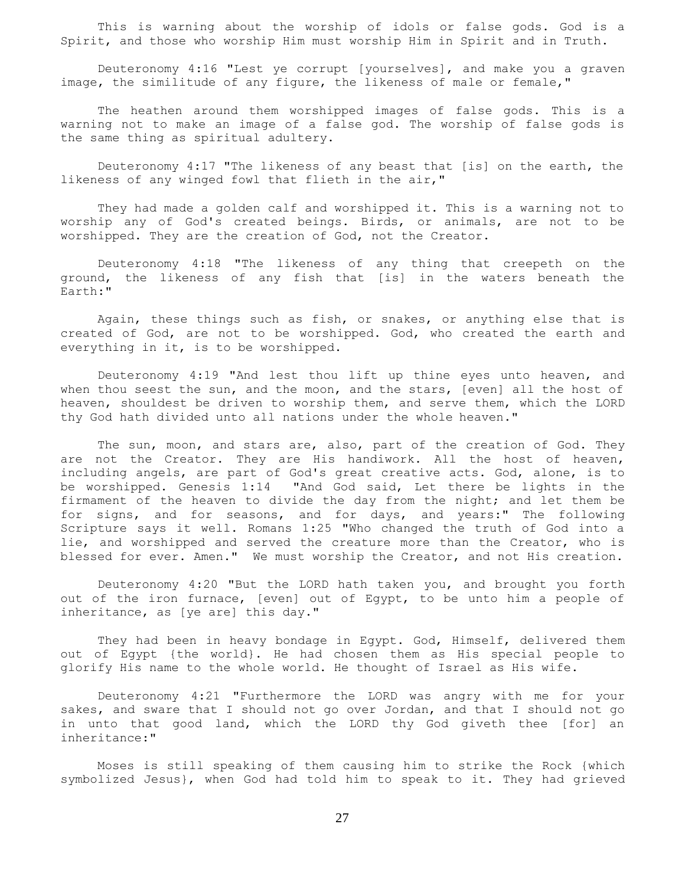This is warning about the worship of idols or false gods. God is a Spirit, and those who worship Him must worship Him in Spirit and in Truth.

 Deuteronomy 4:16 "Lest ye corrupt [yourselves], and make you a graven image, the similitude of any figure, the likeness of male or female,"

 The heathen around them worshipped images of false gods. This is a warning not to make an image of a false god. The worship of false gods is the same thing as spiritual adultery.

 Deuteronomy 4:17 "The likeness of any beast that [is] on the earth, the likeness of any winged fowl that flieth in the air,"

 They had made a golden calf and worshipped it. This is a warning not to worship any of God's created beings. Birds, or animals, are not to be worshipped. They are the creation of God, not the Creator.

 Deuteronomy 4:18 "The likeness of any thing that creepeth on the ground, the likeness of any fish that [is] in the waters beneath the Earth:"

 Again, these things such as fish, or snakes, or anything else that is created of God, are not to be worshipped. God, who created the earth and everything in it, is to be worshipped.

 Deuteronomy 4:19 "And lest thou lift up thine eyes unto heaven, and when thou seest the sun, and the moon, and the stars, [even] all the host of heaven, shouldest be driven to worship them, and serve them, which the LORD thy God hath divided unto all nations under the whole heaven."

The sun, moon, and stars are, also, part of the creation of God. They are not the Creator. They are His handiwork. All the host of heaven, including angels, are part of God's great creative acts. God, alone, is to be worshipped. Genesis 1:14 "And God said, Let there be lights in the firmament of the heaven to divide the day from the night; and let them be for signs, and for seasons, and for days, and years:" The following Scripture says it well. Romans 1:25 "Who changed the truth of God into a lie, and worshipped and served the creature more than the Creator, who is blessed for ever. Amen." We must worship the Creator, and not His creation.

 Deuteronomy 4:20 "But the LORD hath taken you, and brought you forth out of the iron furnace, [even] out of Egypt, to be unto him a people of inheritance, as [ye are] this day."

They had been in heavy bondage in Egypt. God, Himself, delivered them out of Egypt {the world}. He had chosen them as His special people to glorify His name to the whole world. He thought of Israel as His wife.

 Deuteronomy 4:21 "Furthermore the LORD was angry with me for your sakes, and sware that I should not go over Jordan, and that I should not go in unto that good land, which the LORD thy God giveth thee [for] an inheritance:"

 Moses is still speaking of them causing him to strike the Rock {which symbolized Jesus}, when God had told him to speak to it. They had grieved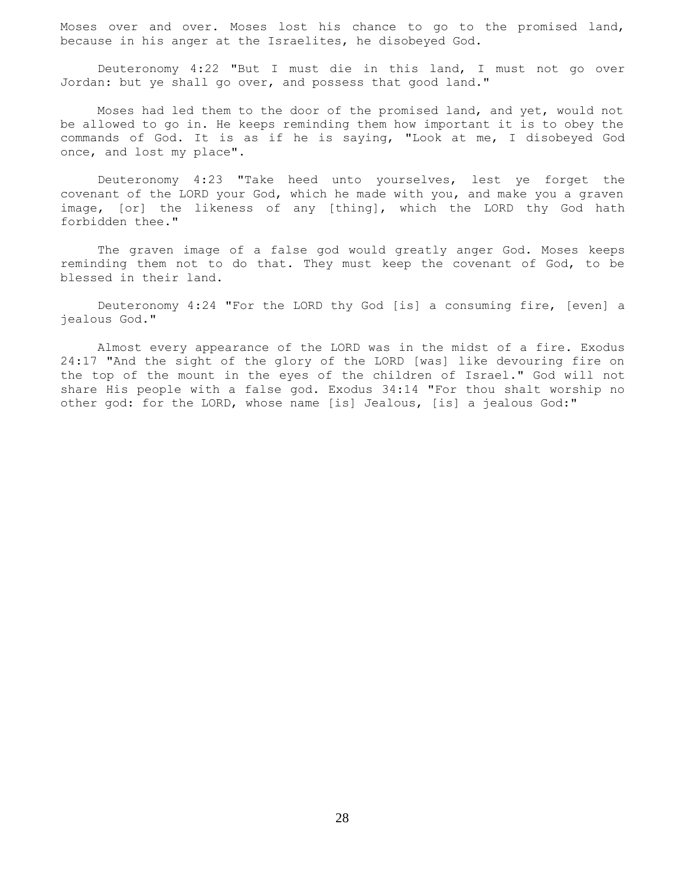Moses over and over. Moses lost his chance to go to the promised land, because in his anger at the Israelites, he disobeyed God.

 Deuteronomy 4:22 "But I must die in this land, I must not go over Jordan: but ye shall go over, and possess that good land."

 Moses had led them to the door of the promised land, and yet, would not be allowed to go in. He keeps reminding them how important it is to obey the commands of God. It is as if he is saying, "Look at me, I disobeyed God once, and lost my place".

 Deuteronomy 4:23 "Take heed unto yourselves, lest ye forget the covenant of the LORD your God, which he made with you, and make you a graven image, [or] the likeness of any [thing], which the LORD thy God hath forbidden thee."

 The graven image of a false god would greatly anger God. Moses keeps reminding them not to do that. They must keep the covenant of God, to be blessed in their land.

 Deuteronomy 4:24 "For the LORD thy God [is] a consuming fire, [even] a jealous God."

 Almost every appearance of the LORD was in the midst of a fire. Exodus 24:17 "And the sight of the glory of the LORD [was] like devouring fire on the top of the mount in the eyes of the children of Israel." God will not share His people with a false god. Exodus 34:14 "For thou shalt worship no other god: for the LORD, whose name [is] Jealous, [is] a jealous God:"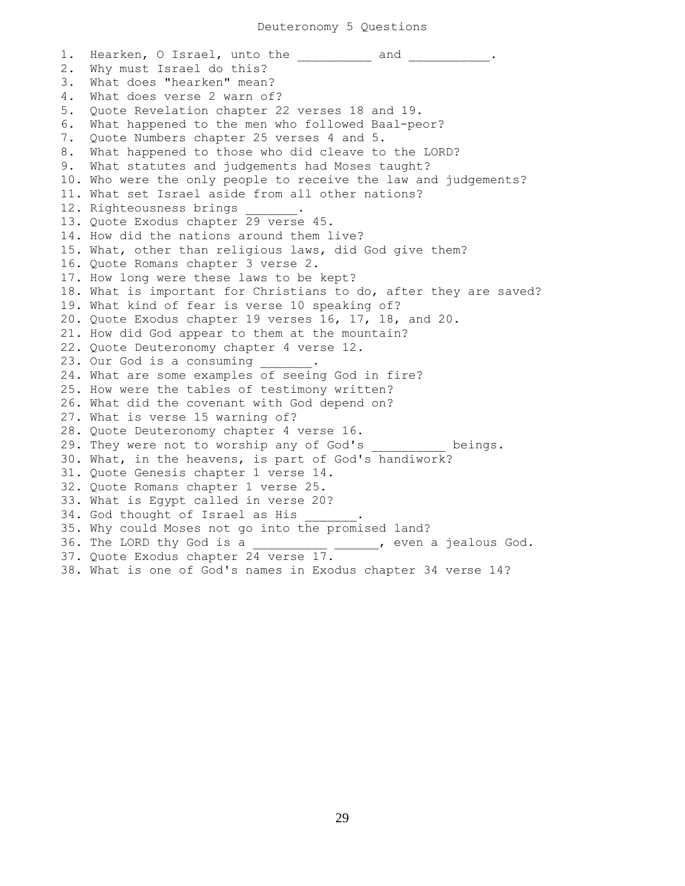1. Hearken, O Israel, unto the and ... 2. Why must Israel do this? 3. What does "hearken" mean? 4. What does verse 2 warn of? 5. Quote Revelation chapter 22 verses 18 and 19. 6. What happened to the men who followed Baal-peor? 7. Quote Numbers chapter 25 verses 4 and 5. 8. What happened to those who did cleave to the LORD? 9. What statutes and judgements had Moses taught? 10. Who were the only people to receive the law and judgements? 11. What set Israel aside from all other nations? 12. Righteousness brings 13. Quote Exodus chapter 29 verse 45. 14. How did the nations around them live? 15. What, other than religious laws, did God give them? 16. Quote Romans chapter 3 verse 2. 17. How long were these laws to be kept? 18. What is important for Christians to do, after they are saved? 19. What kind of fear is verse 10 speaking of? 20. Quote Exodus chapter 19 verses 16, 17, 18, and 20. 21. How did God appear to them at the mountain? 22. Quote Deuteronomy chapter 4 verse 12. 23. Our God is a consuming 24. What are some examples of seeing God in fire? 25. How were the tables of testimony written? 26. What did the covenant with God depend on? 27. What is verse 15 warning of? 28. Quote Deuteronomy chapter 4 verse 16. 29. They were not to worship any of God's beings. 30. What, in the heavens, is part of God's handiwork? 31. Quote Genesis chapter 1 verse 14. 32. Quote Romans chapter 1 verse 25. 33. What is Egypt called in verse 20? 34. God thought of Israel as His 35. Why could Moses not go into the promised land? 36. The LORD thy God is a \_\_\_\_\_\_\_\_\_\_\_\_, even a jealous God. 37. Quote Exodus chapter 24 verse 17. 38. What is one of God's names in Exodus chapter 34 verse 14?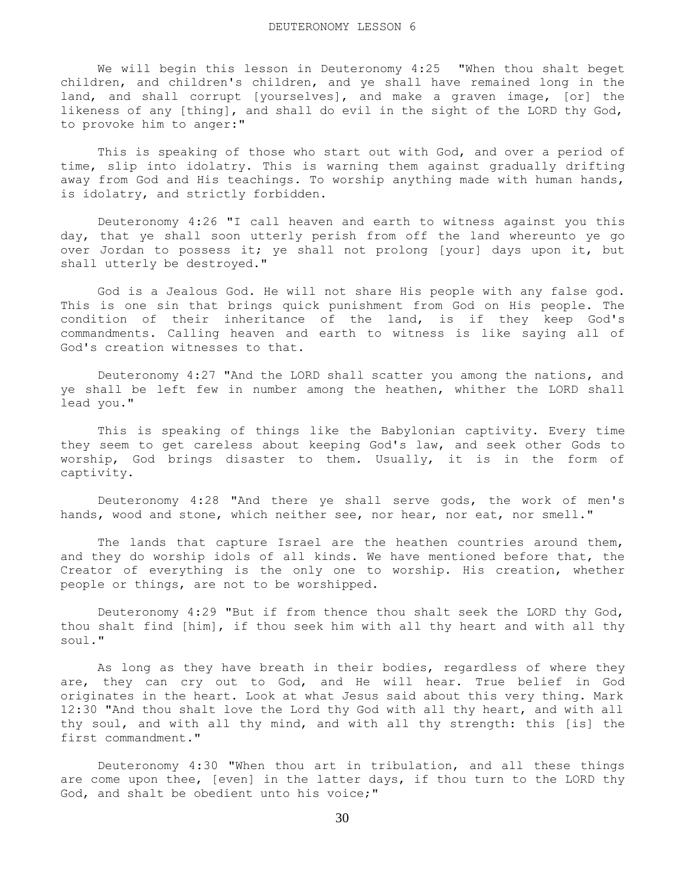We will begin this lesson in Deuteronomy 4:25 "When thou shalt beget children, and children's children, and ye shall have remained long in the land, and shall corrupt [yourselves], and make a graven image, [or] the likeness of any [thing], and shall do evil in the sight of the LORD thy God, to provoke him to anger:"

 This is speaking of those who start out with God, and over a period of time, slip into idolatry. This is warning them against gradually drifting away from God and His teachings. To worship anything made with human hands, is idolatry, and strictly forbidden.

 Deuteronomy 4:26 "I call heaven and earth to witness against you this day, that ye shall soon utterly perish from off the land whereunto ye go over Jordan to possess it; ye shall not prolong [your] days upon it, but shall utterly be destroyed."

 God is a Jealous God. He will not share His people with any false god. This is one sin that brings quick punishment from God on His people. The condition of their inheritance of the land, is if they keep God's commandments. Calling heaven and earth to witness is like saying all of God's creation witnesses to that.

 Deuteronomy 4:27 "And the LORD shall scatter you among the nations, and ye shall be left few in number among the heathen, whither the LORD shall lead you."

 This is speaking of things like the Babylonian captivity. Every time they seem to get careless about keeping God's law, and seek other Gods to worship, God brings disaster to them. Usually, it is in the form of captivity.

 Deuteronomy 4:28 "And there ye shall serve gods, the work of men's hands, wood and stone, which neither see, nor hear, nor eat, nor smell."

The lands that capture Israel are the heathen countries around them, and they do worship idols of all kinds. We have mentioned before that, the Creator of everything is the only one to worship. His creation, whether people or things, are not to be worshipped.

 Deuteronomy 4:29 "But if from thence thou shalt seek the LORD thy God, thou shalt find [him], if thou seek him with all thy heart and with all thy soul."

 As long as they have breath in their bodies, regardless of where they are, they can cry out to God, and He will hear. True belief in God originates in the heart. Look at what Jesus said about this very thing. Mark 12:30 "And thou shalt love the Lord thy God with all thy heart, and with all thy soul, and with all thy mind, and with all thy strength: this [is] the first commandment."

 Deuteronomy 4:30 "When thou art in tribulation, and all these things are come upon thee, [even] in the latter days, if thou turn to the LORD thy God, and shalt be obedient unto his voice;"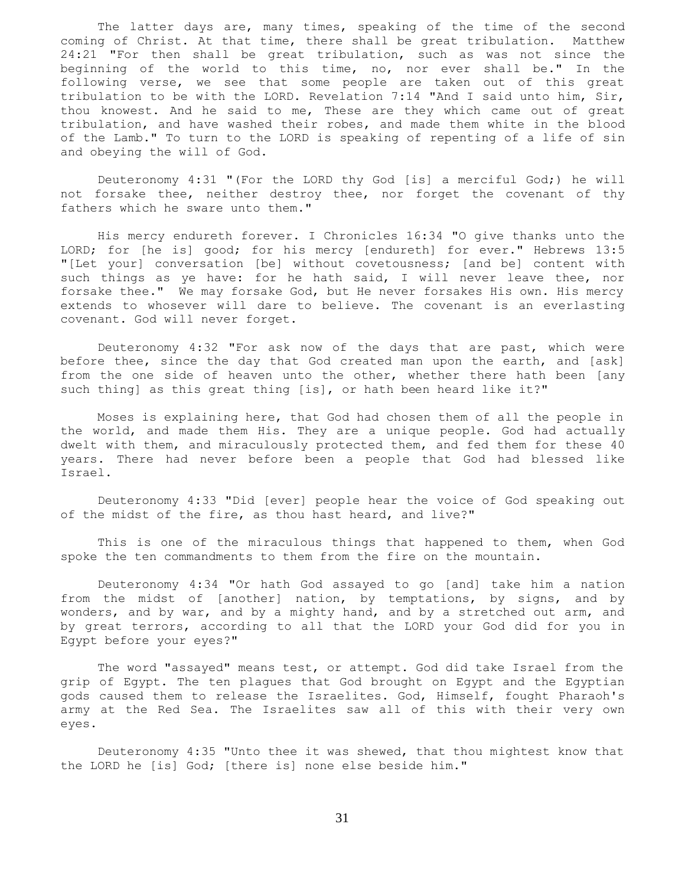The latter days are, many times, speaking of the time of the second coming of Christ. At that time, there shall be great tribulation. Matthew 24:21 "For then shall be great tribulation, such as was not since the beginning of the world to this time, no, nor ever shall be." In the following verse, we see that some people are taken out of this great tribulation to be with the LORD. Revelation 7:14 "And I said unto him, Sir, thou knowest. And he said to me, These are they which came out of great tribulation, and have washed their robes, and made them white in the blood of the Lamb." To turn to the LORD is speaking of repenting of a life of sin and obeying the will of God.

 Deuteronomy 4:31 "(For the LORD thy God [is] a merciful God;) he will not forsake thee, neither destroy thee, nor forget the covenant of thy fathers which he sware unto them."

 His mercy endureth forever. I Chronicles 16:34 "O give thanks unto the LORD; for [he is] good; for his mercy [endureth] for ever." Hebrews 13:5 "[Let your] conversation [be] without covetousness; [and be] content with such things as ye have: for he hath said, I will never leave thee, nor forsake thee." We may forsake God, but He never forsakes His own. His mercy extends to whosever will dare to believe. The covenant is an everlasting covenant. God will never forget.

 Deuteronomy 4:32 "For ask now of the days that are past, which were before thee, since the day that God created man upon the earth, and [ask] from the one side of heaven unto the other, whether there hath been [any such thing] as this great thing [is], or hath been heard like it?"

 Moses is explaining here, that God had chosen them of all the people in the world, and made them His. They are a unique people. God had actually dwelt with them, and miraculously protected them, and fed them for these 40 years. There had never before been a people that God had blessed like Israel.

 Deuteronomy 4:33 "Did [ever] people hear the voice of God speaking out of the midst of the fire, as thou hast heard, and live?"

 This is one of the miraculous things that happened to them, when God spoke the ten commandments to them from the fire on the mountain.

 Deuteronomy 4:34 "Or hath God assayed to go [and] take him a nation from the midst of [another] nation, by temptations, by signs, and by wonders, and by war, and by a mighty hand, and by a stretched out arm, and by great terrors, according to all that the LORD your God did for you in Egypt before your eyes?"

 The word "assayed" means test, or attempt. God did take Israel from the grip of Egypt. The ten plagues that God brought on Egypt and the Egyptian gods caused them to release the Israelites. God, Himself, fought Pharaoh's army at the Red Sea. The Israelites saw all of this with their very own eyes.

 Deuteronomy 4:35 "Unto thee it was shewed, that thou mightest know that the LORD he [is] God; [there is] none else beside him."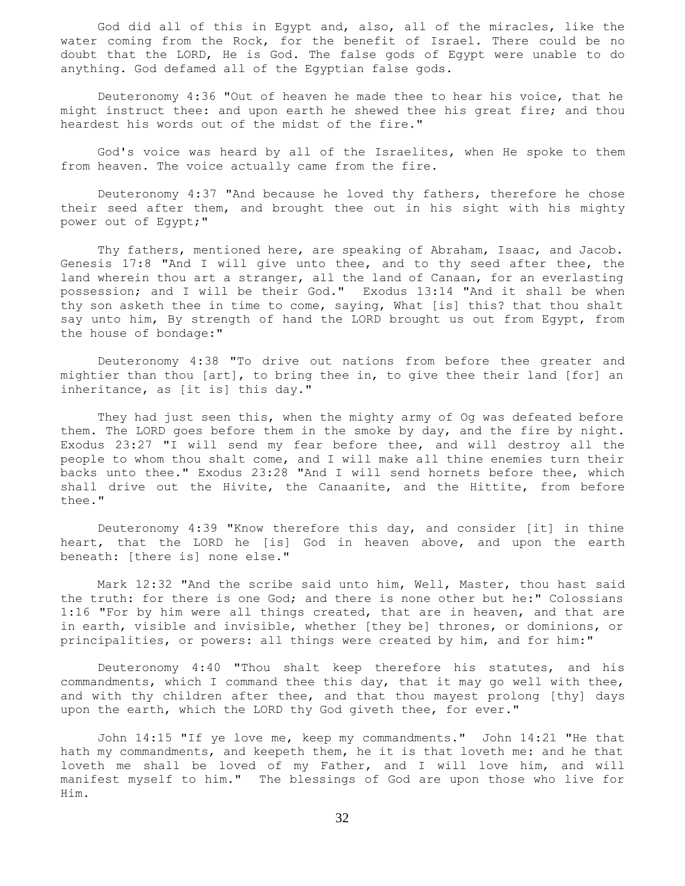God did all of this in Egypt and, also, all of the miracles, like the water coming from the Rock, for the benefit of Israel. There could be no doubt that the LORD, He is God. The false gods of Egypt were unable to do anything. God defamed all of the Egyptian false gods.

 Deuteronomy 4:36 "Out of heaven he made thee to hear his voice, that he might instruct thee: and upon earth he shewed thee his great fire; and thou heardest his words out of the midst of the fire."

 God's voice was heard by all of the Israelites, when He spoke to them from heaven. The voice actually came from the fire.

 Deuteronomy 4:37 "And because he loved thy fathers, therefore he chose their seed after them, and brought thee out in his sight with his mighty power out of Egypt;"

 Thy fathers, mentioned here, are speaking of Abraham, Isaac, and Jacob. Genesis 17:8 "And I will give unto thee, and to thy seed after thee, the land wherein thou art a stranger, all the land of Canaan, for an everlasting possession; and I will be their God." Exodus 13:14 "And it shall be when thy son asketh thee in time to come, saying, What [is] this? that thou shalt say unto him, By strength of hand the LORD brought us out from Egypt, from the house of bondage:"

 Deuteronomy 4:38 "To drive out nations from before thee greater and mightier than thou [art], to bring thee in, to give thee their land [for] an inheritance, as [it is] this day."

 They had just seen this, when the mighty army of Og was defeated before them. The LORD goes before them in the smoke by day, and the fire by night. Exodus 23:27 "I will send my fear before thee, and will destroy all the people to whom thou shalt come, and I will make all thine enemies turn their backs unto thee." Exodus 23:28 "And I will send hornets before thee, which shall drive out the Hivite, the Canaanite, and the Hittite, from before thee."

 Deuteronomy 4:39 "Know therefore this day, and consider [it] in thine heart, that the LORD he [is] God in heaven above, and upon the earth beneath: [there is] none else."

 Mark 12:32 "And the scribe said unto him, Well, Master, thou hast said the truth: for there is one God; and there is none other but he:" Colossians 1:16 "For by him were all things created, that are in heaven, and that are in earth, visible and invisible, whether [they be] thrones, or dominions, or principalities, or powers: all things were created by him, and for him:"

 Deuteronomy 4:40 "Thou shalt keep therefore his statutes, and his commandments, which I command thee this day, that it may go well with thee, and with thy children after thee, and that thou mayest prolong [thy] days upon the earth, which the LORD thy God giveth thee, for ever."

 John 14:15 "If ye love me, keep my commandments." John 14:21 "He that hath my commandments, and keepeth them, he it is that loveth me: and he that loveth me shall be loved of my Father, and I will love him, and will manifest myself to him." The blessings of God are upon those who live for Him.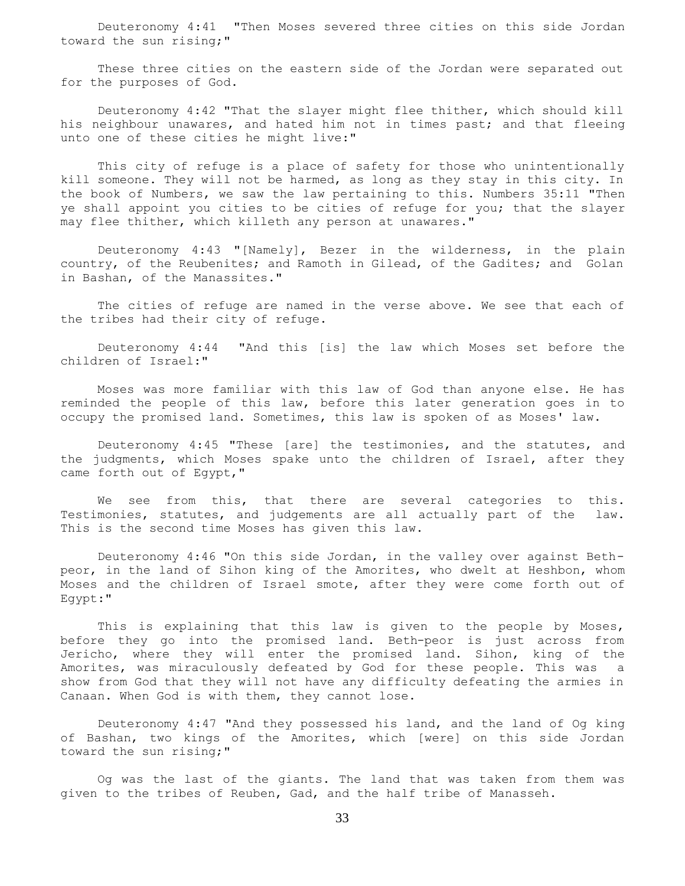Deuteronomy 4:41 "Then Moses severed three cities on this side Jordan toward the sun rising;"

 These three cities on the eastern side of the Jordan were separated out for the purposes of God.

 Deuteronomy 4:42 "That the slayer might flee thither, which should kill his neighbour unawares, and hated him not in times past; and that fleeing unto one of these cities he might live:"

 This city of refuge is a place of safety for those who unintentionally kill someone. They will not be harmed, as long as they stay in this city. In the book of Numbers, we saw the law pertaining to this. Numbers 35:11 "Then ye shall appoint you cities to be cities of refuge for you; that the slayer may flee thither, which killeth any person at unawares."

 Deuteronomy 4:43 "[Namely], Bezer in the wilderness, in the plain country, of the Reubenites; and Ramoth in Gilead, of the Gadites; and Golan in Bashan, of the Manassites."

 The cities of refuge are named in the verse above. We see that each of the tribes had their city of refuge.

 Deuteronomy 4:44 "And this [is] the law which Moses set before the children of Israel:"

 Moses was more familiar with this law of God than anyone else. He has reminded the people of this law, before this later generation goes in to occupy the promised land. Sometimes, this law is spoken of as Moses' law.

 Deuteronomy 4:45 "These [are] the testimonies, and the statutes, and the judgments, which Moses spake unto the children of Israel, after they came forth out of Egypt,"

We see from this, that there are several categories to this. Testimonies, statutes, and judgements are all actually part of the law. This is the second time Moses has given this law.

 Deuteronomy 4:46 "On this side Jordan, in the valley over against Bethpeor, in the land of Sihon king of the Amorites, who dwelt at Heshbon, whom Moses and the children of Israel smote, after they were come forth out of Egypt:"

 This is explaining that this law is given to the people by Moses, before they go into the promised land. Beth-peor is just across from Jericho, where they will enter the promised land. Sihon, king of the Amorites, was miraculously defeated by God for these people. This was a show from God that they will not have any difficulty defeating the armies in Canaan. When God is with them, they cannot lose.

 Deuteronomy 4:47 "And they possessed his land, and the land of Og king of Bashan, two kings of the Amorites, which [were] on this side Jordan toward the sun rising;"

 Og was the last of the giants. The land that was taken from them was given to the tribes of Reuben, Gad, and the half tribe of Manasseh.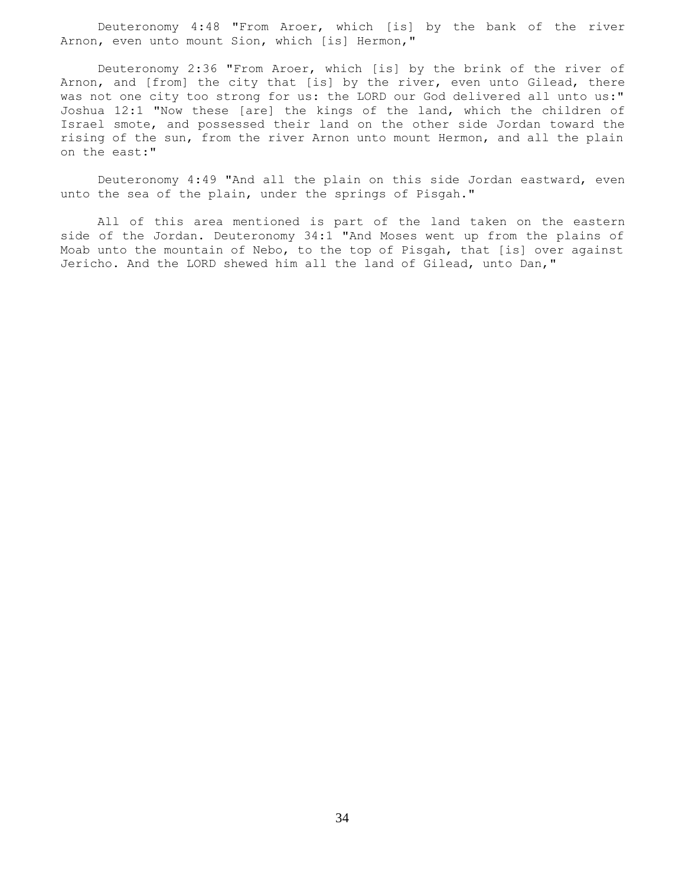Deuteronomy 4:48 "From Aroer, which [is] by the bank of the river Arnon, even unto mount Sion, which [is] Hermon,"

 Deuteronomy 2:36 "From Aroer, which [is] by the brink of the river of Arnon, and [from] the city that [is] by the river, even unto Gilead, there was not one city too strong for us: the LORD our God delivered all unto us:" Joshua 12:1 "Now these [are] the kings of the land, which the children of Israel smote, and possessed their land on the other side Jordan toward the rising of the sun, from the river Arnon unto mount Hermon, and all the plain on the east:"

 Deuteronomy 4:49 "And all the plain on this side Jordan eastward, even unto the sea of the plain, under the springs of Pisgah."

 All of this area mentioned is part of the land taken on the eastern side of the Jordan. Deuteronomy 34:1 "And Moses went up from the plains of Moab unto the mountain of Nebo, to the top of Pisgah, that [is] over against Jericho. And the LORD shewed him all the land of Gilead, unto Dan,"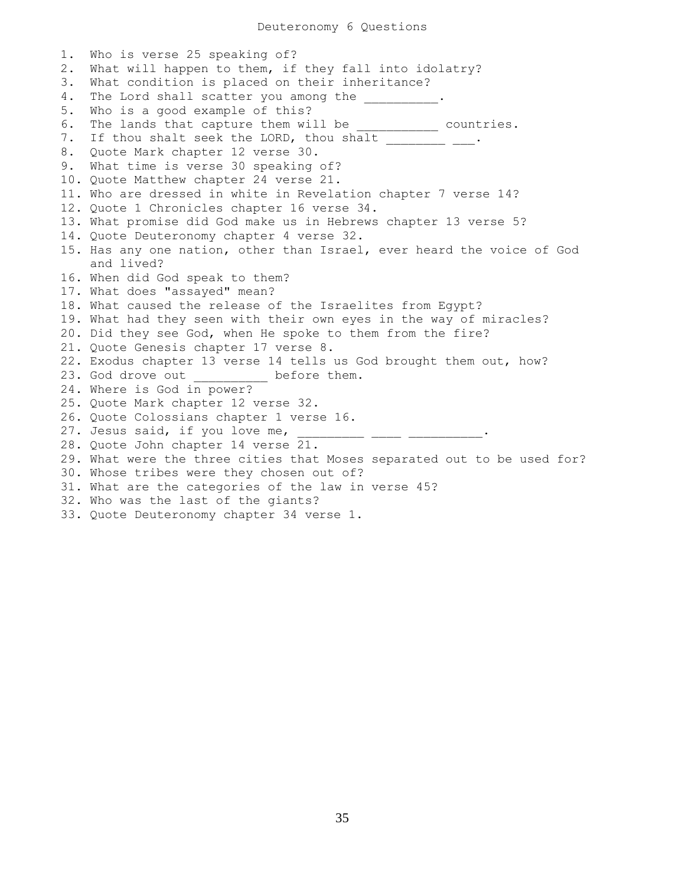1. Who is verse 25 speaking of? 2. What will happen to them, if they fall into idolatry? 3. What condition is placed on their inheritance? 4. The Lord shall scatter you among the  $\qquad \qquad$ 5. Who is a good example of this? 6. The lands that capture them will be \_\_\_\_\_\_\_\_\_\_\_ countries. 7. If thou shalt seek the LORD, thou shalt \_\_\_\_\_\_\_\_ \_\_\_. 8. Quote Mark chapter 12 verse 30. 9. What time is verse 30 speaking of? 10. Quote Matthew chapter 24 verse 21. 11. Who are dressed in white in Revelation chapter 7 verse 14? 12. Quote 1 Chronicles chapter 16 verse 34. 13. What promise did God make us in Hebrews chapter 13 verse 5? 14. Quote Deuteronomy chapter 4 verse 32. 15. Has any one nation, other than Israel, ever heard the voice of God and lived? 16. When did God speak to them? 17. What does "assayed" mean? 18. What caused the release of the Israelites from Egypt? 19. What had they seen with their own eyes in the way of miracles? 20. Did they see God, when He spoke to them from the fire? 21. Quote Genesis chapter 17 verse 8. 22. Exodus chapter 13 verse 14 tells us God brought them out, how? 23. God drove out before them. 24. Where is God in power? 25. Quote Mark chapter 12 verse 32. 26. Quote Colossians chapter 1 verse 16. 27. Jesus said, if you love me, \_\_\_\_\_\_\_\_\_\_ \_\_\_\_ \_\_\_\_\_\_\_\_\_\_. 28. Quote John chapter 14 verse 21. 29. What were the three cities that Moses separated out to be used for? 30. Whose tribes were they chosen out of? 31. What are the categories of the law in verse 45? 32. Who was the last of the giants? 33. Quote Deuteronomy chapter 34 verse 1.

35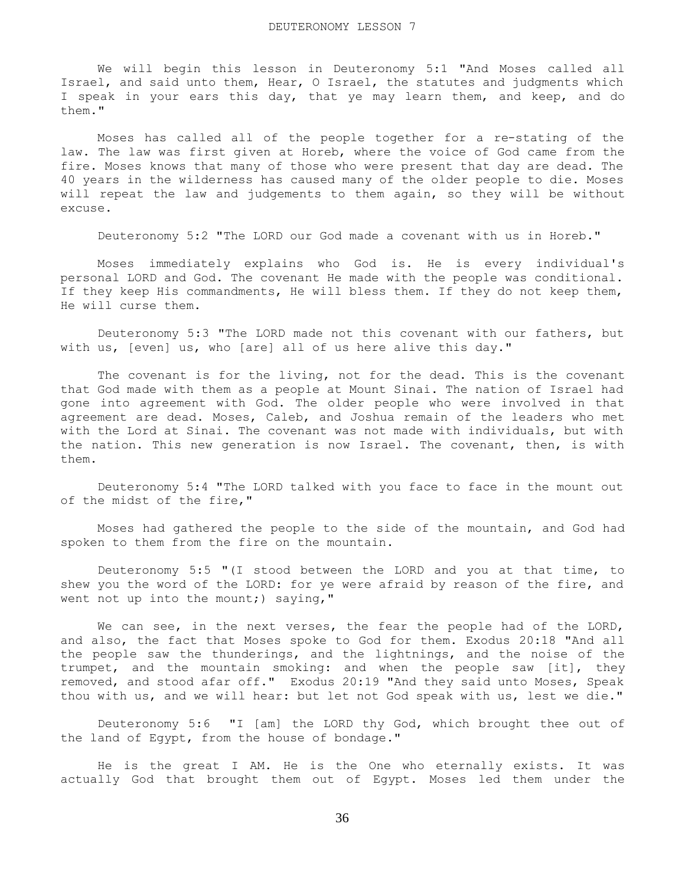We will begin this lesson in Deuteronomy 5:1 "And Moses called all Israel, and said unto them, Hear, O Israel, the statutes and judgments which I speak in your ears this day, that ye may learn them, and keep, and do them."

 Moses has called all of the people together for a re-stating of the law. The law was first given at Horeb, where the voice of God came from the fire. Moses knows that many of those who were present that day are dead. The 40 years in the wilderness has caused many of the older people to die. Moses will repeat the law and judgements to them again, so they will be without excuse.

Deuteronomy 5:2 "The LORD our God made a covenant with us in Horeb."

 Moses immediately explains who God is. He is every individual's personal LORD and God. The covenant He made with the people was conditional. If they keep His commandments, He will bless them. If they do not keep them, He will curse them.

 Deuteronomy 5:3 "The LORD made not this covenant with our fathers, but with us, [even] us, who [are] all of us here alive this day."

 The covenant is for the living, not for the dead. This is the covenant that God made with them as a people at Mount Sinai. The nation of Israel had gone into agreement with God. The older people who were involved in that agreement are dead. Moses, Caleb, and Joshua remain of the leaders who met with the Lord at Sinai. The covenant was not made with individuals, but with the nation. This new generation is now Israel. The covenant, then, is with them.

 Deuteronomy 5:4 "The LORD talked with you face to face in the mount out of the midst of the fire,"

 Moses had gathered the people to the side of the mountain, and God had spoken to them from the fire on the mountain.

 Deuteronomy 5:5 "(I stood between the LORD and you at that time, to shew you the word of the LORD: for ye were afraid by reason of the fire, and went not up into the mount;) saying,"

We can see, in the next verses, the fear the people had of the LORD, and also, the fact that Moses spoke to God for them. Exodus 20:18 "And all the people saw the thunderings, and the lightnings, and the noise of the trumpet, and the mountain smoking: and when the people saw [it], they removed, and stood afar off." Exodus 20:19 "And they said unto Moses, Speak thou with us, and we will hear: but let not God speak with us, lest we die."

 Deuteronomy 5:6 "I [am] the LORD thy God, which brought thee out of the land of Egypt, from the house of bondage."

 He is the great I AM. He is the One who eternally exists. It was actually God that brought them out of Egypt. Moses led them under the

36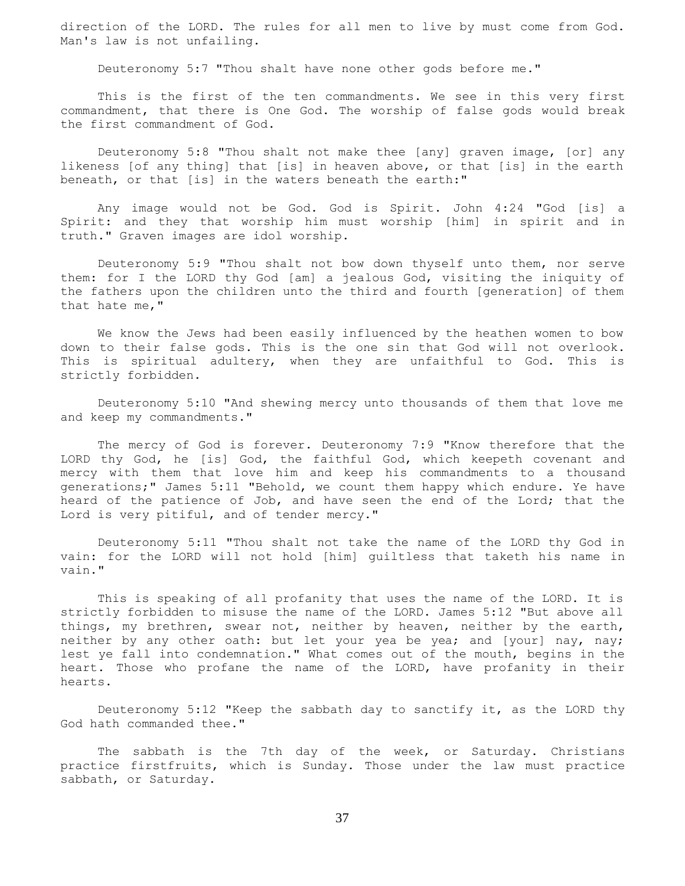direction of the LORD. The rules for all men to live by must come from God. Man's law is not unfailing.

Deuteronomy 5:7 "Thou shalt have none other gods before me."

 This is the first of the ten commandments. We see in this very first commandment, that there is One God. The worship of false gods would break the first commandment of God.

 Deuteronomy 5:8 "Thou shalt not make thee [any] graven image, [or] any likeness [of any thing] that [is] in heaven above, or that [is] in the earth beneath, or that [is] in the waters beneath the earth:"

 Any image would not be God. God is Spirit. John 4:24 "God [is] a Spirit: and they that worship him must worship [him] in spirit and in truth." Graven images are idol worship.

 Deuteronomy 5:9 "Thou shalt not bow down thyself unto them, nor serve them: for I the LORD thy God [am] a jealous God, visiting the iniquity of the fathers upon the children unto the third and fourth [generation] of them that hate me,"

 We know the Jews had been easily influenced by the heathen women to bow down to their false gods. This is the one sin that God will not overlook. This is spiritual adultery, when they are unfaithful to God. This is strictly forbidden.

 Deuteronomy 5:10 "And shewing mercy unto thousands of them that love me and keep my commandments."

 The mercy of God is forever. Deuteronomy 7:9 "Know therefore that the LORD thy God, he [is] God, the faithful God, which keepeth covenant and mercy with them that love him and keep his commandments to a thousand generations;" James 5:11 "Behold, we count them happy which endure. Ye have heard of the patience of Job, and have seen the end of the Lord; that the Lord is very pitiful, and of tender mercy."

 Deuteronomy 5:11 "Thou shalt not take the name of the LORD thy God in vain: for the LORD will not hold [him] guiltless that taketh his name in vain."

 This is speaking of all profanity that uses the name of the LORD. It is strictly forbidden to misuse the name of the LORD. James 5:12 "But above all things, my brethren, swear not, neither by heaven, neither by the earth, neither by any other oath: but let your yea be yea; and [your] nay, nay; lest ye fall into condemnation." What comes out of the mouth, begins in the heart. Those who profane the name of the LORD, have profanity in their hearts.

 Deuteronomy 5:12 "Keep the sabbath day to sanctify it, as the LORD thy God hath commanded thee."

 The sabbath is the 7th day of the week, or Saturday. Christians practice firstfruits, which is Sunday. Those under the law must practice sabbath, or Saturday.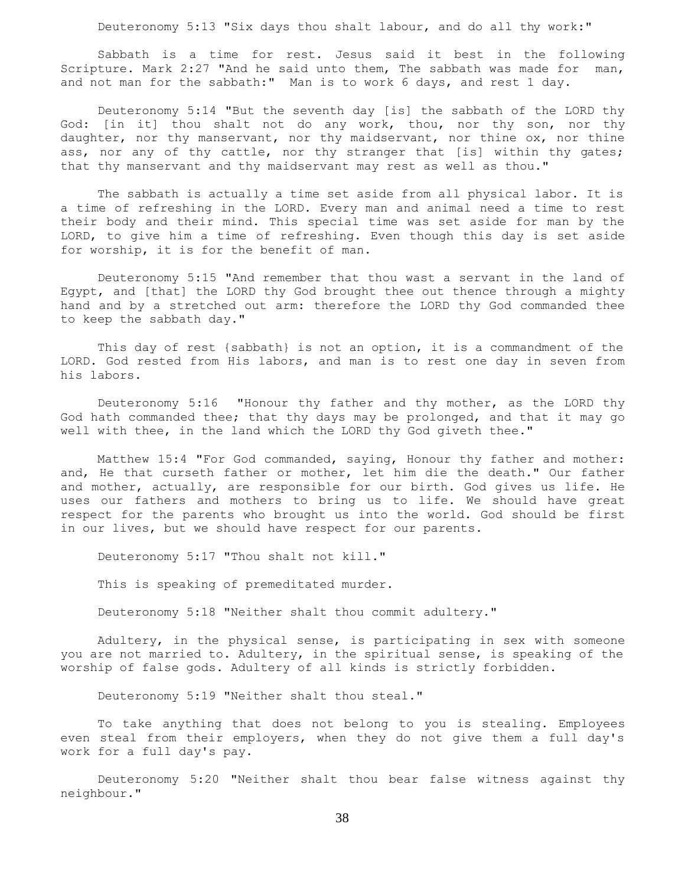Deuteronomy 5:13 "Six days thou shalt labour, and do all thy work:"

 Sabbath is a time for rest. Jesus said it best in the following Scripture. Mark 2:27 "And he said unto them, The sabbath was made for man, and not man for the sabbath:" Man is to work 6 days, and rest 1 day.

 Deuteronomy 5:14 "But the seventh day [is] the sabbath of the LORD thy God: [in it] thou shalt not do any work, thou, nor thy son, nor thy daughter, nor thy manservant, nor thy maidservant, nor thine ox, nor thine ass, nor any of thy cattle, nor thy stranger that [is] within thy gates; that thy manservant and thy maidservant may rest as well as thou."

 The sabbath is actually a time set aside from all physical labor. It is a time of refreshing in the LORD. Every man and animal need a time to rest their body and their mind. This special time was set aside for man by the LORD, to give him a time of refreshing. Even though this day is set aside for worship, it is for the benefit of man.

 Deuteronomy 5:15 "And remember that thou wast a servant in the land of Egypt, and [that] the LORD thy God brought thee out thence through a mighty hand and by a stretched out arm: therefore the LORD thy God commanded thee to keep the sabbath day."

 This day of rest {sabbath} is not an option, it is a commandment of the LORD. God rested from His labors, and man is to rest one day in seven from his labors.

 Deuteronomy 5:16 "Honour thy father and thy mother, as the LORD thy God hath commanded thee; that thy days may be prolonged, and that it may go well with thee, in the land which the LORD thy God giveth thee."

 Matthew 15:4 "For God commanded, saying, Honour thy father and mother: and, He that curseth father or mother, let him die the death." Our father and mother, actually, are responsible for our birth. God gives us life. He uses our fathers and mothers to bring us to life. We should have great respect for the parents who brought us into the world. God should be first in our lives, but we should have respect for our parents.

Deuteronomy 5:17 "Thou shalt not kill."

This is speaking of premeditated murder.

Deuteronomy 5:18 "Neither shalt thou commit adultery."

 Adultery, in the physical sense, is participating in sex with someone you are not married to. Adultery, in the spiritual sense, is speaking of the worship of false gods. Adultery of all kinds is strictly forbidden.

Deuteronomy 5:19 "Neither shalt thou steal."

 To take anything that does not belong to you is stealing. Employees even steal from their employers, when they do not give them a full day's work for a full day's pay.

 Deuteronomy 5:20 "Neither shalt thou bear false witness against thy neighbour."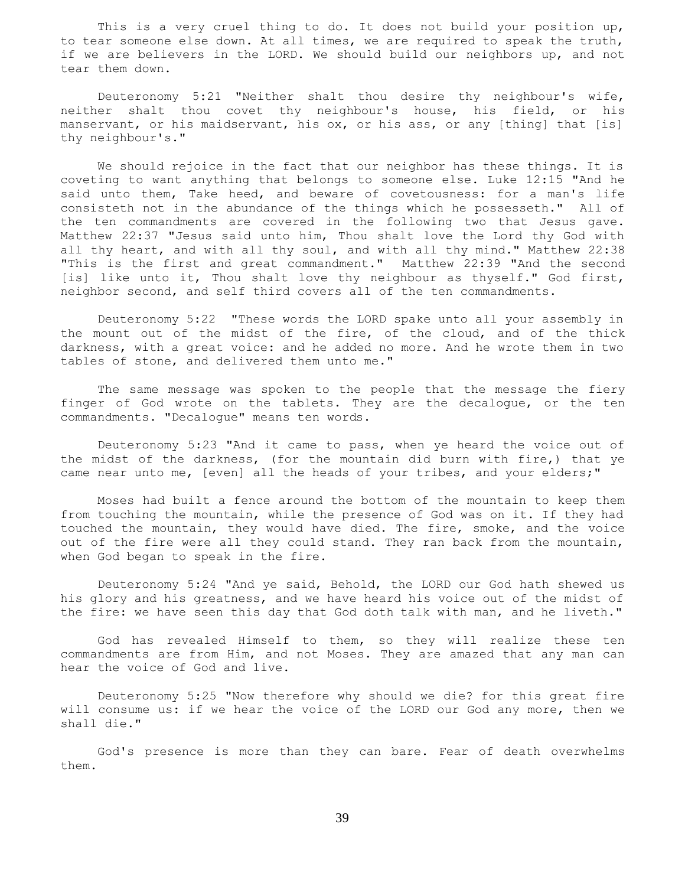This is a very cruel thing to do. It does not build your position up, to tear someone else down. At all times, we are required to speak the truth, if we are believers in the LORD. We should build our neighbors up, and not tear them down.

 Deuteronomy 5:21 "Neither shalt thou desire thy neighbour's wife, neither shalt thou covet thy neighbour's house, his field, or his manservant, or his maidservant, his ox, or his ass, or any [thing] that [is] thy neighbour's."

 We should rejoice in the fact that our neighbor has these things. It is coveting to want anything that belongs to someone else. Luke 12:15 "And he said unto them, Take heed, and beware of covetousness: for a man's life consisteth not in the abundance of the things which he possesseth." All of the ten commandments are covered in the following two that Jesus gave. Matthew 22:37 "Jesus said unto him, Thou shalt love the Lord thy God with all thy heart, and with all thy soul, and with all thy mind." Matthew 22:38 "This is the first and great commandment." Matthew 22:39 "And the second [is] like unto it, Thou shalt love thy neighbour as thyself." God first, neighbor second, and self third covers all of the ten commandments.

 Deuteronomy 5:22 "These words the LORD spake unto all your assembly in the mount out of the midst of the fire, of the cloud, and of the thick darkness, with a great voice: and he added no more. And he wrote them in two tables of stone, and delivered them unto me."

 The same message was spoken to the people that the message the fiery finger of God wrote on the tablets. They are the decalogue, or the ten commandments. "Decalogue" means ten words.

 Deuteronomy 5:23 "And it came to pass, when ye heard the voice out of the midst of the darkness, (for the mountain did burn with fire,) that ye came near unto me, [even] all the heads of your tribes, and your elders;"

 Moses had built a fence around the bottom of the mountain to keep them from touching the mountain, while the presence of God was on it. If they had touched the mountain, they would have died. The fire, smoke, and the voice out of the fire were all they could stand. They ran back from the mountain, when God began to speak in the fire.

 Deuteronomy 5:24 "And ye said, Behold, the LORD our God hath shewed us his glory and his greatness, and we have heard his voice out of the midst of the fire: we have seen this day that God doth talk with man, and he liveth."

 God has revealed Himself to them, so they will realize these ten commandments are from Him, and not Moses. They are amazed that any man can hear the voice of God and live.

 Deuteronomy 5:25 "Now therefore why should we die? for this great fire will consume us: if we hear the voice of the LORD our God any more, then we shall die."

 God's presence is more than they can bare. Fear of death overwhelms them.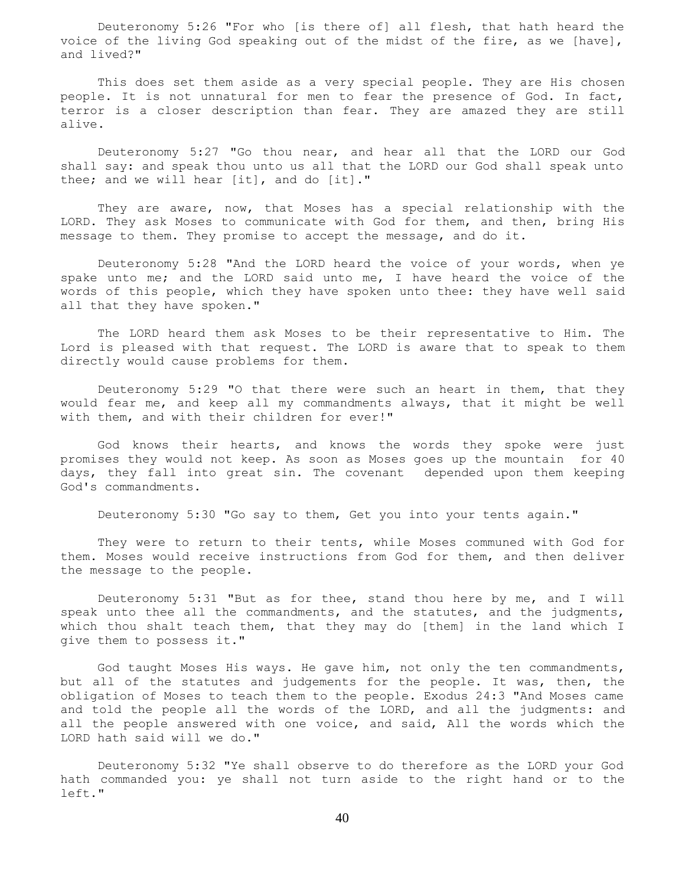Deuteronomy 5:26 "For who [is there of] all flesh, that hath heard the voice of the living God speaking out of the midst of the fire, as we [have], and lived?"

 This does set them aside as a very special people. They are His chosen people. It is not unnatural for men to fear the presence of God. In fact, terror is a closer description than fear. They are amazed they are still alive.

 Deuteronomy 5:27 "Go thou near, and hear all that the LORD our God shall say: and speak thou unto us all that the LORD our God shall speak unto thee; and we will hear [it], and do [it]."

 They are aware, now, that Moses has a special relationship with the LORD. They ask Moses to communicate with God for them, and then, bring His message to them. They promise to accept the message, and do it.

 Deuteronomy 5:28 "And the LORD heard the voice of your words, when ye spake unto me; and the LORD said unto me, I have heard the voice of the words of this people, which they have spoken unto thee: they have well said all that they have spoken."

 The LORD heard them ask Moses to be their representative to Him. The Lord is pleased with that request. The LORD is aware that to speak to them directly would cause problems for them.

 Deuteronomy 5:29 "O that there were such an heart in them, that they would fear me, and keep all my commandments always, that it might be well with them, and with their children for ever!"

 God knows their hearts, and knows the words they spoke were just promises they would not keep. As soon as Moses goes up the mountain for 40 days, they fall into great sin. The covenant depended upon them keeping God's commandments.

Deuteronomy 5:30 "Go say to them, Get you into your tents again."

 They were to return to their tents, while Moses communed with God for them. Moses would receive instructions from God for them, and then deliver the message to the people.

 Deuteronomy 5:31 "But as for thee, stand thou here by me, and I will speak unto thee all the commandments, and the statutes, and the judgments, which thou shalt teach them, that they may do [them] in the land which I give them to possess it."

 God taught Moses His ways. He gave him, not only the ten commandments, but all of the statutes and judgements for the people. It was, then, the obligation of Moses to teach them to the people. Exodus 24:3 "And Moses came and told the people all the words of the LORD, and all the judgments: and all the people answered with one voice, and said, All the words which the LORD hath said will we do."

 Deuteronomy 5:32 "Ye shall observe to do therefore as the LORD your God hath commanded you: ye shall not turn aside to the right hand or to the left."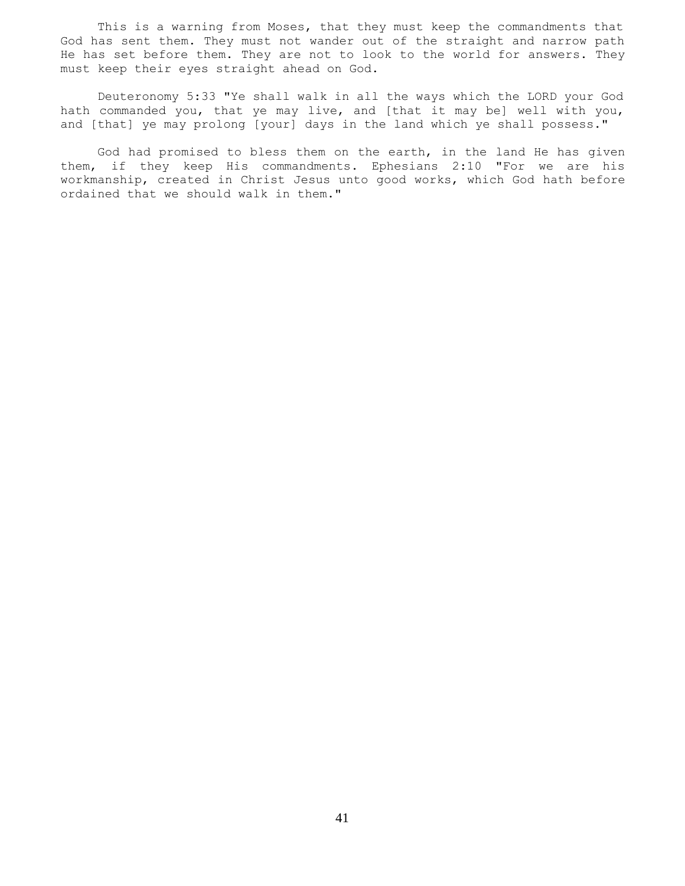This is a warning from Moses, that they must keep the commandments that God has sent them. They must not wander out of the straight and narrow path He has set before them. They are not to look to the world for answers. They must keep their eyes straight ahead on God.

 Deuteronomy 5:33 "Ye shall walk in all the ways which the LORD your God hath commanded you, that ye may live, and [that it may be] well with you, and [that] ye may prolong [your] days in the land which ye shall possess."

 God had promised to bless them on the earth, in the land He has given them, if they keep His commandments. Ephesians 2:10 "For we are his workmanship, created in Christ Jesus unto good works, which God hath before ordained that we should walk in them."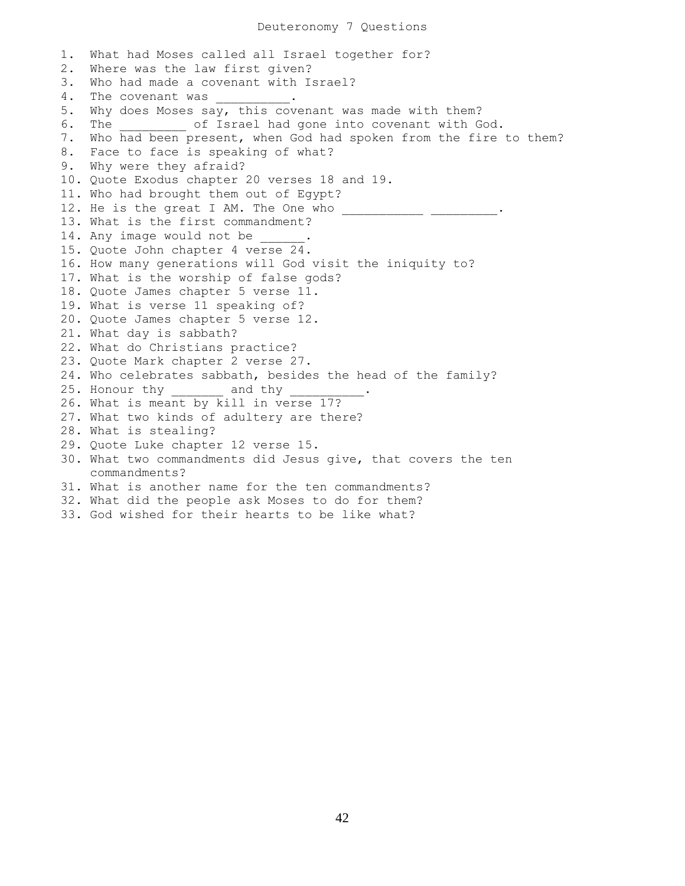Deuteronomy 7 Questions

1. What had Moses called all Israel together for? 2. Where was the law first given? 3. Who had made a covenant with Israel? 4. The covenant was \_\_\_\_\_\_\_\_\_\_. 5. Why does Moses say, this covenant was made with them? 6. The  $\qquad$  of Israel had gone into covenant with God. 7. Who had been present, when God had spoken from the fire to them? 8. Face to face is speaking of what? 9. Why were they afraid? 10. Quote Exodus chapter 20 verses 18 and 19. 11. Who had brought them out of Egypt? 12. He is the great I AM. The One who \_\_\_\_\_\_\_\_\_\_\_\_\_\_\_\_\_\_\_\_\_.. 13. What is the first commandment? 14. Any image would not be 15. Quote John chapter 4 verse 24. 16. How many generations will God visit the iniquity to? 17. What is the worship of false gods? 18. Quote James chapter 5 verse 11. 19. What is verse 11 speaking of? 20. Quote James chapter 5 verse 12. 21. What day is sabbath? 22. What do Christians practice? 23. Quote Mark chapter 2 verse 27. 24. Who celebrates sabbath, besides the head of the family? 25. Honour thy \_\_\_\_\_\_\_ and thy \_\_\_\_\_\_\_\_\_\_. 26. What is meant by kill in verse 17? 27. What two kinds of adultery are there? 28. What is stealing? 29. Quote Luke chapter 12 verse 15. 30. What two commandments did Jesus give, that covers the ten commandments? 31. What is another name for the ten commandments? 32. What did the people ask Moses to do for them? 33. God wished for their hearts to be like what?

42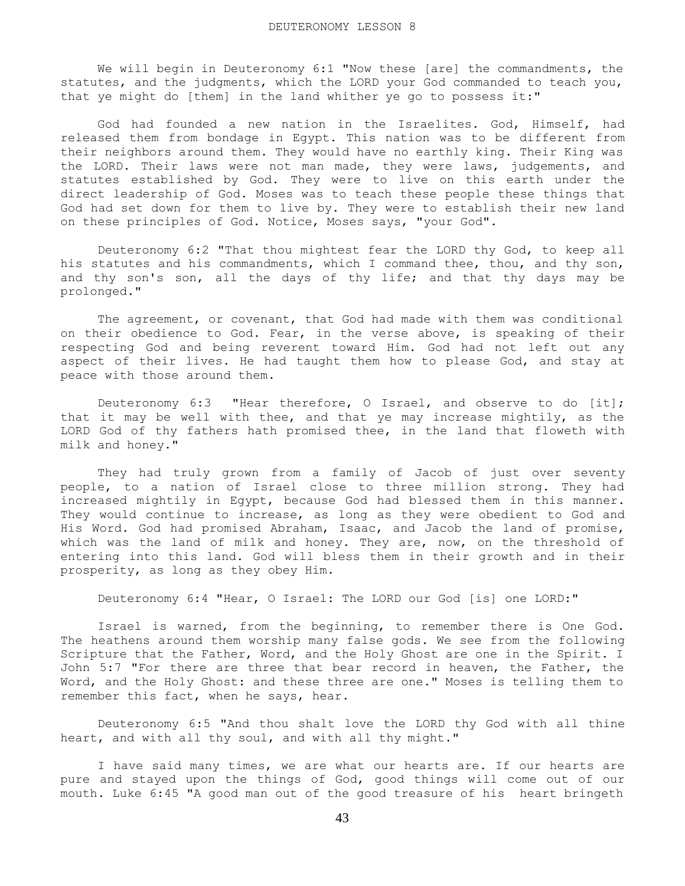We will begin in Deuteronomy 6:1 "Now these [are] the commandments, the statutes, and the judgments, which the LORD your God commanded to teach you, that ye might do [them] in the land whither ye go to possess it:"

 God had founded a new nation in the Israelites. God, Himself, had released them from bondage in Egypt. This nation was to be different from their neighbors around them. They would have no earthly king. Their King was the LORD. Their laws were not man made, they were laws, judgements, and statutes established by God. They were to live on this earth under the direct leadership of God. Moses was to teach these people these things that God had set down for them to live by. They were to establish their new land on these principles of God. Notice, Moses says, "your God".

 Deuteronomy 6:2 "That thou mightest fear the LORD thy God, to keep all his statutes and his commandments, which I command thee, thou, and thy son, and thy son's son, all the days of thy life; and that thy days may be prolonged."

 The agreement, or covenant, that God had made with them was conditional on their obedience to God. Fear, in the verse above, is speaking of their respecting God and being reverent toward Him. God had not left out any aspect of their lives. He had taught them how to please God, and stay at peace with those around them.

 Deuteronomy 6:3 "Hear therefore, O Israel, and observe to do [it]; that it may be well with thee, and that ye may increase mightily, as the LORD God of thy fathers hath promised thee, in the land that floweth with milk and honey."

 They had truly grown from a family of Jacob of just over seventy people, to a nation of Israel close to three million strong. They had increased mightily in Egypt, because God had blessed them in this manner. They would continue to increase, as long as they were obedient to God and His Word. God had promised Abraham, Isaac, and Jacob the land of promise, which was the land of milk and honey. They are, now, on the threshold of entering into this land. God will bless them in their growth and in their prosperity, as long as they obey Him.

Deuteronomy 6:4 "Hear, O Israel: The LORD our God [is] one LORD:"

 Israel is warned, from the beginning, to remember there is One God. The heathens around them worship many false gods. We see from the following Scripture that the Father, Word, and the Holy Ghost are one in the Spirit. I John 5:7 "For there are three that bear record in heaven, the Father, the Word, and the Holy Ghost: and these three are one." Moses is telling them to remember this fact, when he says, hear.

 Deuteronomy 6:5 "And thou shalt love the LORD thy God with all thine heart, and with all thy soul, and with all thy might."

 I have said many times, we are what our hearts are. If our hearts are pure and stayed upon the things of God, good things will come out of our mouth. Luke 6:45 "A good man out of the good treasure of his heart bringeth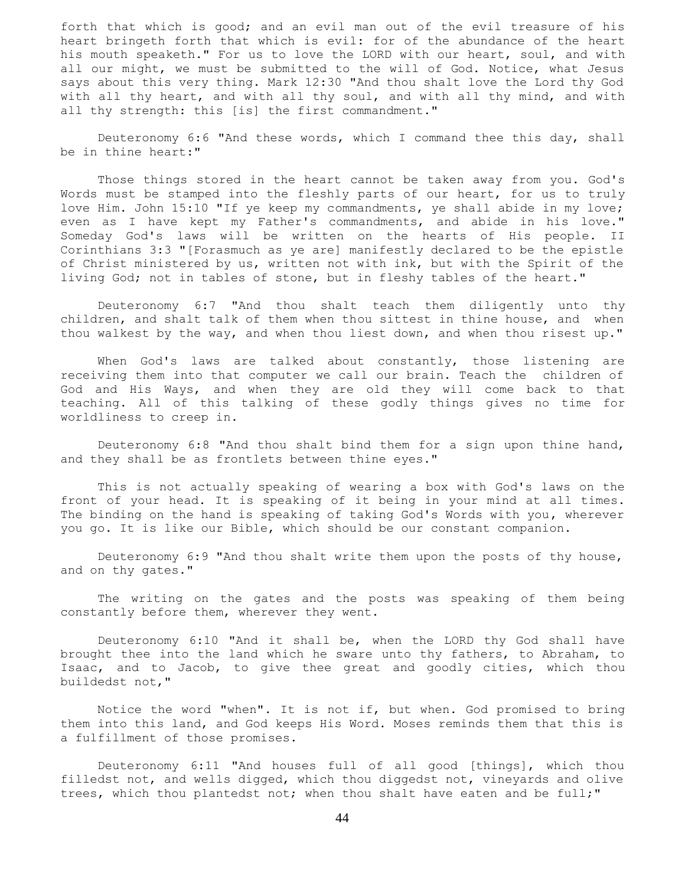forth that which is good; and an evil man out of the evil treasure of his heart bringeth forth that which is evil: for of the abundance of the heart his mouth speaketh." For us to love the LORD with our heart, soul, and with all our might, we must be submitted to the will of God. Notice, what Jesus says about this very thing. Mark 12:30 "And thou shalt love the Lord thy God with all thy heart, and with all thy soul, and with all thy mind, and with all thy strength: this [is] the first commandment."

 Deuteronomy 6:6 "And these words, which I command thee this day, shall be in thine heart:"

 Those things stored in the heart cannot be taken away from you. God's Words must be stamped into the fleshly parts of our heart, for us to truly love Him. John 15:10 "If ye keep my commandments, ye shall abide in my love; even as I have kept my Father's commandments, and abide in his love." Someday God's laws will be written on the hearts of His people. II Corinthians 3:3 "[Forasmuch as ye are] manifestly declared to be the epistle of Christ ministered by us, written not with ink, but with the Spirit of the living God; not in tables of stone, but in fleshy tables of the heart."

 Deuteronomy 6:7 "And thou shalt teach them diligently unto thy children, and shalt talk of them when thou sittest in thine house, and when thou walkest by the way, and when thou liest down, and when thou risest up."

When God's laws are talked about constantly, those listening are receiving them into that computer we call our brain. Teach the children of God and His Ways, and when they are old they will come back to that teaching. All of this talking of these godly things gives no time for worldliness to creep in.

 Deuteronomy 6:8 "And thou shalt bind them for a sign upon thine hand, and they shall be as frontlets between thine eyes."

 This is not actually speaking of wearing a box with God's laws on the front of your head. It is speaking of it being in your mind at all times. The binding on the hand is speaking of taking God's Words with you, wherever you go. It is like our Bible, which should be our constant companion.

 Deuteronomy 6:9 "And thou shalt write them upon the posts of thy house, and on thy gates."

 The writing on the gates and the posts was speaking of them being constantly before them, wherever they went.

 Deuteronomy 6:10 "And it shall be, when the LORD thy God shall have brought thee into the land which he sware unto thy fathers, to Abraham, to Isaac, and to Jacob, to give thee great and goodly cities, which thou buildedst not,"

 Notice the word "when". It is not if, but when. God promised to bring them into this land, and God keeps His Word. Moses reminds them that this is a fulfillment of those promises.

 Deuteronomy 6:11 "And houses full of all good [things], which thou filledst not, and wells digged, which thou diggedst not, vineyards and olive trees, which thou plantedst not; when thou shalt have eaten and be full;"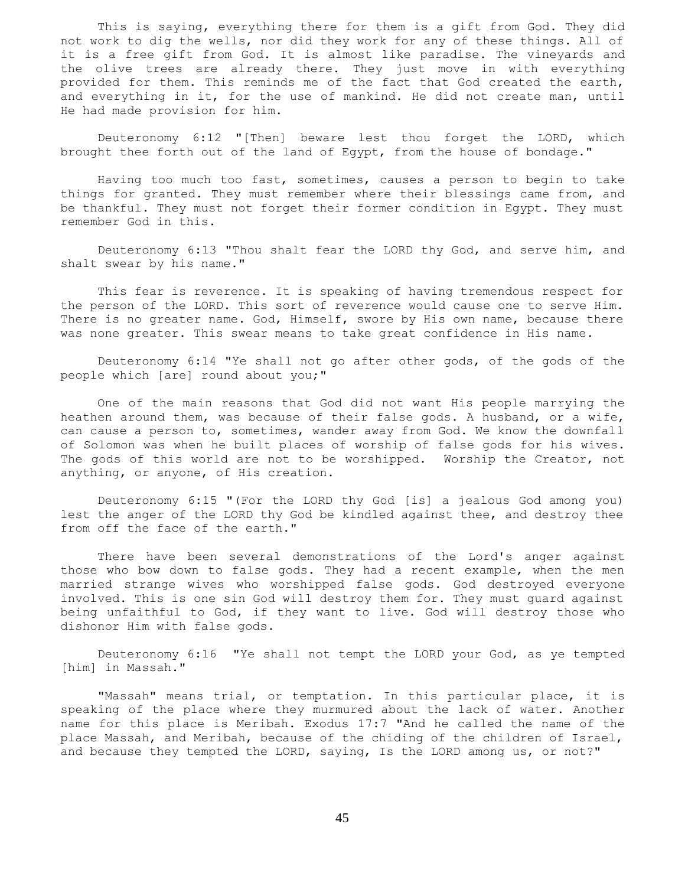This is saying, everything there for them is a gift from God. They did not work to dig the wells, nor did they work for any of these things. All of it is a free gift from God. It is almost like paradise. The vineyards and the olive trees are already there. They just move in with everything provided for them. This reminds me of the fact that God created the earth, and everything in it, for the use of mankind. He did not create man, until He had made provision for him.

 Deuteronomy 6:12 "[Then] beware lest thou forget the LORD, which brought thee forth out of the land of Egypt, from the house of bondage."

 Having too much too fast, sometimes, causes a person to begin to take things for granted. They must remember where their blessings came from, and be thankful. They must not forget their former condition in Egypt. They must remember God in this.

 Deuteronomy 6:13 "Thou shalt fear the LORD thy God, and serve him, and shalt swear by his name."

 This fear is reverence. It is speaking of having tremendous respect for the person of the LORD. This sort of reverence would cause one to serve Him. There is no greater name. God, Himself, swore by His own name, because there was none greater. This swear means to take great confidence in His name.

 Deuteronomy 6:14 "Ye shall not go after other gods, of the gods of the people which [are] round about you;"

 One of the main reasons that God did not want His people marrying the heathen around them, was because of their false gods. A husband, or a wife, can cause a person to, sometimes, wander away from God. We know the downfall of Solomon was when he built places of worship of false gods for his wives. The gods of this world are not to be worshipped. Worship the Creator, not anything, or anyone, of His creation.

 Deuteronomy 6:15 "(For the LORD thy God [is] a jealous God among you) lest the anger of the LORD thy God be kindled against thee, and destroy thee from off the face of the earth."

 There have been several demonstrations of the Lord's anger against those who bow down to false gods. They had a recent example, when the men married strange wives who worshipped false gods. God destroyed everyone involved. This is one sin God will destroy them for. They must guard against being unfaithful to God, if they want to live. God will destroy those who dishonor Him with false gods.

 Deuteronomy 6:16 "Ye shall not tempt the LORD your God, as ye tempted [him] in Massah."

 "Massah" means trial, or temptation. In this particular place, it is speaking of the place where they murmured about the lack of water. Another name for this place is Meribah. Exodus 17:7 "And he called the name of the place Massah, and Meribah, because of the chiding of the children of Israel, and because they tempted the LORD, saying, Is the LORD among us, or not?"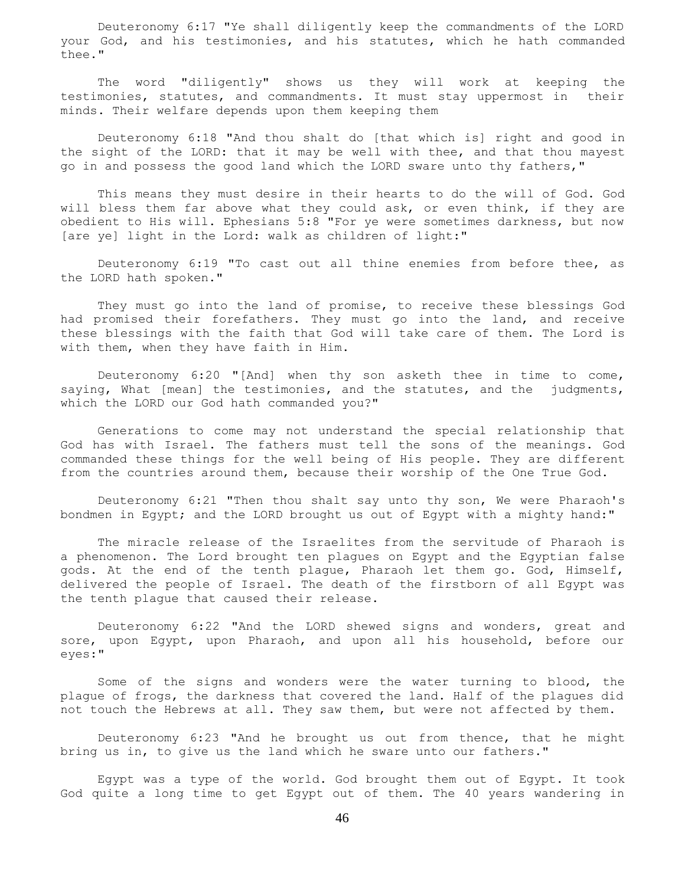Deuteronomy 6:17 "Ye shall diligently keep the commandments of the LORD your God, and his testimonies, and his statutes, which he hath commanded thee."

 The word "diligently" shows us they will work at keeping the testimonies, statutes, and commandments. It must stay uppermost in their minds. Their welfare depends upon them keeping them

 Deuteronomy 6:18 "And thou shalt do [that which is] right and good in the sight of the LORD: that it may be well with thee, and that thou mayest go in and possess the good land which the LORD sware unto thy fathers,"

 This means they must desire in their hearts to do the will of God. God will bless them far above what they could ask, or even think, if they are obedient to His will. Ephesians 5:8 "For ye were sometimes darkness, but now [are ye] light in the Lord: walk as children of light:"

 Deuteronomy 6:19 "To cast out all thine enemies from before thee, as the LORD hath spoken."

 They must go into the land of promise, to receive these blessings God had promised their forefathers. They must go into the land, and receive these blessings with the faith that God will take care of them. The Lord is with them, when they have faith in Him.

 Deuteronomy 6:20 "[And] when thy son asketh thee in time to come, saying, What [mean] the testimonies, and the statutes, and the judgments, which the LORD our God hath commanded you?"

 Generations to come may not understand the special relationship that God has with Israel. The fathers must tell the sons of the meanings. God commanded these things for the well being of His people. They are different from the countries around them, because their worship of the One True God.

 Deuteronomy 6:21 "Then thou shalt say unto thy son, We were Pharaoh's bondmen in Egypt; and the LORD brought us out of Egypt with a mighty hand:"

 The miracle release of the Israelites from the servitude of Pharaoh is a phenomenon. The Lord brought ten plagues on Egypt and the Egyptian false gods. At the end of the tenth plague, Pharaoh let them go. God, Himself, delivered the people of Israel. The death of the firstborn of all Egypt was the tenth plague that caused their release.

 Deuteronomy 6:22 "And the LORD shewed signs and wonders, great and sore, upon Egypt, upon Pharaoh, and upon all his household, before our eyes:"

 Some of the signs and wonders were the water turning to blood, the plague of frogs, the darkness that covered the land. Half of the plagues did not touch the Hebrews at all. They saw them, but were not affected by them.

 Deuteronomy 6:23 "And he brought us out from thence, that he might bring us in, to give us the land which he sware unto our fathers."

 Egypt was a type of the world. God brought them out of Egypt. It took God quite a long time to get Egypt out of them. The 40 years wandering in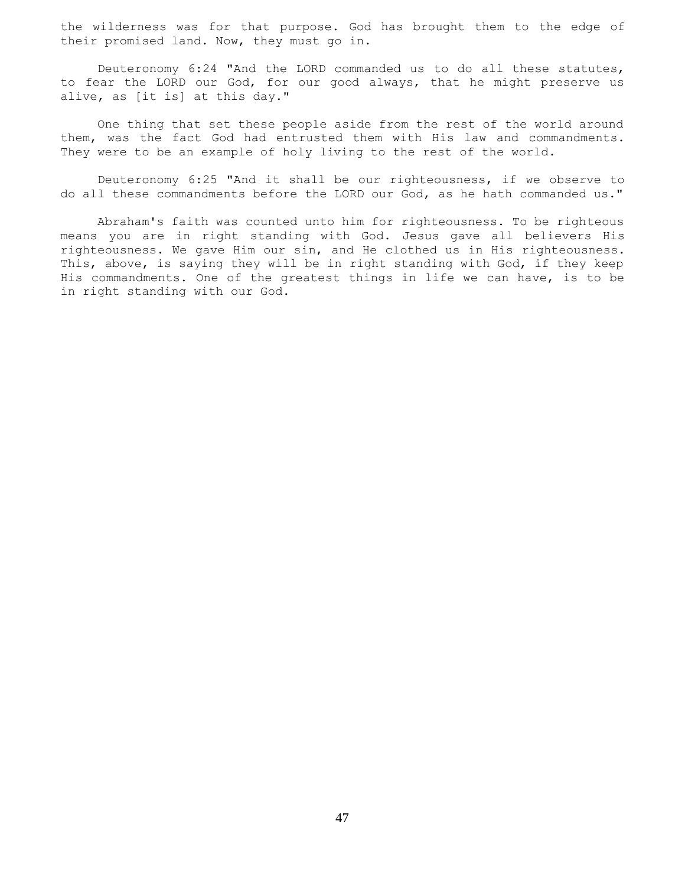the wilderness was for that purpose. God has brought them to the edge of their promised land. Now, they must go in.

 Deuteronomy 6:24 "And the LORD commanded us to do all these statutes, to fear the LORD our God, for our good always, that he might preserve us alive, as [it is] at this day."

 One thing that set these people aside from the rest of the world around them, was the fact God had entrusted them with His law and commandments. They were to be an example of holy living to the rest of the world.

 Deuteronomy 6:25 "And it shall be our righteousness, if we observe to do all these commandments before the LORD our God, as he hath commanded us."

 Abraham's faith was counted unto him for righteousness. To be righteous means you are in right standing with God. Jesus gave all believers His righteousness. We gave Him our sin, and He clothed us in His righteousness. This, above, is saying they will be in right standing with God, if they keep His commandments. One of the greatest things in life we can have, is to be in right standing with our God.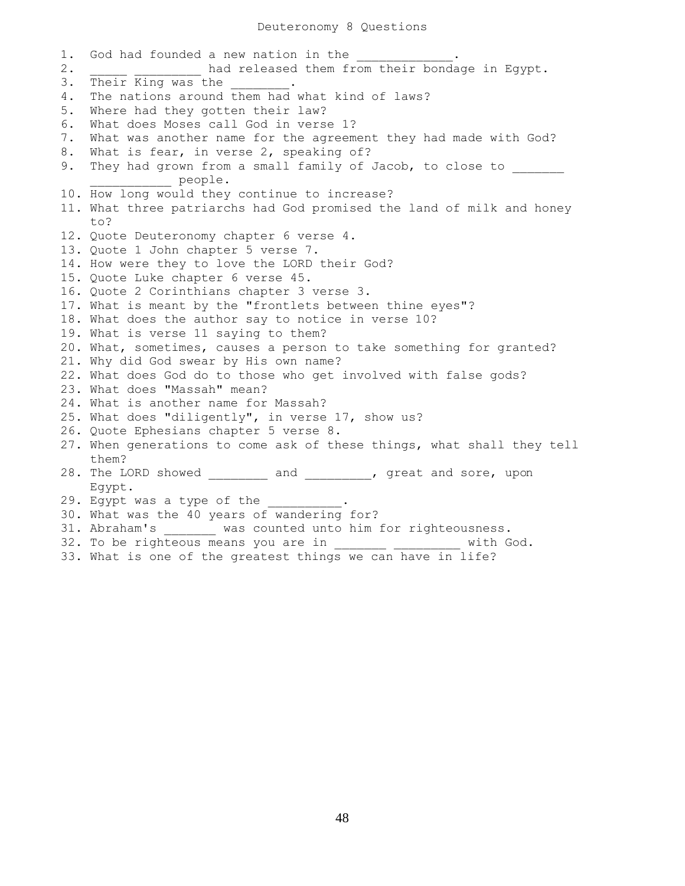1. God had founded a new nation in the 2. **had released them from their bondage in Egypt.** 3. Their King was the 4. The nations around them had what kind of laws? 5. Where had they gotten their law? 6. What does Moses call God in verse 1? 7. What was another name for the agreement they had made with God? 8. What is fear, in verse 2, speaking of? 9. They had grown from a small family of Jacob, to close to people. 10. How long would they continue to increase? 11. What three patriarchs had God promised the land of milk and honey to? 12. Quote Deuteronomy chapter 6 verse 4. 13. Quote 1 John chapter 5 verse 7. 14. How were they to love the LORD their God? 15. Quote Luke chapter 6 verse 45. 16. Quote 2 Corinthians chapter 3 verse 3. 17. What is meant by the "frontlets between thine eyes"? 18. What does the author say to notice in verse 10? 19. What is verse 11 saying to them? 20. What, sometimes, causes a person to take something for granted? 21. Why did God swear by His own name? 22. What does God do to those who get involved with false gods? 23. What does "Massah" mean? 24. What is another name for Massah? 25. What does "diligently", in verse 17, show us? 26. Quote Ephesians chapter 5 verse 8. 27. When generations to come ask of these things, what shall they tell them? 28. The LORD showed \_\_\_\_\_\_\_\_ and \_\_\_\_\_\_\_, great and sore, upon Egypt. 29. Egypt was a type of the 30. What was the 40 years of wandering for? 31. Abraham's \_\_\_\_\_\_\_ was counted unto him for righteousness. 32. To be righteous means you are in \_\_\_\_\_\_\_\_ \_\_\_\_\_\_\_\_\_\_ with God. 33. What is one of the greatest things we can have in life?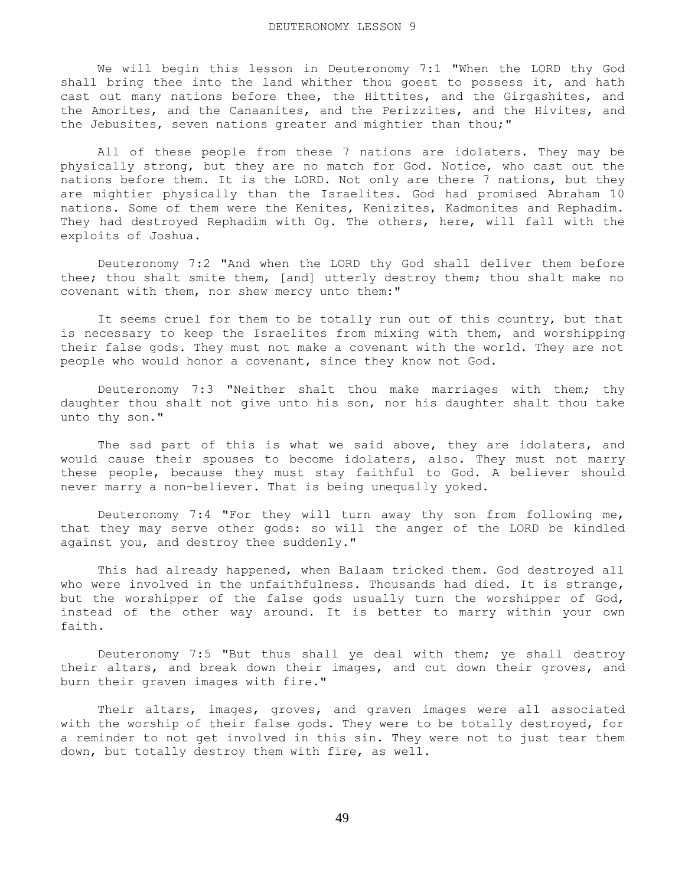We will begin this lesson in Deuteronomy 7:1 "When the LORD thy God shall bring thee into the land whither thou goest to possess it, and hath cast out many nations before thee, the Hittites, and the Girgashites, and the Amorites, and the Canaanites, and the Perizzites, and the Hivites, and the Jebusites, seven nations greater and mightier than thou;"

 All of these people from these 7 nations are idolaters. They may be physically strong, but they are no match for God. Notice, who cast out the nations before them. It is the LORD. Not only are there 7 nations, but they are mightier physically than the Israelites. God had promised Abraham 10 nations. Some of them were the Kenites, Kenizites, Kadmonites and Rephadim. They had destroyed Rephadim with Og. The others, here, will fall with the exploits of Joshua.

 Deuteronomy 7:2 "And when the LORD thy God shall deliver them before thee; thou shalt smite them, [and] utterly destroy them; thou shalt make no covenant with them, nor shew mercy unto them:"

 It seems cruel for them to be totally run out of this country, but that is necessary to keep the Israelites from mixing with them, and worshipping their false gods. They must not make a covenant with the world. They are not people who would honor a covenant, since they know not God.

 Deuteronomy 7:3 "Neither shalt thou make marriages with them; thy daughter thou shalt not give unto his son, nor his daughter shalt thou take unto thy son."

 The sad part of this is what we said above, they are idolaters, and would cause their spouses to become idolaters, also. They must not marry these people, because they must stay faithful to God. A believer should never marry a non-believer. That is being unequally yoked.

 Deuteronomy 7:4 "For they will turn away thy son from following me, that they may serve other gods: so will the anger of the LORD be kindled against you, and destroy thee suddenly."

 This had already happened, when Balaam tricked them. God destroyed all who were involved in the unfaithfulness. Thousands had died. It is strange, but the worshipper of the false gods usually turn the worshipper of God, instead of the other way around. It is better to marry within your own faith.

 Deuteronomy 7:5 "But thus shall ye deal with them; ye shall destroy their altars, and break down their images, and cut down their groves, and burn their graven images with fire."

 Their altars, images, groves, and graven images were all associated with the worship of their false gods. They were to be totally destroyed, for a reminder to not get involved in this sin. They were not to just tear them down, but totally destroy them with fire, as well.

49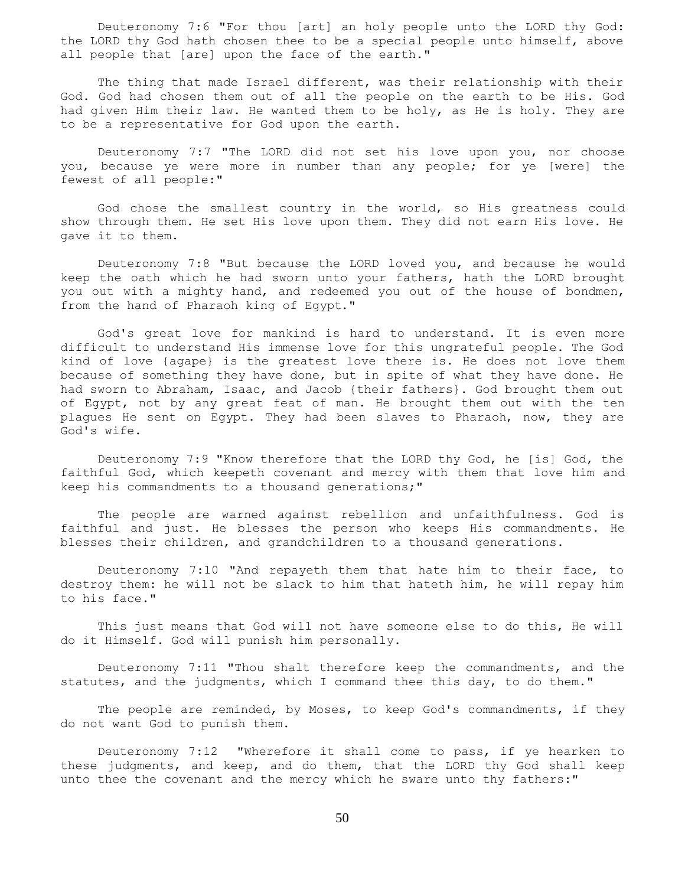Deuteronomy 7:6 "For thou [art] an holy people unto the LORD thy God: the LORD thy God hath chosen thee to be a special people unto himself, above all people that [are] upon the face of the earth."

 The thing that made Israel different, was their relationship with their God. God had chosen them out of all the people on the earth to be His. God had given Him their law. He wanted them to be holy, as He is holy. They are to be a representative for God upon the earth.

 Deuteronomy 7:7 "The LORD did not set his love upon you, nor choose you, because ye were more in number than any people; for ye [were] the fewest of all people:"

 God chose the smallest country in the world, so His greatness could show through them. He set His love upon them. They did not earn His love. He gave it to them.

 Deuteronomy 7:8 "But because the LORD loved you, and because he would keep the oath which he had sworn unto your fathers, hath the LORD brought you out with a mighty hand, and redeemed you out of the house of bondmen, from the hand of Pharaoh king of Egypt."

 God's great love for mankind is hard to understand. It is even more difficult to understand His immense love for this ungrateful people. The God kind of love {agape} is the greatest love there is. He does not love them because of something they have done, but in spite of what they have done. He had sworn to Abraham, Isaac, and Jacob {their fathers}. God brought them out of Egypt, not by any great feat of man. He brought them out with the ten plagues He sent on Egypt. They had been slaves to Pharaoh, now, they are God's wife.

 Deuteronomy 7:9 "Know therefore that the LORD thy God, he [is] God, the faithful God, which keepeth covenant and mercy with them that love him and keep his commandments to a thousand generations;"

 The people are warned against rebellion and unfaithfulness. God is faithful and just. He blesses the person who keeps His commandments. He blesses their children, and grandchildren to a thousand generations.

 Deuteronomy 7:10 "And repayeth them that hate him to their face, to destroy them: he will not be slack to him that hateth him, he will repay him to his face."

 This just means that God will not have someone else to do this, He will do it Himself. God will punish him personally.

 Deuteronomy 7:11 "Thou shalt therefore keep the commandments, and the statutes, and the judgments, which I command thee this day, to do them."

The people are reminded, by Moses, to keep God's commandments, if they do not want God to punish them.

 Deuteronomy 7:12 "Wherefore it shall come to pass, if ye hearken to these judgments, and keep, and do them, that the LORD thy God shall keep unto thee the covenant and the mercy which he sware unto thy fathers:"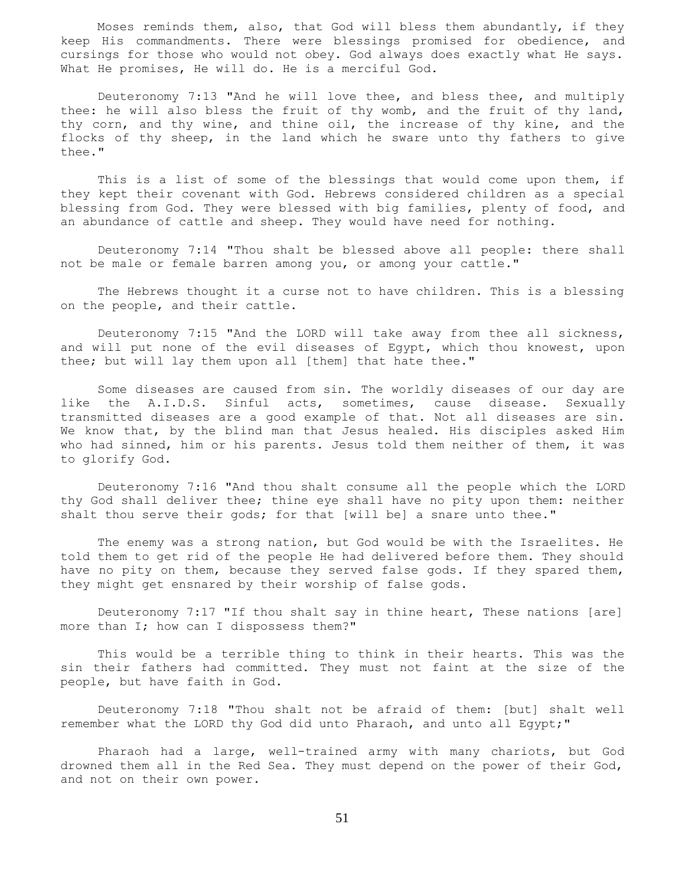Moses reminds them, also, that God will bless them abundantly, if they keep His commandments. There were blessings promised for obedience, and cursings for those who would not obey. God always does exactly what He says. What He promises, He will do. He is a merciful God.

 Deuteronomy 7:13 "And he will love thee, and bless thee, and multiply thee: he will also bless the fruit of thy womb, and the fruit of thy land, thy corn, and thy wine, and thine oil, the increase of thy kine, and the flocks of thy sheep, in the land which he sware unto thy fathers to give thee."

 This is a list of some of the blessings that would come upon them, if they kept their covenant with God. Hebrews considered children as a special blessing from God. They were blessed with big families, plenty of food, and an abundance of cattle and sheep. They would have need for nothing.

 Deuteronomy 7:14 "Thou shalt be blessed above all people: there shall not be male or female barren among you, or among your cattle."

 The Hebrews thought it a curse not to have children. This is a blessing on the people, and their cattle.

 Deuteronomy 7:15 "And the LORD will take away from thee all sickness, and will put none of the evil diseases of Egypt, which thou knowest, upon thee; but will lay them upon all [them] that hate thee."

 Some diseases are caused from sin. The worldly diseases of our day are like the A.I.D.S. Sinful acts, sometimes, cause disease. Sexually transmitted diseases are a good example of that. Not all diseases are sin. We know that, by the blind man that Jesus healed. His disciples asked Him who had sinned, him or his parents. Jesus told them neither of them, it was to glorify God.

 Deuteronomy 7:16 "And thou shalt consume all the people which the LORD thy God shall deliver thee; thine eye shall have no pity upon them: neither shalt thou serve their gods; for that [will be] a snare unto thee."

 The enemy was a strong nation, but God would be with the Israelites. He told them to get rid of the people He had delivered before them. They should have no pity on them, because they served false gods. If they spared them, they might get ensnared by their worship of false gods.

 Deuteronomy 7:17 "If thou shalt say in thine heart, These nations [are] more than I; how can I dispossess them?"

 This would be a terrible thing to think in their hearts. This was the sin their fathers had committed. They must not faint at the size of the people, but have faith in God.

 Deuteronomy 7:18 "Thou shalt not be afraid of them: [but] shalt well remember what the LORD thy God did unto Pharaoh, and unto all Egypt;"

 Pharaoh had a large, well-trained army with many chariots, but God drowned them all in the Red Sea. They must depend on the power of their God, and not on their own power.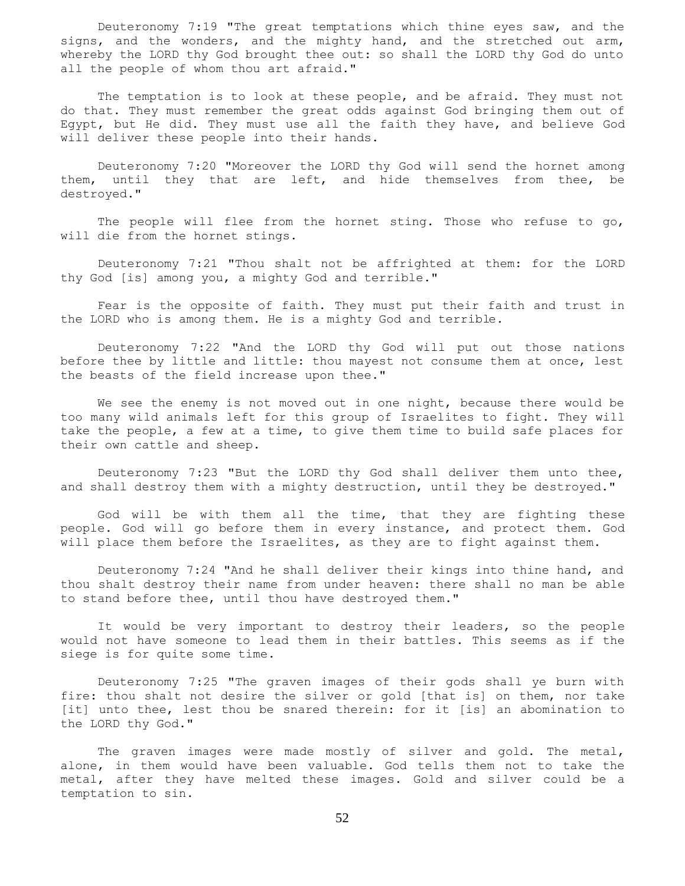Deuteronomy 7:19 "The great temptations which thine eyes saw, and the signs, and the wonders, and the mighty hand, and the stretched out arm, whereby the LORD thy God brought thee out: so shall the LORD thy God do unto all the people of whom thou art afraid."

 The temptation is to look at these people, and be afraid. They must not do that. They must remember the great odds against God bringing them out of Egypt, but He did. They must use all the faith they have, and believe God will deliver these people into their hands.

 Deuteronomy 7:20 "Moreover the LORD thy God will send the hornet among them, until they that are left, and hide themselves from thee, be destroyed."

The people will flee from the hornet sting. Those who refuse to go, will die from the hornet stings.

 Deuteronomy 7:21 "Thou shalt not be affrighted at them: for the LORD thy God [is] among you, a mighty God and terrible."

 Fear is the opposite of faith. They must put their faith and trust in the LORD who is among them. He is a mighty God and terrible.

 Deuteronomy 7:22 "And the LORD thy God will put out those nations before thee by little and little: thou mayest not consume them at once, lest the beasts of the field increase upon thee."

 We see the enemy is not moved out in one night, because there would be too many wild animals left for this group of Israelites to fight. They will take the people, a few at a time, to give them time to build safe places for their own cattle and sheep.

 Deuteronomy 7:23 "But the LORD thy God shall deliver them unto thee, and shall destroy them with a mighty destruction, until they be destroyed."

 God will be with them all the time, that they are fighting these people. God will go before them in every instance, and protect them. God will place them before the Israelites, as they are to fight against them.

 Deuteronomy 7:24 "And he shall deliver their kings into thine hand, and thou shalt destroy their name from under heaven: there shall no man be able to stand before thee, until thou have destroyed them."

 It would be very important to destroy their leaders, so the people would not have someone to lead them in their battles. This seems as if the siege is for quite some time.

 Deuteronomy 7:25 "The graven images of their gods shall ye burn with fire: thou shalt not desire the silver or gold [that is] on them, nor take [it] unto thee, lest thou be snared therein: for it [is] an abomination to the LORD thy God."

The graven images were made mostly of silver and gold. The metal, alone, in them would have been valuable. God tells them not to take the metal, after they have melted these images. Gold and silver could be a temptation to sin.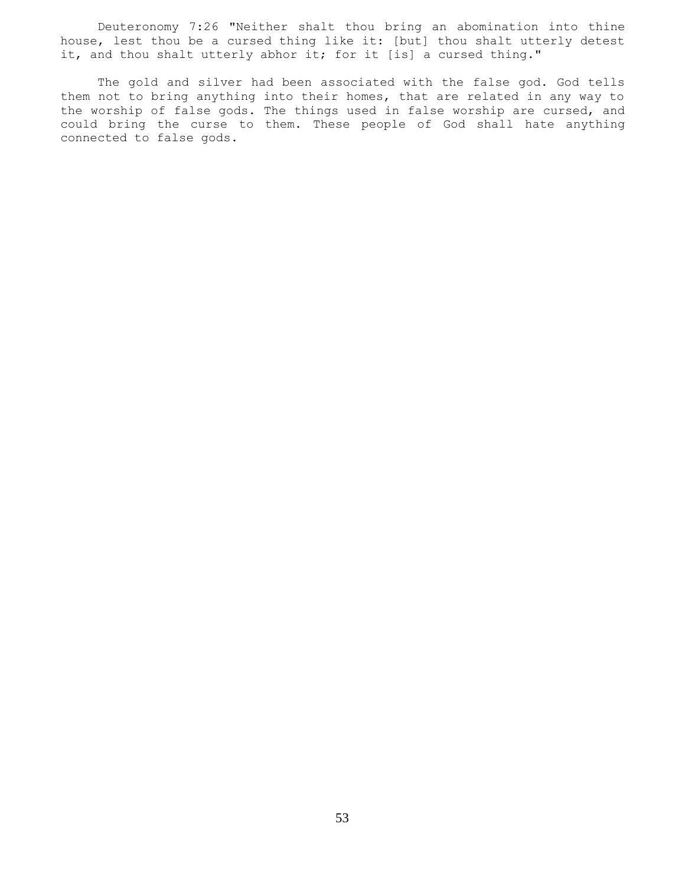Deuteronomy 7:26 "Neither shalt thou bring an abomination into thine house, lest thou be a cursed thing like it: [but] thou shalt utterly detest it, and thou shalt utterly abhor it; for it [is] a cursed thing."

 The gold and silver had been associated with the false god. God tells them not to bring anything into their homes, that are related in any way to the worship of false gods. The things used in false worship are cursed, and could bring the curse to them. These people of God shall hate anything connected to false gods.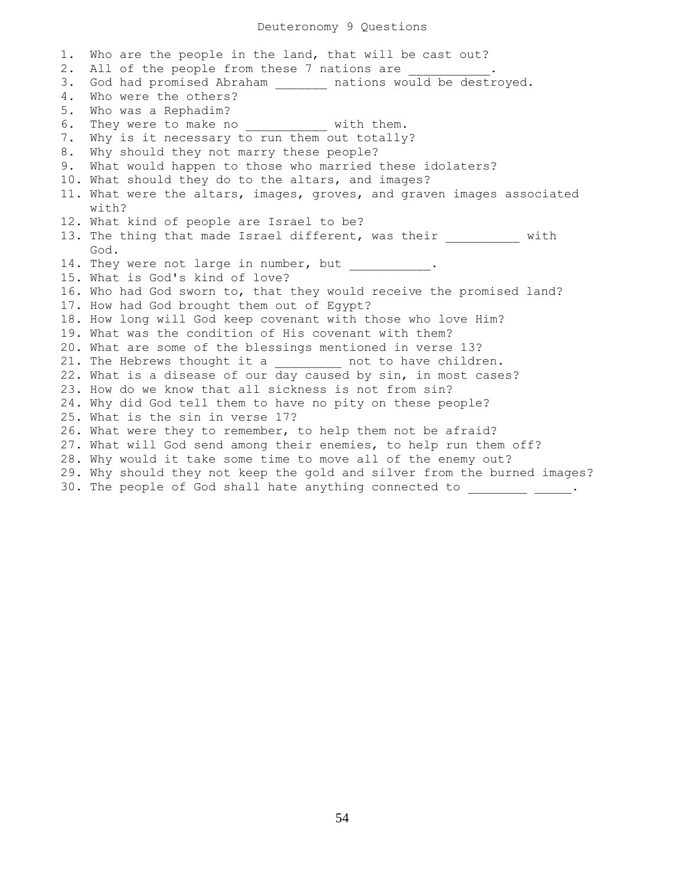1. Who are the people in the land, that will be cast out? 2. All of the people from these 7 nations are 3. God had promised Abraham \_\_\_\_\_\_\_\_ nations would be destroyed. 4. Who were the others? 5. Who was a Rephadim? 6. They were to make no with them. 7. Why is it necessary to run them out totally? 8. Why should they not marry these people? 9. What would happen to those who married these idolaters? 10. What should they do to the altars, and images? 11. What were the altars, images, groves, and graven images associated with? 12. What kind of people are Israel to be? 13. The thing that made Israel different, was their with God. 14. They were not large in number, but ... 15. What is God's kind of love? 16. Who had God sworn to, that they would receive the promised land? 17. How had God brought them out of Egypt? 18. How long will God keep covenant with those who love Him? 19. What was the condition of His covenant with them? 20. What are some of the blessings mentioned in verse 13? 21. The Hebrews thought it a \_\_\_\_\_\_\_\_\_\_ not to have children. 22. What is a disease of our day caused by sin, in most cases? 23. How do we know that all sickness is not from sin? 24. Why did God tell them to have no pity on these people? 25. What is the sin in verse 17? 26. What were they to remember, to help them not be afraid? 27. What will God send among their enemies, to help run them off? 28. Why would it take some time to move all of the enemy out? 29. Why should they not keep the gold and silver from the burned images? 30. The people of God shall hate anything connected to \_\_\_\_\_\_\_\_\_\_\_\_.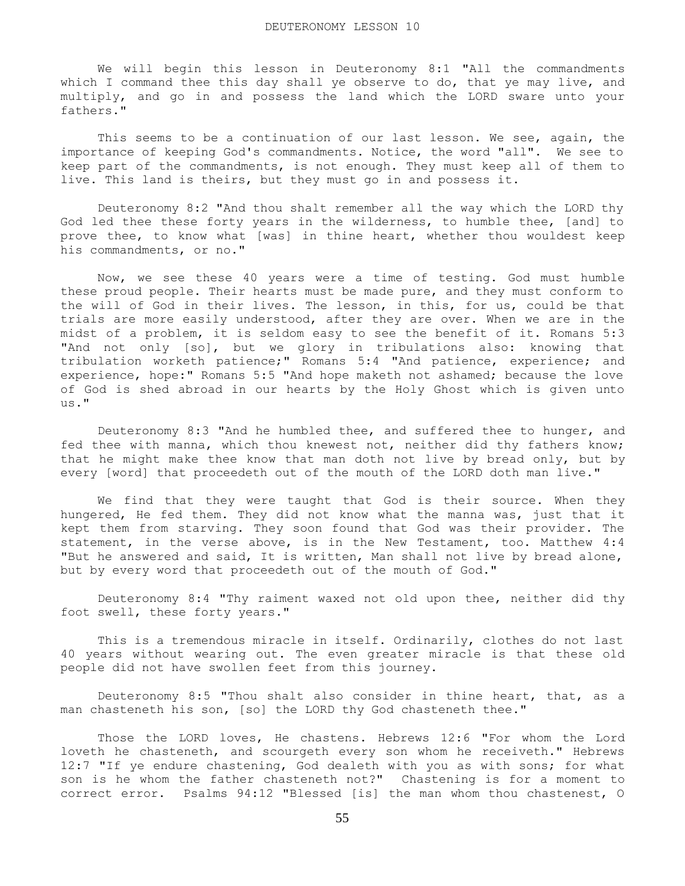We will begin this lesson in Deuteronomy 8:1 "All the commandments which I command thee this day shall ye observe to do, that ye may live, and multiply, and go in and possess the land which the LORD sware unto your fathers."

 This seems to be a continuation of our last lesson. We see, again, the importance of keeping God's commandments. Notice, the word "all". We see to keep part of the commandments, is not enough. They must keep all of them to live. This land is theirs, but they must go in and possess it.

 Deuteronomy 8:2 "And thou shalt remember all the way which the LORD thy God led thee these forty years in the wilderness, to humble thee, [and] to prove thee, to know what [was] in thine heart, whether thou wouldest keep his commandments, or no."

 Now, we see these 40 years were a time of testing. God must humble these proud people. Their hearts must be made pure, and they must conform to the will of God in their lives. The lesson, in this, for us, could be that trials are more easily understood, after they are over. When we are in the midst of a problem, it is seldom easy to see the benefit of it. Romans 5:3 "And not only [so], but we glory in tribulations also: knowing that tribulation worketh patience;" Romans 5:4 "And patience, experience; and experience, hope:" Romans 5:5 "And hope maketh not ashamed; because the love of God is shed abroad in our hearts by the Holy Ghost which is given unto  $\overline{u}$ s."

 Deuteronomy 8:3 "And he humbled thee, and suffered thee to hunger, and fed thee with manna, which thou knewest not, neither did thy fathers know; that he might make thee know that man doth not live by bread only, but by every [word] that proceedeth out of the mouth of the LORD doth man live."

 We find that they were taught that God is their source. When they hungered, He fed them. They did not know what the manna was, just that it kept them from starving. They soon found that God was their provider. The statement, in the verse above, is in the New Testament, too. Matthew 4:4 "But he answered and said, It is written, Man shall not live by bread alone, but by every word that proceedeth out of the mouth of God."

 Deuteronomy 8:4 "Thy raiment waxed not old upon thee, neither did thy foot swell, these forty years."

 This is a tremendous miracle in itself. Ordinarily, clothes do not last 40 years without wearing out. The even greater miracle is that these old people did not have swollen feet from this journey.

 Deuteronomy 8:5 "Thou shalt also consider in thine heart, that, as a man chasteneth his son, [so] the LORD thy God chasteneth thee."

 Those the LORD loves, He chastens. Hebrews 12:6 "For whom the Lord loveth he chasteneth, and scourgeth every son whom he receiveth." Hebrews 12:7 "If ye endure chastening, God dealeth with you as with sons; for what son is he whom the father chasteneth not?" Chastening is for a moment to correct error. Psalms 94:12 "Blessed [is] the man whom thou chastenest, O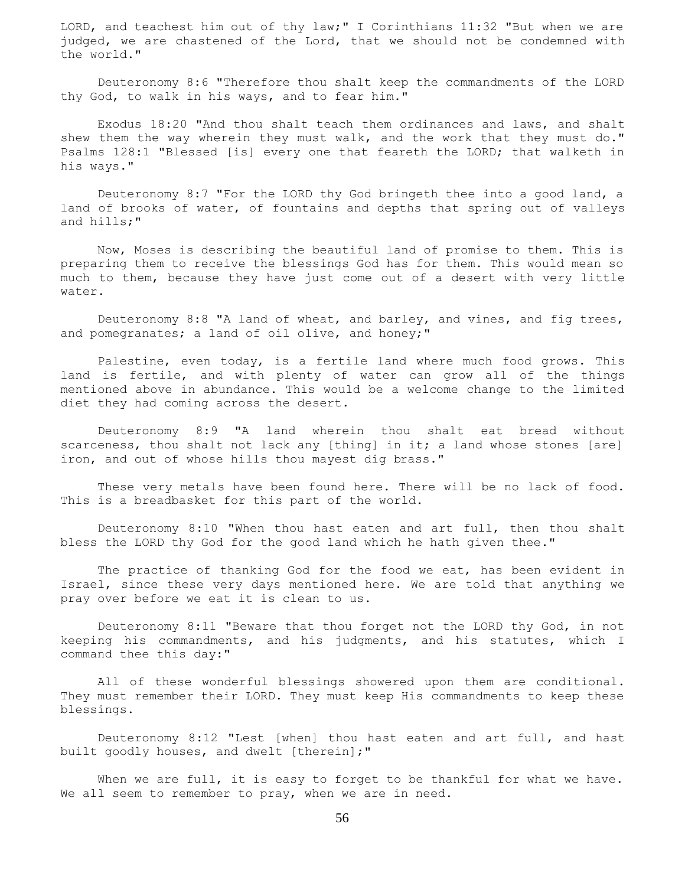LORD, and teachest him out of thy law;" I Corinthians 11:32 "But when we are judged, we are chastened of the Lord, that we should not be condemned with the world."

 Deuteronomy 8:6 "Therefore thou shalt keep the commandments of the LORD thy God, to walk in his ways, and to fear him."

 Exodus 18:20 "And thou shalt teach them ordinances and laws, and shalt shew them the way wherein they must walk, and the work that they must do." Psalms 128:1 "Blessed [is] every one that feareth the LORD; that walketh in his ways."

 Deuteronomy 8:7 "For the LORD thy God bringeth thee into a good land, a land of brooks of water, of fountains and depths that spring out of valleys and hills;"

 Now, Moses is describing the beautiful land of promise to them. This is preparing them to receive the blessings God has for them. This would mean so much to them, because they have just come out of a desert with very little water.

 Deuteronomy 8:8 "A land of wheat, and barley, and vines, and fig trees, and pomegranates; a land of oil olive, and honey;"

 Palestine, even today, is a fertile land where much food grows. This land is fertile, and with plenty of water can grow all of the things mentioned above in abundance. This would be a welcome change to the limited diet they had coming across the desert.

 Deuteronomy 8:9 "A land wherein thou shalt eat bread without scarceness, thou shalt not lack any [thing] in it; a land whose stones [are] iron, and out of whose hills thou mayest dig brass."

 These very metals have been found here. There will be no lack of food. This is a breadbasket for this part of the world.

 Deuteronomy 8:10 "When thou hast eaten and art full, then thou shalt bless the LORD thy God for the good land which he hath given thee."

 The practice of thanking God for the food we eat, has been evident in Israel, since these very days mentioned here. We are told that anything we pray over before we eat it is clean to us.

 Deuteronomy 8:11 "Beware that thou forget not the LORD thy God, in not keeping his commandments, and his judgments, and his statutes, which I command thee this day:"

All of these wonderful blessings showered upon them are conditional. They must remember their LORD. They must keep His commandments to keep these blessings.

 Deuteronomy 8:12 "Lest [when] thou hast eaten and art full, and hast built goodly houses, and dwelt [therein];"

When we are full, it is easy to forget to be thankful for what we have. We all seem to remember to pray, when we are in need.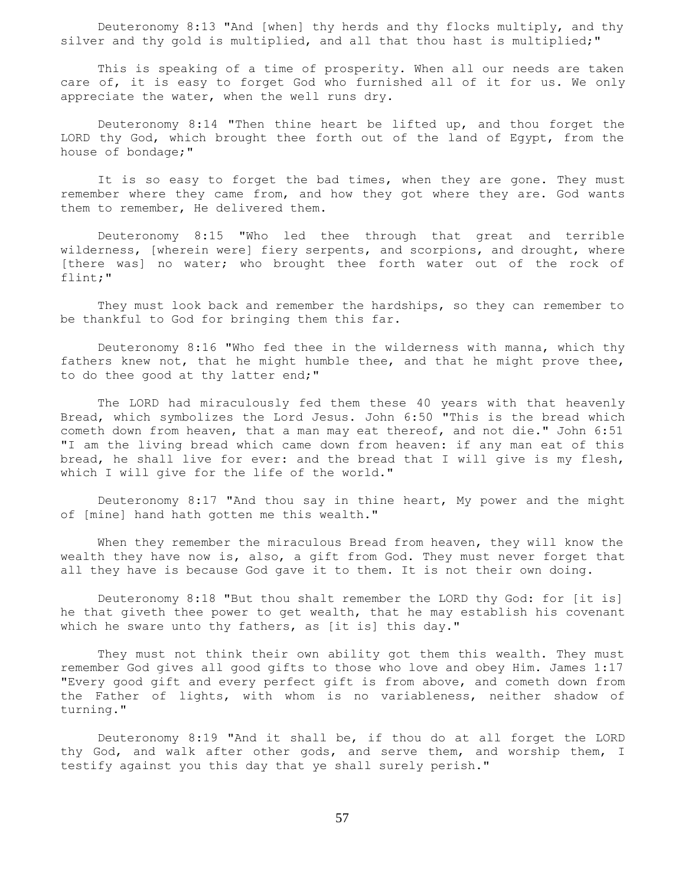Deuteronomy 8:13 "And [when] thy herds and thy flocks multiply, and thy silver and thy gold is multiplied, and all that thou hast is multiplied;"

 This is speaking of a time of prosperity. When all our needs are taken care of, it is easy to forget God who furnished all of it for us. We only appreciate the water, when the well runs dry.

 Deuteronomy 8:14 "Then thine heart be lifted up, and thou forget the LORD thy God, which brought thee forth out of the land of Egypt, from the house of bondage;"

It is so easy to forget the bad times, when they are gone. They must remember where they came from, and how they got where they are. God wants them to remember, He delivered them.

 Deuteronomy 8:15 "Who led thee through that great and terrible wilderness, [wherein were] fiery serpents, and scorpions, and drought, where [there was] no water; who brought thee forth water out of the rock of flint;"

 They must look back and remember the hardships, so they can remember to be thankful to God for bringing them this far.

 Deuteronomy 8:16 "Who fed thee in the wilderness with manna, which thy fathers knew not, that he might humble thee, and that he might prove thee, to do thee good at thy latter end;"

 The LORD had miraculously fed them these 40 years with that heavenly Bread, which symbolizes the Lord Jesus. John 6:50 "This is the bread which cometh down from heaven, that a man may eat thereof, and not die." John 6:51 "I am the living bread which came down from heaven: if any man eat of this bread, he shall live for ever: and the bread that I will give is my flesh, which I will give for the life of the world."

 Deuteronomy 8:17 "And thou say in thine heart, My power and the might of [mine] hand hath gotten me this wealth."

 When they remember the miraculous Bread from heaven, they will know the wealth they have now is, also, a gift from God. They must never forget that all they have is because God gave it to them. It is not their own doing.

 Deuteronomy 8:18 "But thou shalt remember the LORD thy God: for [it is] he that giveth thee power to get wealth, that he may establish his covenant which he sware unto thy fathers, as [it is] this day."

 They must not think their own ability got them this wealth. They must remember God gives all good gifts to those who love and obey Him. James 1:17 "Every good gift and every perfect gift is from above, and cometh down from the Father of lights, with whom is no variableness, neither shadow of turning."

 Deuteronomy 8:19 "And it shall be, if thou do at all forget the LORD thy God, and walk after other gods, and serve them, and worship them, I testify against you this day that ye shall surely perish."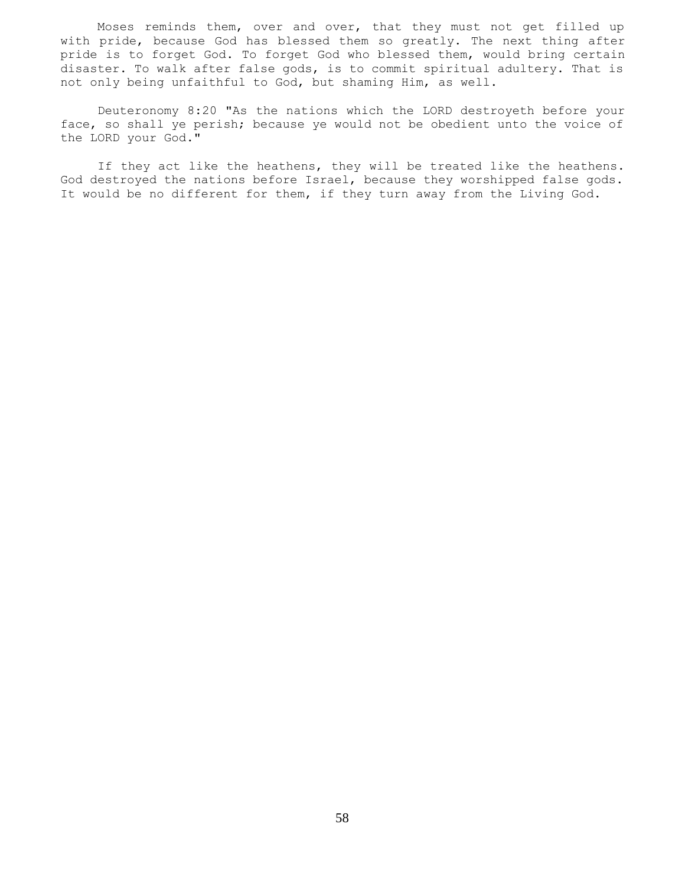Moses reminds them, over and over, that they must not get filled up with pride, because God has blessed them so greatly. The next thing after pride is to forget God. To forget God who blessed them, would bring certain disaster. To walk after false gods, is to commit spiritual adultery. That is not only being unfaithful to God, but shaming Him, as well.

 Deuteronomy 8:20 "As the nations which the LORD destroyeth before your face, so shall ye perish; because ye would not be obedient unto the voice of the LORD your God."

 If they act like the heathens, they will be treated like the heathens. God destroyed the nations before Israel, because they worshipped false gods. It would be no different for them, if they turn away from the Living God.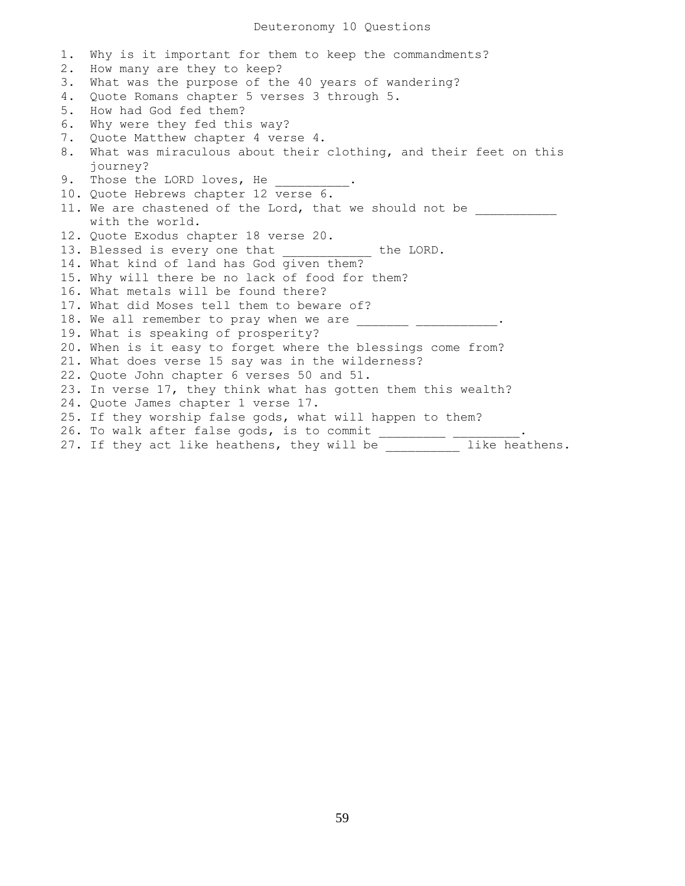1. Why is it important for them to keep the commandments? 2. How many are they to keep? 3. What was the purpose of the 40 years of wandering? 4. Quote Romans chapter 5 verses 3 through 5. 5. How had God fed them? 6. Why were they fed this way? 7. Quote Matthew chapter 4 verse 4. 8. What was miraculous about their clothing, and their feet on this journey? 9. Those the LORD loves, He 10. Quote Hebrews chapter 12 verse 6. 11. We are chastened of the Lord, that we should not be with the world. 12. Quote Exodus chapter 18 verse 20. 13. Blessed is every one that the LORD. 14. What kind of land has God given them? 15. Why will there be no lack of food for them? 16. What metals will be found there? 17. What did Moses tell them to beware of? 18. We all remember to pray when we are \_\_\_\_\_\_\_\_\_\_\_\_ 19. What is speaking of prosperity? 20. When is it easy to forget where the blessings come from? 21. What does verse 15 say was in the wilderness? 22. Quote John chapter 6 verses 50 and 51. 23. In verse 17, they think what has gotten them this wealth? 24. Quote James chapter 1 verse 17. 25. If they worship false gods, what will happen to them? 26. To walk after false gods, is to commit \_\_\_\_\_\_\_\_\_\_ \_\_ 27. If they act like heathens, they will be \_\_\_\_\_\_\_\_\_\_ like heathens.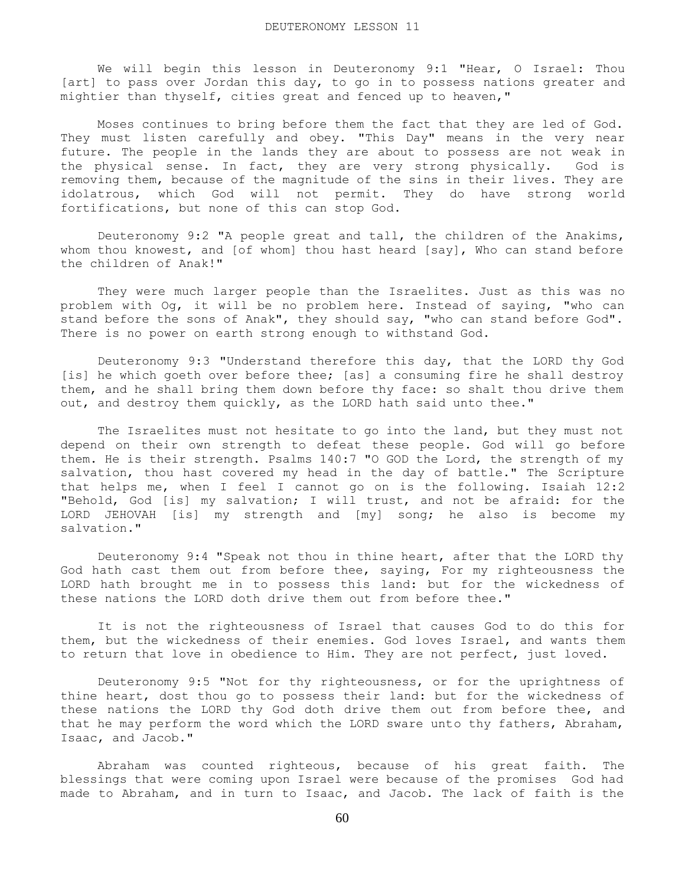We will begin this lesson in Deuteronomy 9:1 "Hear, O Israel: Thou [art] to pass over Jordan this day, to go in to possess nations greater and mightier than thyself, cities great and fenced up to heaven,"

 Moses continues to bring before them the fact that they are led of God. They must listen carefully and obey. "This Day" means in the very near future. The people in the lands they are about to possess are not weak in the physical sense. In fact, they are very strong physically. God is removing them, because of the magnitude of the sins in their lives. They are idolatrous, which God will not permit. They do have strong world fortifications, but none of this can stop God.

 Deuteronomy 9:2 "A people great and tall, the children of the Anakims, whom thou knowest, and [of whom] thou hast heard [say], Who can stand before the children of Anak!"

 They were much larger people than the Israelites. Just as this was no problem with Og, it will be no problem here. Instead of saying, "who can stand before the sons of Anak", they should say, "who can stand before God". There is no power on earth strong enough to withstand God.

 Deuteronomy 9:3 "Understand therefore this day, that the LORD thy God [is] he which goeth over before thee; [as] a consuming fire he shall destroy them, and he shall bring them down before thy face: so shalt thou drive them out, and destroy them quickly, as the LORD hath said unto thee."

 The Israelites must not hesitate to go into the land, but they must not depend on their own strength to defeat these people. God will go before them. He is their strength. Psalms 140:7 "O GOD the Lord, the strength of my salvation, thou hast covered my head in the day of battle." The Scripture that helps me, when I feel I cannot go on is the following. Isaiah 12:2 "Behold, God [is] my salvation; I will trust, and not be afraid: for the LORD JEHOVAH [is] my strength and [my] song; he also is become my salvation."

 Deuteronomy 9:4 "Speak not thou in thine heart, after that the LORD thy God hath cast them out from before thee, saying, For my righteousness the LORD hath brought me in to possess this land: but for the wickedness of these nations the LORD doth drive them out from before thee."

 It is not the righteousness of Israel that causes God to do this for them, but the wickedness of their enemies. God loves Israel, and wants them to return that love in obedience to Him. They are not perfect, just loved.

 Deuteronomy 9:5 "Not for thy righteousness, or for the uprightness of thine heart, dost thou go to possess their land: but for the wickedness of these nations the LORD thy God doth drive them out from before thee, and that he may perform the word which the LORD sware unto thy fathers, Abraham, Isaac, and Jacob."

 Abraham was counted righteous, because of his great faith. The blessings that were coming upon Israel were because of the promises God had made to Abraham, and in turn to Isaac, and Jacob. The lack of faith is the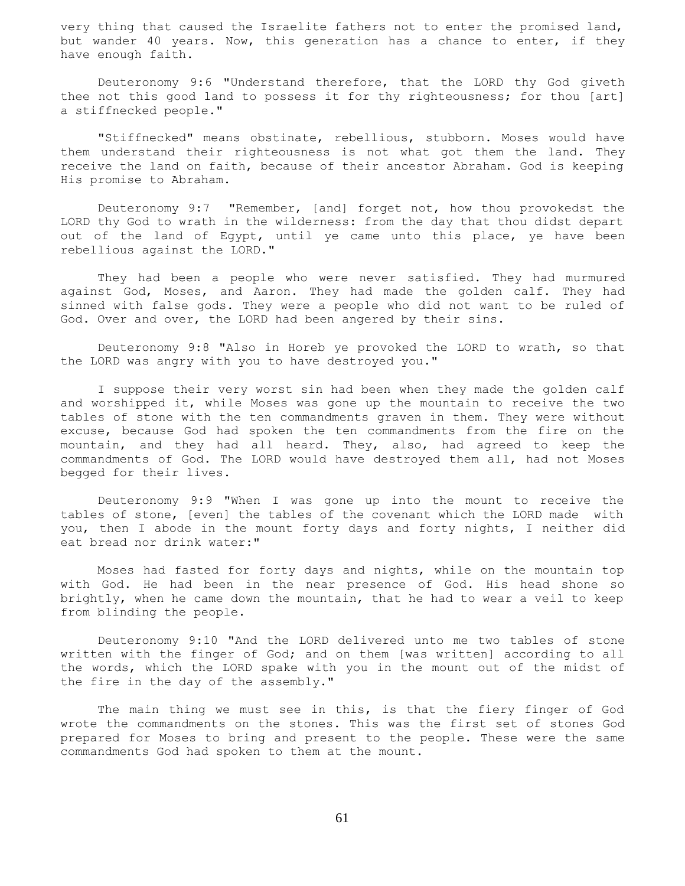very thing that caused the Israelite fathers not to enter the promised land, but wander 40 years. Now, this generation has a chance to enter, if they have enough faith.

 Deuteronomy 9:6 "Understand therefore, that the LORD thy God giveth thee not this good land to possess it for thy righteousness; for thou [art] a stiffnecked people."

 "Stiffnecked" means obstinate, rebellious, stubborn. Moses would have them understand their righteousness is not what got them the land. They receive the land on faith, because of their ancestor Abraham. God is keeping His promise to Abraham.

 Deuteronomy 9:7 "Remember, [and] forget not, how thou provokedst the LORD thy God to wrath in the wilderness: from the day that thou didst depart out of the land of Egypt, until ye came unto this place, ye have been rebellious against the LORD."

 They had been a people who were never satisfied. They had murmured against God, Moses, and Aaron. They had made the golden calf. They had sinned with false gods. They were a people who did not want to be ruled of God. Over and over, the LORD had been angered by their sins.

 Deuteronomy 9:8 "Also in Horeb ye provoked the LORD to wrath, so that the LORD was angry with you to have destroyed you."

 I suppose their very worst sin had been when they made the golden calf and worshipped it, while Moses was gone up the mountain to receive the two tables of stone with the ten commandments graven in them. They were without excuse, because God had spoken the ten commandments from the fire on the mountain, and they had all heard. They, also, had agreed to keep the commandments of God. The LORD would have destroyed them all, had not Moses begged for their lives.

 Deuteronomy 9:9 "When I was gone up into the mount to receive the tables of stone, [even] the tables of the covenant which the LORD made with you, then I abode in the mount forty days and forty nights, I neither did eat bread nor drink water:"

 Moses had fasted for forty days and nights, while on the mountain top with God. He had been in the near presence of God. His head shone so brightly, when he came down the mountain, that he had to wear a veil to keep from blinding the people.

 Deuteronomy 9:10 "And the LORD delivered unto me two tables of stone written with the finger of God; and on them [was written] according to all the words, which the LORD spake with you in the mount out of the midst of the fire in the day of the assembly."

 The main thing we must see in this, is that the fiery finger of God wrote the commandments on the stones. This was the first set of stones God prepared for Moses to bring and present to the people. These were the same commandments God had spoken to them at the mount.

61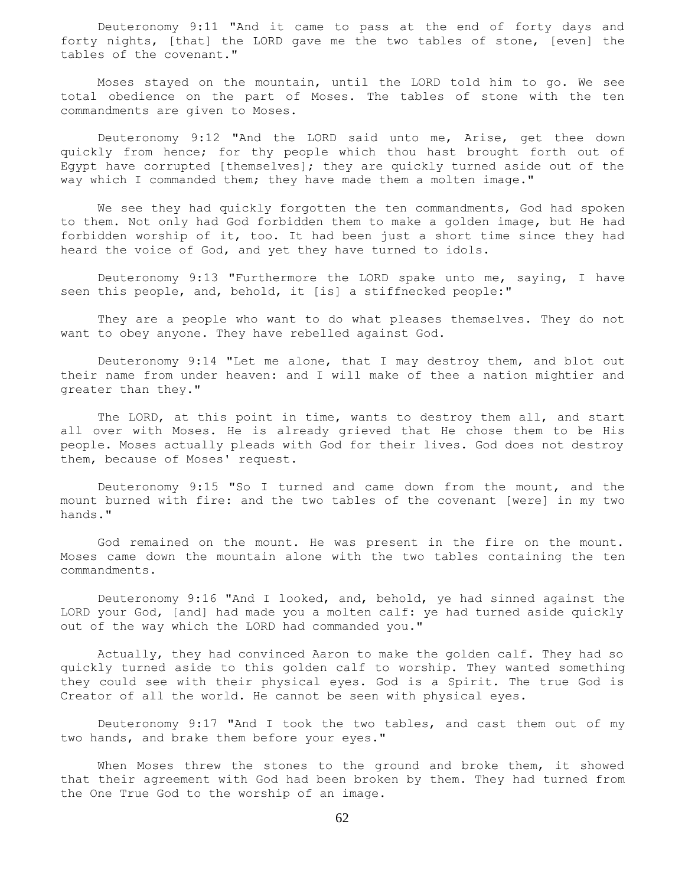Deuteronomy 9:11 "And it came to pass at the end of forty days and forty nights, [that] the LORD gave me the two tables of stone, [even] the tables of the covenant."

 Moses stayed on the mountain, until the LORD told him to go. We see total obedience on the part of Moses. The tables of stone with the ten commandments are given to Moses.

 Deuteronomy 9:12 "And the LORD said unto me, Arise, get thee down quickly from hence; for thy people which thou hast brought forth out of Egypt have corrupted [themselves]; they are quickly turned aside out of the way which I commanded them; they have made them a molten image."

We see they had quickly forgotten the ten commandments, God had spoken to them. Not only had God forbidden them to make a golden image, but He had forbidden worship of it, too. It had been just a short time since they had heard the voice of God, and yet they have turned to idols.

 Deuteronomy 9:13 "Furthermore the LORD spake unto me, saying, I have seen this people, and, behold, it [is] a stiffnecked people:"

 They are a people who want to do what pleases themselves. They do not want to obey anyone. They have rebelled against God.

 Deuteronomy 9:14 "Let me alone, that I may destroy them, and blot out their name from under heaven: and I will make of thee a nation mightier and greater than they."

 The LORD, at this point in time, wants to destroy them all, and start all over with Moses. He is already grieved that He chose them to be His people. Moses actually pleads with God for their lives. God does not destroy them, because of Moses' request.

 Deuteronomy 9:15 "So I turned and came down from the mount, and the mount burned with fire: and the two tables of the covenant [were] in my two hands."

 God remained on the mount. He was present in the fire on the mount. Moses came down the mountain alone with the two tables containing the ten commandments.

 Deuteronomy 9:16 "And I looked, and, behold, ye had sinned against the LORD your God, [and] had made you a molten calf: ye had turned aside quickly out of the way which the LORD had commanded you."

 Actually, they had convinced Aaron to make the golden calf. They had so quickly turned aside to this golden calf to worship. They wanted something they could see with their physical eyes. God is a Spirit. The true God is Creator of all the world. He cannot be seen with physical eyes.

 Deuteronomy 9:17 "And I took the two tables, and cast them out of my two hands, and brake them before your eyes."

When Moses threw the stones to the ground and broke them, it showed that their agreement with God had been broken by them. They had turned from the One True God to the worship of an image.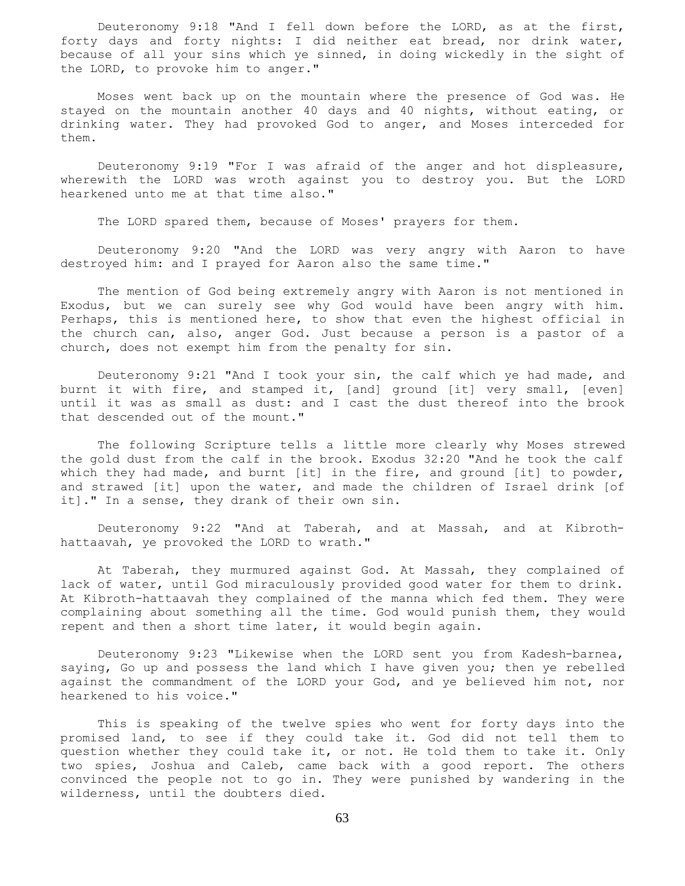Deuteronomy 9:18 "And I fell down before the LORD, as at the first, forty days and forty nights: I did neither eat bread, nor drink water, because of all your sins which ye sinned, in doing wickedly in the sight of the LORD, to provoke him to anger."

 Moses went back up on the mountain where the presence of God was. He stayed on the mountain another 40 days and 40 nights, without eating, or drinking water. They had provoked God to anger, and Moses interceded for them.

 Deuteronomy 9:19 "For I was afraid of the anger and hot displeasure, wherewith the LORD was wroth against you to destroy you. But the LORD hearkened unto me at that time also."

The LORD spared them, because of Moses' prayers for them.

 Deuteronomy 9:20 "And the LORD was very angry with Aaron to have destroyed him: and I prayed for Aaron also the same time."

 The mention of God being extremely angry with Aaron is not mentioned in Exodus, but we can surely see why God would have been angry with him. Perhaps, this is mentioned here, to show that even the highest official in the church can, also, anger God. Just because a person is a pastor of a church, does not exempt him from the penalty for sin.

 Deuteronomy 9:21 "And I took your sin, the calf which ye had made, and burnt it with fire, and stamped it, [and] ground [it] very small, [even] until it was as small as dust: and I cast the dust thereof into the brook that descended out of the mount."

 The following Scripture tells a little more clearly why Moses strewed the gold dust from the calf in the brook. Exodus 32:20 "And he took the calf which they had made, and burnt [it] in the fire, and ground [it] to powder, and strawed [it] upon the water, and made the children of Israel drink [of it]." In a sense, they drank of their own sin.

 Deuteronomy 9:22 "And at Taberah, and at Massah, and at Kibrothhattaavah, ye provoked the LORD to wrath."

 At Taberah, they murmured against God. At Massah, they complained of lack of water, until God miraculously provided good water for them to drink. At Kibroth-hattaavah they complained of the manna which fed them. They were complaining about something all the time. God would punish them, they would repent and then a short time later, it would begin again.

 Deuteronomy 9:23 "Likewise when the LORD sent you from Kadesh-barnea, saying, Go up and possess the land which I have given you; then ye rebelled against the commandment of the LORD your God, and ye believed him not, nor hearkened to his voice."

 This is speaking of the twelve spies who went for forty days into the promised land, to see if they could take it. God did not tell them to question whether they could take it, or not. He told them to take it. Only two spies, Joshua and Caleb, came back with a good report. The others convinced the people not to go in. They were punished by wandering in the wilderness, until the doubters died.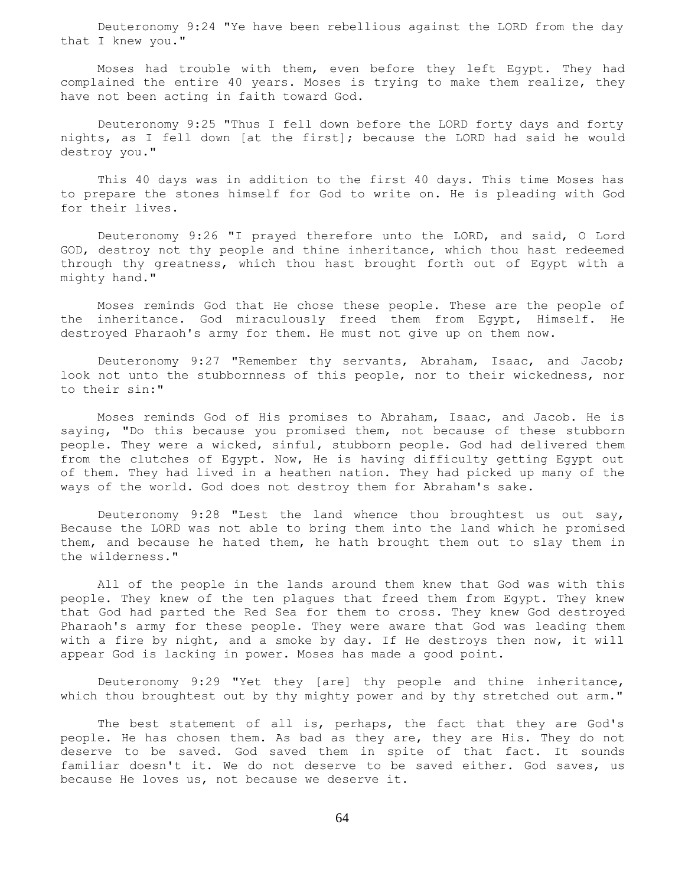Deuteronomy 9:24 "Ye have been rebellious against the LORD from the day that I knew you."

 Moses had trouble with them, even before they left Egypt. They had complained the entire 40 years. Moses is trying to make them realize, they have not been acting in faith toward God.

 Deuteronomy 9:25 "Thus I fell down before the LORD forty days and forty nights, as I fell down [at the first]; because the LORD had said he would destroy you."

 This 40 days was in addition to the first 40 days. This time Moses has to prepare the stones himself for God to write on. He is pleading with God for their lives.

 Deuteronomy 9:26 "I prayed therefore unto the LORD, and said, O Lord GOD, destroy not thy people and thine inheritance, which thou hast redeemed through thy greatness, which thou hast brought forth out of Egypt with a mighty hand."

 Moses reminds God that He chose these people. These are the people of the inheritance. God miraculously freed them from Egypt, Himself. He destroyed Pharaoh's army for them. He must not give up on them now.

 Deuteronomy 9:27 "Remember thy servants, Abraham, Isaac, and Jacob; look not unto the stubbornness of this people, nor to their wickedness, nor to their sin:"

 Moses reminds God of His promises to Abraham, Isaac, and Jacob. He is saying, "Do this because you promised them, not because of these stubborn people. They were a wicked, sinful, stubborn people. God had delivered them from the clutches of Egypt. Now, He is having difficulty getting Egypt out of them. They had lived in a heathen nation. They had picked up many of the ways of the world. God does not destroy them for Abraham's sake.

 Deuteronomy 9:28 "Lest the land whence thou broughtest us out say, Because the LORD was not able to bring them into the land which he promised them, and because he hated them, he hath brought them out to slay them in the wilderness."

 All of the people in the lands around them knew that God was with this people. They knew of the ten plagues that freed them from Egypt. They knew that God had parted the Red Sea for them to cross. They knew God destroyed Pharaoh's army for these people. They were aware that God was leading them with a fire by night, and a smoke by day. If He destroys then now, it will appear God is lacking in power. Moses has made a good point.

 Deuteronomy 9:29 "Yet they [are] thy people and thine inheritance, which thou broughtest out by thy mighty power and by thy stretched out arm."

 The best statement of all is, perhaps, the fact that they are God's people. He has chosen them. As bad as they are, they are His. They do not deserve to be saved. God saved them in spite of that fact. It sounds familiar doesn't it. We do not deserve to be saved either. God saves, us because He loves us, not because we deserve it.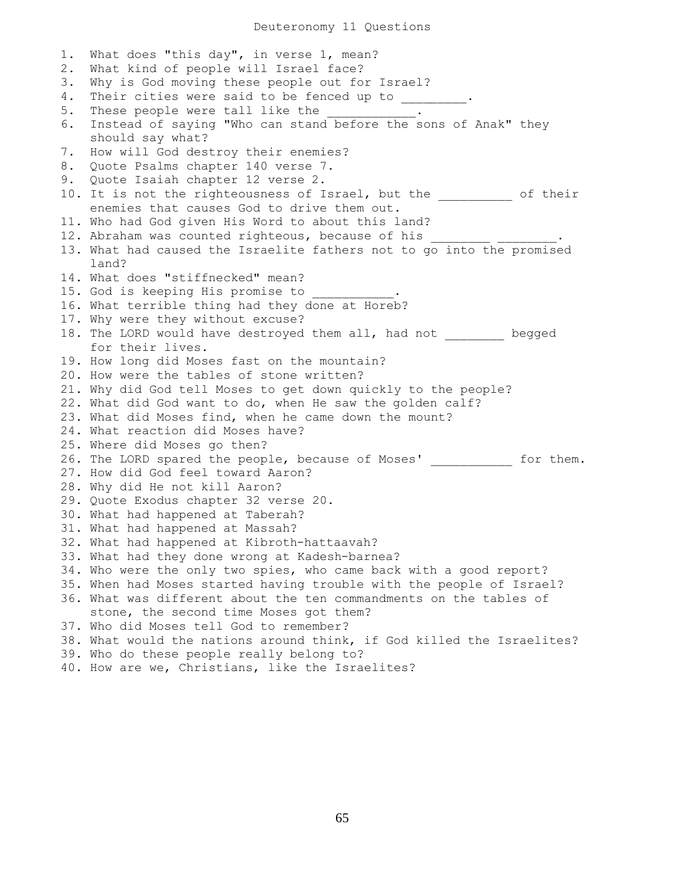Deuteronomy 11 Questions

1. What does "this day", in verse 1, mean? 2. What kind of people will Israel face? 3. Why is God moving these people out for Israel? 4. Their cities were said to be fenced up to \_\_\_\_\_\_\_\_. 5. These people were tall like the 6. Instead of saying "Who can stand before the sons of Anak" they should say what? 7. How will God destroy their enemies? 8. Quote Psalms chapter 140 verse 7. 9. Quote Isaiah chapter 12 verse 2. 10. It is not the righteousness of Israel, but the \_\_\_\_\_\_\_\_\_\_ of their enemies that causes God to drive them out. 11. Who had God given His Word to about this land? 12. Abraham was counted righteous, because of his 13. What had caused the Israelite fathers not to go into the promised land? 14. What does "stiffnecked" mean? 15. God is keeping His promise to 16. What terrible thing had they done at Horeb? 17. Why were they without excuse? 18. The LORD would have destroyed them all, had not \_\_\_\_\_\_\_\_ begged for their lives. 19. How long did Moses fast on the mountain? 20. How were the tables of stone written? 21. Why did God tell Moses to get down quickly to the people? 22. What did God want to do, when He saw the golden calf? 23. What did Moses find, when he came down the mount? 24. What reaction did Moses have? 25. Where did Moses go then? 26. The LORD spared the people, because of Moses' for them. 27. How did God feel toward Aaron? 28. Why did He not kill Aaron? 29. Quote Exodus chapter 32 verse 20. 30. What had happened at Taberah? 31. What had happened at Massah? 32. What had happened at Kibroth-hattaavah? 33. What had they done wrong at Kadesh-barnea? 34. Who were the only two spies, who came back with a good report? 35. When had Moses started having trouble with the people of Israel? 36. What was different about the ten commandments on the tables of stone, the second time Moses got them? 37. Who did Moses tell God to remember? 38. What would the nations around think, if God killed the Israelites? 39. Who do these people really belong to? 40. How are we, Christians, like the Israelites?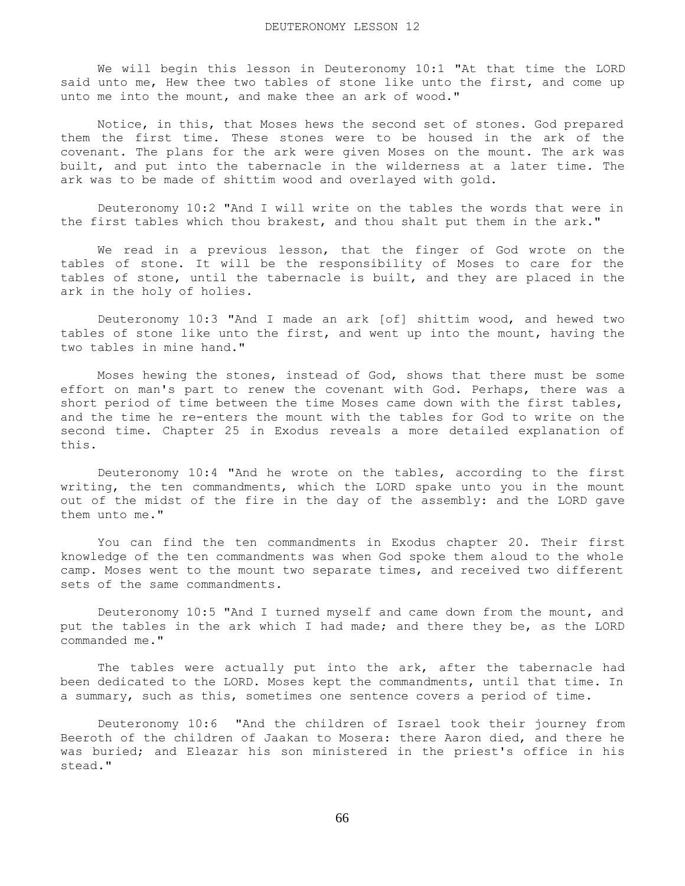We will begin this lesson in Deuteronomy 10:1 "At that time the LORD said unto me, Hew thee two tables of stone like unto the first, and come up unto me into the mount, and make thee an ark of wood."

 Notice, in this, that Moses hews the second set of stones. God prepared them the first time. These stones were to be housed in the ark of the covenant. The plans for the ark were given Moses on the mount. The ark was built, and put into the tabernacle in the wilderness at a later time. The ark was to be made of shittim wood and overlayed with gold.

 Deuteronomy 10:2 "And I will write on the tables the words that were in the first tables which thou brakest, and thou shalt put them in the ark."

 We read in a previous lesson, that the finger of God wrote on the tables of stone. It will be the responsibility of Moses to care for the tables of stone, until the tabernacle is built, and they are placed in the ark in the holy of holies.

 Deuteronomy 10:3 "And I made an ark [of] shittim wood, and hewed two tables of stone like unto the first, and went up into the mount, having the two tables in mine hand."

 Moses hewing the stones, instead of God, shows that there must be some effort on man's part to renew the covenant with God. Perhaps, there was a short period of time between the time Moses came down with the first tables, and the time he re-enters the mount with the tables for God to write on the second time. Chapter 25 in Exodus reveals a more detailed explanation of this.

 Deuteronomy 10:4 "And he wrote on the tables, according to the first writing, the ten commandments, which the LORD spake unto you in the mount out of the midst of the fire in the day of the assembly: and the LORD gave them unto me."

 You can find the ten commandments in Exodus chapter 20. Their first knowledge of the ten commandments was when God spoke them aloud to the whole camp. Moses went to the mount two separate times, and received two different sets of the same commandments.

 Deuteronomy 10:5 "And I turned myself and came down from the mount, and put the tables in the ark which I had made; and there they be, as the LORD commanded me."

 The tables were actually put into the ark, after the tabernacle had been dedicated to the LORD. Moses kept the commandments, until that time. In a summary, such as this, sometimes one sentence covers a period of time.

 Deuteronomy 10:6 "And the children of Israel took their journey from Beeroth of the children of Jaakan to Mosera: there Aaron died, and there he was buried; and Eleazar his son ministered in the priest's office in his stead."

66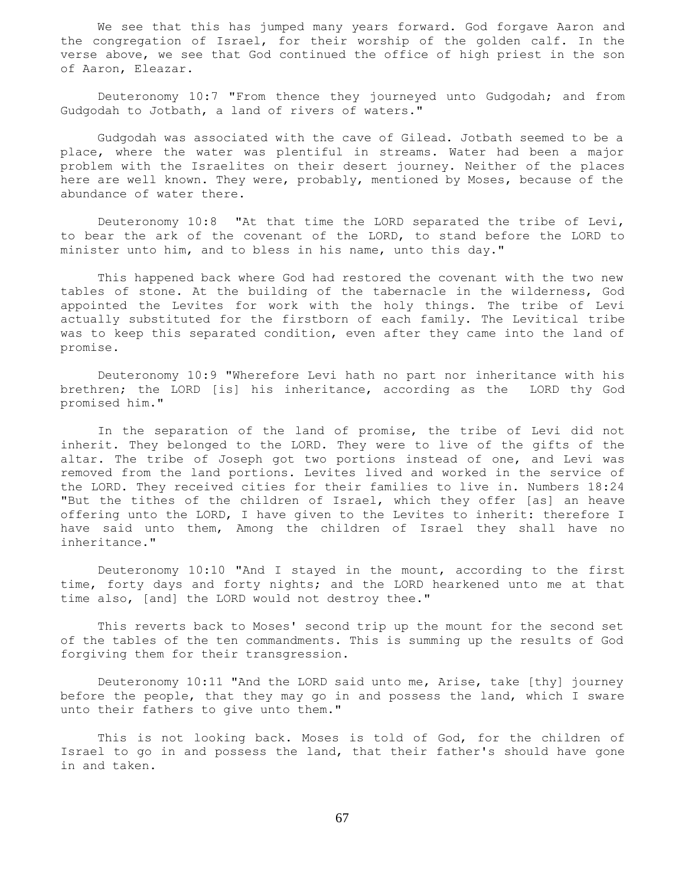We see that this has jumped many years forward. God forgave Aaron and the congregation of Israel, for their worship of the golden calf. In the verse above, we see that God continued the office of high priest in the son of Aaron, Eleazar.

 Deuteronomy 10:7 "From thence they journeyed unto Gudgodah; and from Gudgodah to Jotbath, a land of rivers of waters."

 Gudgodah was associated with the cave of Gilead. Jotbath seemed to be a place, where the water was plentiful in streams. Water had been a major problem with the Israelites on their desert journey. Neither of the places here are well known. They were, probably, mentioned by Moses, because of the abundance of water there.

 Deuteronomy 10:8 "At that time the LORD separated the tribe of Levi, to bear the ark of the covenant of the LORD, to stand before the LORD to minister unto him, and to bless in his name, unto this day."

 This happened back where God had restored the covenant with the two new tables of stone. At the building of the tabernacle in the wilderness, God appointed the Levites for work with the holy things. The tribe of Levi actually substituted for the firstborn of each family. The Levitical tribe was to keep this separated condition, even after they came into the land of promise.

 Deuteronomy 10:9 "Wherefore Levi hath no part nor inheritance with his brethren; the LORD [is] his inheritance, according as the LORD thy God promised him."

 In the separation of the land of promise, the tribe of Levi did not inherit. They belonged to the LORD. They were to live of the gifts of the altar. The tribe of Joseph got two portions instead of one, and Levi was removed from the land portions. Levites lived and worked in the service of the LORD. They received cities for their families to live in. Numbers 18:24 "But the tithes of the children of Israel, which they offer [as] an heave offering unto the LORD, I have given to the Levites to inherit: therefore I have said unto them, Among the children of Israel they shall have no inheritance."

 Deuteronomy 10:10 "And I stayed in the mount, according to the first time, forty days and forty nights; and the LORD hearkened unto me at that time also, [and] the LORD would not destroy thee."

 This reverts back to Moses' second trip up the mount for the second set of the tables of the ten commandments. This is summing up the results of God forgiving them for their transgression.

 Deuteronomy 10:11 "And the LORD said unto me, Arise, take [thy] journey before the people, that they may go in and possess the land, which I sware unto their fathers to give unto them."

 This is not looking back. Moses is told of God, for the children of Israel to go in and possess the land, that their father's should have gone in and taken.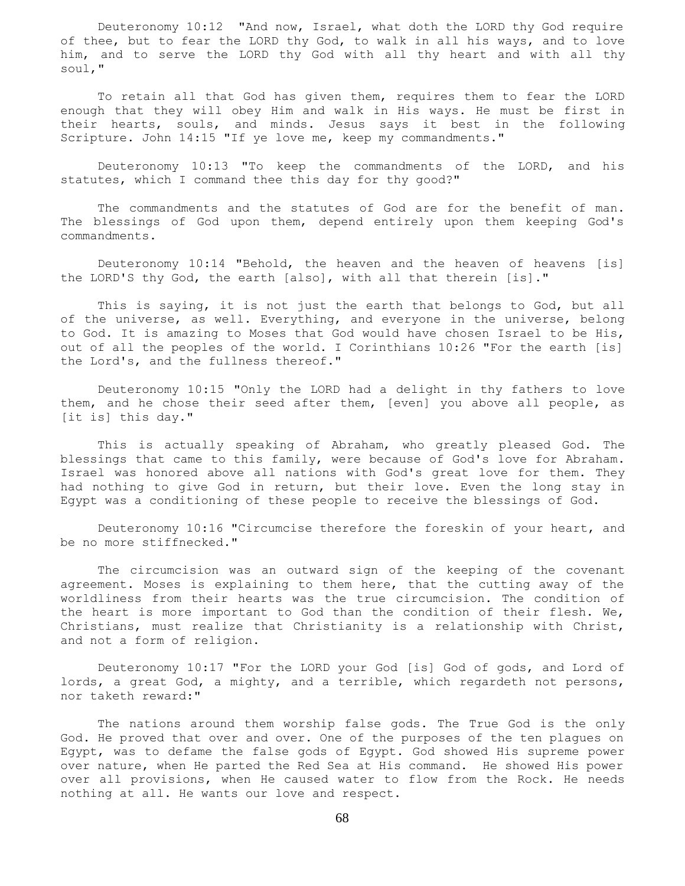Deuteronomy 10:12 "And now, Israel, what doth the LORD thy God require of thee, but to fear the LORD thy God, to walk in all his ways, and to love him, and to serve the LORD thy God with all thy heart and with all thy soul,"

 To retain all that God has given them, requires them to fear the LORD enough that they will obey Him and walk in His ways. He must be first in their hearts, souls, and minds. Jesus says it best in the following Scripture. John 14:15 "If ye love me, keep my commandments."

 Deuteronomy 10:13 "To keep the commandments of the LORD, and his statutes, which I command thee this day for thy good?"

 The commandments and the statutes of God are for the benefit of man. The blessings of God upon them, depend entirely upon them keeping God's commandments.

 Deuteronomy 10:14 "Behold, the heaven and the heaven of heavens [is] the LORD'S thy God, the earth [also], with all that therein [is]."

 This is saying, it is not just the earth that belongs to God, but all of the universe, as well. Everything, and everyone in the universe, belong to God. It is amazing to Moses that God would have chosen Israel to be His, out of all the peoples of the world. I Corinthians 10:26 "For the earth [is] the Lord's, and the fullness thereof."

 Deuteronomy 10:15 "Only the LORD had a delight in thy fathers to love them, and he chose their seed after them, [even] you above all people, as [it is] this day."

 This is actually speaking of Abraham, who greatly pleased God. The blessings that came to this family, were because of God's love for Abraham. Israel was honored above all nations with God's great love for them. They had nothing to give God in return, but their love. Even the long stay in Egypt was a conditioning of these people to receive the blessings of God.

 Deuteronomy 10:16 "Circumcise therefore the foreskin of your heart, and be no more stiffnecked."

 The circumcision was an outward sign of the keeping of the covenant agreement. Moses is explaining to them here, that the cutting away of the worldliness from their hearts was the true circumcision. The condition of the heart is more important to God than the condition of their flesh. We, Christians, must realize that Christianity is a relationship with Christ, and not a form of religion.

 Deuteronomy 10:17 "For the LORD your God [is] God of gods, and Lord of lords, a great God, a mighty, and a terrible, which regardeth not persons, nor taketh reward:"

 The nations around them worship false gods. The True God is the only God. He proved that over and over. One of the purposes of the ten plagues on Egypt, was to defame the false gods of Egypt. God showed His supreme power over nature, when He parted the Red Sea at His command. He showed His power over all provisions, when He caused water to flow from the Rock. He needs nothing at all. He wants our love and respect.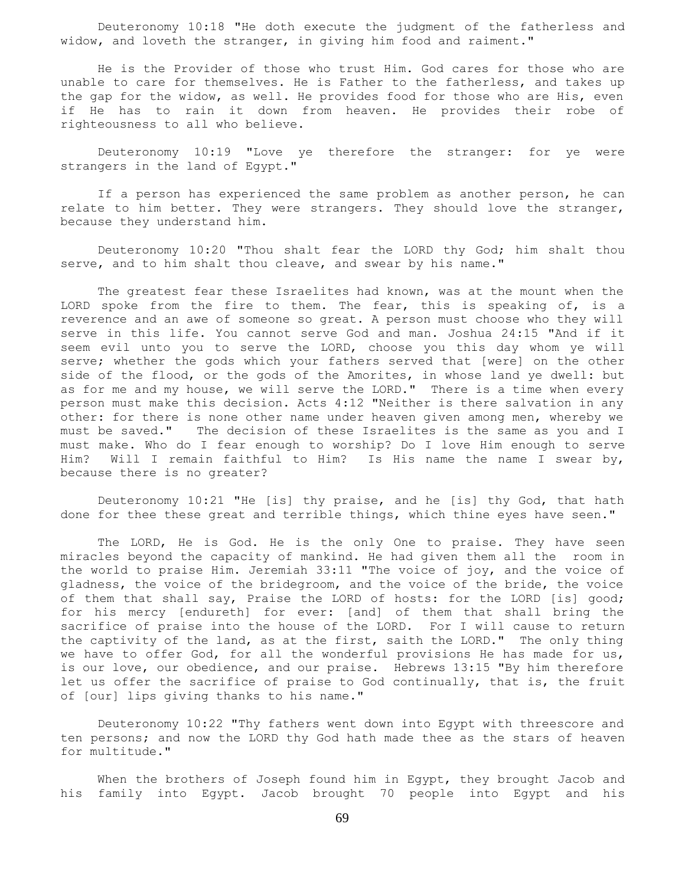Deuteronomy 10:18 "He doth execute the judgment of the fatherless and widow, and loveth the stranger, in giving him food and raiment."

 He is the Provider of those who trust Him. God cares for those who are unable to care for themselves. He is Father to the fatherless, and takes up the gap for the widow, as well. He provides food for those who are His, even if He has to rain it down from heaven. He provides their robe of righteousness to all who believe.

 Deuteronomy 10:19 "Love ye therefore the stranger: for ye were strangers in the land of Egypt."

 If a person has experienced the same problem as another person, he can relate to him better. They were strangers. They should love the stranger, because they understand him.

 Deuteronomy 10:20 "Thou shalt fear the LORD thy God; him shalt thou serve, and to him shalt thou cleave, and swear by his name."

 The greatest fear these Israelites had known, was at the mount when the LORD spoke from the fire to them. The fear, this is speaking of, is a reverence and an awe of someone so great. A person must choose who they will serve in this life. You cannot serve God and man. Joshua 24:15 "And if it seem evil unto you to serve the LORD, choose you this day whom ye will serve; whether the gods which your fathers served that [were] on the other side of the flood, or the gods of the Amorites, in whose land ye dwell: but as for me and my house, we will serve the LORD." There is a time when every person must make this decision. Acts 4:12 "Neither is there salvation in any other: for there is none other name under heaven given among men, whereby we must be saved." The decision of these Israelites is the same as you and I must make. Who do I fear enough to worship? Do I love Him enough to serve Him? Will I remain faithful to Him? Is His name the name I swear by, because there is no greater?

 Deuteronomy 10:21 "He [is] thy praise, and he [is] thy God, that hath done for thee these great and terrible things, which thine eyes have seen."

 The LORD, He is God. He is the only One to praise. They have seen miracles beyond the capacity of mankind. He had given them all the room in the world to praise Him. Jeremiah 33:11 "The voice of joy, and the voice of gladness, the voice of the bridegroom, and the voice of the bride, the voice of them that shall say, Praise the LORD of hosts: for the LORD [is] good; for his mercy [endureth] for ever: [and] of them that shall bring the sacrifice of praise into the house of the LORD. For I will cause to return the captivity of the land, as at the first, saith the LORD." The only thing we have to offer God, for all the wonderful provisions He has made for us, is our love, our obedience, and our praise. Hebrews 13:15 "By him therefore let us offer the sacrifice of praise to God continually, that is, the fruit of [our] lips giving thanks to his name."

 Deuteronomy 10:22 "Thy fathers went down into Egypt with threescore and ten persons; and now the LORD thy God hath made thee as the stars of heaven for multitude."

 When the brothers of Joseph found him in Egypt, they brought Jacob and his family into Egypt. Jacob brought 70 people into Egypt and his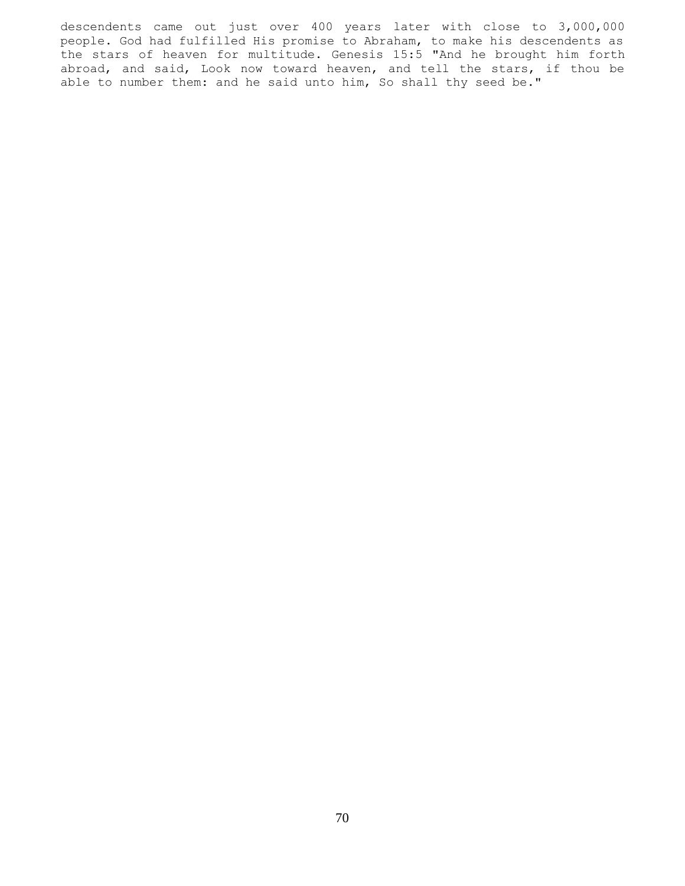descendents came out just over 400 years later with close to 3,000,000 people. God had fulfilled His promise to Abraham, to make his descendents as the stars of heaven for multitude. Genesis 15:5 "And he brought him forth abroad, and said, Look now toward heaven, and tell the stars, if thou be able to number them: and he said unto him, So shall thy seed be."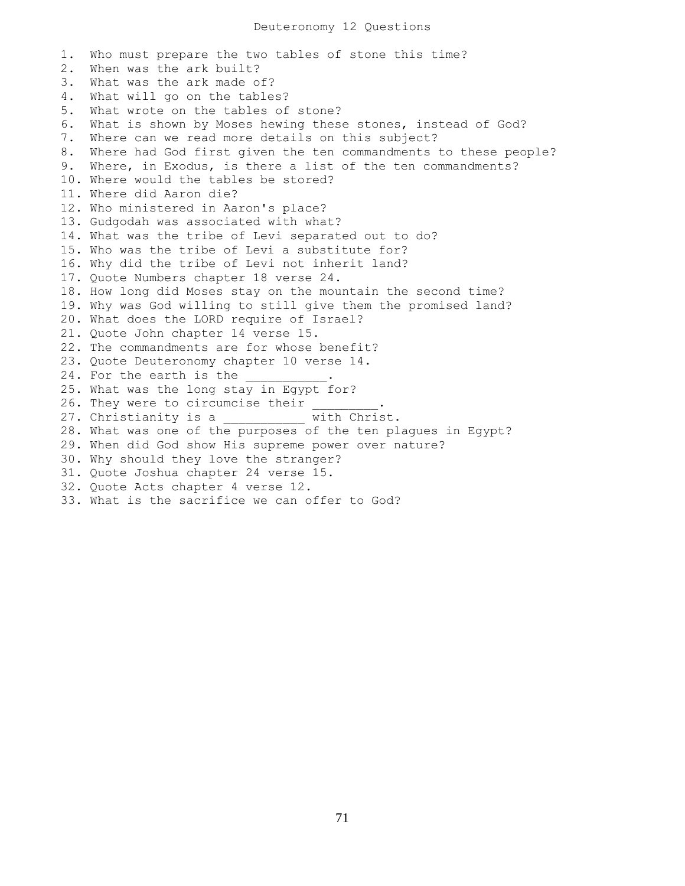1. Who must prepare the two tables of stone this time? 2. When was the ark built? 3. What was the ark made of? 4. What will go on the tables? 5. What wrote on the tables of stone? 6. What is shown by Moses hewing these stones, instead of God? 7. Where can we read more details on this subject? 8. Where had God first given the ten commandments to these people? 9. Where, in Exodus, is there a list of the ten commandments? 10. Where would the tables be stored? 11. Where did Aaron die? 12. Who ministered in Aaron's place? 13. Gudgodah was associated with what? 14. What was the tribe of Levi separated out to do? 15. Who was the tribe of Levi a substitute for? 16. Why did the tribe of Levi not inherit land? 17. Quote Numbers chapter 18 verse 24. 18. How long did Moses stay on the mountain the second time? 19. Why was God willing to still give them the promised land? 20. What does the LORD require of Israel? 21. Quote John chapter 14 verse 15. 22. The commandments are for whose benefit? 23. Quote Deuteronomy chapter 10 verse 14. 24. For the earth is the 25. What was the long stay in Egypt for? 26. They were to circumcise their 27. Christianity is a with Christ. 28. What was one of the purposes of the ten plagues in Egypt? 29. When did God show His supreme power over nature? 30. Why should they love the stranger? 31. Quote Joshua chapter 24 verse 15. 32. Quote Acts chapter 4 verse 12. 33. What is the sacrifice we can offer to God?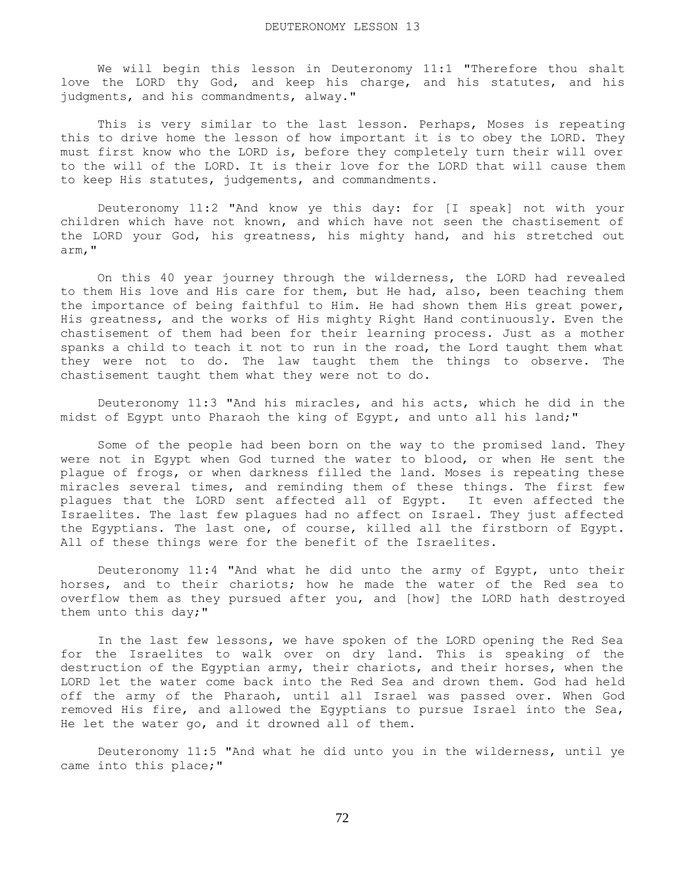We will begin this lesson in Deuteronomy 11:1 "Therefore thou shalt love the LORD thy God, and keep his charge, and his statutes, and his judgments, and his commandments, alway."

 This is very similar to the last lesson. Perhaps, Moses is repeating this to drive home the lesson of how important it is to obey the LORD. They must first know who the LORD is, before they completely turn their will over to the will of the LORD. It is their love for the LORD that will cause them to keep His statutes, judgements, and commandments.

 Deuteronomy 11:2 "And know ye this day: for [I speak] not with your children which have not known, and which have not seen the chastisement of the LORD your God, his greatness, his mighty hand, and his stretched out arm,"

 On this 40 year journey through the wilderness, the LORD had revealed to them His love and His care for them, but He had, also, been teaching them the importance of being faithful to Him. He had shown them His great power, His greatness, and the works of His mighty Right Hand continuously. Even the chastisement of them had been for their learning process. Just as a mother spanks a child to teach it not to run in the road, the Lord taught them what they were not to do. The law taught them the things to observe. The chastisement taught them what they were not to do.

 Deuteronomy 11:3 "And his miracles, and his acts, which he did in the midst of Egypt unto Pharaoh the king of Egypt, and unto all his land;"

 Some of the people had been born on the way to the promised land. They were not in Egypt when God turned the water to blood, or when He sent the plague of frogs, or when darkness filled the land. Moses is repeating these miracles several times, and reminding them of these things. The first few plagues that the LORD sent affected all of Egypt. It even affected the Israelites. The last few plagues had no affect on Israel. They just affected the Egyptians. The last one, of course, killed all the firstborn of Egypt. All of these things were for the benefit of the Israelites.

 Deuteronomy 11:4 "And what he did unto the army of Egypt, unto their horses, and to their chariots; how he made the water of the Red sea to overflow them as they pursued after you, and [how] the LORD hath destroyed them unto this day;"

 In the last few lessons, we have spoken of the LORD opening the Red Sea for the Israelites to walk over on dry land. This is speaking of the destruction of the Egyptian army, their chariots, and their horses, when the LORD let the water come back into the Red Sea and drown them. God had held off the army of the Pharaoh, until all Israel was passed over. When God removed His fire, and allowed the Egyptians to pursue Israel into the Sea, He let the water go, and it drowned all of them.

 Deuteronomy 11:5 "And what he did unto you in the wilderness, until ye came into this place;"

72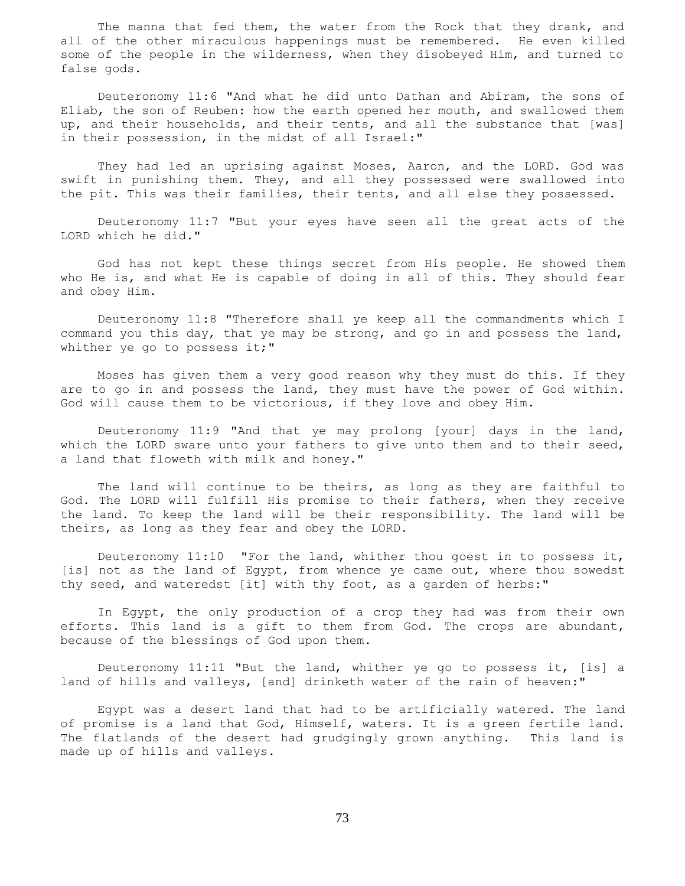The manna that fed them, the water from the Rock that they drank, and all of the other miraculous happenings must be remembered. He even killed some of the people in the wilderness, when they disobeyed Him, and turned to false gods.

 Deuteronomy 11:6 "And what he did unto Dathan and Abiram, the sons of Eliab, the son of Reuben: how the earth opened her mouth, and swallowed them up, and their households, and their tents, and all the substance that [was] in their possession, in the midst of all Israel:"

 They had led an uprising against Moses, Aaron, and the LORD. God was swift in punishing them. They, and all they possessed were swallowed into the pit. This was their families, their tents, and all else they possessed.

 Deuteronomy 11:7 "But your eyes have seen all the great acts of the LORD which he did."

 God has not kept these things secret from His people. He showed them who He is, and what He is capable of doing in all of this. They should fear and obey Him.

 Deuteronomy 11:8 "Therefore shall ye keep all the commandments which I command you this day, that ye may be strong, and go in and possess the land, whither ye go to possess it;"

 Moses has given them a very good reason why they must do this. If they are to go in and possess the land, they must have the power of God within. God will cause them to be victorious, if they love and obey Him.

 Deuteronomy 11:9 "And that ye may prolong [your] days in the land, which the LORD sware unto your fathers to give unto them and to their seed, a land that floweth with milk and honey."

 The land will continue to be theirs, as long as they are faithful to God. The LORD will fulfill His promise to their fathers, when they receive the land. To keep the land will be their responsibility. The land will be theirs, as long as they fear and obey the LORD.

 Deuteronomy 11:10 "For the land, whither thou goest in to possess it, [is] not as the land of Egypt, from whence ye came out, where thou sowedst thy seed, and wateredst [it] with thy foot, as a garden of herbs:"

 In Egypt, the only production of a crop they had was from their own efforts. This land is a gift to them from God. The crops are abundant, because of the blessings of God upon them.

 Deuteronomy 11:11 "But the land, whither ye go to possess it, [is] a land of hills and valleys, [and] drinketh water of the rain of heaven:"

 Egypt was a desert land that had to be artificially watered. The land of promise is a land that God, Himself, waters. It is a green fertile land. The flatlands of the desert had grudgingly grown anything. This land is made up of hills and valleys.

73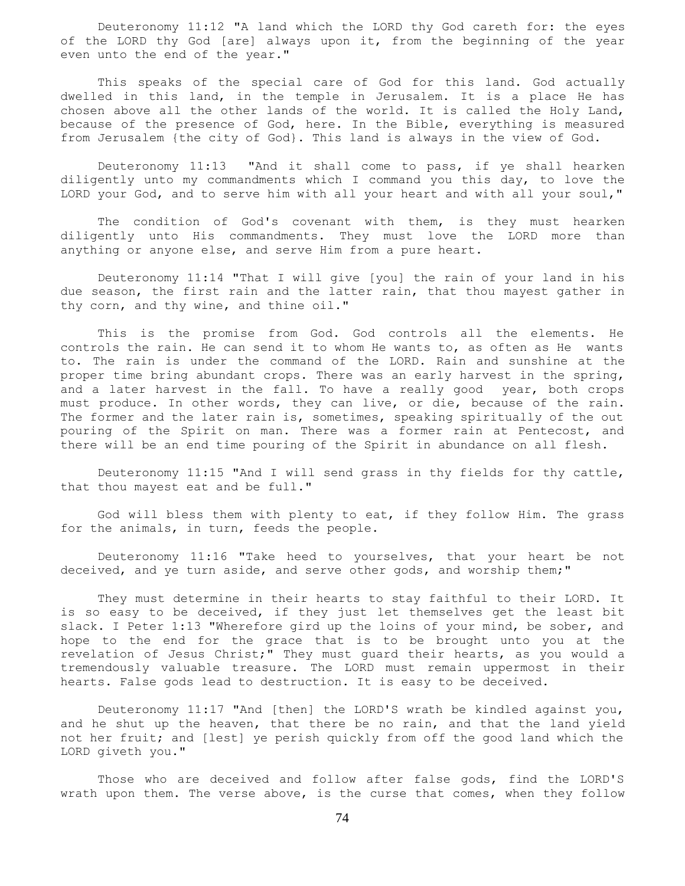Deuteronomy 11:12 "A land which the LORD thy God careth for: the eyes of the LORD thy God [are] always upon it, from the beginning of the year even unto the end of the year."

 This speaks of the special care of God for this land. God actually dwelled in this land, in the temple in Jerusalem. It is a place He has chosen above all the other lands of the world. It is called the Holy Land, because of the presence of God, here. In the Bible, everything is measured from Jerusalem {the city of God}. This land is always in the view of God.

 Deuteronomy 11:13 "And it shall come to pass, if ye shall hearken diligently unto my commandments which I command you this day, to love the LORD your God, and to serve him with all your heart and with all your soul,"

 The condition of God's covenant with them, is they must hearken diligently unto His commandments. They must love the LORD more than anything or anyone else, and serve Him from a pure heart.

 Deuteronomy 11:14 "That I will give [you] the rain of your land in his due season, the first rain and the latter rain, that thou mayest gather in thy corn, and thy wine, and thine oil."

 This is the promise from God. God controls all the elements. He controls the rain. He can send it to whom He wants to, as often as He wants to. The rain is under the command of the LORD. Rain and sunshine at the proper time bring abundant crops. There was an early harvest in the spring, and a later harvest in the fall. To have a really good year, both crops must produce. In other words, they can live, or die, because of the rain. The former and the later rain is, sometimes, speaking spiritually of the out pouring of the Spirit on man. There was a former rain at Pentecost, and there will be an end time pouring of the Spirit in abundance on all flesh.

 Deuteronomy 11:15 "And I will send grass in thy fields for thy cattle, that thou mayest eat and be full."

 God will bless them with plenty to eat, if they follow Him. The grass for the animals, in turn, feeds the people.

 Deuteronomy 11:16 "Take heed to yourselves, that your heart be not deceived, and ye turn aside, and serve other gods, and worship them;"

 They must determine in their hearts to stay faithful to their LORD. It is so easy to be deceived, if they just let themselves get the least bit slack. I Peter 1:13 "Wherefore gird up the loins of your mind, be sober, and hope to the end for the grace that is to be brought unto you at the revelation of Jesus Christ;" They must guard their hearts, as you would a tremendously valuable treasure. The LORD must remain uppermost in their hearts. False gods lead to destruction. It is easy to be deceived.

 Deuteronomy 11:17 "And [then] the LORD'S wrath be kindled against you, and he shut up the heaven, that there be no rain, and that the land yield not her fruit; and [lest] ye perish quickly from off the good land which the LORD giveth you."

 Those who are deceived and follow after false gods, find the LORD'S wrath upon them. The verse above, is the curse that comes, when they follow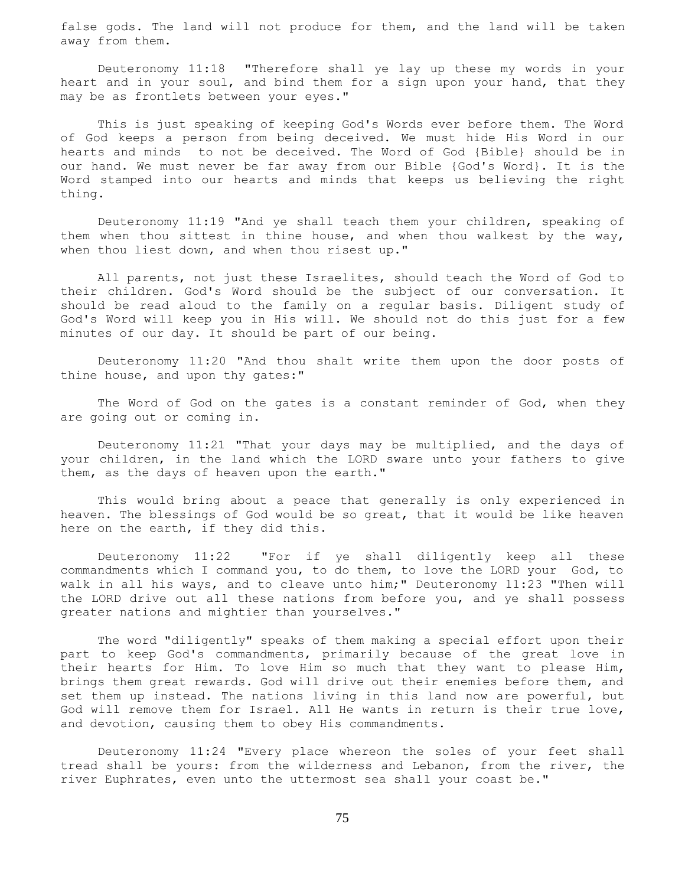false gods. The land will not produce for them, and the land will be taken away from them.

 Deuteronomy 11:18 "Therefore shall ye lay up these my words in your heart and in your soul, and bind them for a sign upon your hand, that they may be as frontlets between your eyes."

 This is just speaking of keeping God's Words ever before them. The Word of God keeps a person from being deceived. We must hide His Word in our hearts and minds to not be deceived. The Word of God {Bible} should be in our hand. We must never be far away from our Bible {God's Word}. It is the Word stamped into our hearts and minds that keeps us believing the right thing.

 Deuteronomy 11:19 "And ye shall teach them your children, speaking of them when thou sittest in thine house, and when thou walkest by the way, when thou liest down, and when thou risest up."

 All parents, not just these Israelites, should teach the Word of God to their children. God's Word should be the subject of our conversation. It should be read aloud to the family on a regular basis. Diligent study of God's Word will keep you in His will. We should not do this just for a few minutes of our day. It should be part of our being.

 Deuteronomy 11:20 "And thou shalt write them upon the door posts of thine house, and upon thy gates:"

The Word of God on the gates is a constant reminder of God, when they are going out or coming in.

 Deuteronomy 11:21 "That your days may be multiplied, and the days of your children, in the land which the LORD sware unto your fathers to give them, as the days of heaven upon the earth."

 This would bring about a peace that generally is only experienced in heaven. The blessings of God would be so great, that it would be like heaven here on the earth, if they did this.

 Deuteronomy 11:22 "For if ye shall diligently keep all these commandments which I command you, to do them, to love the LORD your God, to walk in all his ways, and to cleave unto him;" Deuteronomy 11:23 "Then will the LORD drive out all these nations from before you, and ye shall possess greater nations and mightier than yourselves."

 The word "diligently" speaks of them making a special effort upon their part to keep God's commandments, primarily because of the great love in their hearts for Him. To love Him so much that they want to please Him, brings them great rewards. God will drive out their enemies before them, and set them up instead. The nations living in this land now are powerful, but God will remove them for Israel. All He wants in return is their true love, and devotion, causing them to obey His commandments.

 Deuteronomy 11:24 "Every place whereon the soles of your feet shall tread shall be yours: from the wilderness and Lebanon, from the river, the river Euphrates, even unto the uttermost sea shall your coast be."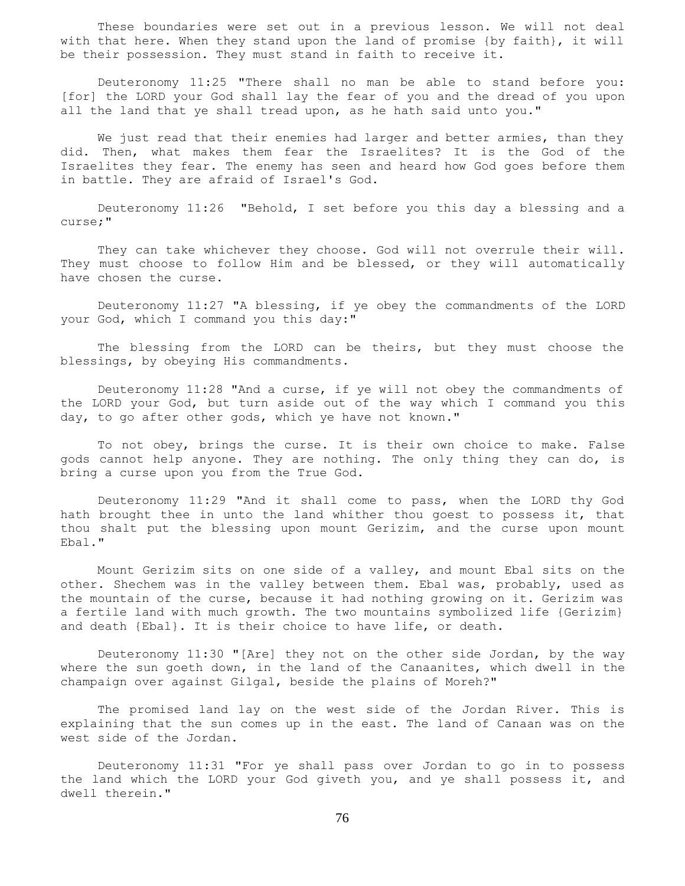These boundaries were set out in a previous lesson. We will not deal with that here. When they stand upon the land of promise {by faith}, it will be their possession. They must stand in faith to receive it.

 Deuteronomy 11:25 "There shall no man be able to stand before you: [for] the LORD your God shall lay the fear of you and the dread of you upon all the land that ye shall tread upon, as he hath said unto you."

We just read that their enemies had larger and better armies, than they did. Then, what makes them fear the Israelites? It is the God of the Israelites they fear. The enemy has seen and heard how God goes before them in battle. They are afraid of Israel's God.

 Deuteronomy 11:26 "Behold, I set before you this day a blessing and a curse;"

 They can take whichever they choose. God will not overrule their will. They must choose to follow Him and be blessed, or they will automatically have chosen the curse.

 Deuteronomy 11:27 "A blessing, if ye obey the commandments of the LORD your God, which I command you this day:"

 The blessing from the LORD can be theirs, but they must choose the blessings, by obeying His commandments.

 Deuteronomy 11:28 "And a curse, if ye will not obey the commandments of the LORD your God, but turn aside out of the way which I command you this day, to go after other gods, which ye have not known."

 To not obey, brings the curse. It is their own choice to make. False gods cannot help anyone. They are nothing. The only thing they can do, is bring a curse upon you from the True God.

 Deuteronomy 11:29 "And it shall come to pass, when the LORD thy God hath brought thee in unto the land whither thou goest to possess it, that thou shalt put the blessing upon mount Gerizim, and the curse upon mount Ebal."

 Mount Gerizim sits on one side of a valley, and mount Ebal sits on the other. Shechem was in the valley between them. Ebal was, probably, used as the mountain of the curse, because it had nothing growing on it. Gerizim was a fertile land with much growth. The two mountains symbolized life {Gerizim} and death {Ebal}. It is their choice to have life, or death.

 Deuteronomy 11:30 "[Are] they not on the other side Jordan, by the way where the sun goeth down, in the land of the Canaanites, which dwell in the champaign over against Gilgal, beside the plains of Moreh?"

 The promised land lay on the west side of the Jordan River. This is explaining that the sun comes up in the east. The land of Canaan was on the west side of the Jordan.

 Deuteronomy 11:31 "For ye shall pass over Jordan to go in to possess the land which the LORD your God giveth you, and ye shall possess it, and dwell therein."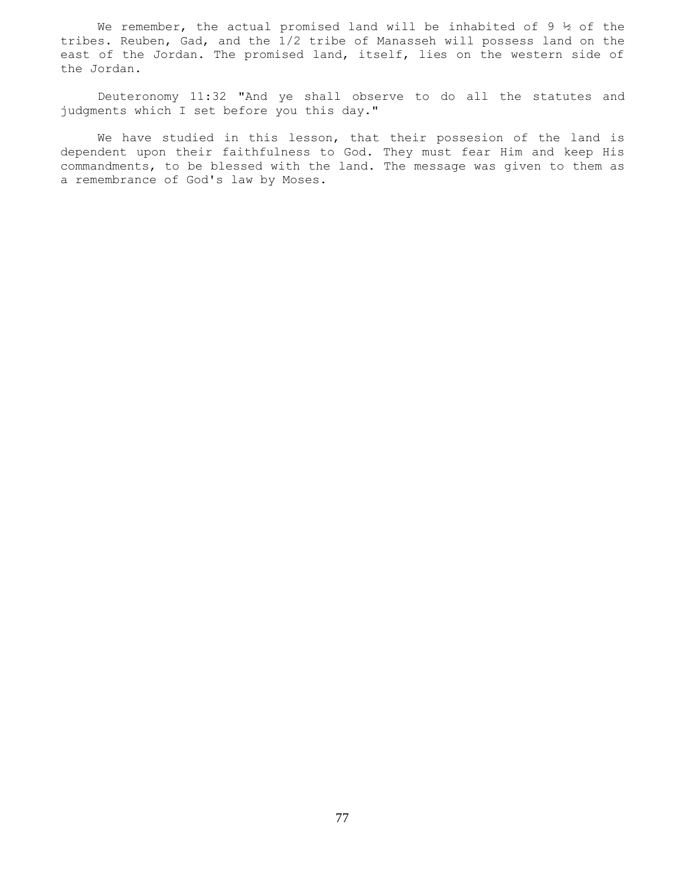We remember, the actual promised land will be inhabited of 9  $\frac{1}{2}$  of the tribes. Reuben, Gad, and the 1/2 tribe of Manasseh will possess land on the east of the Jordan. The promised land, itself, lies on the western side of the Jordan.

 Deuteronomy 11:32 "And ye shall observe to do all the statutes and judgments which I set before you this day."

 We have studied in this lesson, that their possesion of the land is dependent upon their faithfulness to God. They must fear Him and keep His commandments, to be blessed with the land. The message was given to them as a remembrance of God's law by Moses.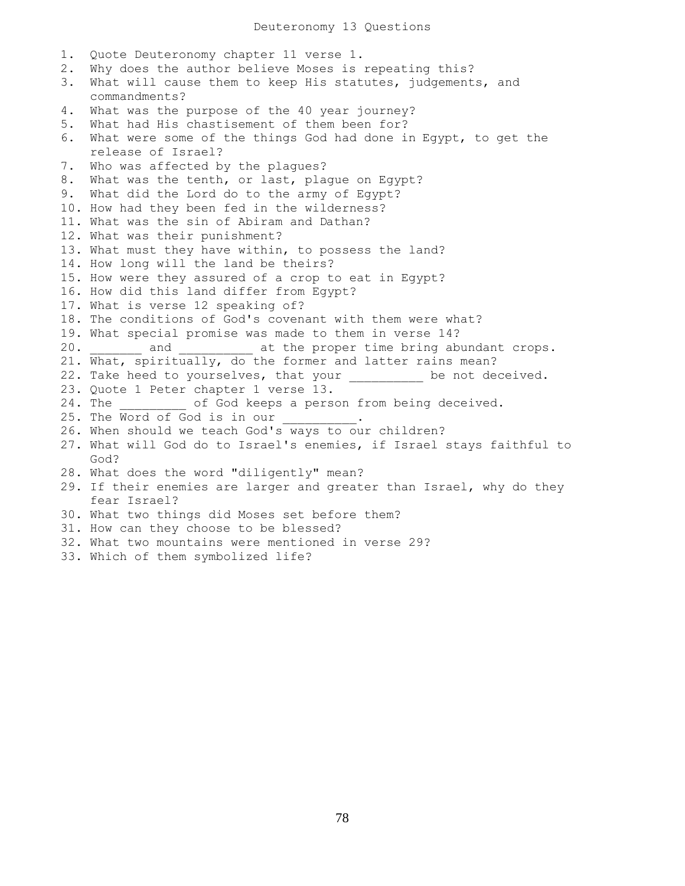1. Quote Deuteronomy chapter 11 verse 1. 2. Why does the author believe Moses is repeating this? 3. What will cause them to keep His statutes, judgements, and commandments? 4. What was the purpose of the 40 year journey? 5. What had His chastisement of them been for? 6. What were some of the things God had done in Egypt, to get the release of Israel? 7. Who was affected by the plagues? 8. What was the tenth, or last, plague on Egypt? 9. What did the Lord do to the army of Egypt? 10. How had they been fed in the wilderness? 11. What was the sin of Abiram and Dathan? 12. What was their punishment? 13. What must they have within, to possess the land? 14. How long will the land be theirs? 15. How were they assured of a crop to eat in Egypt? 16. How did this land differ from Egypt? 17. What is verse 12 speaking of? 18. The conditions of God's covenant with them were what? 19. What special promise was made to them in verse 14? 20. \_\_\_\_\_\_\_ and \_\_\_\_\_\_\_\_\_\_ at the proper time bring abundant crops. 21. What, spiritually, do the former and latter rains mean? 22. Take heed to yourselves, that your \_\_\_\_\_\_\_\_\_ be not deceived. 23. Quote 1 Peter chapter 1 verse 13. 24. The  $\qquad \qquad$  of God keeps a person from being deceived. 25. The Word of God is in our 26. When should we teach God's ways to our children? 27. What will God do to Israel's enemies, if Israel stays faithful to God? 28. What does the word "diligently" mean? 29. If their enemies are larger and greater than Israel, why do they fear Israel? 30. What two things did Moses set before them? 31. How can they choose to be blessed? 32. What two mountains were mentioned in verse 29? 33. Which of them symbolized life?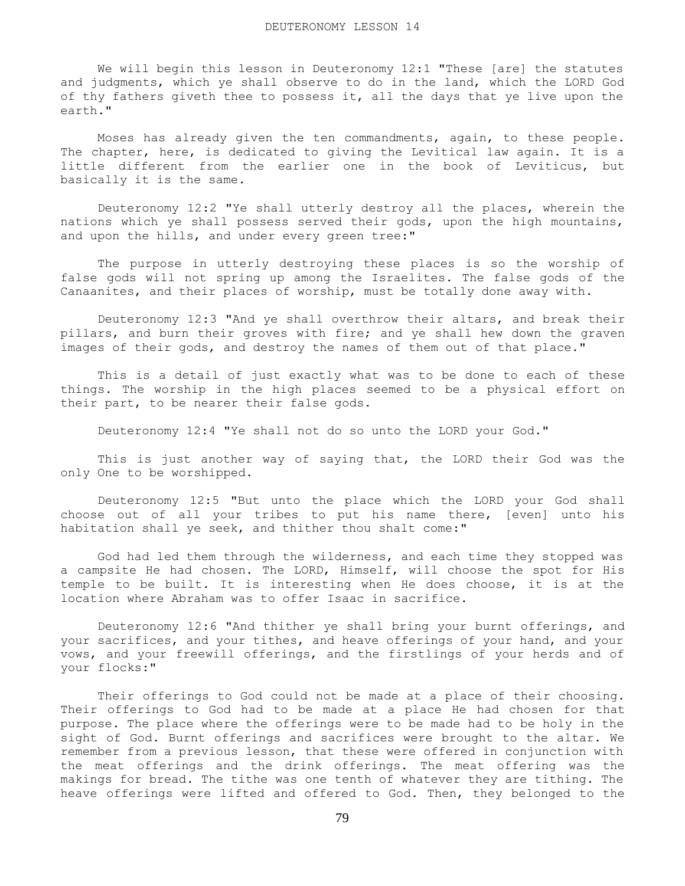We will begin this lesson in Deuteronomy 12:1 "These [are] the statutes and judgments, which ye shall observe to do in the land, which the LORD God of thy fathers giveth thee to possess it, all the days that ye live upon the earth."

 Moses has already given the ten commandments, again, to these people. The chapter, here, is dedicated to giving the Levitical law again. It is a little different from the earlier one in the book of Leviticus, but basically it is the same.

 Deuteronomy 12:2 "Ye shall utterly destroy all the places, wherein the nations which ye shall possess served their gods, upon the high mountains, and upon the hills, and under every green tree:"

 The purpose in utterly destroying these places is so the worship of false gods will not spring up among the Israelites. The false gods of the Canaanites, and their places of worship, must be totally done away with.

 Deuteronomy 12:3 "And ye shall overthrow their altars, and break their pillars, and burn their groves with fire; and ye shall hew down the graven images of their gods, and destroy the names of them out of that place."

 This is a detail of just exactly what was to be done to each of these things. The worship in the high places seemed to be a physical effort on their part, to be nearer their false gods.

Deuteronomy 12:4 "Ye shall not do so unto the LORD your God."

 This is just another way of saying that, the LORD their God was the only One to be worshipped.

 Deuteronomy 12:5 "But unto the place which the LORD your God shall choose out of all your tribes to put his name there, [even] unto his habitation shall ye seek, and thither thou shalt come:"

 God had led them through the wilderness, and each time they stopped was a campsite He had chosen. The LORD, Himself, will choose the spot for His temple to be built. It is interesting when He does choose, it is at the location where Abraham was to offer Isaac in sacrifice.

 Deuteronomy 12:6 "And thither ye shall bring your burnt offerings, and your sacrifices, and your tithes, and heave offerings of your hand, and your vows, and your freewill offerings, and the firstlings of your herds and of your flocks:"

 Their offerings to God could not be made at a place of their choosing. Their offerings to God had to be made at a place He had chosen for that purpose. The place where the offerings were to be made had to be holy in the sight of God. Burnt offerings and sacrifices were brought to the altar. We remember from a previous lesson, that these were offered in conjunction with the meat offerings and the drink offerings. The meat offering was the makings for bread. The tithe was one tenth of whatever they are tithing. The heave offerings were lifted and offered to God. Then, they belonged to the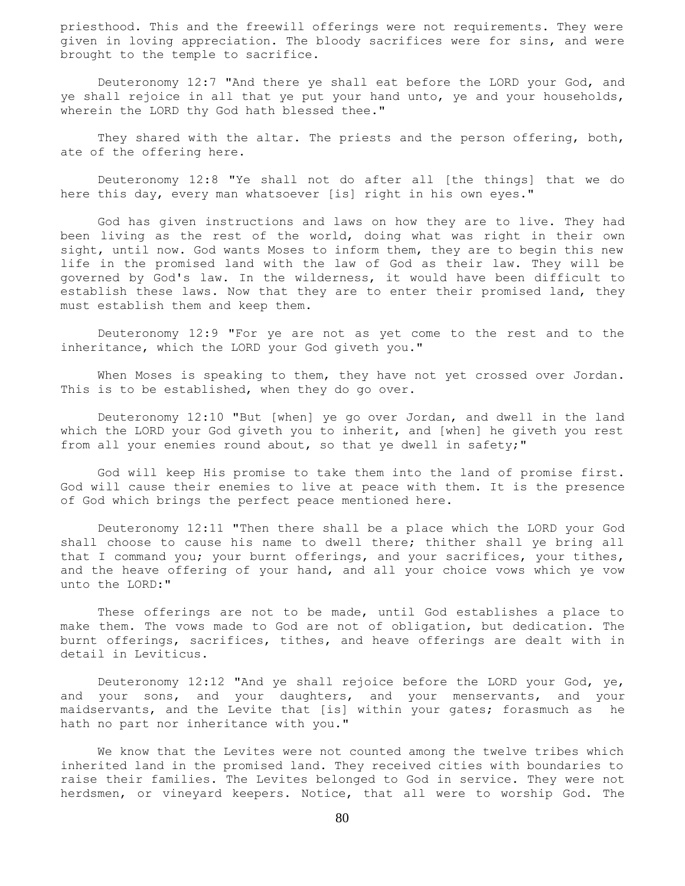priesthood. This and the freewill offerings were not requirements. They were given in loving appreciation. The bloody sacrifices were for sins, and were brought to the temple to sacrifice.

 Deuteronomy 12:7 "And there ye shall eat before the LORD your God, and ye shall rejoice in all that ye put your hand unto, ye and your households, wherein the LORD thy God hath blessed thee."

 They shared with the altar. The priests and the person offering, both, ate of the offering here.

 Deuteronomy 12:8 "Ye shall not do after all [the things] that we do here this day, every man whatsoever [is] right in his own eyes."

 God has given instructions and laws on how they are to live. They had been living as the rest of the world, doing what was right in their own sight, until now. God wants Moses to inform them, they are to begin this new life in the promised land with the law of God as their law. They will be governed by God's law. In the wilderness, it would have been difficult to establish these laws. Now that they are to enter their promised land, they must establish them and keep them.

 Deuteronomy 12:9 "For ye are not as yet come to the rest and to the inheritance, which the LORD your God giveth you."

When Moses is speaking to them, they have not yet crossed over Jordan. This is to be established, when they do go over.

 Deuteronomy 12:10 "But [when] ye go over Jordan, and dwell in the land which the LORD your God giveth you to inherit, and [when] he giveth you rest from all your enemies round about, so that ye dwell in safety;"

 God will keep His promise to take them into the land of promise first. God will cause their enemies to live at peace with them. It is the presence of God which brings the perfect peace mentioned here.

 Deuteronomy 12:11 "Then there shall be a place which the LORD your God shall choose to cause his name to dwell there; thither shall ye bring all that I command you; your burnt offerings, and your sacrifices, your tithes, and the heave offering of your hand, and all your choice vows which ye vow unto the LORD:"

 These offerings are not to be made, until God establishes a place to make them. The vows made to God are not of obligation, but dedication. The burnt offerings, sacrifices, tithes, and heave offerings are dealt with in detail in Leviticus.

 Deuteronomy 12:12 "And ye shall rejoice before the LORD your God, ye, and your sons, and your daughters, and your menservants, and your maidservants, and the Levite that [is] within your gates; forasmuch as he hath no part nor inheritance with you."

 We know that the Levites were not counted among the twelve tribes which inherited land in the promised land. They received cities with boundaries to raise their families. The Levites belonged to God in service. They were not herdsmen, or vineyard keepers. Notice, that all were to worship God. The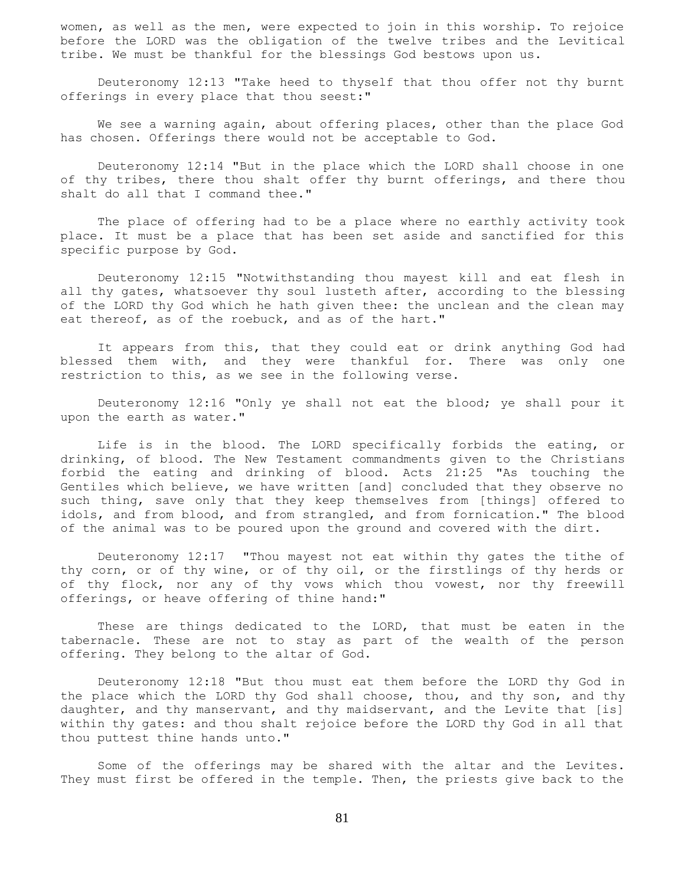women, as well as the men, were expected to join in this worship. To rejoice before the LORD was the obligation of the twelve tribes and the Levitical tribe. We must be thankful for the blessings God bestows upon us.

 Deuteronomy 12:13 "Take heed to thyself that thou offer not thy burnt offerings in every place that thou seest:"

 We see a warning again, about offering places, other than the place God has chosen. Offerings there would not be acceptable to God.

 Deuteronomy 12:14 "But in the place which the LORD shall choose in one of thy tribes, there thou shalt offer thy burnt offerings, and there thou shalt do all that I command thee."

 The place of offering had to be a place where no earthly activity took place. It must be a place that has been set aside and sanctified for this specific purpose by God.

 Deuteronomy 12:15 "Notwithstanding thou mayest kill and eat flesh in all thy gates, whatsoever thy soul lusteth after, according to the blessing of the LORD thy God which he hath given thee: the unclean and the clean may eat thereof, as of the roebuck, and as of the hart."

 It appears from this, that they could eat or drink anything God had blessed them with, and they were thankful for. There was only one restriction to this, as we see in the following verse.

 Deuteronomy 12:16 "Only ye shall not eat the blood; ye shall pour it upon the earth as water."

 Life is in the blood. The LORD specifically forbids the eating, or drinking, of blood. The New Testament commandments given to the Christians forbid the eating and drinking of blood. Acts 21:25 "As touching the Gentiles which believe, we have written [and] concluded that they observe no such thing, save only that they keep themselves from [things] offered to idols, and from blood, and from strangled, and from fornication." The blood of the animal was to be poured upon the ground and covered with the dirt.

 Deuteronomy 12:17 "Thou mayest not eat within thy gates the tithe of thy corn, or of thy wine, or of thy oil, or the firstlings of thy herds or of thy flock, nor any of thy vows which thou vowest, nor thy freewill offerings, or heave offering of thine hand:"

 These are things dedicated to the LORD, that must be eaten in the tabernacle. These are not to stay as part of the wealth of the person offering. They belong to the altar of God.

 Deuteronomy 12:18 "But thou must eat them before the LORD thy God in the place which the LORD thy God shall choose, thou, and thy son, and thy daughter, and thy manservant, and thy maidservant, and the Levite that [is] within thy gates: and thou shalt rejoice before the LORD thy God in all that thou puttest thine hands unto."

 Some of the offerings may be shared with the altar and the Levites. They must first be offered in the temple. Then, the priests give back to the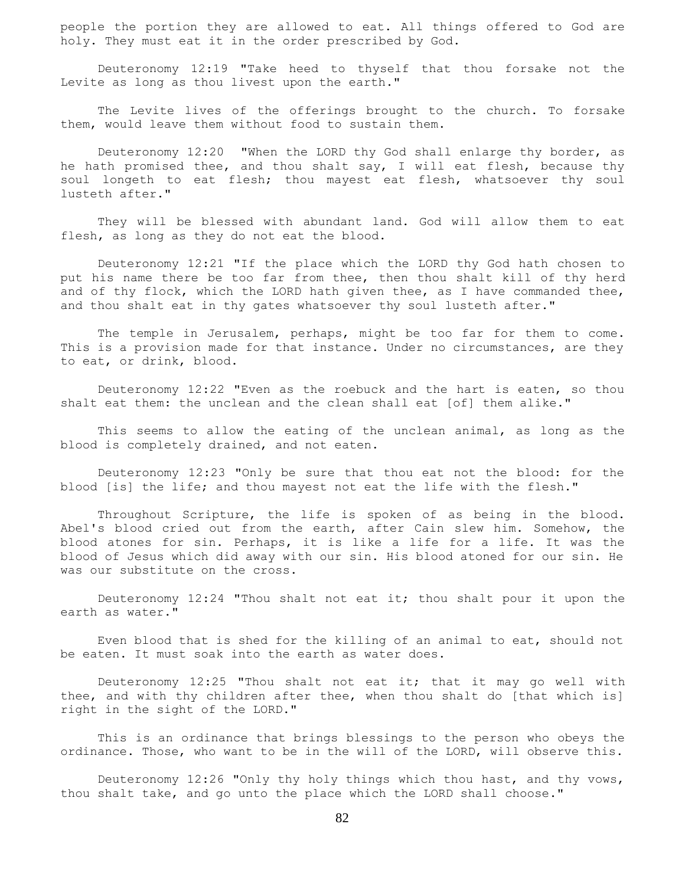people the portion they are allowed to eat. All things offered to God are holy. They must eat it in the order prescribed by God.

 Deuteronomy 12:19 "Take heed to thyself that thou forsake not the Levite as long as thou livest upon the earth."

 The Levite lives of the offerings brought to the church. To forsake them, would leave them without food to sustain them.

 Deuteronomy 12:20 "When the LORD thy God shall enlarge thy border, as he hath promised thee, and thou shalt say, I will eat flesh, because thy soul longeth to eat flesh; thou mayest eat flesh, whatsoever thy soul lusteth after."

 They will be blessed with abundant land. God will allow them to eat flesh, as long as they do not eat the blood.

 Deuteronomy 12:21 "If the place which the LORD thy God hath chosen to put his name there be too far from thee, then thou shalt kill of thy herd and of thy flock, which the LORD hath given thee, as I have commanded thee, and thou shalt eat in thy gates whatsoever thy soul lusteth after."

 The temple in Jerusalem, perhaps, might be too far for them to come. This is a provision made for that instance. Under no circumstances, are they to eat, or drink, blood.

 Deuteronomy 12:22 "Even as the roebuck and the hart is eaten, so thou shalt eat them: the unclean and the clean shall eat [of] them alike."

This seems to allow the eating of the unclean animal, as long as the blood is completely drained, and not eaten.

 Deuteronomy 12:23 "Only be sure that thou eat not the blood: for the blood [is] the life; and thou mayest not eat the life with the flesh."

 Throughout Scripture, the life is spoken of as being in the blood. Abel's blood cried out from the earth, after Cain slew him. Somehow, the blood atones for sin. Perhaps, it is like a life for a life. It was the blood of Jesus which did away with our sin. His blood atoned for our sin. He was our substitute on the cross.

 Deuteronomy 12:24 "Thou shalt not eat it; thou shalt pour it upon the earth as water."

 Even blood that is shed for the killing of an animal to eat, should not be eaten. It must soak into the earth as water does.

 Deuteronomy 12:25 "Thou shalt not eat it; that it may go well with thee, and with thy children after thee, when thou shalt do [that which is] right in the sight of the LORD."

 This is an ordinance that brings blessings to the person who obeys the ordinance. Those, who want to be in the will of the LORD, will observe this.

 Deuteronomy 12:26 "Only thy holy things which thou hast, and thy vows, thou shalt take, and go unto the place which the LORD shall choose."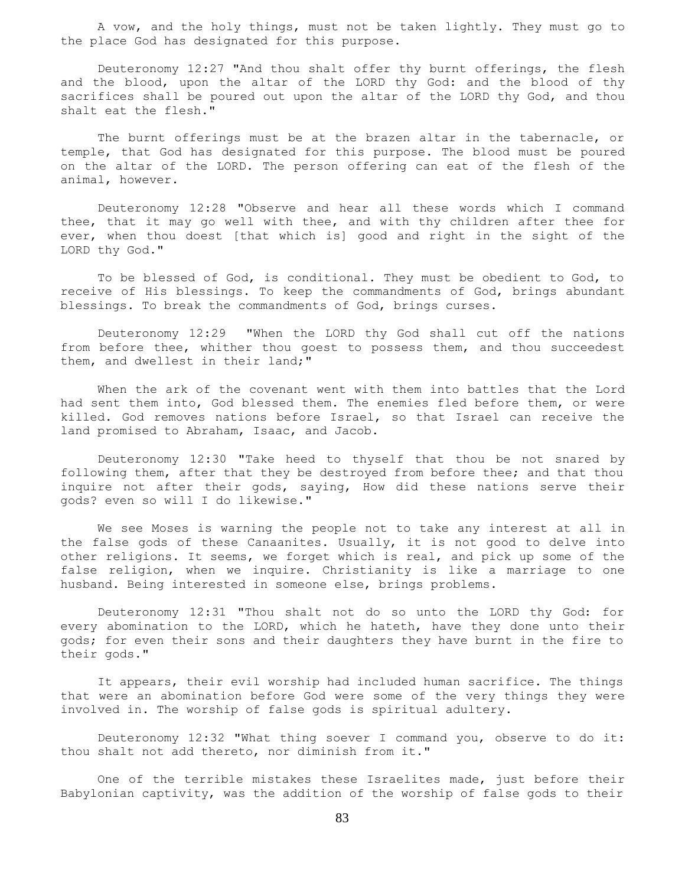A vow, and the holy things, must not be taken lightly. They must go to the place God has designated for this purpose.

 Deuteronomy 12:27 "And thou shalt offer thy burnt offerings, the flesh and the blood, upon the altar of the LORD thy God: and the blood of thy sacrifices shall be poured out upon the altar of the LORD thy God, and thou shalt eat the flesh."

 The burnt offerings must be at the brazen altar in the tabernacle, or temple, that God has designated for this purpose. The blood must be poured on the altar of the LORD. The person offering can eat of the flesh of the animal, however.

 Deuteronomy 12:28 "Observe and hear all these words which I command thee, that it may go well with thee, and with thy children after thee for ever, when thou doest [that which is] good and right in the sight of the LORD thy God."

 To be blessed of God, is conditional. They must be obedient to God, to receive of His blessings. To keep the commandments of God, brings abundant blessings. To break the commandments of God, brings curses.

 Deuteronomy 12:29 "When the LORD thy God shall cut off the nations from before thee, whither thou goest to possess them, and thou succeedest them, and dwellest in their land;"

 When the ark of the covenant went with them into battles that the Lord had sent them into, God blessed them. The enemies fled before them, or were killed. God removes nations before Israel, so that Israel can receive the land promised to Abraham, Isaac, and Jacob.

 Deuteronomy 12:30 "Take heed to thyself that thou be not snared by following them, after that they be destroyed from before thee; and that thou inquire not after their gods, saying, How did these nations serve their gods? even so will I do likewise."

 We see Moses is warning the people not to take any interest at all in the false gods of these Canaanites. Usually, it is not good to delve into other religions. It seems, we forget which is real, and pick up some of the false religion, when we inquire. Christianity is like a marriage to one husband. Being interested in someone else, brings problems.

 Deuteronomy 12:31 "Thou shalt not do so unto the LORD thy God: for every abomination to the LORD, which he hateth, have they done unto their gods; for even their sons and their daughters they have burnt in the fire to their gods."

 It appears, their evil worship had included human sacrifice. The things that were an abomination before God were some of the very things they were involved in. The worship of false gods is spiritual adultery.

 Deuteronomy 12:32 "What thing soever I command you, observe to do it: thou shalt not add thereto, nor diminish from it."

 One of the terrible mistakes these Israelites made, just before their Babylonian captivity, was the addition of the worship of false gods to their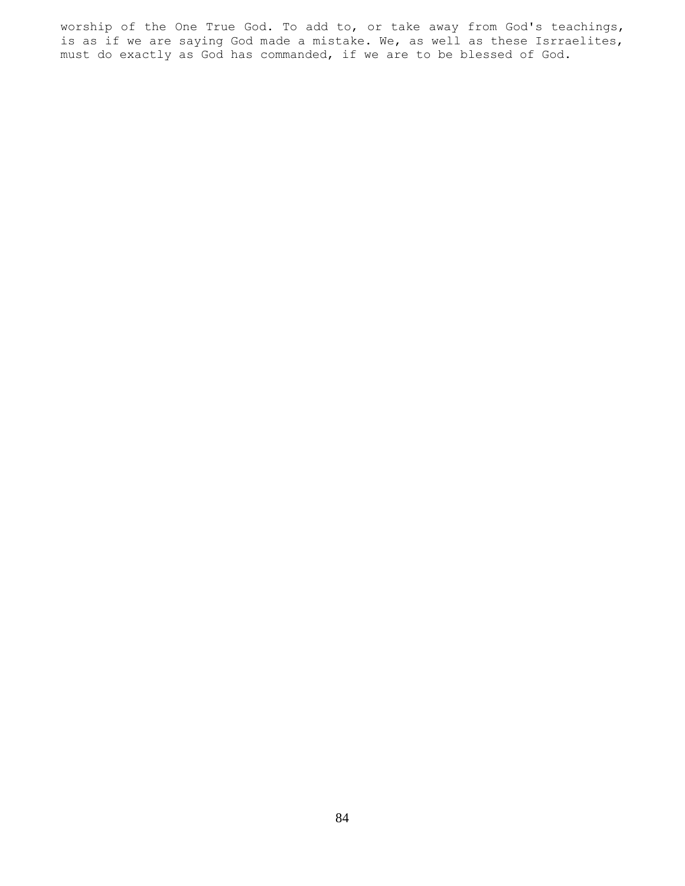worship of the One True God. To add to, or take away from God's teachings, is as if we are saying God made a mistake. We, as well as these Isrraelites, must do exactly as God has commanded, if we are to be blessed of God.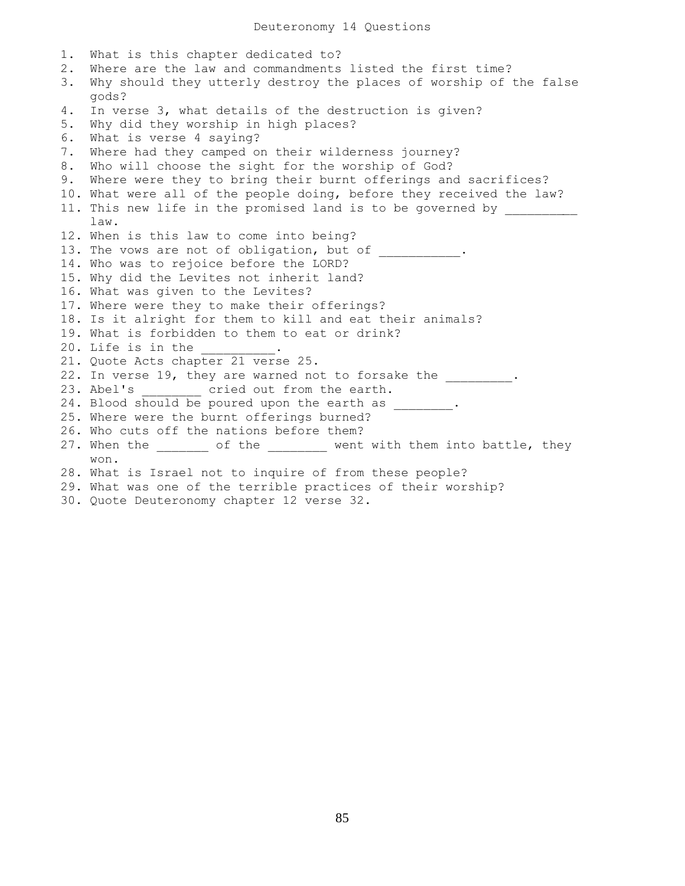1. What is this chapter dedicated to? 2. Where are the law and commandments listed the first time? 3. Why should they utterly destroy the places of worship of the false gods? 4. In verse 3, what details of the destruction is given? 5. Why did they worship in high places? 6. What is verse 4 saying? 7. Where had they camped on their wilderness journey? 8. Who will choose the sight for the worship of God? 9. Where were they to bring their burnt offerings and sacrifices? 10. What were all of the people doing, before they received the law? 11. This new life in the promised land is to be governed by law. 12. When is this law to come into being? 13. The vows are not of obligation, but of \_\_\_\_\_\_\_\_\_\_. 14. Who was to rejoice before the LORD? 15. Why did the Levites not inherit land? 16. What was given to the Levites? 17. Where were they to make their offerings? 18. Is it alright for them to kill and eat their animals? 19. What is forbidden to them to eat or drink? 20. Life is in the \_\_\_\_\_\_\_\_\_. 21. Quote Acts chapter 21 verse 25. 22. In verse 19, they are warned not to forsake the \_\_\_\_\_\_\_\_\_. 23. Abel's cried out from the earth. 24. Blood should be poured upon the earth as \_\_\_\_\_\_\_. 25. Where were the burnt offerings burned? 26. Who cuts off the nations before them? 27. When the \_\_\_\_\_\_\_ of the \_\_\_\_\_\_\_\_ went with them into battle, they won. 28. What is Israel not to inquire of from these people? 29. What was one of the terrible practices of their worship? 30. Quote Deuteronomy chapter 12 verse 32.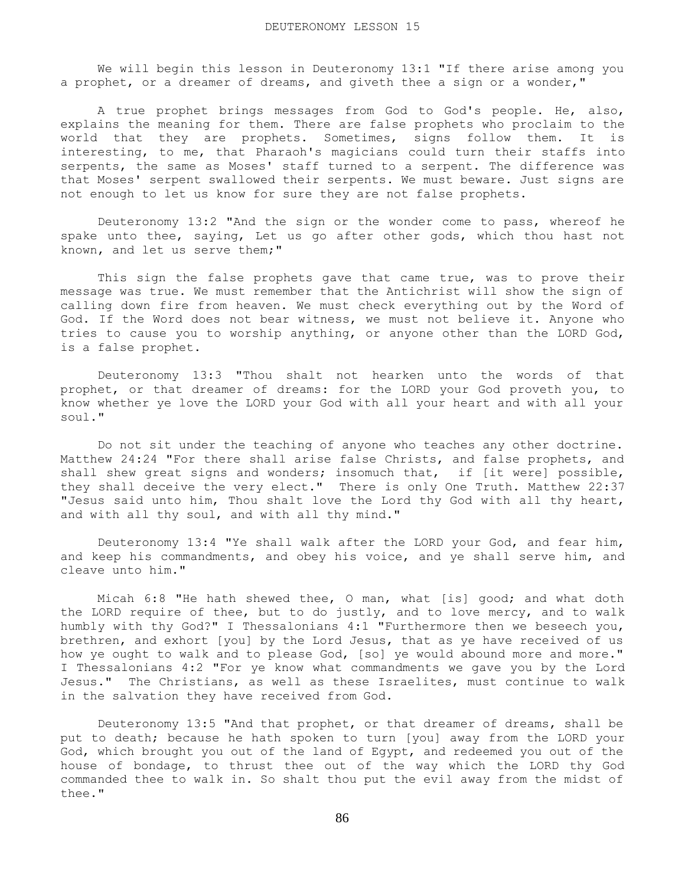We will begin this lesson in Deuteronomy 13:1 "If there arise among you a prophet, or a dreamer of dreams, and giveth thee a sign or a wonder,"

 A true prophet brings messages from God to God's people. He, also, explains the meaning for them. There are false prophets who proclaim to the world that they are prophets. Sometimes, signs follow them. It is interesting, to me, that Pharaoh's magicians could turn their staffs into serpents, the same as Moses' staff turned to a serpent. The difference was that Moses' serpent swallowed their serpents. We must beware. Just signs are not enough to let us know for sure they are not false prophets.

 Deuteronomy 13:2 "And the sign or the wonder come to pass, whereof he spake unto thee, saying, Let us go after other gods, which thou hast not known, and let us serve them;"

This sign the false prophets gave that came true, was to prove their message was true. We must remember that the Antichrist will show the sign of calling down fire from heaven. We must check everything out by the Word of God. If the Word does not bear witness, we must not believe it. Anyone who tries to cause you to worship anything, or anyone other than the LORD God, is a false prophet.

 Deuteronomy 13:3 "Thou shalt not hearken unto the words of that prophet, or that dreamer of dreams: for the LORD your God proveth you, to know whether ye love the LORD your God with all your heart and with all your soul."

 Do not sit under the teaching of anyone who teaches any other doctrine. Matthew 24:24 "For there shall arise false Christs, and false prophets, and shall shew great signs and wonders; insomuch that, if [it were] possible, they shall deceive the very elect." There is only One Truth. Matthew 22:37 "Jesus said unto him, Thou shalt love the Lord thy God with all thy heart, and with all thy soul, and with all thy mind."

 Deuteronomy 13:4 "Ye shall walk after the LORD your God, and fear him, and keep his commandments, and obey his voice, and ye shall serve him, and cleave unto him."

 Micah 6:8 "He hath shewed thee, O man, what [is] good; and what doth the LORD require of thee, but to do justly, and to love mercy, and to walk humbly with thy God?" I Thessalonians 4:1 "Furthermore then we beseech you, brethren, and exhort [you] by the Lord Jesus, that as ye have received of us how ye ought to walk and to please God, [so] ye would abound more and more." I Thessalonians 4:2 "For ye know what commandments we gave you by the Lord Jesus." The Christians, as well as these Israelites, must continue to walk in the salvation they have received from God.

 Deuteronomy 13:5 "And that prophet, or that dreamer of dreams, shall be put to death; because he hath spoken to turn [you] away from the LORD your God, which brought you out of the land of Egypt, and redeemed you out of the house of bondage, to thrust thee out of the way which the LORD thy God commanded thee to walk in. So shalt thou put the evil away from the midst of thee."

86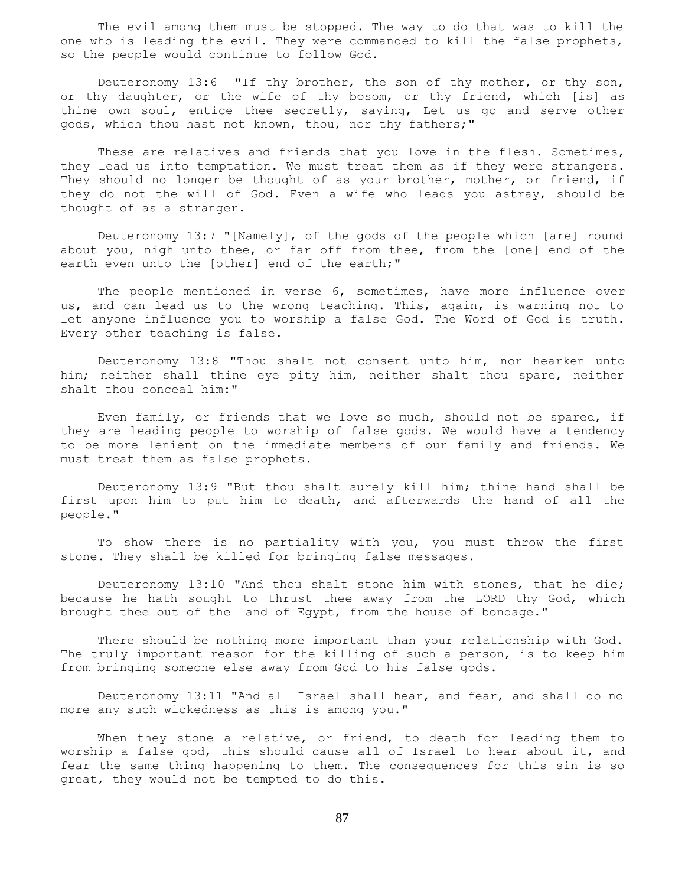The evil among them must be stopped. The way to do that was to kill the one who is leading the evil. They were commanded to kill the false prophets, so the people would continue to follow God.

Deuteronomy 13:6 "If thy brother, the son of thy mother, or thy son, or thy daughter, or the wife of thy bosom, or thy friend, which [is] as thine own soul, entice thee secretly, saying, Let us go and serve other gods, which thou hast not known, thou, nor thy fathers;"

 These are relatives and friends that you love in the flesh. Sometimes, they lead us into temptation. We must treat them as if they were strangers. They should no longer be thought of as your brother, mother, or friend, if they do not the will of God. Even a wife who leads you astray, should be thought of as a stranger.

 Deuteronomy 13:7 "[Namely], of the gods of the people which [are] round about you, nigh unto thee, or far off from thee, from the [one] end of the earth even unto the [other] end of the earth;"

 The people mentioned in verse 6, sometimes, have more influence over us, and can lead us to the wrong teaching. This, again, is warning not to let anyone influence you to worship a false God. The Word of God is truth. Every other teaching is false.

 Deuteronomy 13:8 "Thou shalt not consent unto him, nor hearken unto him; neither shall thine eye pity him, neither shalt thou spare, neither shalt thou conceal him:"

 Even family, or friends that we love so much, should not be spared, if they are leading people to worship of false gods. We would have a tendency to be more lenient on the immediate members of our family and friends. We must treat them as false prophets.

 Deuteronomy 13:9 "But thou shalt surely kill him; thine hand shall be first upon him to put him to death, and afterwards the hand of all the people."

 To show there is no partiality with you, you must throw the first stone. They shall be killed for bringing false messages.

Deuteronomy 13:10 "And thou shalt stone him with stones, that he die; because he hath sought to thrust thee away from the LORD thy God, which brought thee out of the land of Egypt, from the house of bondage."

 There should be nothing more important than your relationship with God. The truly important reason for the killing of such a person, is to keep him from bringing someone else away from God to his false gods.

 Deuteronomy 13:11 "And all Israel shall hear, and fear, and shall do no more any such wickedness as this is among you."

 When they stone a relative, or friend, to death for leading them to worship a false god, this should cause all of Israel to hear about it, and fear the same thing happening to them. The consequences for this sin is so great, they would not be tempted to do this.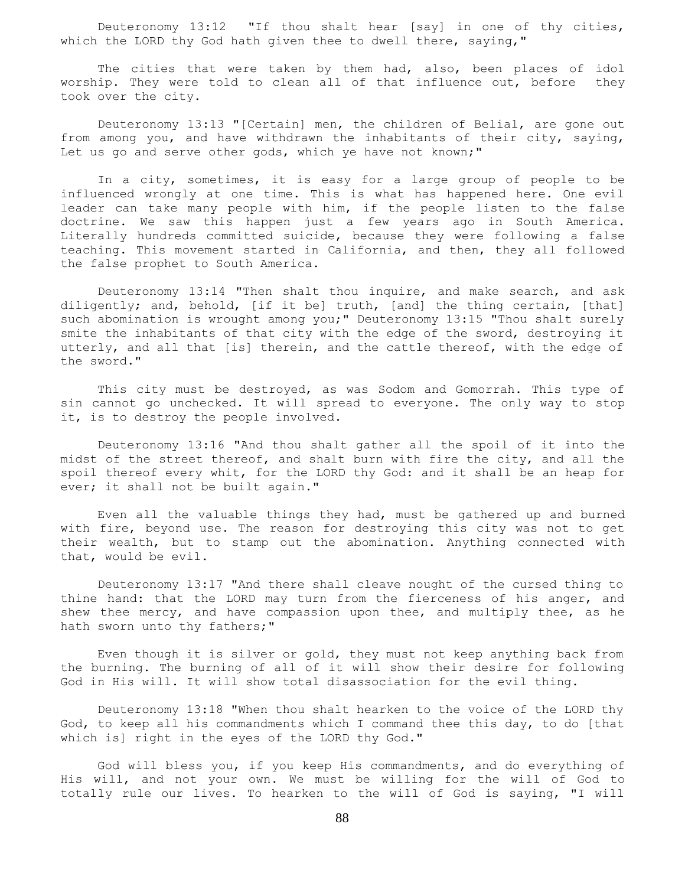Deuteronomy 13:12 "If thou shalt hear [say] in one of thy cities, which the LORD thy God hath given thee to dwell there, saying,"

 The cities that were taken by them had, also, been places of idol worship. They were told to clean all of that influence out, before they took over the city.

 Deuteronomy 13:13 "[Certain] men, the children of Belial, are gone out from among you, and have withdrawn the inhabitants of their city, saying, Let us go and serve other gods, which ye have not known;"

 In a city, sometimes, it is easy for a large group of people to be influenced wrongly at one time. This is what has happened here. One evil leader can take many people with him, if the people listen to the false doctrine. We saw this happen just a few years ago in South America. Literally hundreds committed suicide, because they were following a false teaching. This movement started in California, and then, they all followed the false prophet to South America.

 Deuteronomy 13:14 "Then shalt thou inquire, and make search, and ask diligently; and, behold, [if it be] truth, [and] the thing certain, [that] such abomination is wrought among you;" Deuteronomy 13:15 "Thou shalt surely smite the inhabitants of that city with the edge of the sword, destroying it utterly, and all that [is] therein, and the cattle thereof, with the edge of the sword."

 This city must be destroyed, as was Sodom and Gomorrah. This type of sin cannot go unchecked. It will spread to everyone. The only way to stop it, is to destroy the people involved.

 Deuteronomy 13:16 "And thou shalt gather all the spoil of it into the midst of the street thereof, and shalt burn with fire the city, and all the spoil thereof every whit, for the LORD thy God: and it shall be an heap for ever; it shall not be built again."

 Even all the valuable things they had, must be gathered up and burned with fire, beyond use. The reason for destroying this city was not to get their wealth, but to stamp out the abomination. Anything connected with that, would be evil.

 Deuteronomy 13:17 "And there shall cleave nought of the cursed thing to thine hand: that the LORD may turn from the fierceness of his anger, and shew thee mercy, and have compassion upon thee, and multiply thee, as he hath sworn unto thy fathers;"

 Even though it is silver or gold, they must not keep anything back from the burning. The burning of all of it will show their desire for following God in His will. It will show total disassociation for the evil thing.

 Deuteronomy 13:18 "When thou shalt hearken to the voice of the LORD thy God, to keep all his commandments which I command thee this day, to do [that which is] right in the eyes of the LORD thy God."

 God will bless you, if you keep His commandments, and do everything of His will, and not your own. We must be willing for the will of God to totally rule our lives. To hearken to the will of God is saying, "I will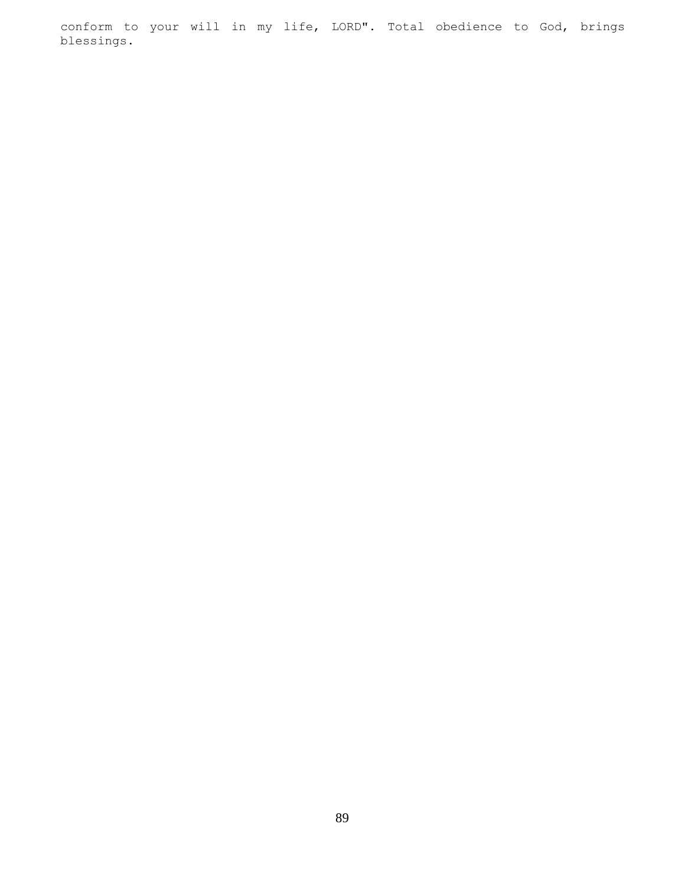conform to your will in my life, LORD". Total obedience to God, brings blessings.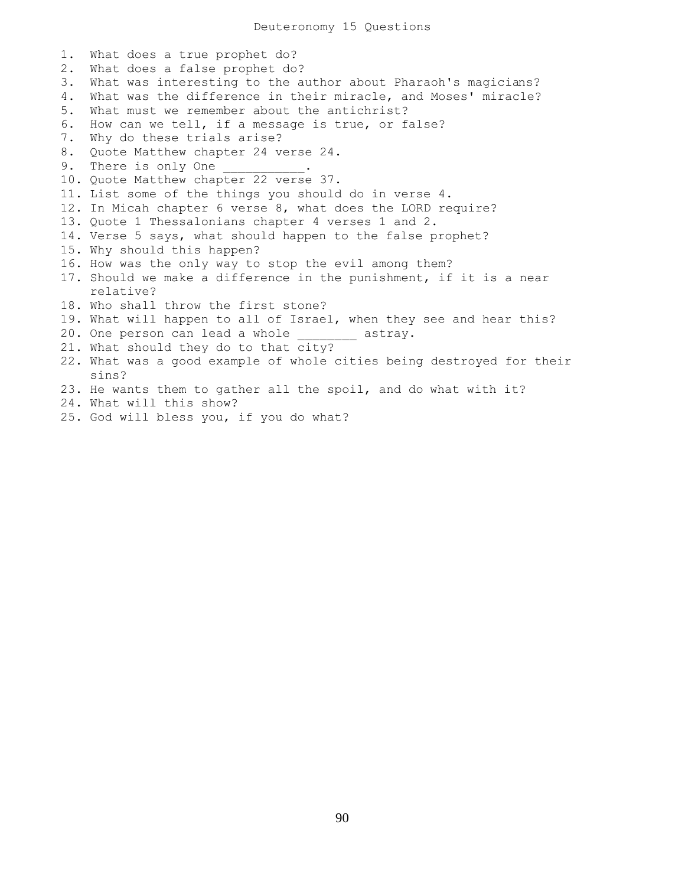1. What does a true prophet do? 2. What does a false prophet do? 3. What was interesting to the author about Pharaoh's magicians? 4. What was the difference in their miracle, and Moses' miracle? 5. What must we remember about the antichrist? 6. How can we tell, if a message is true, or false? 7. Why do these trials arise? 8. Quote Matthew chapter 24 verse 24. 9. There is only One 10. Quote Matthew chapter 22 verse 37. 11. List some of the things you should do in verse 4. 12. In Micah chapter 6 verse 8, what does the LORD require? 13. Quote 1 Thessalonians chapter 4 verses 1 and 2. 14. Verse 5 says, what should happen to the false prophet? 15. Why should this happen? 16. How was the only way to stop the evil among them? 17. Should we make a difference in the punishment, if it is a near relative? 18. Who shall throw the first stone? 19. What will happen to all of Israel, when they see and hear this? 20. One person can lead a whole example astray. 21. What should they do to that city? 22. What was a good example of whole cities being destroyed for their sins? 23. He wants them to gather all the spoil, and do what with it? 24. What will this show? 25. God will bless you, if you do what?

90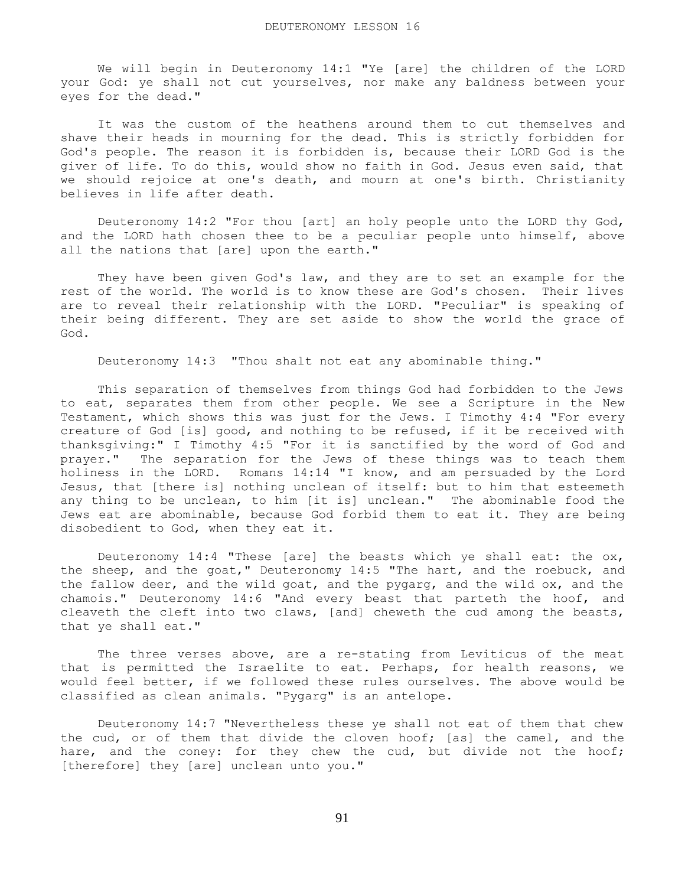We will begin in Deuteronomy 14:1 "Ye [are] the children of the LORD your God: ye shall not cut yourselves, nor make any baldness between your eyes for the dead."

 It was the custom of the heathens around them to cut themselves and shave their heads in mourning for the dead. This is strictly forbidden for God's people. The reason it is forbidden is, because their LORD God is the giver of life. To do this, would show no faith in God. Jesus even said, that we should rejoice at one's death, and mourn at one's birth. Christianity believes in life after death.

 Deuteronomy 14:2 "For thou [art] an holy people unto the LORD thy God, and the LORD hath chosen thee to be a peculiar people unto himself, above all the nations that [are] upon the earth."

They have been given God's law, and they are to set an example for the rest of the world. The world is to know these are God's chosen. Their lives are to reveal their relationship with the LORD. "Peculiar" is speaking of their being different. They are set aside to show the world the grace of God.

Deuteronomy 14:3 "Thou shalt not eat any abominable thing."

 This separation of themselves from things God had forbidden to the Jews to eat, separates them from other people. We see a Scripture in the New Testament, which shows this was just for the Jews. I Timothy 4:4 "For every creature of God [is] good, and nothing to be refused, if it be received with thanksgiving:" I Timothy 4:5 "For it is sanctified by the word of God and prayer." The separation for the Jews of these things was to teach them holiness in the LORD. Romans 14:14 "I know, and am persuaded by the Lord Jesus, that [there is] nothing unclean of itself: but to him that esteemeth any thing to be unclean, to him [it is] unclean." The abominable food the Jews eat are abominable, because God forbid them to eat it. They are being disobedient to God, when they eat it.

Deuteronomy 14:4 "These [are] the beasts which ye shall eat: the  $\alpha x$ , the sheep, and the goat," Deuteronomy 14:5 "The hart, and the roebuck, and the fallow deer, and the wild goat, and the pygarg, and the wild ox, and the chamois." Deuteronomy 14:6 "And every beast that parteth the hoof, and cleaveth the cleft into two claws, [and] cheweth the cud among the beasts, that ye shall eat."

 The three verses above, are a re-stating from Leviticus of the meat that is permitted the Israelite to eat. Perhaps, for health reasons, we would feel better, if we followed these rules ourselves. The above would be classified as clean animals. "Pygarg" is an antelope.

 Deuteronomy 14:7 "Nevertheless these ye shall not eat of them that chew the cud, or of them that divide the cloven hoof; [as] the camel, and the hare, and the coney: for they chew the cud, but divide not the hoof; [therefore] they [are] unclean unto you."

91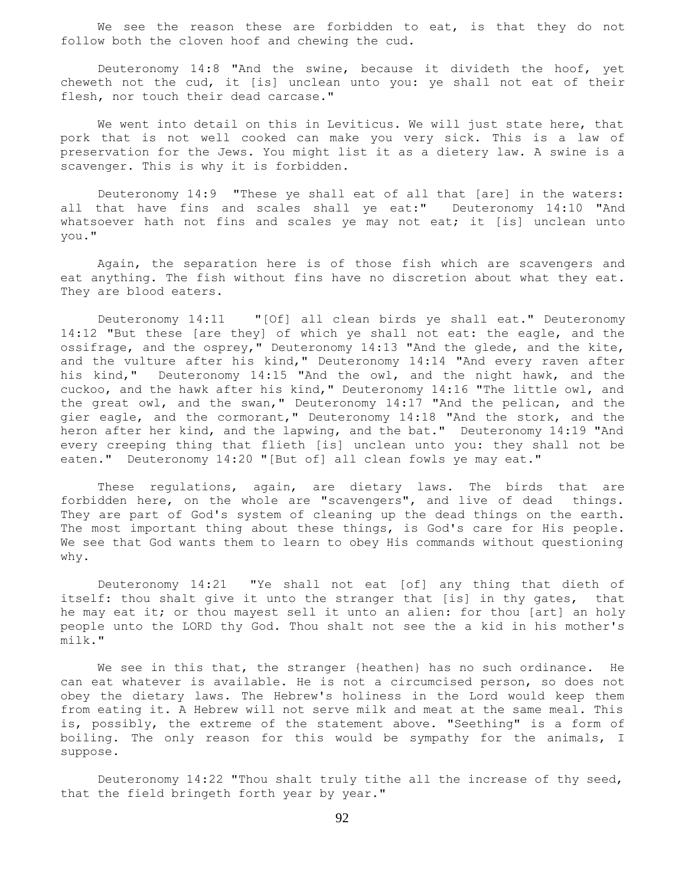We see the reason these are forbidden to eat, is that they do not follow both the cloven hoof and chewing the cud.

 Deuteronomy 14:8 "And the swine, because it divideth the hoof, yet cheweth not the cud, it [is] unclean unto you: ye shall not eat of their flesh, nor touch their dead carcase."

 We went into detail on this in Leviticus. We will just state here, that pork that is not well cooked can make you very sick. This is a law of preservation for the Jews. You might list it as a dietery law. A swine is a scavenger. This is why it is forbidden.

 Deuteronomy 14:9 "These ye shall eat of all that [are] in the waters: all that have fins and scales shall ye eat:" Deuteronomy 14:10 "And whatsoever hath not fins and scales ye may not eat; it [is] unclean unto you."

 Again, the separation here is of those fish which are scavengers and eat anything. The fish without fins have no discretion about what they eat. They are blood eaters.

 Deuteronomy 14:11 "[Of] all clean birds ye shall eat." Deuteronomy 14:12 "But these [are they] of which ye shall not eat: the eagle, and the ossifrage, and the osprey," Deuteronomy 14:13 "And the glede, and the kite, and the vulture after his kind," Deuteronomy 14:14 "And every raven after his kind," Deuteronomy 14:15 "And the owl, and the night hawk, and the cuckoo, and the hawk after his kind," Deuteronomy 14:16 "The little owl, and the great owl, and the swan," Deuteronomy 14:17 "And the pelican, and the gier eagle, and the cormorant," Deuteronomy 14:18 "And the stork, and the heron after her kind, and the lapwing, and the bat." Deuteronomy 14:19 "And every creeping thing that flieth [is] unclean unto you: they shall not be eaten." Deuteronomy 14:20 "[But of] all clean fowls ye may eat."

 These regulations, again, are dietary laws. The birds that are forbidden here, on the whole are "scavengers", and live of dead things. They are part of God's system of cleaning up the dead things on the earth. The most important thing about these things, is God's care for His people. We see that God wants them to learn to obey His commands without questioning why.

 Deuteronomy 14:21 "Ye shall not eat [of] any thing that dieth of itself: thou shalt give it unto the stranger that [is] in thy gates, that he may eat it; or thou mayest sell it unto an alien: for thou [art] an holy people unto the LORD thy God. Thou shalt not see the a kid in his mother's milk."

We see in this that, the stranger {heathen} has no such ordinance. He can eat whatever is available. He is not a circumcised person, so does not obey the dietary laws. The Hebrew's holiness in the Lord would keep them from eating it. A Hebrew will not serve milk and meat at the same meal. This is, possibly, the extreme of the statement above. "Seething" is a form of boiling. The only reason for this would be sympathy for the animals, I suppose.

 Deuteronomy 14:22 "Thou shalt truly tithe all the increase of thy seed, that the field bringeth forth year by year."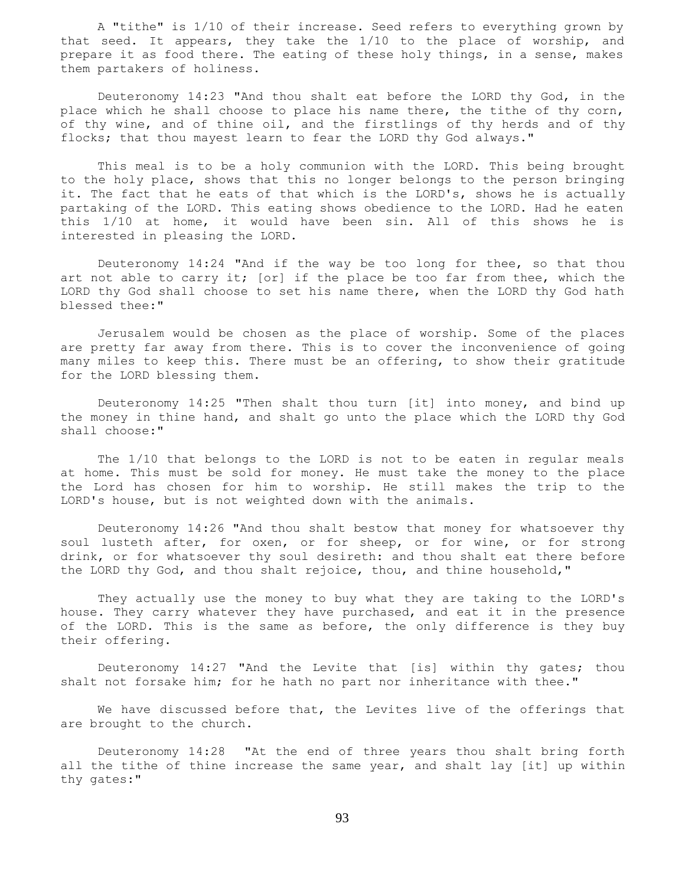A "tithe" is 1/10 of their increase. Seed refers to everything grown by that seed. It appears, they take the 1/10 to the place of worship, and prepare it as food there. The eating of these holy things, in a sense, makes them partakers of holiness.

 Deuteronomy 14:23 "And thou shalt eat before the LORD thy God, in the place which he shall choose to place his name there, the tithe of thy corn, of thy wine, and of thine oil, and the firstlings of thy herds and of thy flocks; that thou mayest learn to fear the LORD thy God always."

 This meal is to be a holy communion with the LORD. This being brought to the holy place, shows that this no longer belongs to the person bringing it. The fact that he eats of that which is the LORD's, shows he is actually partaking of the LORD. This eating shows obedience to the LORD. Had he eaten this 1/10 at home, it would have been sin. All of this shows he is interested in pleasing the LORD.

 Deuteronomy 14:24 "And if the way be too long for thee, so that thou art not able to carry it; [or] if the place be too far from thee, which the LORD thy God shall choose to set his name there, when the LORD thy God hath blessed thee:"

 Jerusalem would be chosen as the place of worship. Some of the places are pretty far away from there. This is to cover the inconvenience of going many miles to keep this. There must be an offering, to show their gratitude for the LORD blessing them.

 Deuteronomy 14:25 "Then shalt thou turn [it] into money, and bind up the money in thine hand, and shalt go unto the place which the LORD thy God shall choose:"

 The 1/10 that belongs to the LORD is not to be eaten in regular meals at home. This must be sold for money. He must take the money to the place the Lord has chosen for him to worship. He still makes the trip to the LORD's house, but is not weighted down with the animals.

 Deuteronomy 14:26 "And thou shalt bestow that money for whatsoever thy soul lusteth after, for oxen, or for sheep, or for wine, or for strong drink, or for whatsoever thy soul desireth: and thou shalt eat there before the LORD thy God, and thou shalt rejoice, thou, and thine household,"

 They actually use the money to buy what they are taking to the LORD's house. They carry whatever they have purchased, and eat it in the presence of the LORD. This is the same as before, the only difference is they buy their offering.

 Deuteronomy 14:27 "And the Levite that [is] within thy gates; thou shalt not forsake him; for he hath no part nor inheritance with thee."

 We have discussed before that, the Levites live of the offerings that are brought to the church.

 Deuteronomy 14:28 "At the end of three years thou shalt bring forth all the tithe of thine increase the same year, and shalt lay [it] up within thy gates:"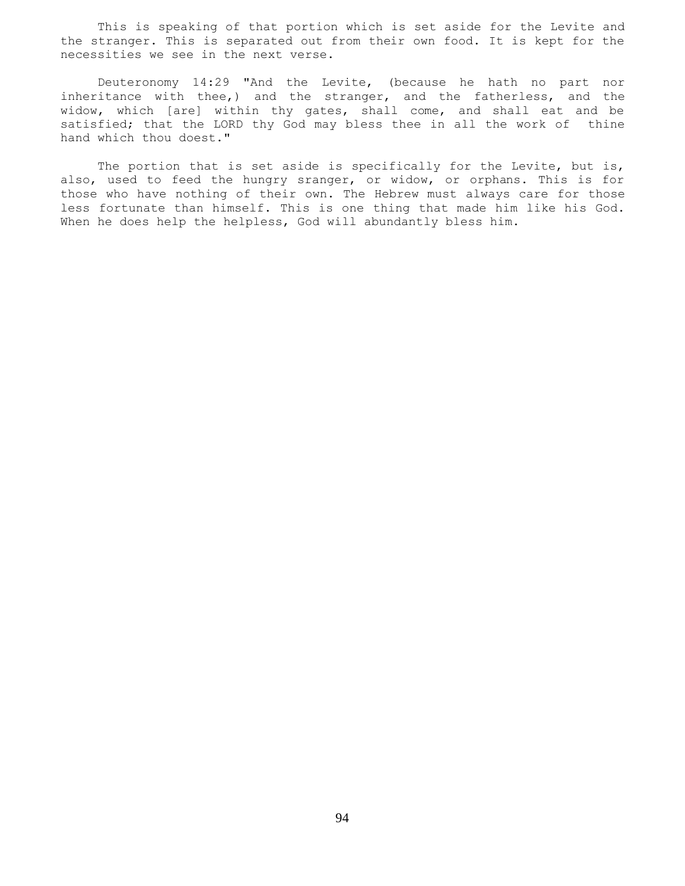This is speaking of that portion which is set aside for the Levite and the stranger. This is separated out from their own food. It is kept for the necessities we see in the next verse.

 Deuteronomy 14:29 "And the Levite, (because he hath no part nor inheritance with thee,) and the stranger, and the fatherless, and the widow, which [are] within thy gates, shall come, and shall eat and be satisfied; that the LORD thy God may bless thee in all the work of thine hand which thou doest."

The portion that is set aside is specifically for the Levite, but is, also, used to feed the hungry sranger, or widow, or orphans. This is for those who have nothing of their own. The Hebrew must always care for those less fortunate than himself. This is one thing that made him like his God. When he does help the helpless, God will abundantly bless him.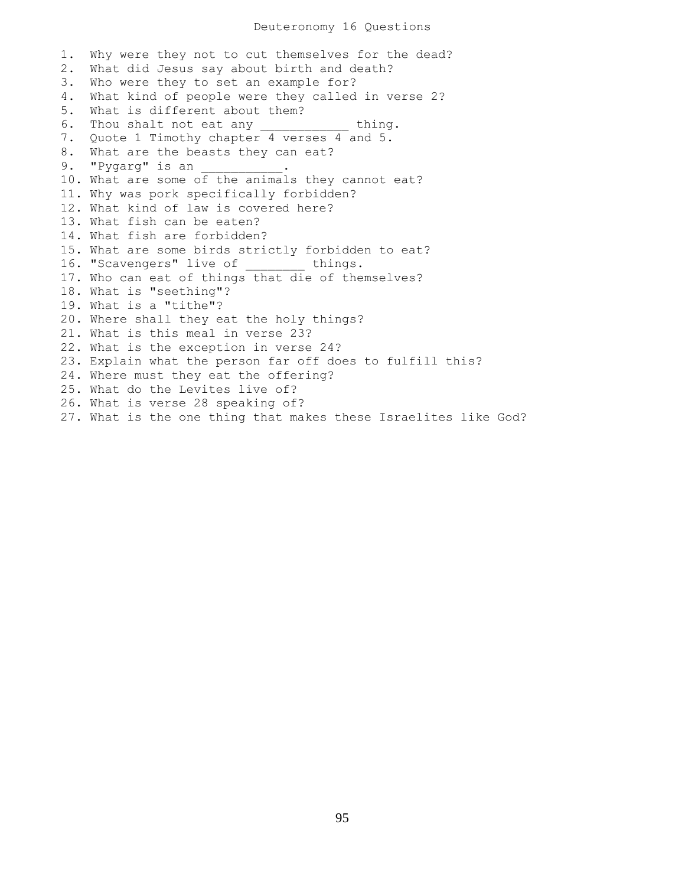1. Why were they not to cut themselves for the dead? 2. What did Jesus say about birth and death? 3. Who were they to set an example for? 4. What kind of people were they called in verse 2? 5. What is different about them? 6. Thou shalt not eat any \_\_\_\_\_\_\_\_\_\_\_ thing. 7. Quote 1 Timothy chapter 4 verses 4 and 5. 8. What are the beasts they can eat? 9. "Pygarg" is an 10. What are some of the animals they cannot eat? 11. Why was pork specifically forbidden? 12. What kind of law is covered here? 13. What fish can be eaten? 14. What fish are forbidden? 15. What are some birds strictly forbidden to eat? 16. "Scavengers" live of things. 17. Who can eat of things that die of themselves? 18. What is "seething"? 19. What is a "tithe"? 20. Where shall they eat the holy things? 21. What is this meal in verse 23? 22. What is the exception in verse 24? 23. Explain what the person far off does to fulfill this? 24. Where must they eat the offering? 25. What do the Levites live of? 26. What is verse 28 speaking of? 27. What is the one thing that makes these Israelites like God?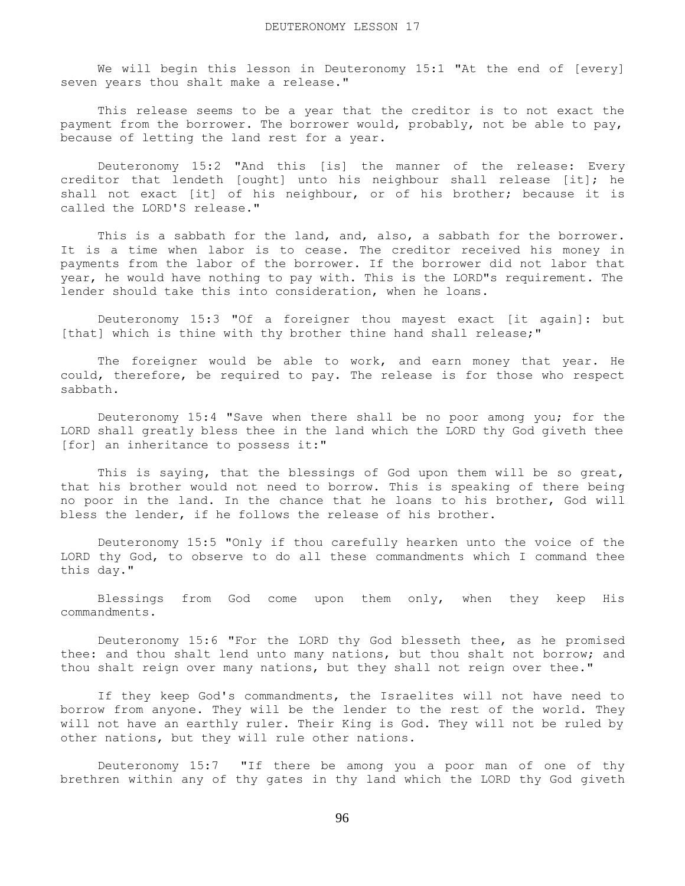We will begin this lesson in Deuteronomy 15:1 "At the end of [every] seven years thou shalt make a release."

 This release seems to be a year that the creditor is to not exact the payment from the borrower. The borrower would, probably, not be able to pay, because of letting the land rest for a year.

 Deuteronomy 15:2 "And this [is] the manner of the release: Every creditor that lendeth [ought] unto his neighbour shall release [it]; he shall not exact [it] of his neighbour, or of his brother; because it is called the LORD'S release."

This is a sabbath for the land, and, also, a sabbath for the borrower. It is a time when labor is to cease. The creditor received his money in payments from the labor of the borrower. If the borrower did not labor that year, he would have nothing to pay with. This is the LORD"s requirement. The lender should take this into consideration, when he loans.

 Deuteronomy 15:3 "Of a foreigner thou mayest exact [it again]: but [that] which is thine with thy brother thine hand shall release;"

 The foreigner would be able to work, and earn money that year. He could, therefore, be required to pay. The release is for those who respect sabbath.

 Deuteronomy 15:4 "Save when there shall be no poor among you; for the LORD shall greatly bless thee in the land which the LORD thy God giveth thee [for] an inheritance to possess it:"

This is saying, that the blessings of God upon them will be so great, that his brother would not need to borrow. This is speaking of there being no poor in the land. In the chance that he loans to his brother, God will bless the lender, if he follows the release of his brother.

 Deuteronomy 15:5 "Only if thou carefully hearken unto the voice of the LORD thy God, to observe to do all these commandments which I command thee this day."

Blessings from God come upon them only, when they keep His commandments.

 Deuteronomy 15:6 "For the LORD thy God blesseth thee, as he promised thee: and thou shalt lend unto many nations, but thou shalt not borrow; and thou shalt reign over many nations, but they shall not reign over thee."

 If they keep God's commandments, the Israelites will not have need to borrow from anyone. They will be the lender to the rest of the world. They will not have an earthly ruler. Their King is God. They will not be ruled by other nations, but they will rule other nations.

 Deuteronomy 15:7 "If there be among you a poor man of one of thy brethren within any of thy gates in thy land which the LORD thy God giveth

96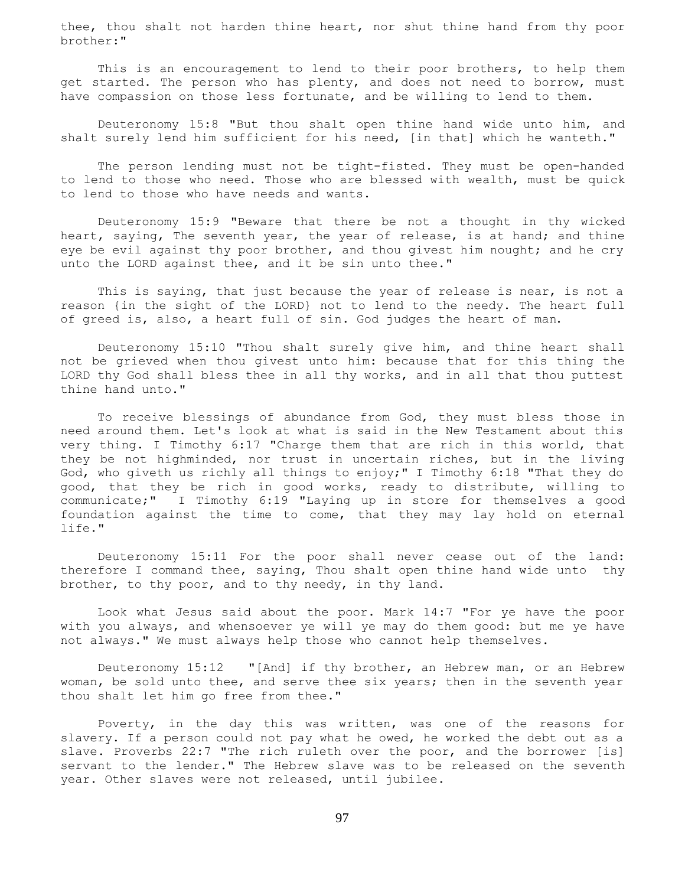thee, thou shalt not harden thine heart, nor shut thine hand from thy poor brother:"

This is an encouragement to lend to their poor brothers, to help them get started. The person who has plenty, and does not need to borrow, must have compassion on those less fortunate, and be willing to lend to them.

 Deuteronomy 15:8 "But thou shalt open thine hand wide unto him, and shalt surely lend him sufficient for his need, [in that] which he wanteth."

 The person lending must not be tight-fisted. They must be open-handed to lend to those who need. Those who are blessed with wealth, must be quick to lend to those who have needs and wants.

 Deuteronomy 15:9 "Beware that there be not a thought in thy wicked heart, saying, The seventh year, the year of release, is at hand; and thine eye be evil against thy poor brother, and thou givest him nought; and he cry unto the LORD against thee, and it be sin unto thee."

 This is saying, that just because the year of release is near, is not a reason {in the sight of the LORD} not to lend to the needy. The heart full of greed is, also, a heart full of sin. God judges the heart of man.

 Deuteronomy 15:10 "Thou shalt surely give him, and thine heart shall not be grieved when thou givest unto him: because that for this thing the LORD thy God shall bless thee in all thy works, and in all that thou puttest thine hand unto."

 To receive blessings of abundance from God, they must bless those in need around them. Let's look at what is said in the New Testament about this very thing. I Timothy 6:17 "Charge them that are rich in this world, that they be not highminded, nor trust in uncertain riches, but in the living God, who giveth us richly all things to enjoy;" I Timothy 6:18 "That they do good, that they be rich in good works, ready to distribute, willing to communicate;" I Timothy 6:19 "Laying up in store for themselves a good foundation against the time to come, that they may lay hold on eternal life."

 Deuteronomy 15:11 For the poor shall never cease out of the land: therefore I command thee, saying, Thou shalt open thine hand wide unto thy brother, to thy poor, and to thy needy, in thy land.

 Look what Jesus said about the poor. Mark 14:7 "For ye have the poor with you always, and whensoever ye will ye may do them good: but me ye have not always." We must always help those who cannot help themselves.

 Deuteronomy 15:12 "[And] if thy brother, an Hebrew man, or an Hebrew woman, be sold unto thee, and serve thee six years; then in the seventh year thou shalt let him go free from thee."

 Poverty, in the day this was written, was one of the reasons for slavery. If a person could not pay what he owed, he worked the debt out as a slave. Proverbs 22:7 "The rich ruleth over the poor, and the borrower [is] servant to the lender." The Hebrew slave was to be released on the seventh year. Other slaves were not released, until jubilee.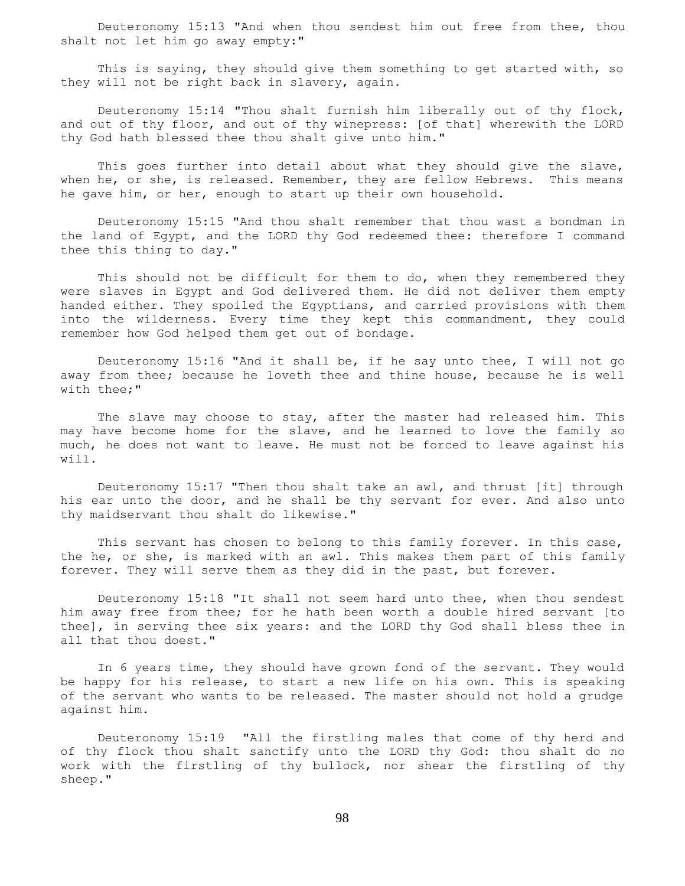Deuteronomy 15:13 "And when thou sendest him out free from thee, thou shalt not let him go away empty:"

 This is saying, they should give them something to get started with, so they will not be right back in slavery, again.

 Deuteronomy 15:14 "Thou shalt furnish him liberally out of thy flock, and out of thy floor, and out of thy winepress: [of that] wherewith the LORD thy God hath blessed thee thou shalt give unto him."

This goes further into detail about what they should give the slave, when he, or she, is released. Remember, they are fellow Hebrews. This means he gave him, or her, enough to start up their own household.

 Deuteronomy 15:15 "And thou shalt remember that thou wast a bondman in the land of Egypt, and the LORD thy God redeemed thee: therefore I command thee this thing to day."

 This should not be difficult for them to do, when they remembered they were slaves in Egypt and God delivered them. He did not deliver them empty handed either. They spoiled the Egyptians, and carried provisions with them into the wilderness. Every time they kept this commandment, they could remember how God helped them get out of bondage.

 Deuteronomy 15:16 "And it shall be, if he say unto thee, I will not go away from thee; because he loveth thee and thine house, because he is well with thee;"

The slave may choose to stay, after the master had released him. This may have become home for the slave, and he learned to love the family so much, he does not want to leave. He must not be forced to leave against his will.

 Deuteronomy 15:17 "Then thou shalt take an awl, and thrust [it] through his ear unto the door, and he shall be thy servant for ever. And also unto thy maidservant thou shalt do likewise."

This servant has chosen to belong to this family forever. In this case, the he, or she, is marked with an awl. This makes them part of this family forever. They will serve them as they did in the past, but forever.

 Deuteronomy 15:18 "It shall not seem hard unto thee, when thou sendest him away free from thee; for he hath been worth a double hired servant [to thee], in serving thee six years: and the LORD thy God shall bless thee in all that thou doest."

 In 6 years time, they should have grown fond of the servant. They would be happy for his release, to start a new life on his own. This is speaking of the servant who wants to be released. The master should not hold a grudge against him.

 Deuteronomy 15:19 "All the firstling males that come of thy herd and of thy flock thou shalt sanctify unto the LORD thy God: thou shalt do no work with the firstling of thy bullock, nor shear the firstling of thy sheep."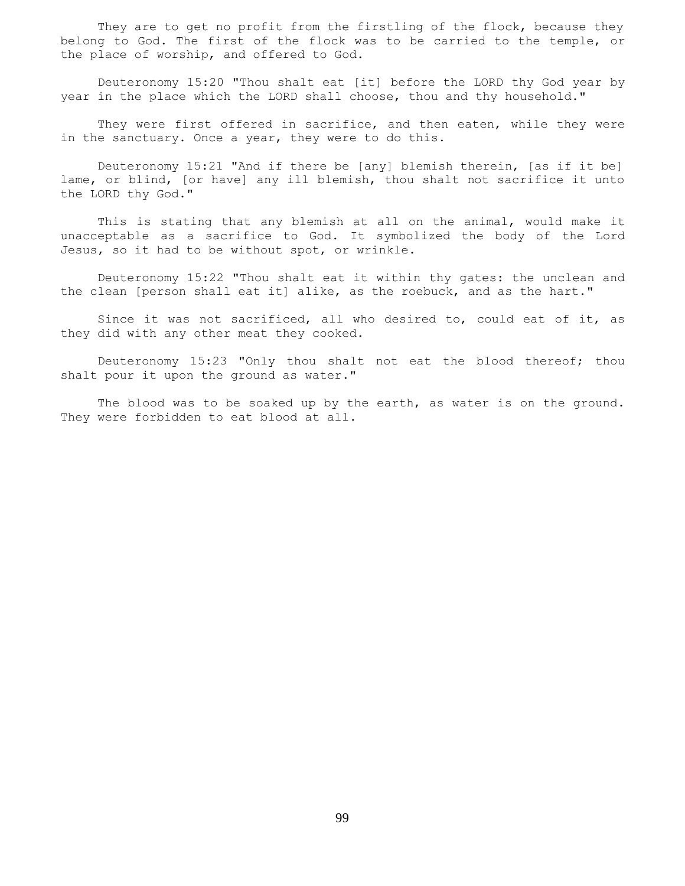They are to get no profit from the firstling of the flock, because they belong to God. The first of the flock was to be carried to the temple, or the place of worship, and offered to God.

 Deuteronomy 15:20 "Thou shalt eat [it] before the LORD thy God year by year in the place which the LORD shall choose, thou and thy household."

They were first offered in sacrifice, and then eaten, while they were in the sanctuary. Once a year, they were to do this.

 Deuteronomy 15:21 "And if there be [any] blemish therein, [as if it be] lame, or blind, [or have] any ill blemish, thou shalt not sacrifice it unto the LORD thy God."

 This is stating that any blemish at all on the animal, would make it unacceptable as a sacrifice to God. It symbolized the body of the Lord Jesus, so it had to be without spot, or wrinkle.

 Deuteronomy 15:22 "Thou shalt eat it within thy gates: the unclean and the clean [person shall eat it] alike, as the roebuck, and as the hart."

 Since it was not sacrificed, all who desired to, could eat of it, as they did with any other meat they cooked.

 Deuteronomy 15:23 "Only thou shalt not eat the blood thereof; thou shalt pour it upon the ground as water."

 The blood was to be soaked up by the earth, as water is on the ground. They were forbidden to eat blood at all.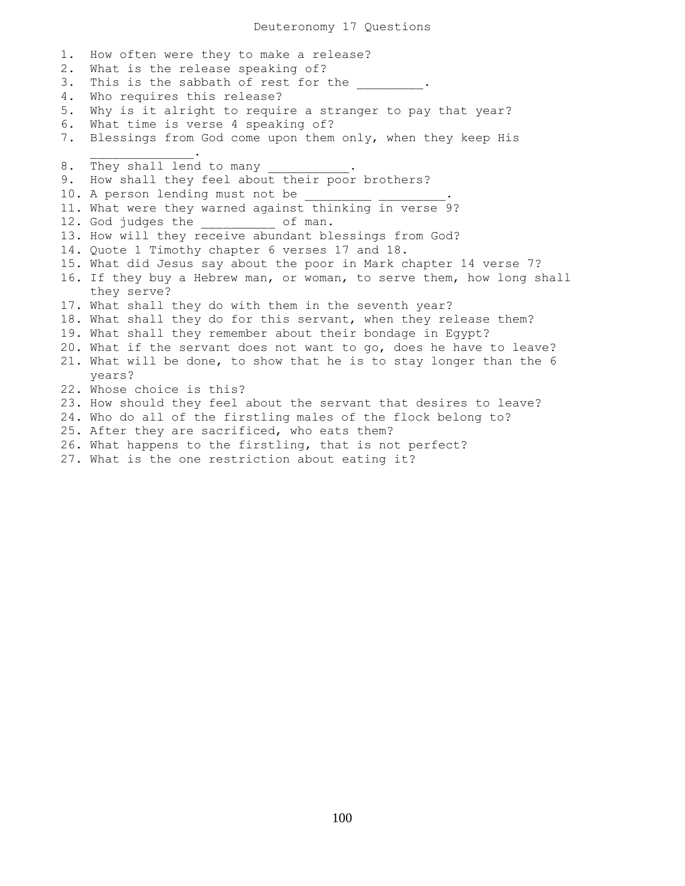1. How often were they to make a release? 2. What is the release speaking of? 3. This is the sabbath of rest for the 4. Who requires this release? 5. Why is it alright to require a stranger to pay that year? 6. What time is verse 4 speaking of? 7. Blessings from God come upon them only, when they keep His  $\overline{\phantom{a}}$  ,  $\overline{\phantom{a}}$  ,  $\overline{\phantom{a}}$  ,  $\overline{\phantom{a}}$  ,  $\overline{\phantom{a}}$  ,  $\overline{\phantom{a}}$  ,  $\overline{\phantom{a}}$  ,  $\overline{\phantom{a}}$  ,  $\overline{\phantom{a}}$  ,  $\overline{\phantom{a}}$  ,  $\overline{\phantom{a}}$  ,  $\overline{\phantom{a}}$  ,  $\overline{\phantom{a}}$  ,  $\overline{\phantom{a}}$  ,  $\overline{\phantom{a}}$  ,  $\overline{\phantom{a}}$ 8. They shall lend to many 9. How shall they feel about their poor brothers? 10. A person lending must not be 11. What were they warned against thinking in verse 9? 12. God judges the of man. 13. How will they receive abundant blessings from God? 14. Quote 1 Timothy chapter 6 verses 17 and 18. 15. What did Jesus say about the poor in Mark chapter 14 verse 7? 16. If they buy a Hebrew man, or woman, to serve them, how long shall they serve? 17. What shall they do with them in the seventh year? 18. What shall they do for this servant, when they release them? 19. What shall they remember about their bondage in Egypt? 20. What if the servant does not want to go, does he have to leave? 21. What will be done, to show that he is to stay longer than the 6 years? 22. Whose choice is this? 23. How should they feel about the servant that desires to leave? 24. Who do all of the firstling males of the flock belong to? 25. After they are sacrificed, who eats them? 26. What happens to the firstling, that is not perfect?

27. What is the one restriction about eating it?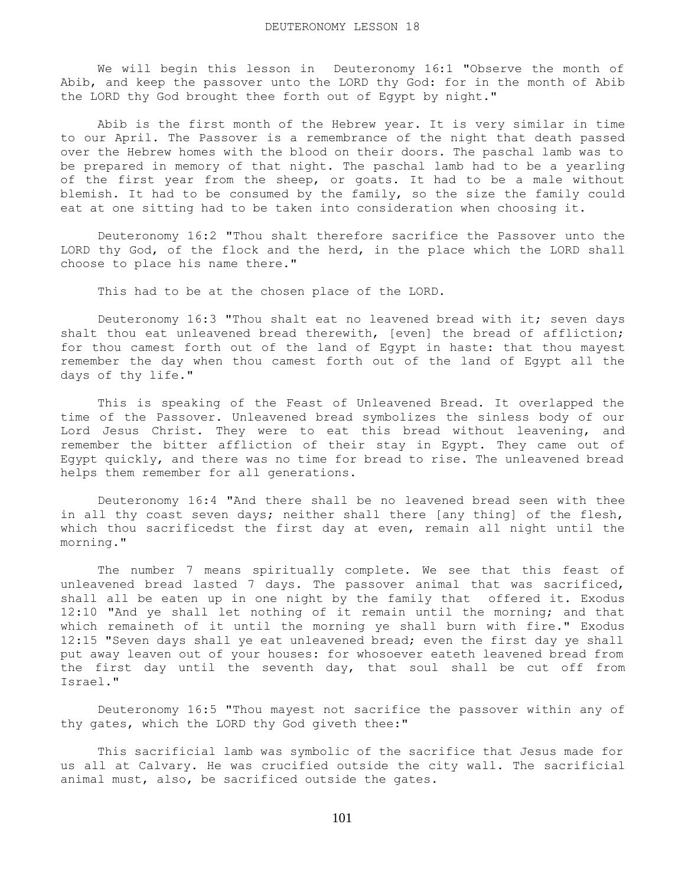We will begin this lesson in Deuteronomy 16:1 "Observe the month of Abib, and keep the passover unto the LORD thy God: for in the month of Abib the LORD thy God brought thee forth out of Egypt by night."

 Abib is the first month of the Hebrew year. It is very similar in time to our April. The Passover is a remembrance of the night that death passed over the Hebrew homes with the blood on their doors. The paschal lamb was to be prepared in memory of that night. The paschal lamb had to be a yearling of the first year from the sheep, or goats. It had to be a male without blemish. It had to be consumed by the family, so the size the family could eat at one sitting had to be taken into consideration when choosing it.

 Deuteronomy 16:2 "Thou shalt therefore sacrifice the Passover unto the LORD thy God, of the flock and the herd, in the place which the LORD shall choose to place his name there."

This had to be at the chosen place of the LORD.

 Deuteronomy 16:3 "Thou shalt eat no leavened bread with it; seven days shalt thou eat unleavened bread therewith, [even] the bread of affliction; for thou camest forth out of the land of Egypt in haste: that thou mayest remember the day when thou camest forth out of the land of Egypt all the days of thy life."

 This is speaking of the Feast of Unleavened Bread. It overlapped the time of the Passover. Unleavened bread symbolizes the sinless body of our Lord Jesus Christ. They were to eat this bread without leavening, and remember the bitter affliction of their stay in Egypt. They came out of Egypt quickly, and there was no time for bread to rise. The unleavened bread helps them remember for all generations.

 Deuteronomy 16:4 "And there shall be no leavened bread seen with thee in all thy coast seven days; neither shall there [any thing] of the flesh, which thou sacrificedst the first day at even, remain all night until the morning."

 The number 7 means spiritually complete. We see that this feast of unleavened bread lasted 7 days. The passover animal that was sacrificed, shall all be eaten up in one night by the family that offered it. Exodus 12:10 "And ye shall let nothing of it remain until the morning; and that which remaineth of it until the morning ye shall burn with fire." Exodus 12:15 "Seven days shall ye eat unleavened bread; even the first day ye shall put away leaven out of your houses: for whosoever eateth leavened bread from the first day until the seventh day, that soul shall be cut off from Israel."

 Deuteronomy 16:5 "Thou mayest not sacrifice the passover within any of thy gates, which the LORD thy God giveth thee:"

 This sacrificial lamb was symbolic of the sacrifice that Jesus made for us all at Calvary. He was crucified outside the city wall. The sacrificial animal must, also, be sacrificed outside the gates.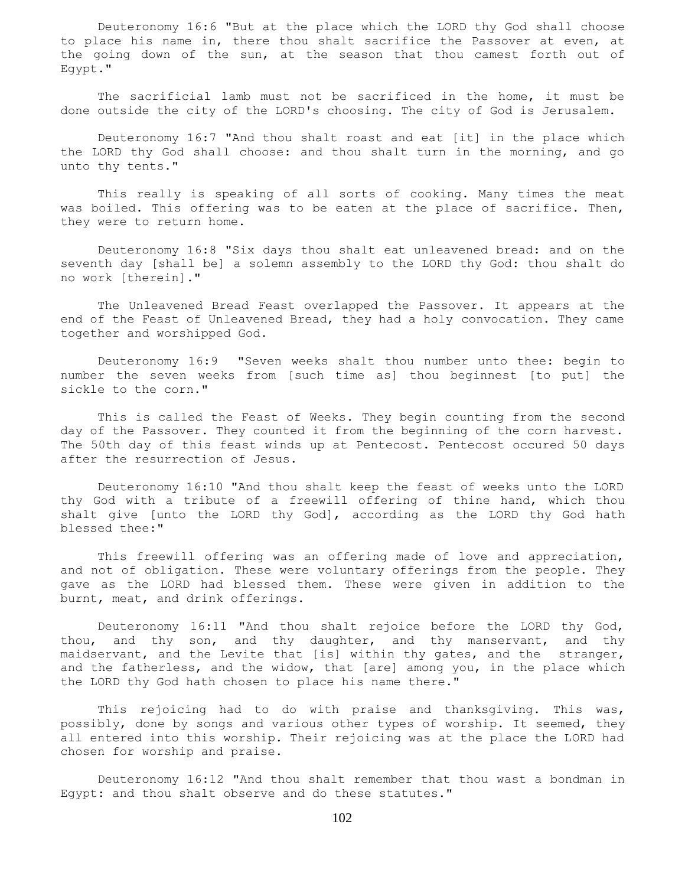Deuteronomy 16:6 "But at the place which the LORD thy God shall choose to place his name in, there thou shalt sacrifice the Passover at even, at the going down of the sun, at the season that thou camest forth out of Egypt."

 The sacrificial lamb must not be sacrificed in the home, it must be done outside the city of the LORD's choosing. The city of God is Jerusalem.

 Deuteronomy 16:7 "And thou shalt roast and eat [it] in the place which the LORD thy God shall choose: and thou shalt turn in the morning, and go unto thy tents."

 This really is speaking of all sorts of cooking. Many times the meat was boiled. This offering was to be eaten at the place of sacrifice. Then, they were to return home.

 Deuteronomy 16:8 "Six days thou shalt eat unleavened bread: and on the seventh day [shall be] a solemn assembly to the LORD thy God: thou shalt do no work [therein]."

 The Unleavened Bread Feast overlapped the Passover. It appears at the end of the Feast of Unleavened Bread, they had a holy convocation. They came together and worshipped God.

 Deuteronomy 16:9 "Seven weeks shalt thou number unto thee: begin to number the seven weeks from [such time as] thou beginnest [to put] the sickle to the corn."

 This is called the Feast of Weeks. They begin counting from the second day of the Passover. They counted it from the beginning of the corn harvest. The 50th day of this feast winds up at Pentecost. Pentecost occured 50 days after the resurrection of Jesus.

 Deuteronomy 16:10 "And thou shalt keep the feast of weeks unto the LORD thy God with a tribute of a freewill offering of thine hand, which thou shalt give [unto the LORD thy God], according as the LORD thy God hath blessed thee:"

 This freewill offering was an offering made of love and appreciation, and not of obligation. These were voluntary offerings from the people. They gave as the LORD had blessed them. These were given in addition to the burnt, meat, and drink offerings.

 Deuteronomy 16:11 "And thou shalt rejoice before the LORD thy God, thou, and thy son, and thy daughter, and thy manservant, and thy maidservant, and the Levite that [is] within thy gates, and the stranger, and the fatherless, and the widow, that [are] among you, in the place which the LORD thy God hath chosen to place his name there."

 This rejoicing had to do with praise and thanksgiving. This was, possibly, done by songs and various other types of worship. It seemed, they all entered into this worship. Their rejoicing was at the place the LORD had chosen for worship and praise.

 Deuteronomy 16:12 "And thou shalt remember that thou wast a bondman in Egypt: and thou shalt observe and do these statutes."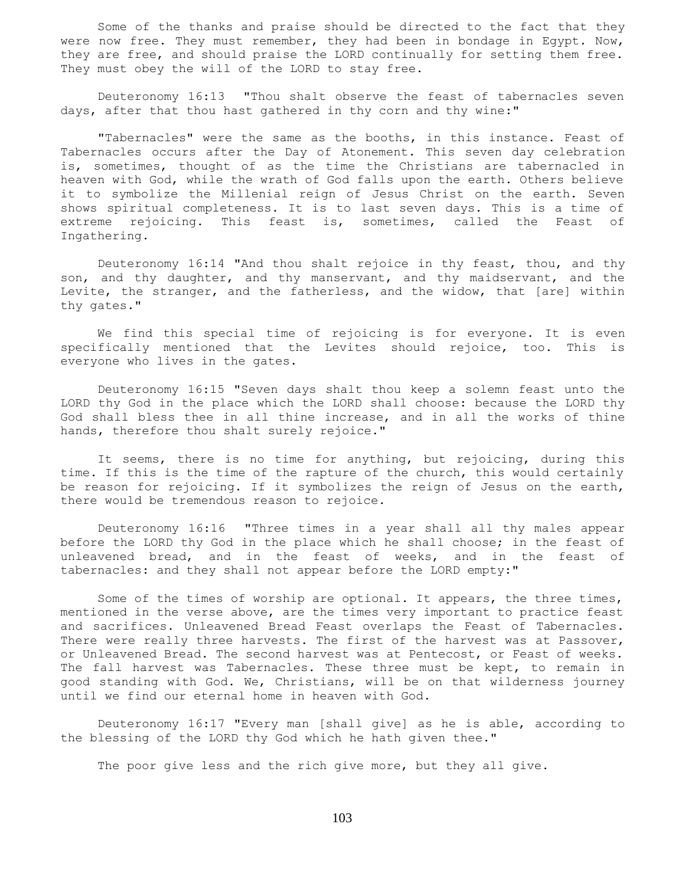Some of the thanks and praise should be directed to the fact that they were now free. They must remember, they had been in bondage in Egypt. Now, they are free, and should praise the LORD continually for setting them free. They must obey the will of the LORD to stay free.

 Deuteronomy 16:13 "Thou shalt observe the feast of tabernacles seven days, after that thou hast gathered in thy corn and thy wine:"

 "Tabernacles" were the same as the booths, in this instance. Feast of Tabernacles occurs after the Day of Atonement. This seven day celebration is, sometimes, thought of as the time the Christians are tabernacled in heaven with God, while the wrath of God falls upon the earth. Others believe it to symbolize the Millenial reign of Jesus Christ on the earth. Seven shows spiritual completeness. It is to last seven days. This is a time of extreme rejoicing. This feast is, sometimes, called the Feast of Ingathering.

 Deuteronomy 16:14 "And thou shalt rejoice in thy feast, thou, and thy son, and thy daughter, and thy manservant, and thy maidservant, and the Levite, the stranger, and the fatherless, and the widow, that [are] within thy gates."

 We find this special time of rejoicing is for everyone. It is even specifically mentioned that the Levites should rejoice, too. This is everyone who lives in the gates.

 Deuteronomy 16:15 "Seven days shalt thou keep a solemn feast unto the LORD thy God in the place which the LORD shall choose: because the LORD thy God shall bless thee in all thine increase, and in all the works of thine hands, therefore thou shalt surely rejoice."

 It seems, there is no time for anything, but rejoicing, during this time. If this is the time of the rapture of the church, this would certainly be reason for rejoicing. If it symbolizes the reign of Jesus on the earth, there would be tremendous reason to rejoice.

 Deuteronomy 16:16 "Three times in a year shall all thy males appear before the LORD thy God in the place which he shall choose; in the feast of unleavened bread, and in the feast of weeks, and in the feast of tabernacles: and they shall not appear before the LORD empty:"

 Some of the times of worship are optional. It appears, the three times, mentioned in the verse above, are the times very important to practice feast and sacrifices. Unleavened Bread Feast overlaps the Feast of Tabernacles. There were really three harvests. The first of the harvest was at Passover, or Unleavened Bread. The second harvest was at Pentecost, or Feast of weeks. The fall harvest was Tabernacles. These three must be kept, to remain in good standing with God. We, Christians, will be on that wilderness journey until we find our eternal home in heaven with God.

 Deuteronomy 16:17 "Every man [shall give] as he is able, according to the blessing of the LORD thy God which he hath given thee."

The poor give less and the rich give more, but they all give.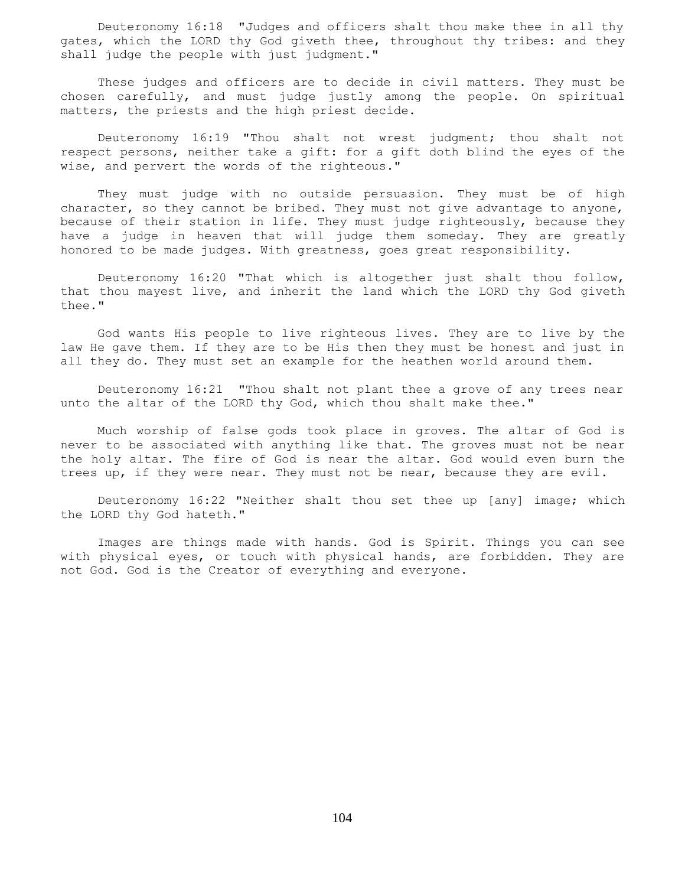Deuteronomy 16:18 "Judges and officers shalt thou make thee in all thy gates, which the LORD thy God giveth thee, throughout thy tribes: and they shall judge the people with just judgment."

 These judges and officers are to decide in civil matters. They must be chosen carefully, and must judge justly among the people. On spiritual matters, the priests and the high priest decide.

 Deuteronomy 16:19 "Thou shalt not wrest judgment; thou shalt not respect persons, neither take a gift: for a gift doth blind the eyes of the wise, and pervert the words of the righteous."

 They must judge with no outside persuasion. They must be of high character, so they cannot be bribed. They must not give advantage to anyone, because of their station in life. They must judge righteously, because they have a judge in heaven that will judge them someday. They are greatly honored to be made judges. With greatness, goes great responsibility.

 Deuteronomy 16:20 "That which is altogether just shalt thou follow, that thou mayest live, and inherit the land which the LORD thy God giveth thee."

 God wants His people to live righteous lives. They are to live by the law He gave them. If they are to be His then they must be honest and just in all they do. They must set an example for the heathen world around them.

 Deuteronomy 16:21 "Thou shalt not plant thee a grove of any trees near unto the altar of the LORD thy God, which thou shalt make thee."

 Much worship of false gods took place in groves. The altar of God is never to be associated with anything like that. The groves must not be near the holy altar. The fire of God is near the altar. God would even burn the trees up, if they were near. They must not be near, because they are evil.

 Deuteronomy 16:22 "Neither shalt thou set thee up [any] image; which the LORD thy God hateth."

 Images are things made with hands. God is Spirit. Things you can see with physical eyes, or touch with physical hands, are forbidden. They are not God. God is the Creator of everything and everyone.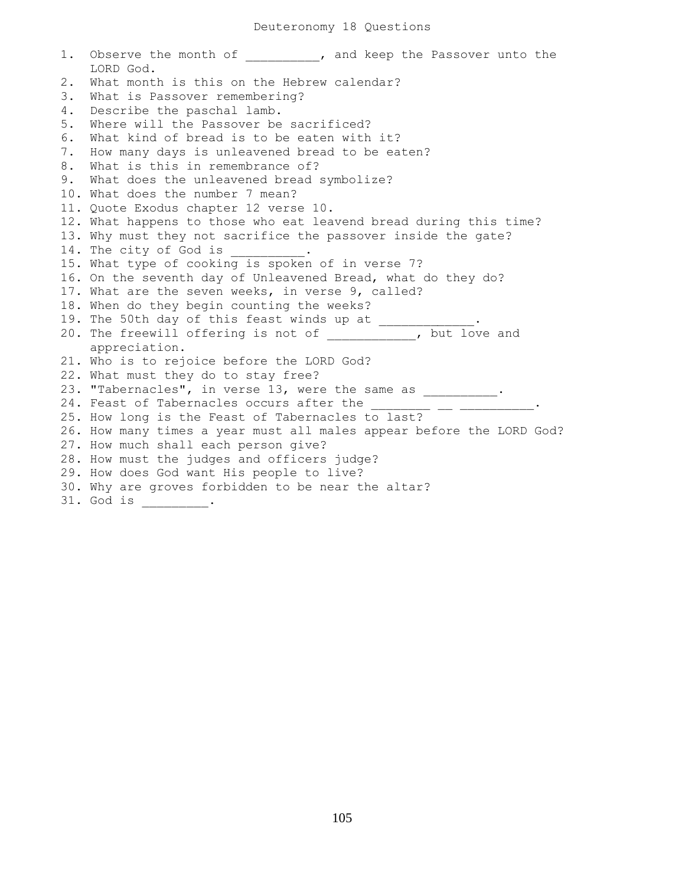1. Observe the month of  $\qquad \qquad$  , and keep the Passover unto the LORD God. 2. What month is this on the Hebrew calendar? 3. What is Passover remembering? 4. Describe the paschal lamb. 5. Where will the Passover be sacrificed? 6. What kind of bread is to be eaten with it? 7. How many days is unleavened bread to be eaten? 8. What is this in remembrance of? 9. What does the unleavened bread symbolize? 10. What does the number 7 mean? 11. Quote Exodus chapter 12 verse 10. 12. What happens to those who eat leavend bread during this time? 13. Why must they not sacrifice the passover inside the gate? 14. The city of God is \_\_\_\_\_ 15. What type of cooking is spoken of in verse 7? 16. On the seventh day of Unleavened Bread, what do they do? 17. What are the seven weeks, in verse 9, called? 18. When do they begin counting the weeks? 19. The 50th day of this feast winds up at  $\frac{1}{\sqrt{2}}$ 20. The freewill offering is not of \_\_\_\_\_\_\_\_\_\_\_\_, but love and appreciation. 21. Who is to rejoice before the LORD God? 22. What must they do to stay free? 23. "Tabernacles", in verse 13, were the same as \_\_\_\_\_\_\_\_\_\_. 24. Feast of Tabernacles occurs after the 25. How long is the Feast of Tabernacles to last? 26. How many times a year must all males appear before the LORD God? 27. How much shall each person give? 28. How must the judges and officers judge? 29. How does God want His people to live? 30. Why are groves forbidden to be near the altar? 31. God is \_\_\_\_\_\_\_.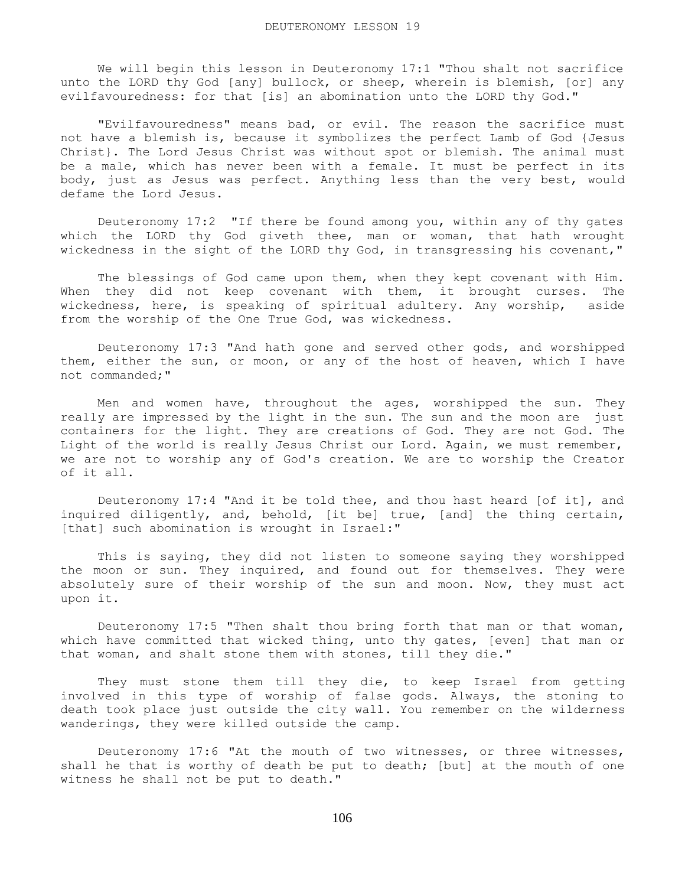We will begin this lesson in Deuteronomy 17:1 "Thou shalt not sacrifice unto the LORD thy God [any] bullock, or sheep, wherein is blemish, [or] any evilfavouredness: for that [is] an abomination unto the LORD thy God."

 "Evilfavouredness" means bad, or evil. The reason the sacrifice must not have a blemish is, because it symbolizes the perfect Lamb of God {Jesus Christ}. The Lord Jesus Christ was without spot or blemish. The animal must be a male, which has never been with a female. It must be perfect in its body, just as Jesus was perfect. Anything less than the very best, would defame the Lord Jesus.

 Deuteronomy 17:2 "If there be found among you, within any of thy gates which the LORD thy God giveth thee, man or woman, that hath wrought wickedness in the sight of the LORD thy God, in transgressing his covenant,"

The blessings of God came upon them, when they kept covenant with Him. When they did not keep covenant with them, it brought curses. The wickedness, here, is speaking of spiritual adultery. Any worship, aside from the worship of the One True God, was wickedness.

 Deuteronomy 17:3 "And hath gone and served other gods, and worshipped them, either the sun, or moon, or any of the host of heaven, which I have not commanded;"

 Men and women have, throughout the ages, worshipped the sun. They really are impressed by the light in the sun. The sun and the moon are just containers for the light. They are creations of God. They are not God. The Light of the world is really Jesus Christ our Lord. Again, we must remember, we are not to worship any of God's creation. We are to worship the Creator of it all.

 Deuteronomy 17:4 "And it be told thee, and thou hast heard [of it], and inquired diligently, and, behold, [it be] true, [and] the thing certain, [that] such abomination is wrought in Israel:"

 This is saying, they did not listen to someone saying they worshipped the moon or sun. They inquired, and found out for themselves. They were absolutely sure of their worship of the sun and moon. Now, they must act upon it.

 Deuteronomy 17:5 "Then shalt thou bring forth that man or that woman, which have committed that wicked thing, unto thy gates, [even] that man or that woman, and shalt stone them with stones, till they die."

 They must stone them till they die, to keep Israel from getting involved in this type of worship of false gods. Always, the stoning to death took place just outside the city wall. You remember on the wilderness wanderings, they were killed outside the camp.

 Deuteronomy 17:6 "At the mouth of two witnesses, or three witnesses, shall he that is worthy of death be put to death; [but] at the mouth of one witness he shall not be put to death."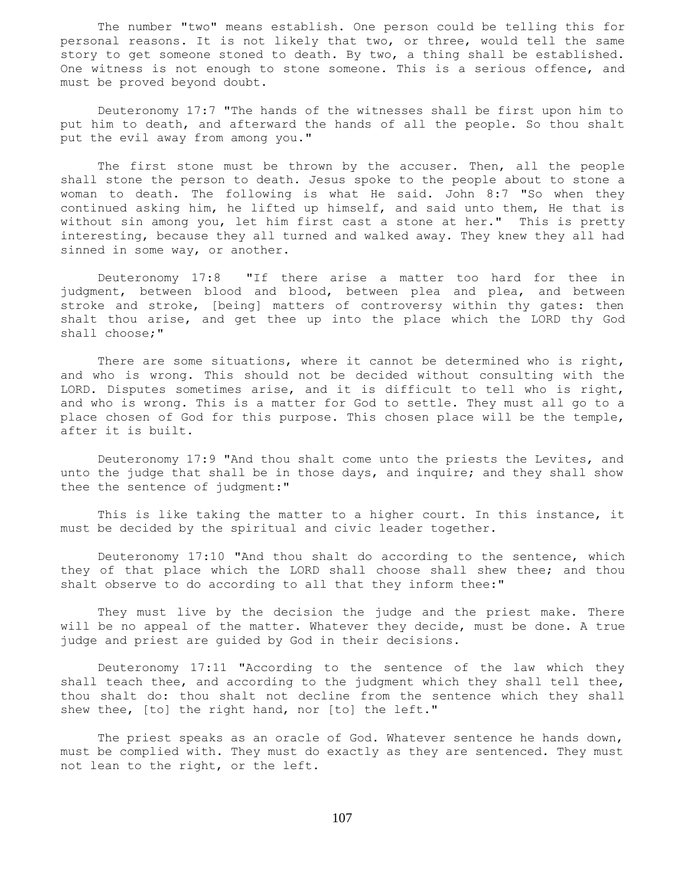The number "two" means establish. One person could be telling this for personal reasons. It is not likely that two, or three, would tell the same story to get someone stoned to death. By two, a thing shall be established. One witness is not enough to stone someone. This is a serious offence, and must be proved beyond doubt.

 Deuteronomy 17:7 "The hands of the witnesses shall be first upon him to put him to death, and afterward the hands of all the people. So thou shalt put the evil away from among you."

The first stone must be thrown by the accuser. Then, all the people shall stone the person to death. Jesus spoke to the people about to stone a woman to death. The following is what He said. John 8:7 "So when they continued asking him, he lifted up himself, and said unto them, He that is without sin among you, let him first cast a stone at her." This is pretty interesting, because they all turned and walked away. They knew they all had sinned in some way, or another.

 Deuteronomy 17:8 "If there arise a matter too hard for thee in judgment, between blood and blood, between plea and plea, and between stroke and stroke, [being] matters of controversy within thy gates: then shalt thou arise, and get thee up into the place which the LORD thy God shall choose;"

 There are some situations, where it cannot be determined who is right, and who is wrong. This should not be decided without consulting with the LORD. Disputes sometimes arise, and it is difficult to tell who is right, and who is wrong. This is a matter for God to settle. They must all go to a place chosen of God for this purpose. This chosen place will be the temple, after it is built.

 Deuteronomy 17:9 "And thou shalt come unto the priests the Levites, and unto the judge that shall be in those days, and inquire; and they shall show thee the sentence of judgment:"

 This is like taking the matter to a higher court. In this instance, it must be decided by the spiritual and civic leader together.

 Deuteronomy 17:10 "And thou shalt do according to the sentence, which they of that place which the LORD shall choose shall shew thee; and thou shalt observe to do according to all that they inform thee:"

 They must live by the decision the judge and the priest make. There will be no appeal of the matter. Whatever they decide, must be done. A true judge and priest are guided by God in their decisions.

 Deuteronomy 17:11 "According to the sentence of the law which they shall teach thee, and according to the judgment which they shall tell thee, thou shalt do: thou shalt not decline from the sentence which they shall shew thee, [to] the right hand, nor [to] the left."

 The priest speaks as an oracle of God. Whatever sentence he hands down, must be complied with. They must do exactly as they are sentenced. They must not lean to the right, or the left.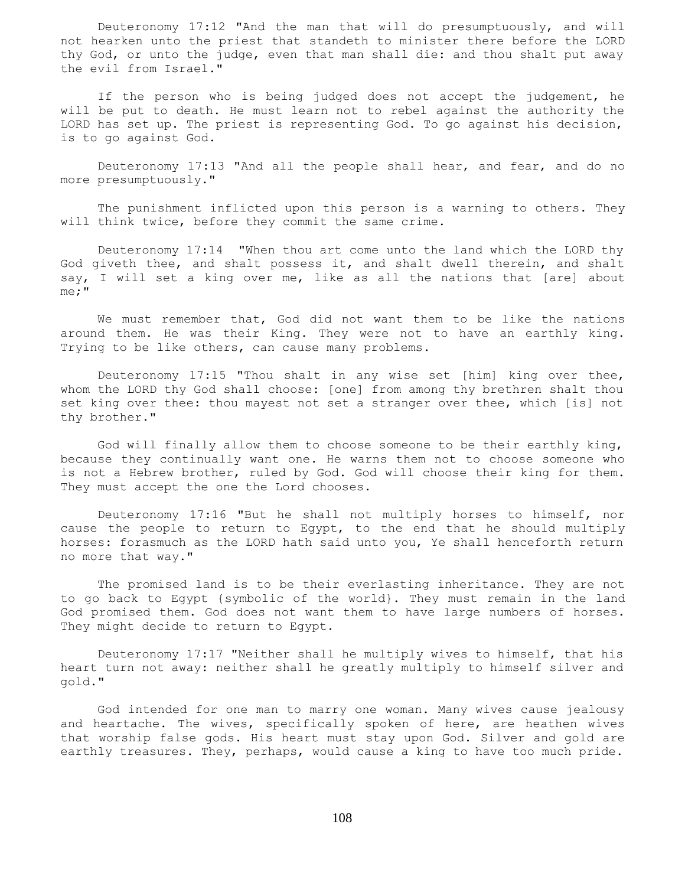Deuteronomy 17:12 "And the man that will do presumptuously, and will not hearken unto the priest that standeth to minister there before the LORD thy God, or unto the judge, even that man shall die: and thou shalt put away the evil from Israel."

 If the person who is being judged does not accept the judgement, he will be put to death. He must learn not to rebel against the authority the LORD has set up. The priest is representing God. To go against his decision, is to go against God.

 Deuteronomy 17:13 "And all the people shall hear, and fear, and do no more presumptuously."

 The punishment inflicted upon this person is a warning to others. They will think twice, before they commit the same crime.

 Deuteronomy 17:14 "When thou art come unto the land which the LORD thy God giveth thee, and shalt possess it, and shalt dwell therein, and shalt say, I will set a king over me, like as all the nations that [are] about me;"

 We must remember that, God did not want them to be like the nations around them. He was their King. They were not to have an earthly king. Trying to be like others, can cause many problems.

 Deuteronomy 17:15 "Thou shalt in any wise set [him] king over thee, whom the LORD thy God shall choose: [one] from among thy brethren shalt thou set king over thee: thou mayest not set a stranger over thee, which [is] not thy brother."

 God will finally allow them to choose someone to be their earthly king, because they continually want one. He warns them not to choose someone who is not a Hebrew brother, ruled by God. God will choose their king for them. They must accept the one the Lord chooses.

 Deuteronomy 17:16 "But he shall not multiply horses to himself, nor cause the people to return to Egypt, to the end that he should multiply horses: forasmuch as the LORD hath said unto you, Ye shall henceforth return no more that way."

 The promised land is to be their everlasting inheritance. They are not to go back to Egypt {symbolic of the world}. They must remain in the land God promised them. God does not want them to have large numbers of horses. They might decide to return to Egypt.

 Deuteronomy 17:17 "Neither shall he multiply wives to himself, that his heart turn not away: neither shall he greatly multiply to himself silver and gold."

 God intended for one man to marry one woman. Many wives cause jealousy and heartache. The wives, specifically spoken of here, are heathen wives that worship false gods. His heart must stay upon God. Silver and gold are earthly treasures. They, perhaps, would cause a king to have too much pride.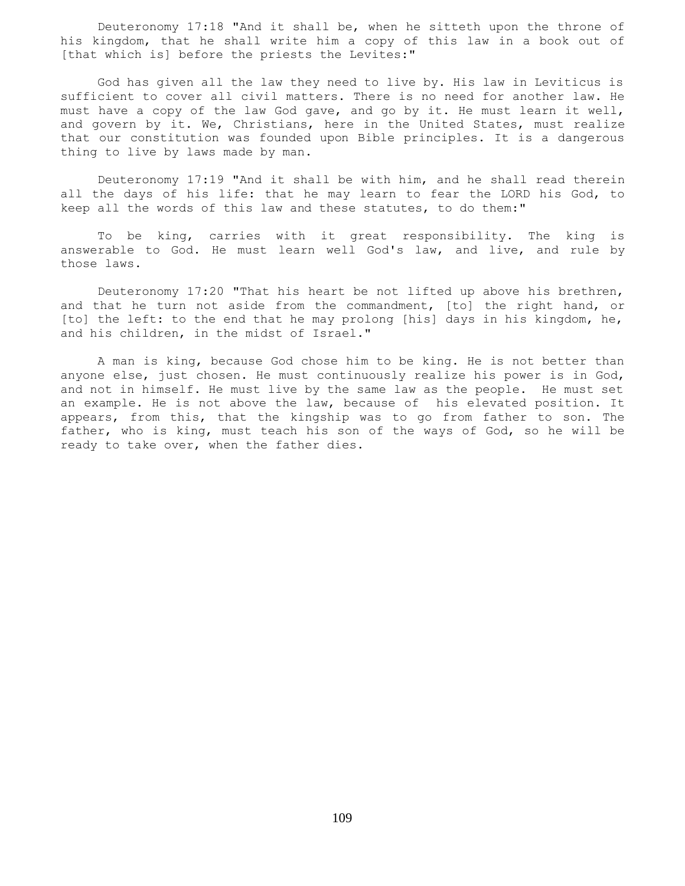Deuteronomy 17:18 "And it shall be, when he sitteth upon the throne of his kingdom, that he shall write him a copy of this law in a book out of [that which is] before the priests the Levites:"

 God has given all the law they need to live by. His law in Leviticus is sufficient to cover all civil matters. There is no need for another law. He must have a copy of the law God gave, and go by it. He must learn it well, and govern by it. We, Christians, here in the United States, must realize that our constitution was founded upon Bible principles. It is a dangerous thing to live by laws made by man.

 Deuteronomy 17:19 "And it shall be with him, and he shall read therein all the days of his life: that he may learn to fear the LORD his God, to keep all the words of this law and these statutes, to do them:"

 To be king, carries with it great responsibility. The king is answerable to God. He must learn well God's law, and live, and rule by those laws.

 Deuteronomy 17:20 "That his heart be not lifted up above his brethren, and that he turn not aside from the commandment, [to] the right hand, or [to] the left: to the end that he may prolong [his] days in his kingdom, he, and his children, in the midst of Israel."

 A man is king, because God chose him to be king. He is not better than anyone else, just chosen. He must continuously realize his power is in God, and not in himself. He must live by the same law as the people. He must set an example. He is not above the law, because of his elevated position. It appears, from this, that the kingship was to go from father to son. The father, who is king, must teach his son of the ways of God, so he will be ready to take over, when the father dies.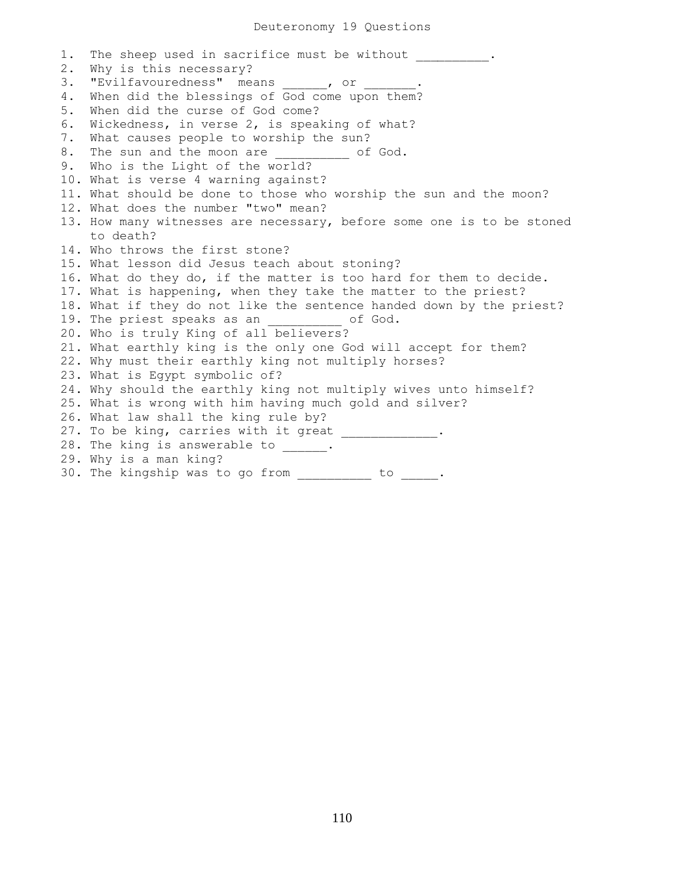1. The sheep used in sacrifice must be without . 2. Why is this necessary? 3. "Evilfavouredness" means , or 4. When did the blessings of God come upon them? 5. When did the curse of God come? 6. Wickedness, in verse 2, is speaking of what? 7. What causes people to worship the sun? 8. The sun and the moon are  $\qquad \qquad$  of God. 9. Who is the Light of the world? 10. What is verse 4 warning against? 11. What should be done to those who worship the sun and the moon? 12. What does the number "two" mean? 13. How many witnesses are necessary, before some one is to be stoned to death? 14. Who throws the first stone? 15. What lesson did Jesus teach about stoning? 16. What do they do, if the matter is too hard for them to decide. 17. What is happening, when they take the matter to the priest? 18. What if they do not like the sentence handed down by the priest? 19. The priest speaks as an  $\qquad \qquad$  of God. 20. Who is truly King of all believers? 21. What earthly king is the only one God will accept for them? 22. Why must their earthly king not multiply horses? 23. What is Egypt symbolic of? 24. Why should the earthly king not multiply wives unto himself? 25. What is wrong with him having much gold and silver? 26. What law shall the king rule by? 27. To be king, carries with it great \_\_\_\_\_\_\_\_\_\_\_\_\_\_. 28. The king is answerable to \_\_\_\_\_. 29. Why is a man king? 30. The kingship was to go from \_\_\_\_\_\_\_\_\_\_ to \_\_\_\_\_.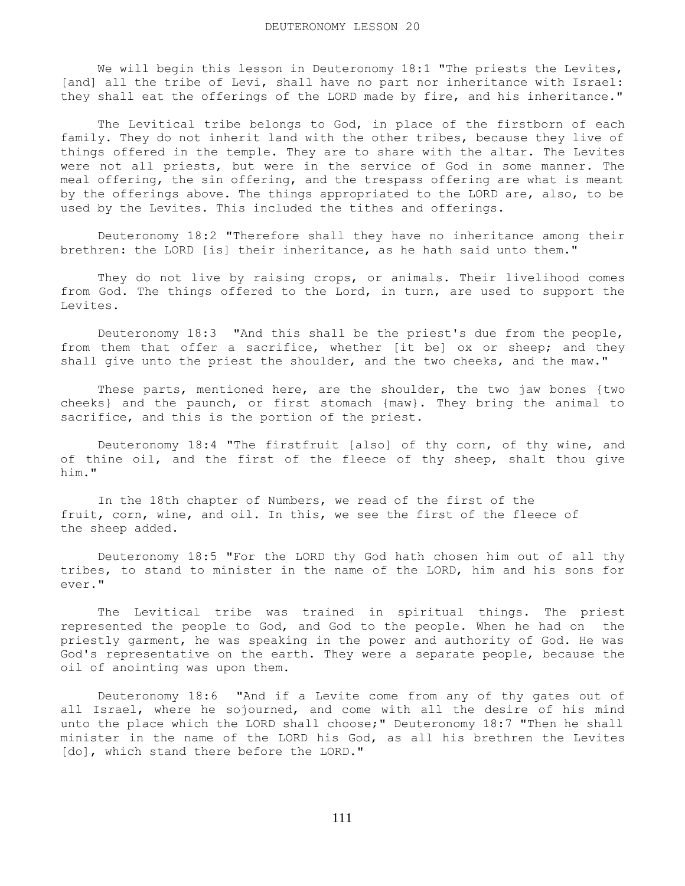We will begin this lesson in Deuteronomy 18:1 "The priests the Levites, [and] all the tribe of Levi, shall have no part nor inheritance with Israel: they shall eat the offerings of the LORD made by fire, and his inheritance."

The Levitical tribe belongs to God, in place of the firstborn of each family. They do not inherit land with the other tribes, because they live of things offered in the temple. They are to share with the altar. The Levites were not all priests, but were in the service of God in some manner. The meal offering, the sin offering, and the trespass offering are what is meant by the offerings above. The things appropriated to the LORD are, also, to be used by the Levites. This included the tithes and offerings.

 Deuteronomy 18:2 "Therefore shall they have no inheritance among their brethren: the LORD [is] their inheritance, as he hath said unto them."

 They do not live by raising crops, or animals. Their livelihood comes from God. The things offered to the Lord, in turn, are used to support the Levites.

 Deuteronomy 18:3 "And this shall be the priest's due from the people, from them that offer a sacrifice, whether [it be] ox or sheep; and they shall give unto the priest the shoulder, and the two cheeks, and the maw."

 These parts, mentioned here, are the shoulder, the two jaw bones {two cheeks} and the paunch, or first stomach {maw}. They bring the animal to sacrifice, and this is the portion of the priest.

 Deuteronomy 18:4 "The firstfruit [also] of thy corn, of thy wine, and of thine oil, and the first of the fleece of thy sheep, shalt thou give him."

 In the 18th chapter of Numbers, we read of the first of the fruit, corn, wine, and oil. In this, we see the first of the fleece of the sheep added.

 Deuteronomy 18:5 "For the LORD thy God hath chosen him out of all thy tribes, to stand to minister in the name of the LORD, him and his sons for ever."

 The Levitical tribe was trained in spiritual things. The priest represented the people to God, and God to the people. When he had on the priestly garment, he was speaking in the power and authority of God. He was God's representative on the earth. They were a separate people, because the oil of anointing was upon them.

 Deuteronomy 18:6 "And if a Levite come from any of thy gates out of all Israel, where he sojourned, and come with all the desire of his mind unto the place which the LORD shall choose;" Deuteronomy 18:7 "Then he shall minister in the name of the LORD his God, as all his brethren the Levites [do], which stand there before the LORD."

111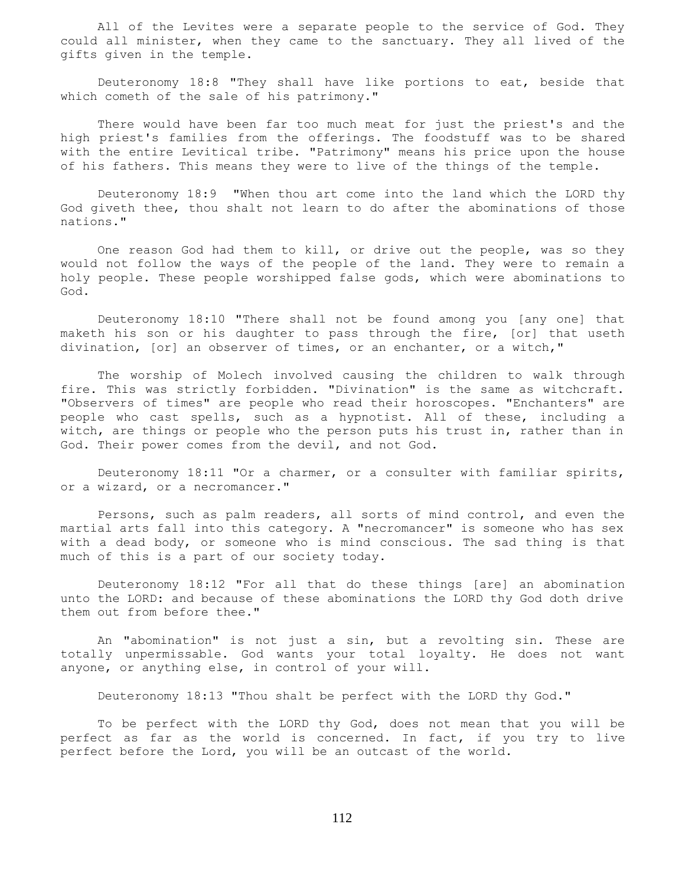All of the Levites were a separate people to the service of God. They could all minister, when they came to the sanctuary. They all lived of the gifts given in the temple.

 Deuteronomy 18:8 "They shall have like portions to eat, beside that which cometh of the sale of his patrimony."

 There would have been far too much meat for just the priest's and the high priest's families from the offerings. The foodstuff was to be shared with the entire Levitical tribe. "Patrimony" means his price upon the house of his fathers. This means they were to live of the things of the temple.

 Deuteronomy 18:9 "When thou art come into the land which the LORD thy God giveth thee, thou shalt not learn to do after the abominations of those nations."

 One reason God had them to kill, or drive out the people, was so they would not follow the ways of the people of the land. They were to remain a holy people. These people worshipped false gods, which were abominations to God.

 Deuteronomy 18:10 "There shall not be found among you [any one] that maketh his son or his daughter to pass through the fire, [or] that useth divination, [or] an observer of times, or an enchanter, or a witch,"

 The worship of Molech involved causing the children to walk through fire. This was strictly forbidden. "Divination" is the same as witchcraft. "Observers of times" are people who read their horoscopes. "Enchanters" are people who cast spells, such as a hypnotist. All of these, including a witch, are things or people who the person puts his trust in, rather than in God. Their power comes from the devil, and not God.

 Deuteronomy 18:11 "Or a charmer, or a consulter with familiar spirits, or a wizard, or a necromancer."

 Persons, such as palm readers, all sorts of mind control, and even the martial arts fall into this category. A "necromancer" is someone who has sex with a dead body, or someone who is mind conscious. The sad thing is that much of this is a part of our society today.

 Deuteronomy 18:12 "For all that do these things [are] an abomination unto the LORD: and because of these abominations the LORD thy God doth drive them out from before thee."

 An "abomination" is not just a sin, but a revolting sin. These are totally unpermissable. God wants your total loyalty. He does not want anyone, or anything else, in control of your will.

Deuteronomy 18:13 "Thou shalt be perfect with the LORD thy God."

 To be perfect with the LORD thy God, does not mean that you will be perfect as far as the world is concerned. In fact, if you try to live perfect before the Lord, you will be an outcast of the world.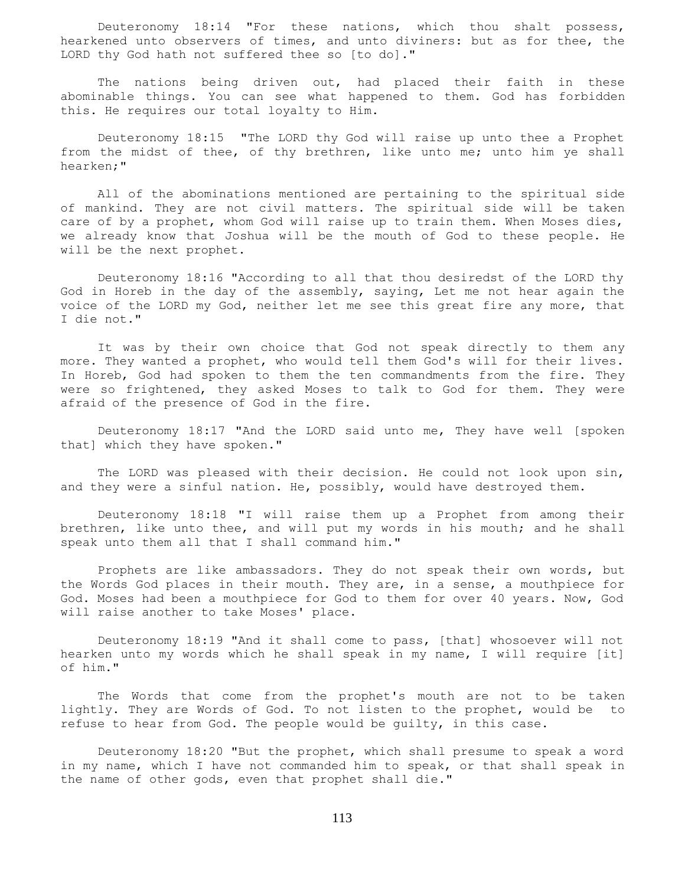Deuteronomy 18:14 "For these nations, which thou shalt possess, hearkened unto observers of times, and unto diviners: but as for thee, the LORD thy God hath not suffered thee so [to do]."

The nations being driven out, had placed their faith in these abominable things. You can see what happened to them. God has forbidden this. He requires our total loyalty to Him.

 Deuteronomy 18:15 "The LORD thy God will raise up unto thee a Prophet from the midst of thee, of thy brethren, like unto me; unto him ye shall hearken;"

 All of the abominations mentioned are pertaining to the spiritual side of mankind. They are not civil matters. The spiritual side will be taken care of by a prophet, whom God will raise up to train them. When Moses dies, we already know that Joshua will be the mouth of God to these people. He will be the next prophet.

 Deuteronomy 18:16 "According to all that thou desiredst of the LORD thy God in Horeb in the day of the assembly, saying, Let me not hear again the voice of the LORD my God, neither let me see this great fire any more, that I die not."

 It was by their own choice that God not speak directly to them any more. They wanted a prophet, who would tell them God's will for their lives. In Horeb, God had spoken to them the ten commandments from the fire. They were so frightened, they asked Moses to talk to God for them. They were afraid of the presence of God in the fire.

 Deuteronomy 18:17 "And the LORD said unto me, They have well [spoken that] which they have spoken."

 The LORD was pleased with their decision. He could not look upon sin, and they were a sinful nation. He, possibly, would have destroyed them.

 Deuteronomy 18:18 "I will raise them up a Prophet from among their brethren, like unto thee, and will put my words in his mouth; and he shall speak unto them all that I shall command him."

 Prophets are like ambassadors. They do not speak their own words, but the Words God places in their mouth. They are, in a sense, a mouthpiece for God. Moses had been a mouthpiece for God to them for over 40 years. Now, God will raise another to take Moses' place.

 Deuteronomy 18:19 "And it shall come to pass, [that] whosoever will not hearken unto my words which he shall speak in my name, I will require [it] of him."

 The Words that come from the prophet's mouth are not to be taken lightly. They are Words of God. To not listen to the prophet, would be to refuse to hear from God. The people would be guilty, in this case.

 Deuteronomy 18:20 "But the prophet, which shall presume to speak a word in my name, which I have not commanded him to speak, or that shall speak in the name of other gods, even that prophet shall die."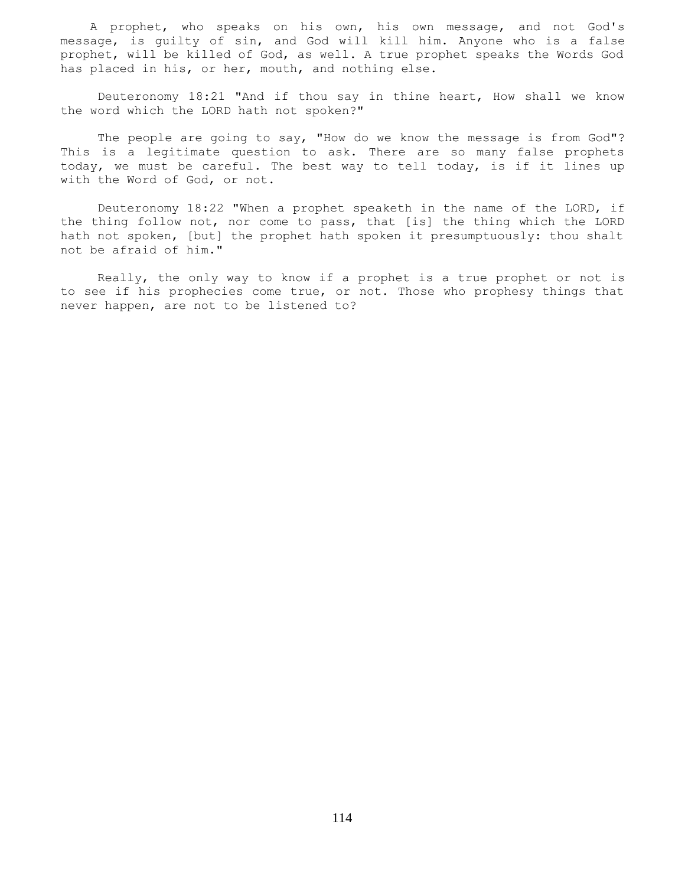A prophet, who speaks on his own, his own message, and not God's message, is guilty of sin, and God will kill him. Anyone who is a false prophet, will be killed of God, as well. A true prophet speaks the Words God has placed in his, or her, mouth, and nothing else.

 Deuteronomy 18:21 "And if thou say in thine heart, How shall we know the word which the LORD hath not spoken?"

 The people are going to say, "How do we know the message is from God"? This is a legitimate question to ask. There are so many false prophets today, we must be careful. The best way to tell today, is if it lines up with the Word of God, or not.

 Deuteronomy 18:22 "When a prophet speaketh in the name of the LORD, if the thing follow not, nor come to pass, that [is] the thing which the LORD hath not spoken, [but] the prophet hath spoken it presumptuously: thou shalt not be afraid of him."

 Really, the only way to know if a prophet is a true prophet or not is to see if his prophecies come true, or not. Those who prophesy things that never happen, are not to be listened to?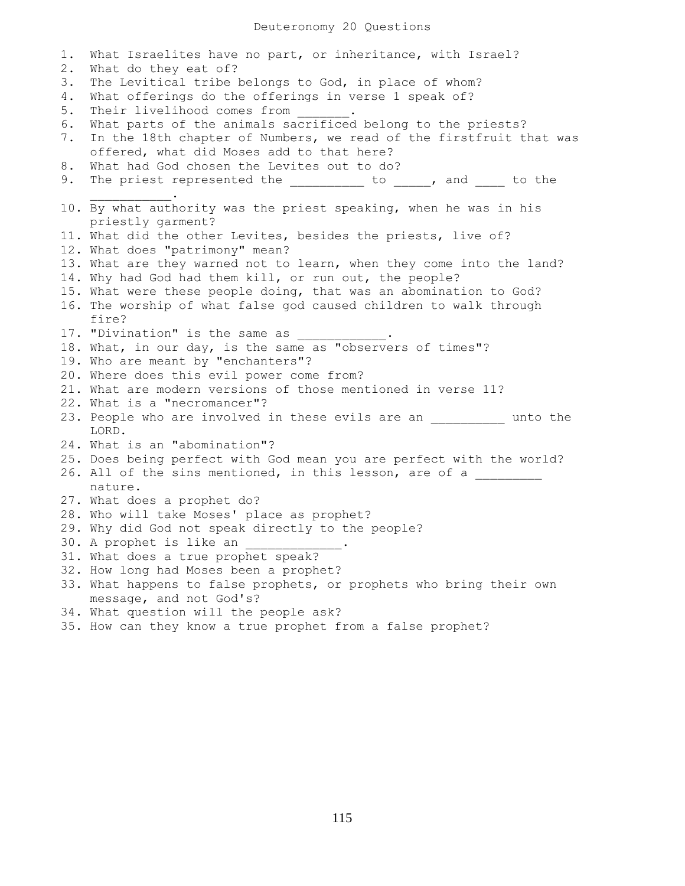1. What Israelites have no part, or inheritance, with Israel? 2. What do they eat of? 3. The Levitical tribe belongs to God, in place of whom? 4. What offerings do the offerings in verse 1 speak of? 5. Their livelihood comes from 6. What parts of the animals sacrificed belong to the priests? 7. In the 18th chapter of Numbers, we read of the firstfruit that was offered, what did Moses add to that here? 8. What had God chosen the Levites out to do? 9. The priest represented the \_\_\_\_\_\_\_\_\_ to \_\_\_\_, and \_\_\_\_ to the  $\mathcal{L}=\mathcal{L}=\mathcal{L}=\mathcal{L}=\mathcal{L}=\mathcal{L}$ 10. By what authority was the priest speaking, when he was in his priestly garment? 11. What did the other Levites, besides the priests, live of? 12. What does "patrimony" mean? 13. What are they warned not to learn, when they come into the land? 14. Why had God had them kill, or run out, the people? 15. What were these people doing, that was an abomination to God? 16. The worship of what false god caused children to walk through fire? 17. "Divination" is the same as 18. What, in our day, is the same as "observers of times"? 19. Who are meant by "enchanters"? 20. Where does this evil power come from? 21. What are modern versions of those mentioned in verse 11? 22. What is a "necromancer"? 23. People who are involved in these evils are an  $\qquad \qquad$  unto the LORD. 24. What is an "abomination"? 25. Does being perfect with God mean you are perfect with the world? 26. All of the sins mentioned, in this lesson, are of a nature. 27. What does a prophet do? 28. Who will take Moses' place as prophet? 29. Why did God not speak directly to the people? 30. A prophet is like an 31. What does a true prophet speak? 32. How long had Moses been a prophet? 33. What happens to false prophets, or prophets who bring their own message, and not God's? 34. What question will the people ask? 35. How can they know a true prophet from a false prophet?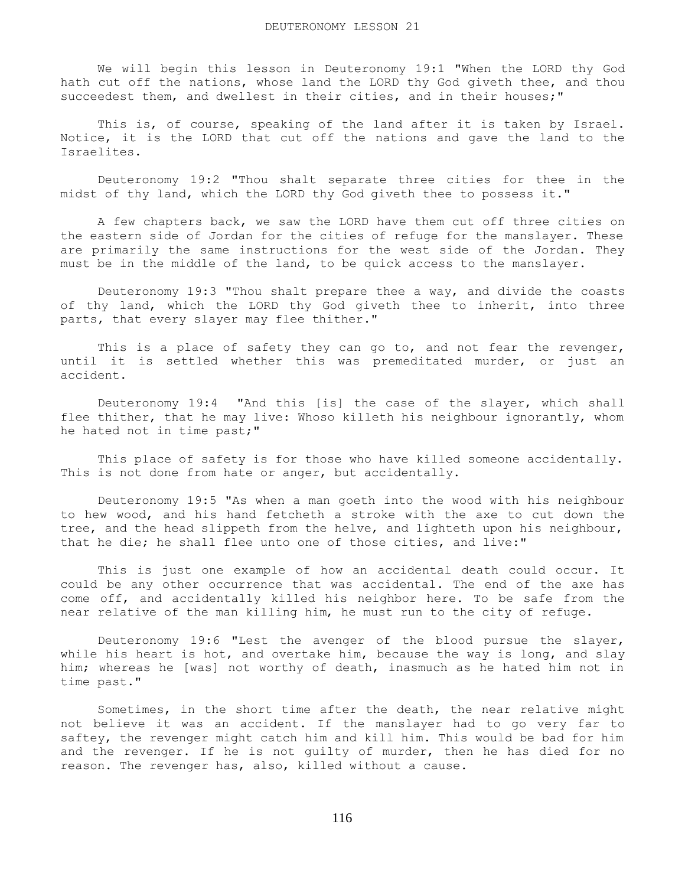We will begin this lesson in Deuteronomy 19:1 "When the LORD thy God hath cut off the nations, whose land the LORD thy God giveth thee, and thou succeedest them, and dwellest in their cities, and in their houses;"

This is, of course, speaking of the land after it is taken by Israel. Notice, it is the LORD that cut off the nations and gave the land to the Israelites.

 Deuteronomy 19:2 "Thou shalt separate three cities for thee in the midst of thy land, which the LORD thy God giveth thee to possess it."

 A few chapters back, we saw the LORD have them cut off three cities on the eastern side of Jordan for the cities of refuge for the manslayer. These are primarily the same instructions for the west side of the Jordan. They must be in the middle of the land, to be quick access to the manslayer.

 Deuteronomy 19:3 "Thou shalt prepare thee a way, and divide the coasts of thy land, which the LORD thy God giveth thee to inherit, into three parts, that every slayer may flee thither."

This is a place of safety they can go to, and not fear the revenger, until it is settled whether this was premeditated murder, or just an accident.

 Deuteronomy 19:4 "And this [is] the case of the slayer, which shall flee thither, that he may live: Whoso killeth his neighbour ignorantly, whom he hated not in time past;"

 This place of safety is for those who have killed someone accidentally. This is not done from hate or anger, but accidentally.

 Deuteronomy 19:5 "As when a man goeth into the wood with his neighbour to hew wood, and his hand fetcheth a stroke with the axe to cut down the tree, and the head slippeth from the helve, and lighteth upon his neighbour, that he die; he shall flee unto one of those cities, and live:"

 This is just one example of how an accidental death could occur. It could be any other occurrence that was accidental. The end of the axe has come off, and accidentally killed his neighbor here. To be safe from the near relative of the man killing him, he must run to the city of refuge.

 Deuteronomy 19:6 "Lest the avenger of the blood pursue the slayer, while his heart is hot, and overtake him, because the way is long, and slay him; whereas he [was] not worthy of death, inasmuch as he hated him not in time past."

 Sometimes, in the short time after the death, the near relative might not believe it was an accident. If the manslayer had to go very far to saftey, the revenger might catch him and kill him. This would be bad for him and the revenger. If he is not guilty of murder, then he has died for no reason. The revenger has, also, killed without a cause.

116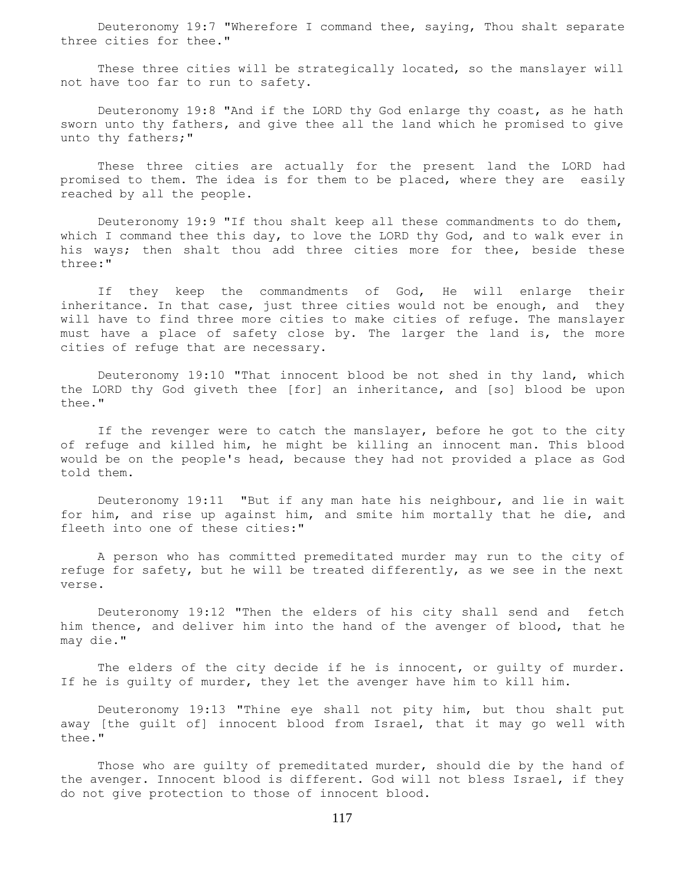Deuteronomy 19:7 "Wherefore I command thee, saying, Thou shalt separate three cities for thee."

 These three cities will be strategically located, so the manslayer will not have too far to run to safety.

 Deuteronomy 19:8 "And if the LORD thy God enlarge thy coast, as he hath sworn unto thy fathers, and give thee all the land which he promised to give unto thy fathers;"

 These three cities are actually for the present land the LORD had promised to them. The idea is for them to be placed, where they are easily reached by all the people.

 Deuteronomy 19:9 "If thou shalt keep all these commandments to do them, which I command thee this day, to love the LORD thy God, and to walk ever in his ways; then shalt thou add three cities more for thee, beside these three:"

 If they keep the commandments of God, He will enlarge their inheritance. In that case, just three cities would not be enough, and they will have to find three more cities to make cities of refuge. The manslayer must have a place of safety close by. The larger the land is, the more cities of refuge that are necessary.

 Deuteronomy 19:10 "That innocent blood be not shed in thy land, which the LORD thy God giveth thee [for] an inheritance, and [so] blood be upon thee."

If the revenger were to catch the manslayer, before he got to the city of refuge and killed him, he might be killing an innocent man. This blood would be on the people's head, because they had not provided a place as God told them.

 Deuteronomy 19:11 "But if any man hate his neighbour, and lie in wait for him, and rise up against him, and smite him mortally that he die, and fleeth into one of these cities:"

 A person who has committed premeditated murder may run to the city of refuge for safety, but he will be treated differently, as we see in the next verse.

 Deuteronomy 19:12 "Then the elders of his city shall send and fetch him thence, and deliver him into the hand of the avenger of blood, that he may die."

The elders of the city decide if he is innocent, or guilty of murder. If he is guilty of murder, they let the avenger have him to kill him.

 Deuteronomy 19:13 "Thine eye shall not pity him, but thou shalt put away [the guilt of] innocent blood from Israel, that it may go well with thee."

 Those who are guilty of premeditated murder, should die by the hand of the avenger. Innocent blood is different. God will not bless Israel, if they do not give protection to those of innocent blood.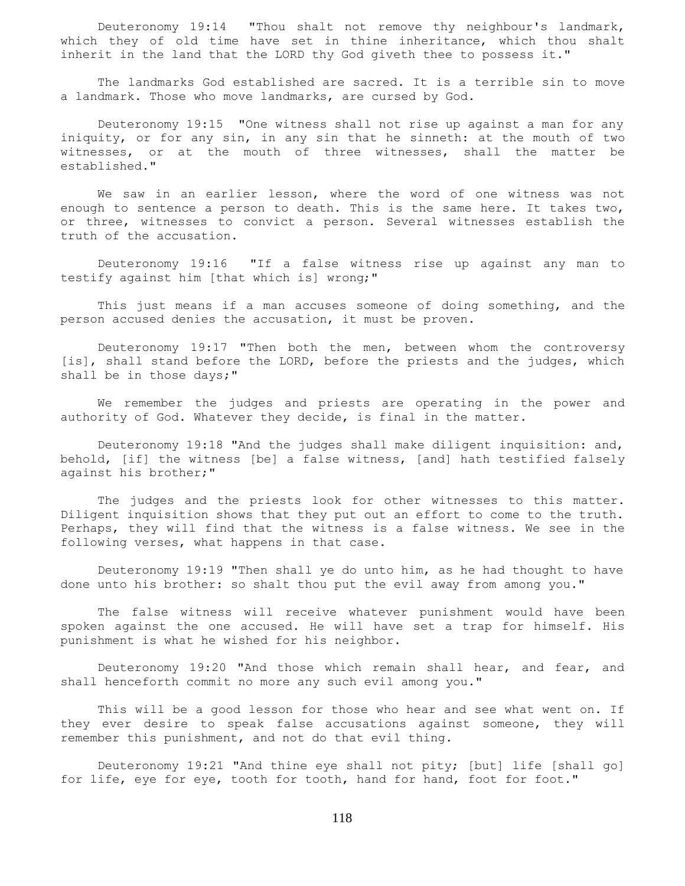Deuteronomy 19:14 "Thou shalt not remove thy neighbour's landmark, which they of old time have set in thine inheritance, which thou shalt inherit in the land that the LORD thy God giveth thee to possess it."

 The landmarks God established are sacred. It is a terrible sin to move a landmark. Those who move landmarks, are cursed by God.

 Deuteronomy 19:15 "One witness shall not rise up against a man for any iniquity, or for any sin, in any sin that he sinneth: at the mouth of two witnesses, or at the mouth of three witnesses, shall the matter be established."

 We saw in an earlier lesson, where the word of one witness was not enough to sentence a person to death. This is the same here. It takes two, or three, witnesses to convict a person. Several witnesses establish the truth of the accusation.

 Deuteronomy 19:16 "If a false witness rise up against any man to testify against him [that which is] wrong;"

 This just means if a man accuses someone of doing something, and the person accused denies the accusation, it must be proven.

 Deuteronomy 19:17 "Then both the men, between whom the controversy [is], shall stand before the LORD, before the priests and the judges, which shall be in those days;"

 We remember the judges and priests are operating in the power and authority of God. Whatever they decide, is final in the matter.

 Deuteronomy 19:18 "And the judges shall make diligent inquisition: and, behold, [if] the witness [be] a false witness, [and] hath testified falsely against his brother;"

 The judges and the priests look for other witnesses to this matter. Diligent inquisition shows that they put out an effort to come to the truth. Perhaps, they will find that the witness is a false witness. We see in the following verses, what happens in that case.

 Deuteronomy 19:19 "Then shall ye do unto him, as he had thought to have done unto his brother: so shalt thou put the evil away from among you."

 The false witness will receive whatever punishment would have been spoken against the one accused. He will have set a trap for himself. His punishment is what he wished for his neighbor.

 Deuteronomy 19:20 "And those which remain shall hear, and fear, and shall henceforth commit no more any such evil among you."

 This will be a good lesson for those who hear and see what went on. If they ever desire to speak false accusations against someone, they will remember this punishment, and not do that evil thing.

 Deuteronomy 19:21 "And thine eye shall not pity; [but] life [shall go] for life, eye for eye, tooth for tooth, hand for hand, foot for foot."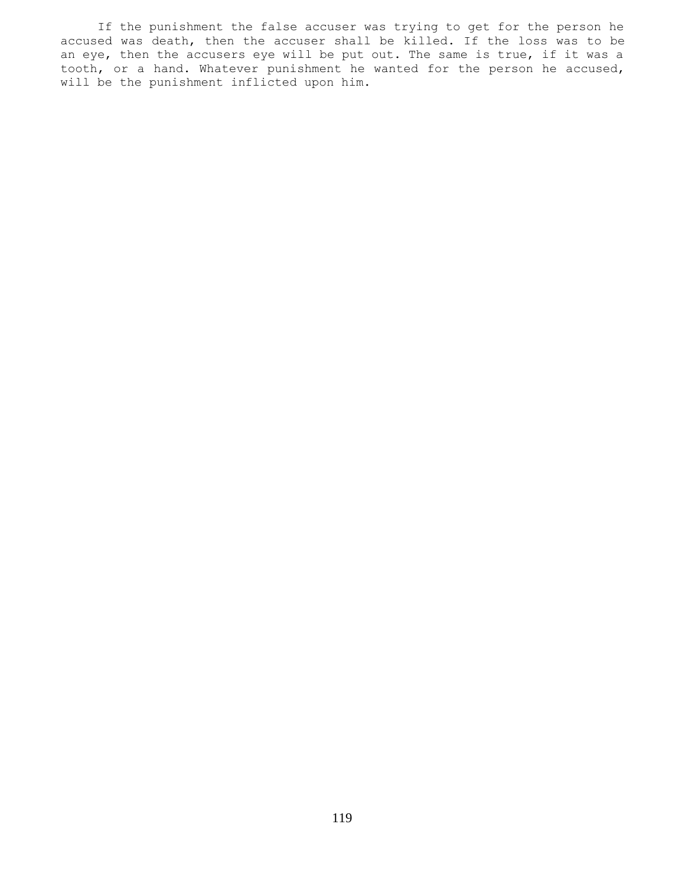If the punishment the false accuser was trying to get for the person he accused was death, then the accuser shall be killed. If the loss was to be an eye, then the accusers eye will be put out. The same is true, if it was a tooth, or a hand. Whatever punishment he wanted for the person he accused, will be the punishment inflicted upon him.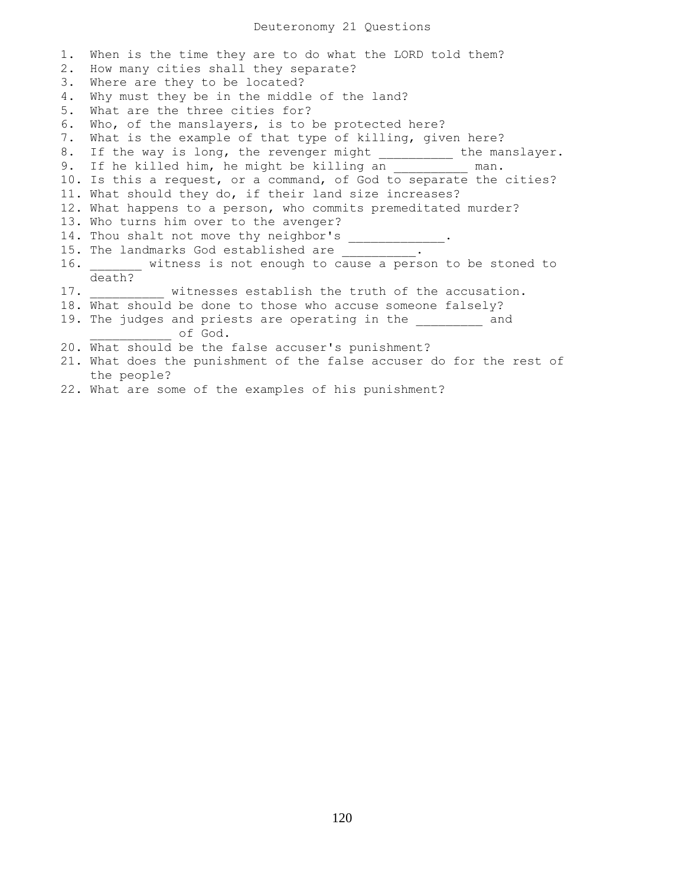| 1. | When is the time they are to do what the LORD told them?             |
|----|----------------------------------------------------------------------|
| 2. | How many cities shall they separate?                                 |
| 3. | Where are they to be located?                                        |
| 4. | Why must they be in the middle of the land?                          |
| 5. | What are the three cities for?                                       |
| 6. | Who, of the manslayers, is to be protected here?                     |
| 7. | What is the example of that type of killing, given here?             |
| 8. | If the way is long, the revenger might __________ the manslayer.     |
|    | 9. If he killed him, he might be killing an __________ man.          |
|    | 10. Is this a request, or a command, of God to separate the cities?  |
|    | 11. What should they do, if their land size increases?               |
|    | 12. What happens to a person, who commits premeditated murder?       |
|    | 13. Who turns him over to the avenger?                               |
|    | 14. Thou shalt not move thy neighbor's _____________.                |
|    | 15. The landmarks God established are __________.                    |
|    |                                                                      |
|    | death?                                                               |
|    | 17. Witnesses establish the truth of the accusation.                 |
|    | 18. What should be done to those who accuse someone falsely?         |
|    | 19. The judges and priests are operating in the and                  |
|    | of God.                                                              |
|    | 20. What should be the false accuser's punishment?                   |
|    | 21. What does the punishment of the false accuser do for the rest of |
|    | the people?                                                          |

22. What are some of the examples of his punishment?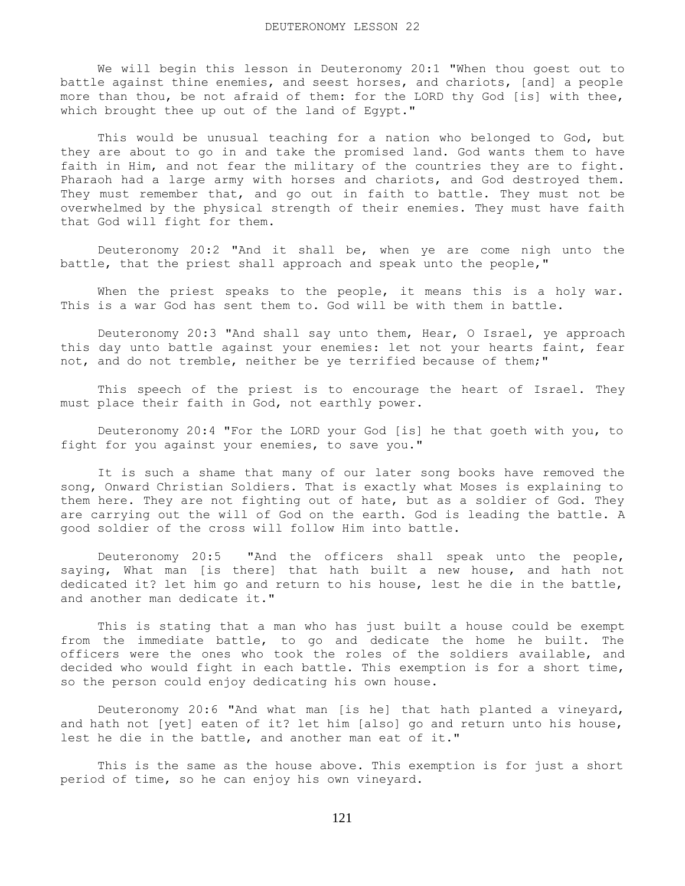We will begin this lesson in Deuteronomy 20:1 "When thou goest out to battle against thine enemies, and seest horses, and chariots, [and] a people more than thou, be not afraid of them: for the LORD thy God [is] with thee, which brought thee up out of the land of Egypt."

 This would be unusual teaching for a nation who belonged to God, but they are about to go in and take the promised land. God wants them to have faith in Him, and not fear the military of the countries they are to fight. Pharaoh had a large army with horses and chariots, and God destroyed them. They must remember that, and go out in faith to battle. They must not be overwhelmed by the physical strength of their enemies. They must have faith that God will fight for them.

 Deuteronomy 20:2 "And it shall be, when ye are come nigh unto the battle, that the priest shall approach and speak unto the people,"

When the priest speaks to the people, it means this is a holy war. This is a war God has sent them to. God will be with them in battle.

 Deuteronomy 20:3 "And shall say unto them, Hear, O Israel, ye approach this day unto battle against your enemies: let not your hearts faint, fear not, and do not tremble, neither be ye terrified because of them;"

 This speech of the priest is to encourage the heart of Israel. They must place their faith in God, not earthly power.

 Deuteronomy 20:4 "For the LORD your God [is] he that goeth with you, to fight for you against your enemies, to save you."

 It is such a shame that many of our later song books have removed the song, Onward Christian Soldiers. That is exactly what Moses is explaining to them here. They are not fighting out of hate, but as a soldier of God. They are carrying out the will of God on the earth. God is leading the battle. A good soldier of the cross will follow Him into battle.

 Deuteronomy 20:5 "And the officers shall speak unto the people, saying, What man [is there] that hath built a new house, and hath not dedicated it? let him go and return to his house, lest he die in the battle, and another man dedicate it."

 This is stating that a man who has just built a house could be exempt from the immediate battle, to go and dedicate the home he built. The officers were the ones who took the roles of the soldiers available, and decided who would fight in each battle. This exemption is for a short time, so the person could enjoy dedicating his own house.

 Deuteronomy 20:6 "And what man [is he] that hath planted a vineyard, and hath not [yet] eaten of it? let him [also] go and return unto his house, lest he die in the battle, and another man eat of it."

 This is the same as the house above. This exemption is for just a short period of time, so he can enjoy his own vineyard.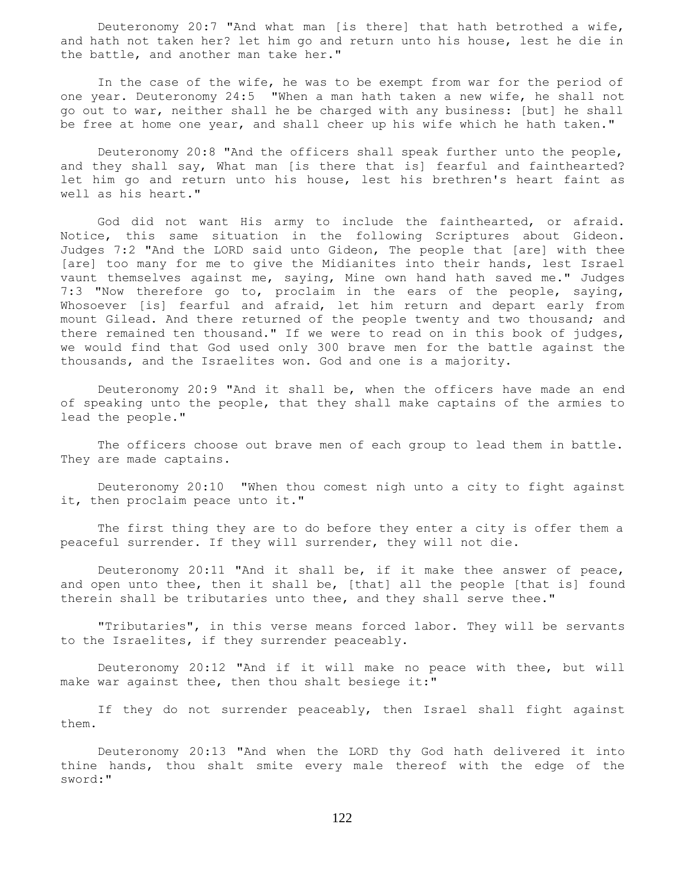Deuteronomy 20:7 "And what man [is there] that hath betrothed a wife, and hath not taken her? let him go and return unto his house, lest he die in the battle, and another man take her."

 In the case of the wife, he was to be exempt from war for the period of one year. Deuteronomy 24:5 "When a man hath taken a new wife, he shall not go out to war, neither shall he be charged with any business: [but] he shall be free at home one year, and shall cheer up his wife which he hath taken."

 Deuteronomy 20:8 "And the officers shall speak further unto the people, and they shall say, What man [is there that is] fearful and fainthearted? let him go and return unto his house, lest his brethren's heart faint as well as his heart."

 God did not want His army to include the fainthearted, or afraid. Notice, this same situation in the following Scriptures about Gideon. Judges 7:2 "And the LORD said unto Gideon, The people that [are] with thee [are] too many for me to give the Midianites into their hands, lest Israel vaunt themselves against me, saying, Mine own hand hath saved me." Judges 7:3 "Now therefore go to, proclaim in the ears of the people, saying, Whosoever [is] fearful and afraid, let him return and depart early from mount Gilead. And there returned of the people twenty and two thousand; and there remained ten thousand." If we were to read on in this book of judges, we would find that God used only 300 brave men for the battle against the thousands, and the Israelites won. God and one is a majority.

 Deuteronomy 20:9 "And it shall be, when the officers have made an end of speaking unto the people, that they shall make captains of the armies to lead the people."

 The officers choose out brave men of each group to lead them in battle. They are made captains.

 Deuteronomy 20:10 "When thou comest nigh unto a city to fight against it, then proclaim peace unto it."

 The first thing they are to do before they enter a city is offer them a peaceful surrender. If they will surrender, they will not die.

 Deuteronomy 20:11 "And it shall be, if it make thee answer of peace, and open unto thee, then it shall be, [that] all the people [that is] found therein shall be tributaries unto thee, and they shall serve thee."

 "Tributaries", in this verse means forced labor. They will be servants to the Israelites, if they surrender peaceably.

 Deuteronomy 20:12 "And if it will make no peace with thee, but will make war against thee, then thou shalt besiege it:"

 If they do not surrender peaceably, then Israel shall fight against them.

 Deuteronomy 20:13 "And when the LORD thy God hath delivered it into thine hands, thou shalt smite every male thereof with the edge of the sword:"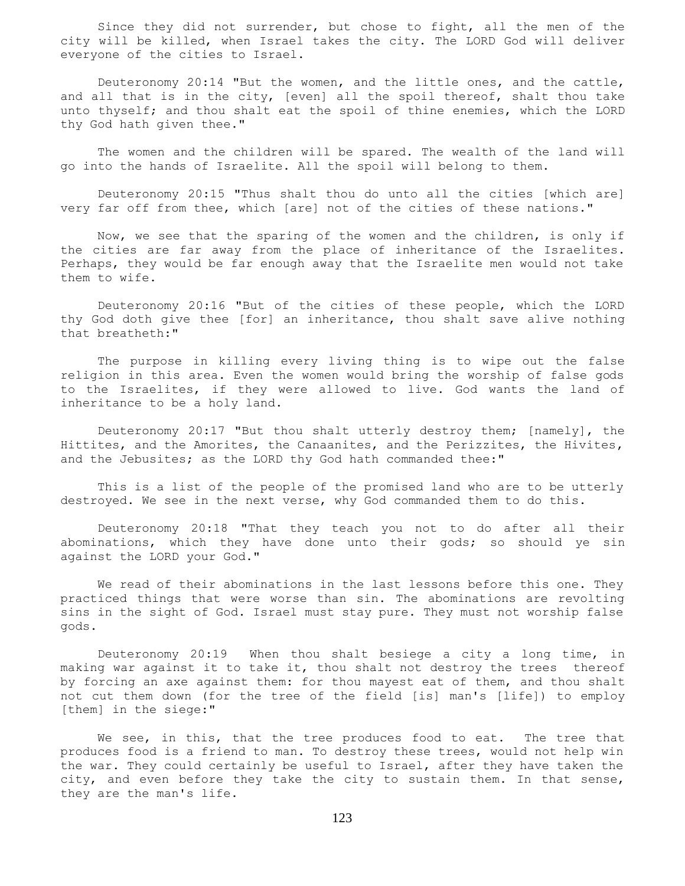Since they did not surrender, but chose to fight, all the men of the city will be killed, when Israel takes the city. The LORD God will deliver everyone of the cities to Israel.

 Deuteronomy 20:14 "But the women, and the little ones, and the cattle, and all that is in the city, [even] all the spoil thereof, shalt thou take unto thyself; and thou shalt eat the spoil of thine enemies, which the LORD thy God hath given thee."

 The women and the children will be spared. The wealth of the land will go into the hands of Israelite. All the spoil will belong to them.

 Deuteronomy 20:15 "Thus shalt thou do unto all the cities [which are] very far off from thee, which [are] not of the cities of these nations."

 Now, we see that the sparing of the women and the children, is only if the cities are far away from the place of inheritance of the Israelites. Perhaps, they would be far enough away that the Israelite men would not take them to wife.

 Deuteronomy 20:16 "But of the cities of these people, which the LORD thy God doth give thee [for] an inheritance, thou shalt save alive nothing that breatheth:"

 The purpose in killing every living thing is to wipe out the false religion in this area. Even the women would bring the worship of false gods to the Israelites, if they were allowed to live. God wants the land of inheritance to be a holy land.

 Deuteronomy 20:17 "But thou shalt utterly destroy them; [namely], the Hittites, and the Amorites, the Canaanites, and the Perizzites, the Hivites, and the Jebusites; as the LORD thy God hath commanded thee:"

 This is a list of the people of the promised land who are to be utterly destroyed. We see in the next verse, why God commanded them to do this.

 Deuteronomy 20:18 "That they teach you not to do after all their abominations, which they have done unto their gods; so should ye sin against the LORD your God."

 We read of their abominations in the last lessons before this one. They practiced things that were worse than sin. The abominations are revolting sins in the sight of God. Israel must stay pure. They must not worship false gods.

 Deuteronomy 20:19 When thou shalt besiege a city a long time, in making war against it to take it, thou shalt not destroy the trees thereof by forcing an axe against them: for thou mayest eat of them, and thou shalt not cut them down (for the tree of the field [is] man's [life]) to employ [them] in the siege:"

We see, in this, that the tree produces food to eat. The tree that produces food is a friend to man. To destroy these trees, would not help win the war. They could certainly be useful to Israel, after they have taken the city, and even before they take the city to sustain them. In that sense, they are the man's life.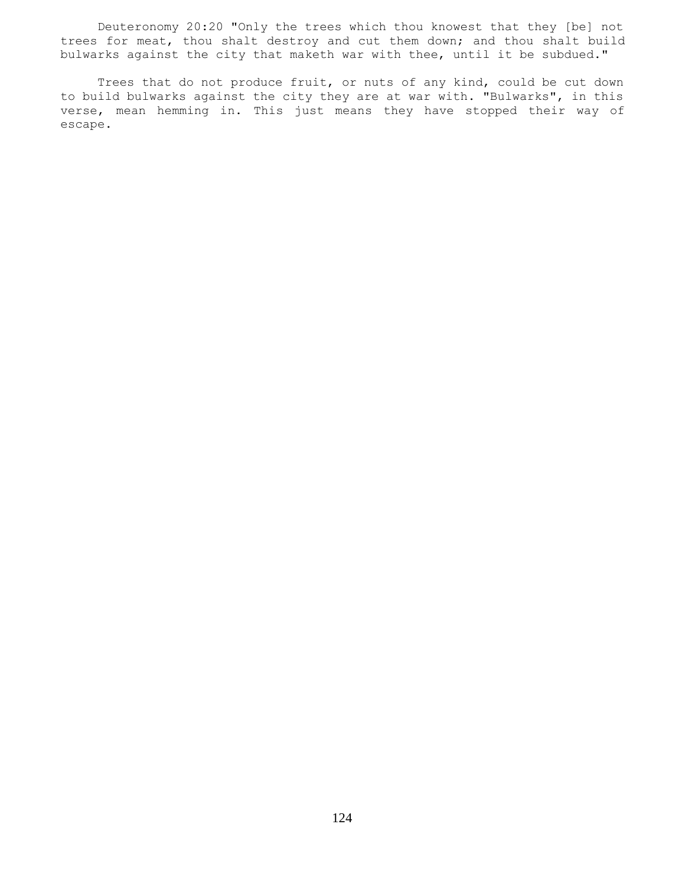Deuteronomy 20:20 "Only the trees which thou knowest that they [be] not trees for meat, thou shalt destroy and cut them down; and thou shalt build bulwarks against the city that maketh war with thee, until it be subdued."

 Trees that do not produce fruit, or nuts of any kind, could be cut down to build bulwarks against the city they are at war with. "Bulwarks", in this verse, mean hemming in. This just means they have stopped their way of escape.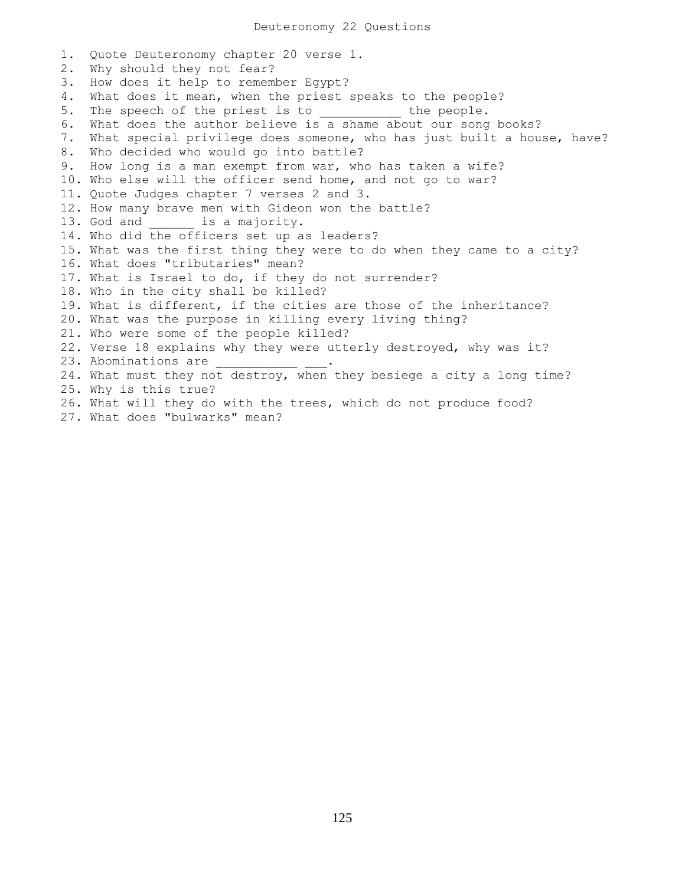1. Quote Deuteronomy chapter 20 verse 1. 2. Why should they not fear? 3. How does it help to remember Egypt? 4. What does it mean, when the priest speaks to the people? 5. The speech of the priest is to \_\_\_\_\_\_\_\_\_\_ the people. 5. The speech of the priest is to \_\_\_\_\_\_\_\_\_\_\_ the peopic.<br>6. What does the author believe is a shame about our song books? 7. What special privilege does someone, who has just built a house, have? 8. Who decided who would go into battle? 9. How long is a man exempt from war, who has taken a wife? 10. Who else will the officer send home, and not go to war? 11. Quote Judges chapter 7 verses 2 and 3. 12. How many brave men with Gideon won the battle? 13. God and \_\_\_\_\_\_ is a majority. 14. Who did the officers set up as leaders? 15. What was the first thing they were to do when they came to a city? 16. What does "tributaries" mean? 17. What is Israel to do, if they do not surrender? 18. Who in the city shall be killed? 19. What is different, if the cities are those of the inheritance? 20. What was the purpose in killing every living thing? 21. Who were some of the people killed? 22. Verse 18 explains why they were utterly destroyed, why was it? 23. Abominations are 24. What must they not destroy, when they besiege a city a long time? 25. Why is this true? 26. What will they do with the trees, which do not produce food? 27. What does "bulwarks" mean?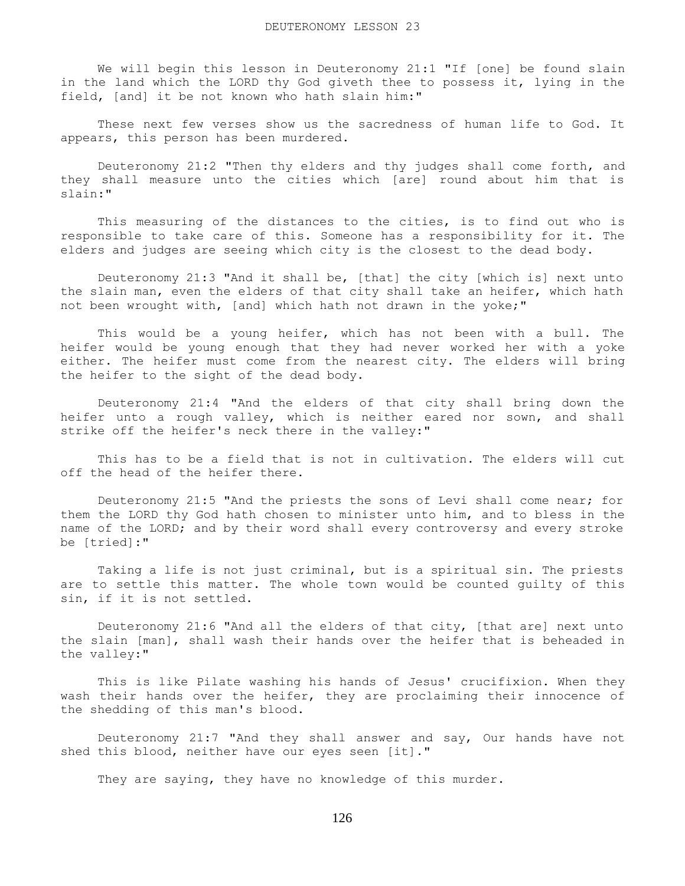We will begin this lesson in Deuteronomy 21:1 "If [one] be found slain in the land which the LORD thy God giveth thee to possess it, lying in the field, [and] it be not known who hath slain him:"

 These next few verses show us the sacredness of human life to God. It appears, this person has been murdered.

 Deuteronomy 21:2 "Then thy elders and thy judges shall come forth, and they shall measure unto the cities which [are] round about him that is slain:"

 This measuring of the distances to the cities, is to find out who is responsible to take care of this. Someone has a responsibility for it. The elders and judges are seeing which city is the closest to the dead body.

 Deuteronomy 21:3 "And it shall be, [that] the city [which is] next unto the slain man, even the elders of that city shall take an heifer, which hath not been wrought with, [and] which hath not drawn in the yoke;"

 This would be a young heifer, which has not been with a bull. The heifer would be young enough that they had never worked her with a yoke either. The heifer must come from the nearest city. The elders will bring the heifer to the sight of the dead body.

 Deuteronomy 21:4 "And the elders of that city shall bring down the heifer unto a rough valley, which is neither eared nor sown, and shall strike off the heifer's neck there in the valley:"

 This has to be a field that is not in cultivation. The elders will cut off the head of the heifer there.

 Deuteronomy 21:5 "And the priests the sons of Levi shall come near; for them the LORD thy God hath chosen to minister unto him, and to bless in the name of the LORD; and by their word shall every controversy and every stroke be [tried]:"

 Taking a life is not just criminal, but is a spiritual sin. The priests are to settle this matter. The whole town would be counted guilty of this sin, if it is not settled.

 Deuteronomy 21:6 "And all the elders of that city, [that are] next unto the slain [man], shall wash their hands over the heifer that is beheaded in the valley:"

 This is like Pilate washing his hands of Jesus' crucifixion. When they wash their hands over the heifer, they are proclaiming their innocence of the shedding of this man's blood.

 Deuteronomy 21:7 "And they shall answer and say, Our hands have not shed this blood, neither have our eyes seen [it]."

They are saying, they have no knowledge of this murder.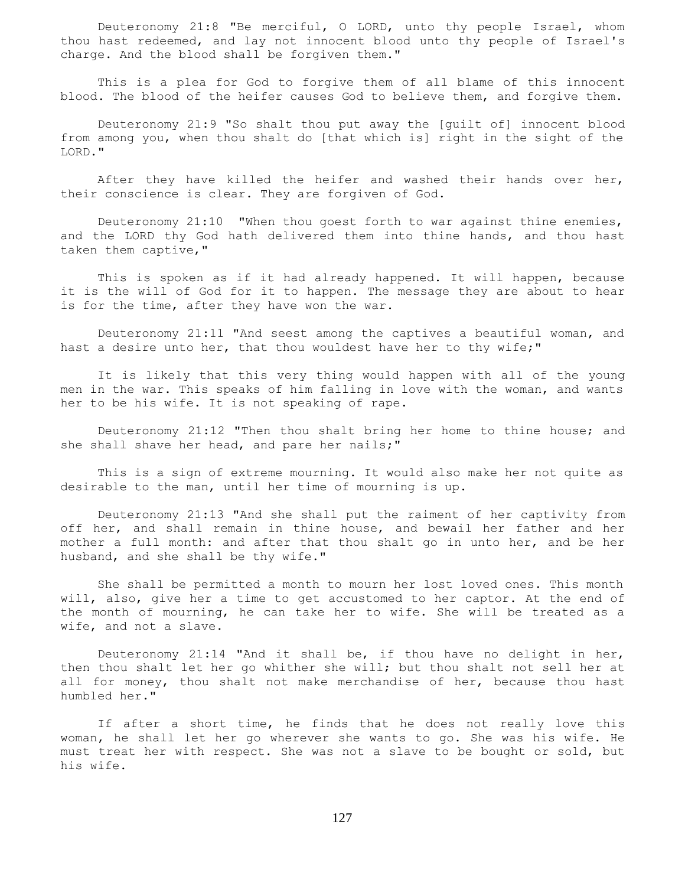Deuteronomy 21:8 "Be merciful, O LORD, unto thy people Israel, whom thou hast redeemed, and lay not innocent blood unto thy people of Israel's charge. And the blood shall be forgiven them."

 This is a plea for God to forgive them of all blame of this innocent blood. The blood of the heifer causes God to believe them, and forgive them.

 Deuteronomy 21:9 "So shalt thou put away the [guilt of] innocent blood from among you, when thou shalt do [that which is] right in the sight of the LORD."

 After they have killed the heifer and washed their hands over her, their conscience is clear. They are forgiven of God.

 Deuteronomy 21:10 "When thou goest forth to war against thine enemies, and the LORD thy God hath delivered them into thine hands, and thou hast taken them captive,"

 This is spoken as if it had already happened. It will happen, because it is the will of God for it to happen. The message they are about to hear is for the time, after they have won the war.

 Deuteronomy 21:11 "And seest among the captives a beautiful woman, and hast a desire unto her, that thou wouldest have her to thy wife;"

 It is likely that this very thing would happen with all of the young men in the war. This speaks of him falling in love with the woman, and wants her to be his wife. It is not speaking of rape.

 Deuteronomy 21:12 "Then thou shalt bring her home to thine house; and she shall shave her head, and pare her nails;"

 This is a sign of extreme mourning. It would also make her not quite as desirable to the man, until her time of mourning is up.

 Deuteronomy 21:13 "And she shall put the raiment of her captivity from off her, and shall remain in thine house, and bewail her father and her mother a full month: and after that thou shalt go in unto her, and be her husband, and she shall be thy wife."

 She shall be permitted a month to mourn her lost loved ones. This month will, also, give her a time to get accustomed to her captor. At the end of the month of mourning, he can take her to wife. She will be treated as a wife, and not a slave.

 Deuteronomy 21:14 "And it shall be, if thou have no delight in her, then thou shalt let her go whither she will; but thou shalt not sell her at all for money, thou shalt not make merchandise of her, because thou hast humbled her."

 If after a short time, he finds that he does not really love this woman, he shall let her go wherever she wants to go. She was his wife. He must treat her with respect. She was not a slave to be bought or sold, but his wife.

127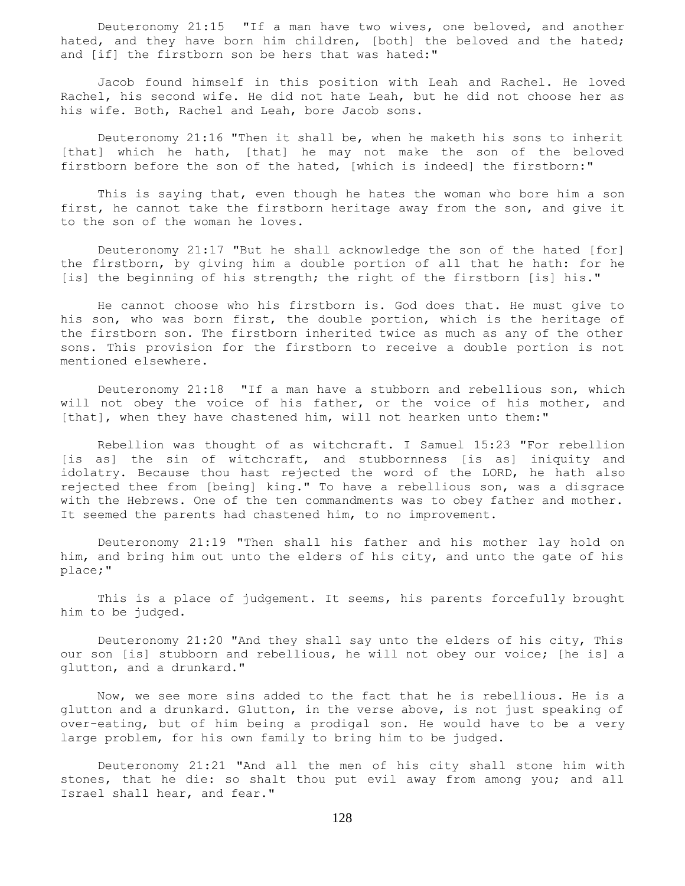Deuteronomy 21:15 "If a man have two wives, one beloved, and another hated, and they have born him children, [both] the beloved and the hated; and [if] the firstborn son be hers that was hated:"

 Jacob found himself in this position with Leah and Rachel. He loved Rachel, his second wife. He did not hate Leah, but he did not choose her as his wife. Both, Rachel and Leah, bore Jacob sons.

 Deuteronomy 21:16 "Then it shall be, when he maketh his sons to inherit [that] which he hath, [that] he may not make the son of the beloved firstborn before the son of the hated, [which is indeed] the firstborn:"

 This is saying that, even though he hates the woman who bore him a son first, he cannot take the firstborn heritage away from the son, and give it to the son of the woman he loves.

 Deuteronomy 21:17 "But he shall acknowledge the son of the hated [for] the firstborn, by giving him a double portion of all that he hath: for he [is] the beginning of his strength; the right of the firstborn [is] his."

 He cannot choose who his firstborn is. God does that. He must give to his son, who was born first, the double portion, which is the heritage of the firstborn son. The firstborn inherited twice as much as any of the other sons. This provision for the firstborn to receive a double portion is not mentioned elsewhere.

 Deuteronomy 21:18 "If a man have a stubborn and rebellious son, which will not obey the voice of his father, or the voice of his mother, and [that], when they have chastened him, will not hearken unto them:"

 Rebellion was thought of as witchcraft. I Samuel 15:23 "For rebellion [is as] the sin of witchcraft, and stubbornness [is as] iniquity and idolatry. Because thou hast rejected the word of the LORD, he hath also rejected thee from [being] king." To have a rebellious son, was a disgrace with the Hebrews. One of the ten commandments was to obey father and mother. It seemed the parents had chastened him, to no improvement.

 Deuteronomy 21:19 "Then shall his father and his mother lay hold on him, and bring him out unto the elders of his city, and unto the gate of his place;"

 This is a place of judgement. It seems, his parents forcefully brought him to be judged.

 Deuteronomy 21:20 "And they shall say unto the elders of his city, This our son [is] stubborn and rebellious, he will not obey our voice; [he is] a glutton, and a drunkard."

 Now, we see more sins added to the fact that he is rebellious. He is a glutton and a drunkard. Glutton, in the verse above, is not just speaking of over-eating, but of him being a prodigal son. He would have to be a very large problem, for his own family to bring him to be judged.

 Deuteronomy 21:21 "And all the men of his city shall stone him with stones, that he die: so shalt thou put evil away from among you; and all Israel shall hear, and fear."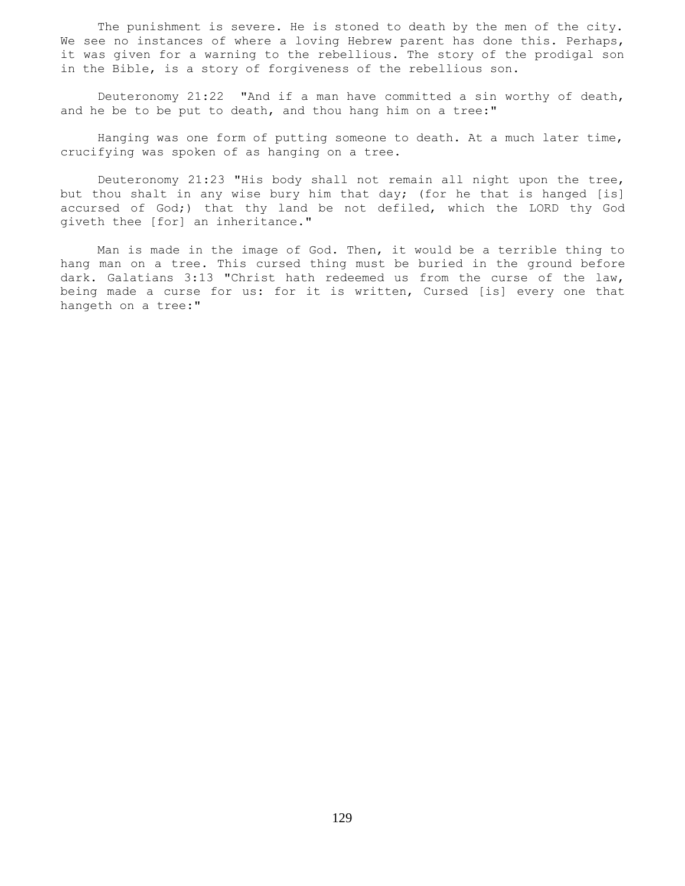The punishment is severe. He is stoned to death by the men of the city. We see no instances of where a loving Hebrew parent has done this. Perhaps, it was given for a warning to the rebellious. The story of the prodigal son in the Bible, is a story of forgiveness of the rebellious son.

 Deuteronomy 21:22 "And if a man have committed a sin worthy of death, and he be to be put to death, and thou hang him on a tree:"

 Hanging was one form of putting someone to death. At a much later time, crucifying was spoken of as hanging on a tree.

 Deuteronomy 21:23 "His body shall not remain all night upon the tree, but thou shalt in any wise bury him that day; (for he that is hanged [is] accursed of God;) that thy land be not defiled, which the LORD thy God giveth thee [for] an inheritance."

 Man is made in the image of God. Then, it would be a terrible thing to hang man on a tree. This cursed thing must be buried in the ground before dark. Galatians 3:13 "Christ hath redeemed us from the curse of the law, being made a curse for us: for it is written, Cursed [is] every one that hangeth on a tree:"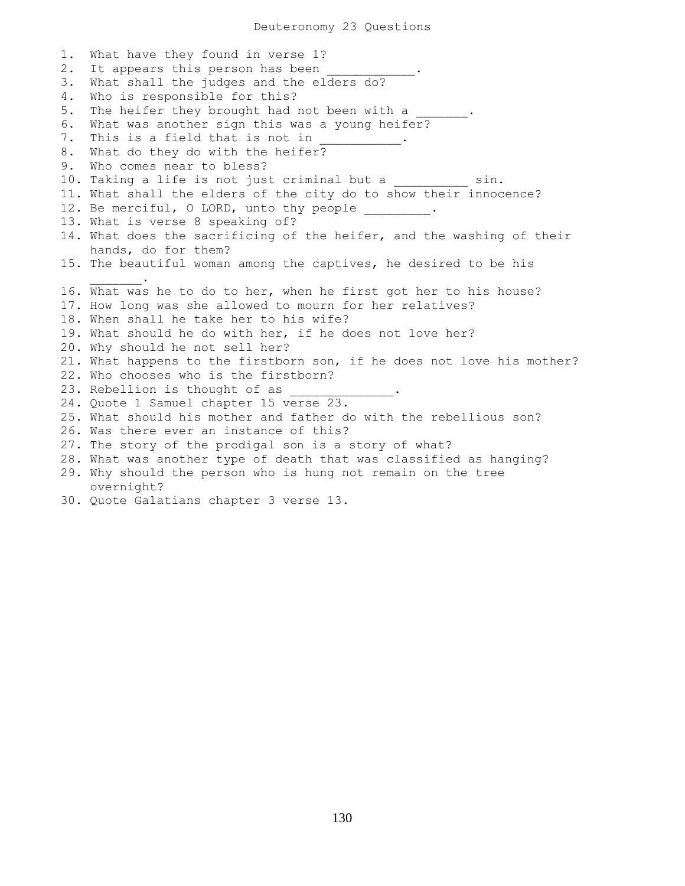1. What have they found in verse 1? 2. It appears this person has been 3. What shall the judges and the elders do? 4. Who is responsible for this? 5. The heifer they brought had not been with a 6. What was another sign this was a young heifer? 7. This is a field that is not in 8. What do they do with the heifer? 9. Who comes near to bless? 10. Taking a life is not just criminal but a \_\_\_\_\_\_\_\_\_\_\_ sin. 11. What shall the elders of the city do to show their innocence? 12. Be merciful, O LORD, unto thy people \_\_\_\_\_\_\_\_. 13. What is verse 8 speaking of? 14. What does the sacrificing of the heifer, and the washing of their hands, do for them? 15. The beautiful woman among the captives, he desired to be his  $\mathcal{L}=\mathcal{L}^{\mathcal{L}}$ 16. What was he to do to her, when he first got her to his house? 17. How long was she allowed to mourn for her relatives? 18. When shall he take her to his wife? 19. What should he do with her, if he does not love her? 20. Why should he not sell her? 21. What happens to the firstborn son, if he does not love his mother? 22. Who chooses who is the firstborn? 23. Rebellion is thought of as 24. Quote 1 Samuel chapter 15 verse 23. 25. What should his mother and father do with the rebellious son? 26. Was there ever an instance of this? 27. The story of the prodigal son is a story of what? 28. What was another type of death that was classified as hanging? 29. Why should the person who is hung not remain on the tree overnight? 30. Quote Galatians chapter 3 verse 13.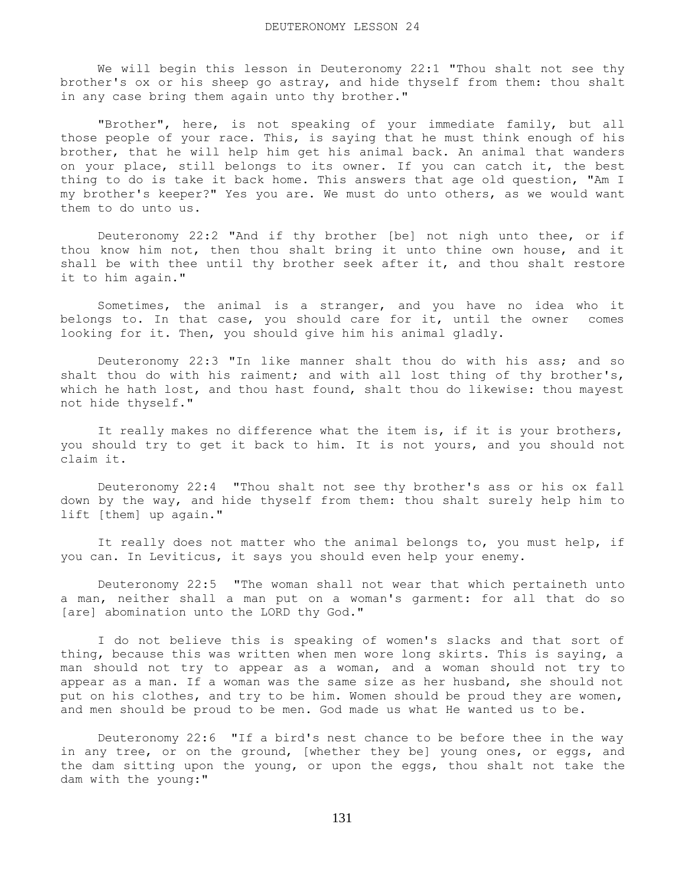We will begin this lesson in Deuteronomy 22:1 "Thou shalt not see thy brother's ox or his sheep go astray, and hide thyself from them: thou shalt in any case bring them again unto thy brother."

 "Brother", here, is not speaking of your immediate family, but all those people of your race. This, is saying that he must think enough of his brother, that he will help him get his animal back. An animal that wanders on your place, still belongs to its owner. If you can catch it, the best thing to do is take it back home. This answers that age old question, "Am I my brother's keeper?" Yes you are. We must do unto others, as we would want them to do unto us.

 Deuteronomy 22:2 "And if thy brother [be] not nigh unto thee, or if thou know him not, then thou shalt bring it unto thine own house, and it shall be with thee until thy brother seek after it, and thou shalt restore it to him again."

 Sometimes, the animal is a stranger, and you have no idea who it belongs to. In that case, you should care for it, until the owner comes looking for it. Then, you should give him his animal gladly.

 Deuteronomy 22:3 "In like manner shalt thou do with his ass; and so shalt thou do with his raiment; and with all lost thing of thy brother's, which he hath lost, and thou hast found, shalt thou do likewise: thou mayest not hide thyself."

 It really makes no difference what the item is, if it is your brothers, you should try to get it back to him. It is not yours, and you should not claim it.

 Deuteronomy 22:4 "Thou shalt not see thy brother's ass or his ox fall down by the way, and hide thyself from them: thou shalt surely help him to lift [them] up again."

 It really does not matter who the animal belongs to, you must help, if you can. In Leviticus, it says you should even help your enemy.

 Deuteronomy 22:5 "The woman shall not wear that which pertaineth unto a man, neither shall a man put on a woman's garment: for all that do so [are] abomination unto the LORD thy God."

 I do not believe this is speaking of women's slacks and that sort of thing, because this was written when men wore long skirts. This is saying, a man should not try to appear as a woman, and a woman should not try to appear as a man. If a woman was the same size as her husband, she should not put on his clothes, and try to be him. Women should be proud they are women, and men should be proud to be men. God made us what He wanted us to be.

 Deuteronomy 22:6 "If a bird's nest chance to be before thee in the way in any tree, or on the ground, [whether they be] young ones, or eggs, and the dam sitting upon the young, or upon the eggs, thou shalt not take the dam with the young:"

131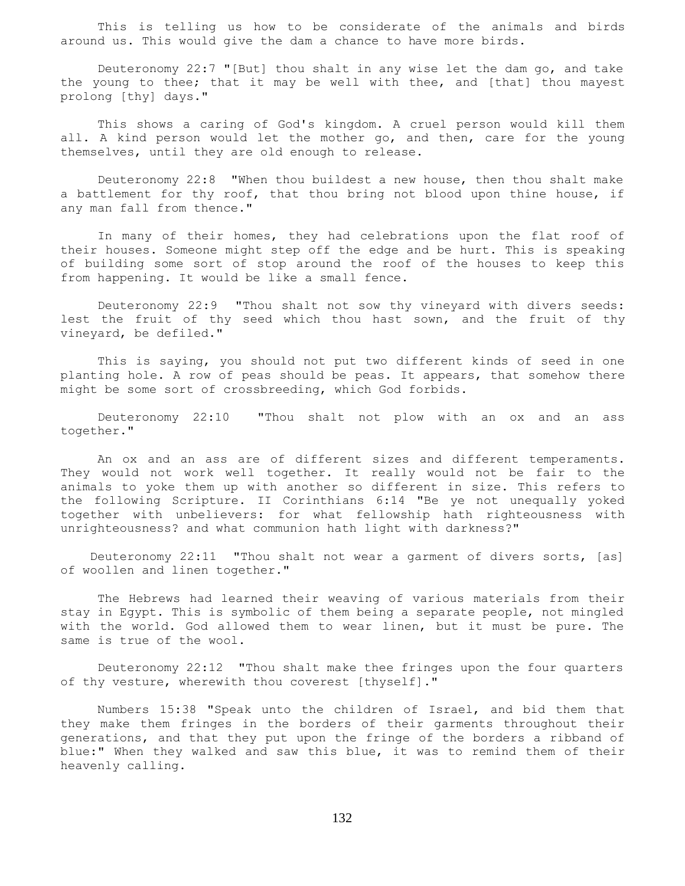This is telling us how to be considerate of the animals and birds around us. This would give the dam a chance to have more birds.

 Deuteronomy 22:7 "[But] thou shalt in any wise let the dam go, and take the young to thee; that it may be well with thee, and [that] thou mayest prolong [thy] days."

 This shows a caring of God's kingdom. A cruel person would kill them all. A kind person would let the mother go, and then, care for the young themselves, until they are old enough to release.

 Deuteronomy 22:8 "When thou buildest a new house, then thou shalt make a battlement for thy roof, that thou bring not blood upon thine house, if any man fall from thence."

 In many of their homes, they had celebrations upon the flat roof of their houses. Someone might step off the edge and be hurt. This is speaking of building some sort of stop around the roof of the houses to keep this from happening. It would be like a small fence.

 Deuteronomy 22:9 "Thou shalt not sow thy vineyard with divers seeds: lest the fruit of thy seed which thou hast sown, and the fruit of thy vineyard, be defiled."

 This is saying, you should not put two different kinds of seed in one planting hole. A row of peas should be peas. It appears, that somehow there might be some sort of crossbreeding, which God forbids.

 Deuteronomy 22:10 "Thou shalt not plow with an ox and an ass together."

 An ox and an ass are of different sizes and different temperaments. They would not work well together. It really would not be fair to the animals to yoke them up with another so different in size. This refers to the following Scripture. II Corinthians 6:14 "Be ye not unequally yoked together with unbelievers: for what fellowship hath righteousness with unrighteousness? and what communion hath light with darkness?"

 Deuteronomy 22:11 "Thou shalt not wear a garment of divers sorts, [as] of woollen and linen together."

 The Hebrews had learned their weaving of various materials from their stay in Egypt. This is symbolic of them being a separate people, not mingled with the world. God allowed them to wear linen, but it must be pure. The same is true of the wool.

 Deuteronomy 22:12 "Thou shalt make thee fringes upon the four quarters of thy vesture, wherewith thou coverest [thyself]."

 Numbers 15:38 "Speak unto the children of Israel, and bid them that they make them fringes in the borders of their garments throughout their generations, and that they put upon the fringe of the borders a ribband of blue:" When they walked and saw this blue, it was to remind them of their heavenly calling.

132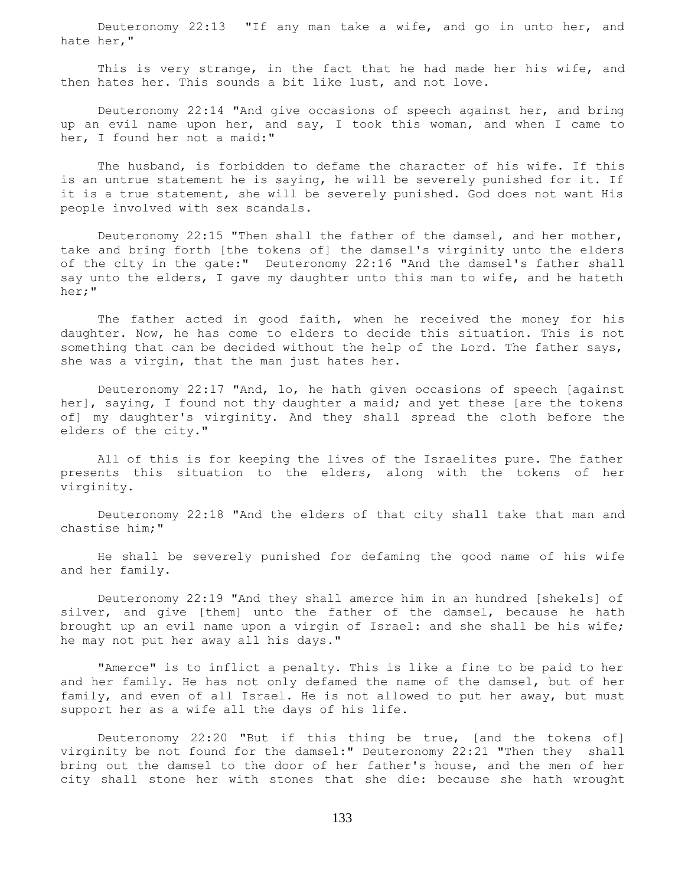Deuteronomy 22:13 "If any man take a wife, and go in unto her, and hate her,"

This is very strange, in the fact that he had made her his wife, and then hates her. This sounds a bit like lust, and not love.

 Deuteronomy 22:14 "And give occasions of speech against her, and bring up an evil name upon her, and say, I took this woman, and when I came to her, I found her not a maid:"

 The husband, is forbidden to defame the character of his wife. If this is an untrue statement he is saying, he will be severely punished for it. If it is a true statement, she will be severely punished. God does not want His people involved with sex scandals.

 Deuteronomy 22:15 "Then shall the father of the damsel, and her mother, take and bring forth [the tokens of] the damsel's virginity unto the elders of the city in the gate:" Deuteronomy 22:16 "And the damsel's father shall say unto the elders, I gave my daughter unto this man to wife, and he hateth her;"

The father acted in good faith, when he received the money for his daughter. Now, he has come to elders to decide this situation. This is not something that can be decided without the help of the Lord. The father says, she was a virgin, that the man just hates her.

 Deuteronomy 22:17 "And, lo, he hath given occasions of speech [against her], saying, I found not thy daughter a maid; and yet these [are the tokens of] my daughter's virginity. And they shall spread the cloth before the elders of the city."

 All of this is for keeping the lives of the Israelites pure. The father presents this situation to the elders, along with the tokens of her virginity.

 Deuteronomy 22:18 "And the elders of that city shall take that man and chastise him;"

 He shall be severely punished for defaming the good name of his wife and her family.

 Deuteronomy 22:19 "And they shall amerce him in an hundred [shekels] of silver, and give [them] unto the father of the damsel, because he hath brought up an evil name upon a virgin of Israel: and she shall be his wife; he may not put her away all his days."

 "Amerce" is to inflict a penalty. This is like a fine to be paid to her and her family. He has not only defamed the name of the damsel, but of her family, and even of all Israel. He is not allowed to put her away, but must support her as a wife all the days of his life.

 Deuteronomy 22:20 "But if this thing be true, [and the tokens of] virginity be not found for the damsel:" Deuteronomy 22:21 "Then they shall bring out the damsel to the door of her father's house, and the men of her city shall stone her with stones that she die: because she hath wrought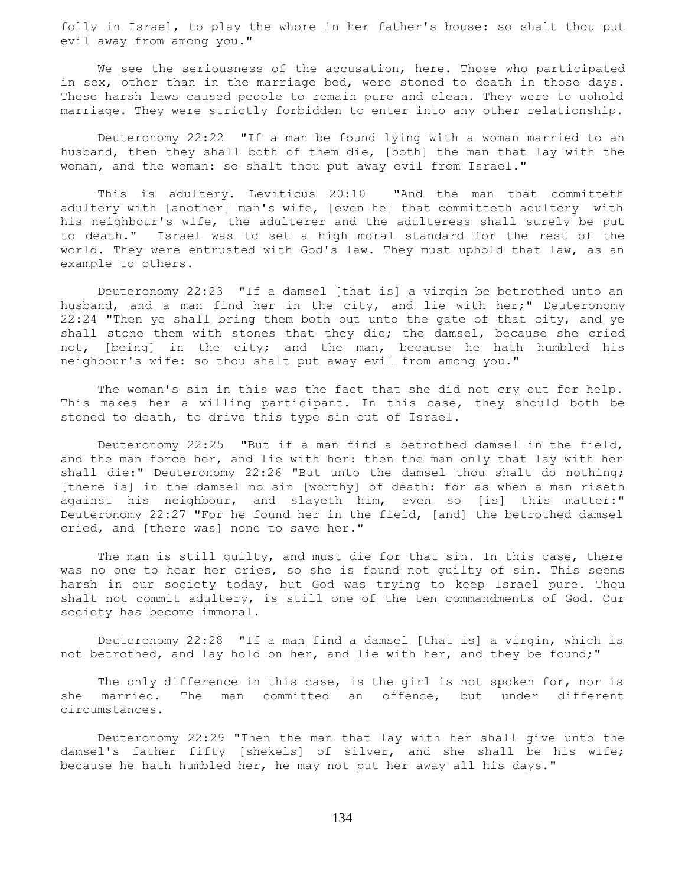folly in Israel, to play the whore in her father's house: so shalt thou put evil away from among you."

 We see the seriousness of the accusation, here. Those who participated in sex, other than in the marriage bed, were stoned to death in those days. These harsh laws caused people to remain pure and clean. They were to uphold marriage. They were strictly forbidden to enter into any other relationship.

 Deuteronomy 22:22 "If a man be found lying with a woman married to an husband, then they shall both of them die, [both] the man that lay with the woman, and the woman: so shalt thou put away evil from Israel."

 This is adultery. Leviticus 20:10 "And the man that committeth adultery with [another] man's wife, [even he] that committeth adultery with his neighbour's wife, the adulterer and the adulteress shall surely be put to death." Israel was to set a high moral standard for the rest of the world. They were entrusted with God's law. They must uphold that law, as an example to others.

 Deuteronomy 22:23 "If a damsel [that is] a virgin be betrothed unto an husband, and a man find her in the city, and lie with her;" Deuteronomy 22:24 "Then ye shall bring them both out unto the gate of that city, and ye shall stone them with stones that they die; the damsel, because she cried not, [being] in the city; and the man, because he hath humbled his neighbour's wife: so thou shalt put away evil from among you."

 The woman's sin in this was the fact that she did not cry out for help. This makes her a willing participant. In this case, they should both be stoned to death, to drive this type sin out of Israel.

 Deuteronomy 22:25 "But if a man find a betrothed damsel in the field, and the man force her, and lie with her: then the man only that lay with her shall die:" Deuteronomy 22:26 "But unto the damsel thou shalt do nothing; [there is] in the damsel no sin [worthy] of death: for as when a man riseth against his neighbour, and slayeth him, even so [is] this matter:" Deuteronomy 22:27 "For he found her in the field, [and] the betrothed damsel cried, and [there was] none to save her."

 The man is still guilty, and must die for that sin. In this case, there was no one to hear her cries, so she is found not guilty of sin. This seems harsh in our society today, but God was trying to keep Israel pure. Thou shalt not commit adultery, is still one of the ten commandments of God. Our society has become immoral.

 Deuteronomy 22:28 "If a man find a damsel [that is] a virgin, which is not betrothed, and lay hold on her, and lie with her, and they be found;"

The only difference in this case, is the girl is not spoken for, nor is she married. The man committed an offence, but under different circumstances.

 Deuteronomy 22:29 "Then the man that lay with her shall give unto the damsel's father fifty [shekels] of silver, and she shall be his wife; because he hath humbled her, he may not put her away all his days."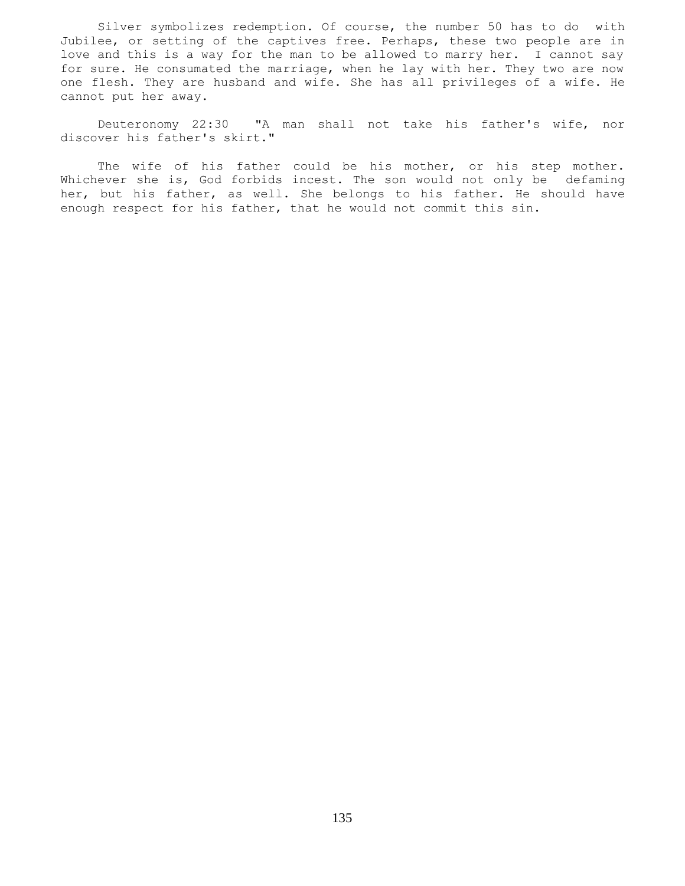Silver symbolizes redemption. Of course, the number 50 has to do with Jubilee, or setting of the captives free. Perhaps, these two people are in love and this is a way for the man to be allowed to marry her. I cannot say for sure. He consumated the marriage, when he lay with her. They two are now one flesh. They are husband and wife. She has all privileges of a wife. He cannot put her away.

 Deuteronomy 22:30 "A man shall not take his father's wife, nor discover his father's skirt."

The wife of his father could be his mother, or his step mother. Whichever she is, God forbids incest. The son would not only be defaming her, but his father, as well. She belongs to his father. He should have enough respect for his father, that he would not commit this sin.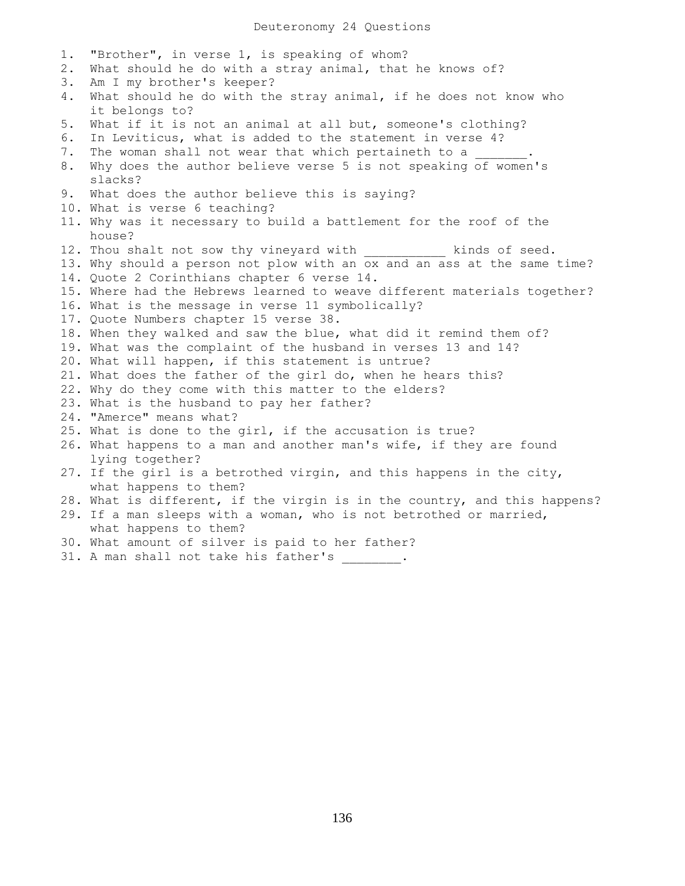1. "Brother", in verse 1, is speaking of whom? 2. What should he do with a stray animal, that he knows of? 3. Am I my brother's keeper? 4. What should he do with the stray animal, if he does not know who it belongs to? 5. What if it is not an animal at all but, someone's clothing? 6. In Leviticus, what is added to the statement in verse 4? 7. The woman shall not wear that which pertaineth to a 8. Why does the author believe verse 5 is not speaking of women's slacks? 9. What does the author believe this is saying? 10. What is verse 6 teaching? 11. Why was it necessary to build a battlement for the roof of the house? 12. Thou shalt not sow thy vineyard with \_\_\_\_\_\_\_\_\_\_ kinds of seed. 13. Why should a person not plow with an ox and an ass at the same time? 14. Quote 2 Corinthians chapter 6 verse 14. 15. Where had the Hebrews learned to weave different materials together? 16. What is the message in verse 11 symbolically? 17. Quote Numbers chapter 15 verse 38. 18. When they walked and saw the blue, what did it remind them of? 19. What was the complaint of the husband in verses 13 and 14? 20. What will happen, if this statement is untrue? 21. What does the father of the girl do, when he hears this? 22. Why do they come with this matter to the elders? 23. What is the husband to pay her father? 24. "Amerce" means what? 25. What is done to the girl, if the accusation is true? 26. What happens to a man and another man's wife, if they are found lying together? 27. If the girl is a betrothed virgin, and this happens in the city, what happens to them? 28. What is different, if the virgin is in the country, and this happens? 29. If a man sleeps with a woman, who is not betrothed or married, what happens to them? 30. What amount of silver is paid to her father? 31. A man shall not take his father's .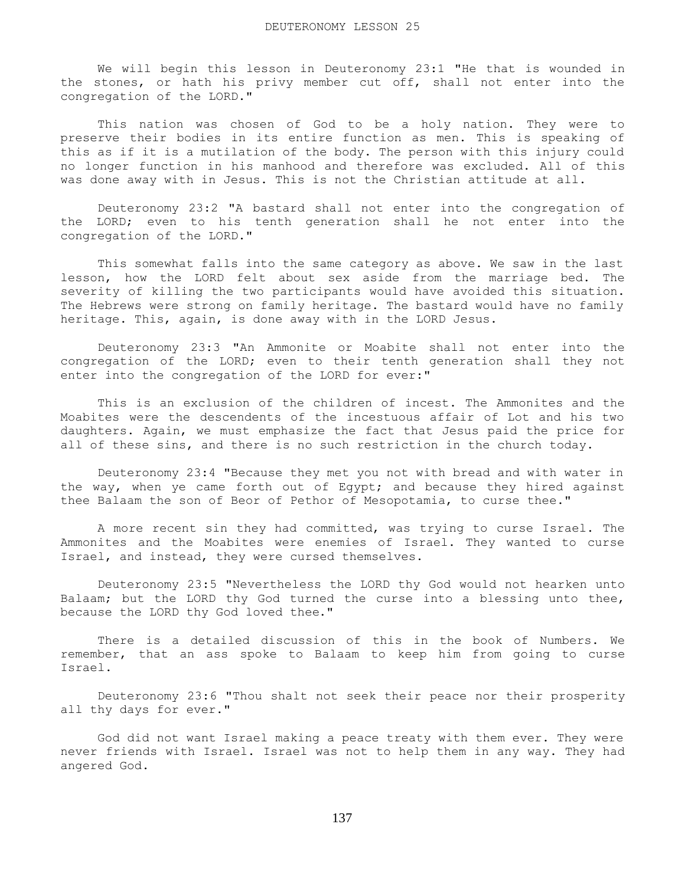We will begin this lesson in Deuteronomy 23:1 "He that is wounded in the stones, or hath his privy member cut off, shall not enter into the congregation of the LORD."

 This nation was chosen of God to be a holy nation. They were to preserve their bodies in its entire function as men. This is speaking of this as if it is a mutilation of the body. The person with this injury could no longer function in his manhood and therefore was excluded. All of this was done away with in Jesus. This is not the Christian attitude at all.

 Deuteronomy 23:2 "A bastard shall not enter into the congregation of the LORD; even to his tenth generation shall he not enter into the congregation of the LORD."

 This somewhat falls into the same category as above. We saw in the last lesson, how the LORD felt about sex aside from the marriage bed. The severity of killing the two participants would have avoided this situation. The Hebrews were strong on family heritage. The bastard would have no family heritage. This, again, is done away with in the LORD Jesus.

 Deuteronomy 23:3 "An Ammonite or Moabite shall not enter into the congregation of the LORD; even to their tenth generation shall they not enter into the congregation of the LORD for ever:"

 This is an exclusion of the children of incest. The Ammonites and the Moabites were the descendents of the incestuous affair of Lot and his two daughters. Again, we must emphasize the fact that Jesus paid the price for all of these sins, and there is no such restriction in the church today.

 Deuteronomy 23:4 "Because they met you not with bread and with water in the way, when ye came forth out of Egypt; and because they hired against thee Balaam the son of Beor of Pethor of Mesopotamia, to curse thee."

 A more recent sin they had committed, was trying to curse Israel. The Ammonites and the Moabites were enemies of Israel. They wanted to curse Israel, and instead, they were cursed themselves.

 Deuteronomy 23:5 "Nevertheless the LORD thy God would not hearken unto Balaam; but the LORD thy God turned the curse into a blessing unto thee, because the LORD thy God loved thee."

 There is a detailed discussion of this in the book of Numbers. We remember, that an ass spoke to Balaam to keep him from going to curse Israel.

 Deuteronomy 23:6 "Thou shalt not seek their peace nor their prosperity all thy days for ever."

 God did not want Israel making a peace treaty with them ever. They were never friends with Israel. Israel was not to help them in any way. They had angered God.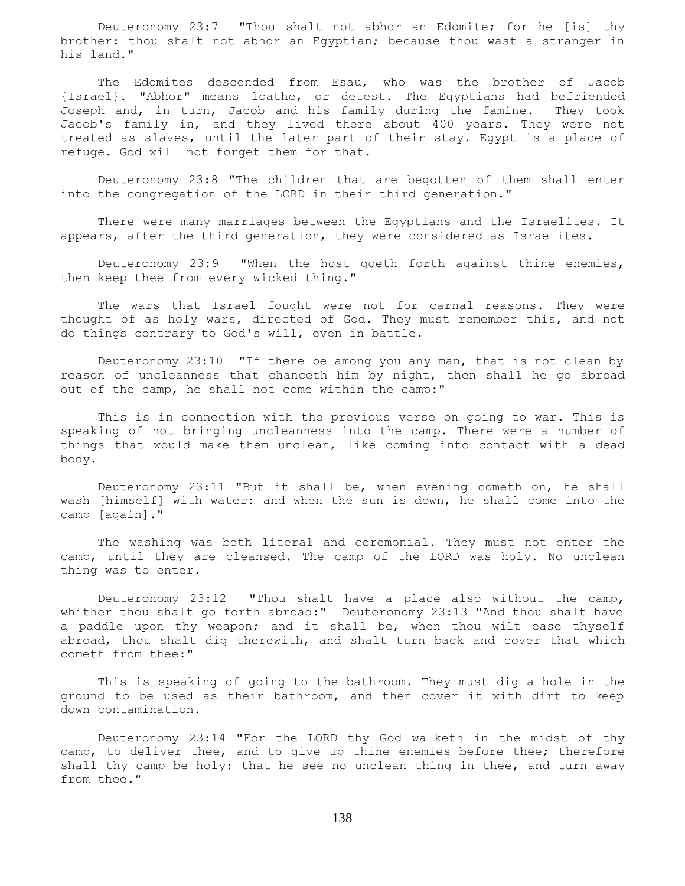Deuteronomy 23:7 "Thou shalt not abhor an Edomite; for he [is] thy brother: thou shalt not abhor an Egyptian; because thou wast a stranger in his land."

 The Edomites descended from Esau, who was the brother of Jacob {Israel}. "Abhor" means loathe, or detest. The Egyptians had befriended Joseph and, in turn, Jacob and his family during the famine. They took Jacob's family in, and they lived there about 400 years. They were not treated as slaves, until the later part of their stay. Egypt is a place of refuge. God will not forget them for that.

 Deuteronomy 23:8 "The children that are begotten of them shall enter into the congregation of the LORD in their third generation."

 There were many marriages between the Egyptians and the Israelites. It appears, after the third generation, they were considered as Israelites.

 Deuteronomy 23:9 "When the host goeth forth against thine enemies, then keep thee from every wicked thing."

 The wars that Israel fought were not for carnal reasons. They were thought of as holy wars, directed of God. They must remember this, and not do things contrary to God's will, even in battle.

 Deuteronomy 23:10 "If there be among you any man, that is not clean by reason of uncleanness that chanceth him by night, then shall he go abroad out of the camp, he shall not come within the camp:"

 This is in connection with the previous verse on going to war. This is speaking of not bringing uncleanness into the camp. There were a number of things that would make them unclean, like coming into contact with a dead body.

 Deuteronomy 23:11 "But it shall be, when evening cometh on, he shall wash [himself] with water: and when the sun is down, he shall come into the camp [again]."

 The washing was both literal and ceremonial. They must not enter the camp, until they are cleansed. The camp of the LORD was holy. No unclean thing was to enter.

 Deuteronomy 23:12 "Thou shalt have a place also without the camp, whither thou shalt go forth abroad:" Deuteronomy 23:13 "And thou shalt have a paddle upon thy weapon; and it shall be, when thou wilt ease thyself abroad, thou shalt dig therewith, and shalt turn back and cover that which cometh from thee:"

 This is speaking of going to the bathroom. They must dig a hole in the ground to be used as their bathroom, and then cover it with dirt to keep down contamination.

 Deuteronomy 23:14 "For the LORD thy God walketh in the midst of thy camp, to deliver thee, and to give up thine enemies before thee; therefore shall thy camp be holy: that he see no unclean thing in thee, and turn away from thee."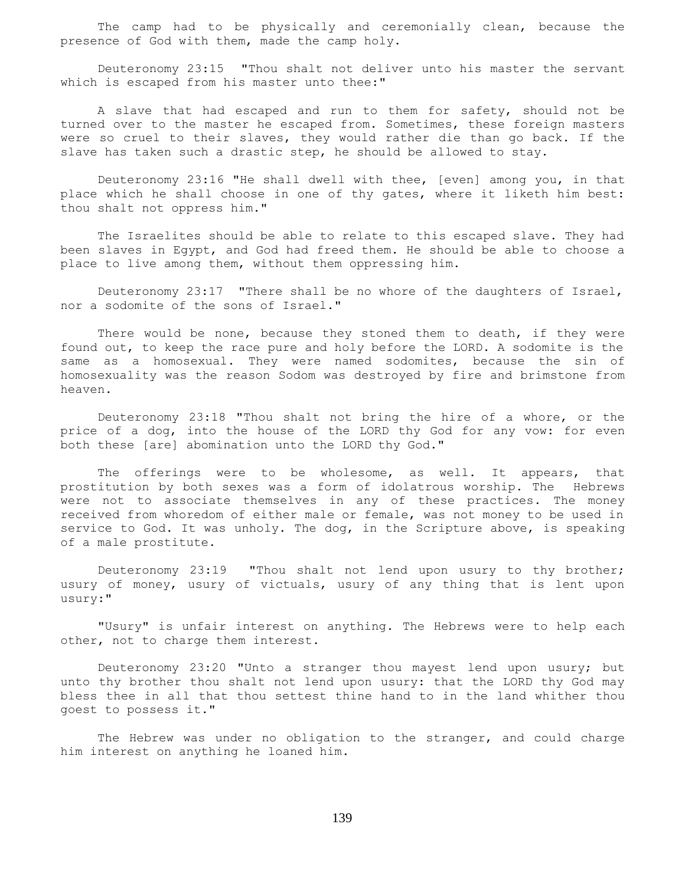The camp had to be physically and ceremonially clean, because the presence of God with them, made the camp holy.

 Deuteronomy 23:15 "Thou shalt not deliver unto his master the servant which is escaped from his master unto thee:"

 A slave that had escaped and run to them for safety, should not be turned over to the master he escaped from. Sometimes, these foreign masters were so cruel to their slaves, they would rather die than go back. If the slave has taken such a drastic step, he should be allowed to stay.

 Deuteronomy 23:16 "He shall dwell with thee, [even] among you, in that place which he shall choose in one of thy gates, where it liketh him best: thou shalt not oppress him."

 The Israelites should be able to relate to this escaped slave. They had been slaves in Egypt, and God had freed them. He should be able to choose a place to live among them, without them oppressing him.

 Deuteronomy 23:17 "There shall be no whore of the daughters of Israel, nor a sodomite of the sons of Israel."

There would be none, because they stoned them to death, if they were found out, to keep the race pure and holy before the LORD. A sodomite is the same as a homosexual. They were named sodomites, because the sin of homosexuality was the reason Sodom was destroyed by fire and brimstone from heaven.

 Deuteronomy 23:18 "Thou shalt not bring the hire of a whore, or the price of a dog, into the house of the LORD thy God for any vow: for even both these [are] abomination unto the LORD thy God."

The offerings were to be wholesome, as well. It appears, that prostitution by both sexes was a form of idolatrous worship. The Hebrews were not to associate themselves in any of these practices. The money received from whoredom of either male or female, was not money to be used in service to God. It was unholy. The dog, in the Scripture above, is speaking of a male prostitute.

 Deuteronomy 23:19 "Thou shalt not lend upon usury to thy brother; usury of money, usury of victuals, usury of any thing that is lent upon usury:"

 "Usury" is unfair interest on anything. The Hebrews were to help each other, not to charge them interest.

 Deuteronomy 23:20 "Unto a stranger thou mayest lend upon usury; but unto thy brother thou shalt not lend upon usury: that the LORD thy God may bless thee in all that thou settest thine hand to in the land whither thou goest to possess it."

 The Hebrew was under no obligation to the stranger, and could charge him interest on anything he loaned him.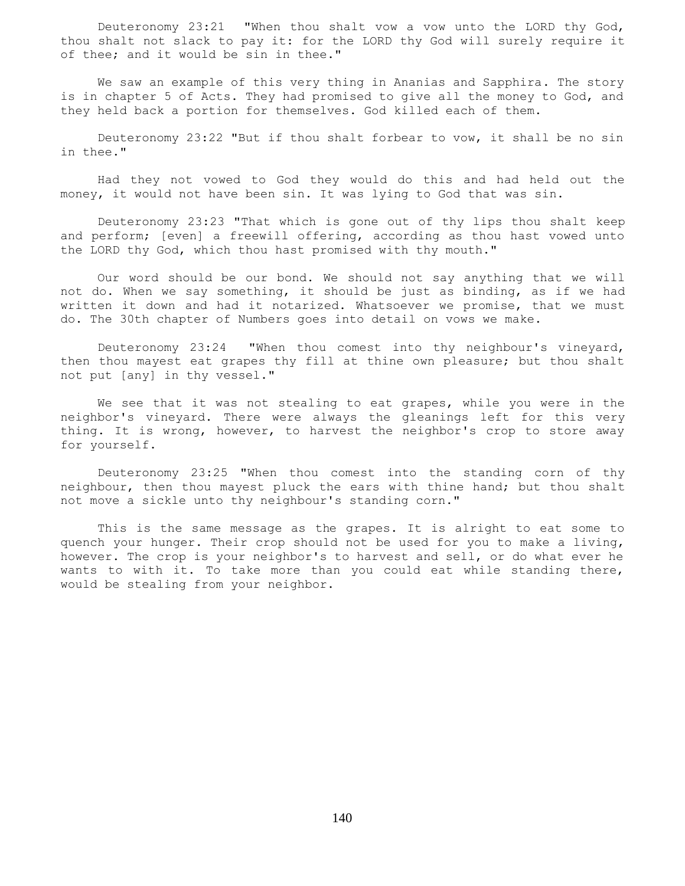Deuteronomy 23:21 "When thou shalt vow a vow unto the LORD thy God, thou shalt not slack to pay it: for the LORD thy God will surely require it of thee; and it would be sin in thee."

 We saw an example of this very thing in Ananias and Sapphira. The story is in chapter 5 of Acts. They had promised to give all the money to God, and they held back a portion for themselves. God killed each of them.

 Deuteronomy 23:22 "But if thou shalt forbear to vow, it shall be no sin in thee."

 Had they not vowed to God they would do this and had held out the money, it would not have been sin. It was lying to God that was sin.

 Deuteronomy 23:23 "That which is gone out of thy lips thou shalt keep and perform; [even] a freewill offering, according as thou hast vowed unto the LORD thy God, which thou hast promised with thy mouth."

 Our word should be our bond. We should not say anything that we will not do. When we say something, it should be just as binding, as if we had written it down and had it notarized. Whatsoever we promise, that we must do. The 30th chapter of Numbers goes into detail on vows we make.

 Deuteronomy 23:24 "When thou comest into thy neighbour's vineyard, then thou mayest eat grapes thy fill at thine own pleasure; but thou shalt not put [any] in thy vessel."

 We see that it was not stealing to eat grapes, while you were in the neighbor's vineyard. There were always the gleanings left for this very thing. It is wrong, however, to harvest the neighbor's crop to store away for yourself.

 Deuteronomy 23:25 "When thou comest into the standing corn of thy neighbour, then thou mayest pluck the ears with thine hand; but thou shalt not move a sickle unto thy neighbour's standing corn."

 This is the same message as the grapes. It is alright to eat some to quench your hunger. Their crop should not be used for you to make a living, however. The crop is your neighbor's to harvest and sell, or do what ever he wants to with it. To take more than you could eat while standing there, would be stealing from your neighbor.

140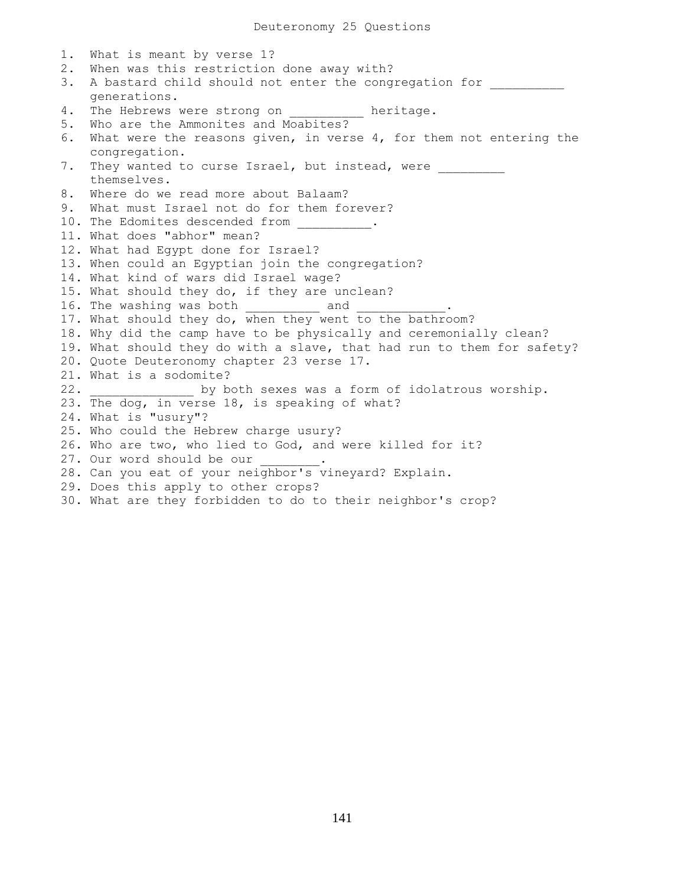Deuteronomy 25 Questions

1. What is meant by verse 1? 2. When was this restriction done away with? 3. A bastard child should not enter the congregation for generations. 4. The Hebrews were strong on \_\_\_\_\_\_\_\_\_ heritage. 5. Who are the Ammonites and Moabites? 6. What were the reasons given, in verse 4, for them not entering the congregation. 7. They wanted to curse Israel, but instead, were themselves. 8. Where do we read more about Balaam? 9. What must Israel not do for them forever? 10. The Edomites descended from  $\cdot$ 11. What does "abhor" mean? 12. What had Egypt done for Israel? 13. When could an Egyptian join the congregation? 14. What kind of wars did Israel wage? 15. What should they do, if they are unclean? 16. The washing was both and 17. What should they do, when they went to the bathroom? 18. Why did the camp have to be physically and ceremonially clean? 19. What should they do with a slave, that had run to them for safety? 20. Quote Deuteronomy chapter 23 verse 17. 21. What is a sodomite? 22. \_\_\_\_\_\_\_\_\_\_\_\_\_\_ by both sexes was a form of idolatrous worship. 23. The dog, in verse 18, is speaking of what? 24. What is "usury"? 25. Who could the Hebrew charge usury? 26. Who are two, who lied to God, and were killed for it? 27. Our word should be our 28. Can you eat of your neighbor's vineyard? Explain. 29. Does this apply to other crops? 30. What are they forbidden to do to their neighbor's crop?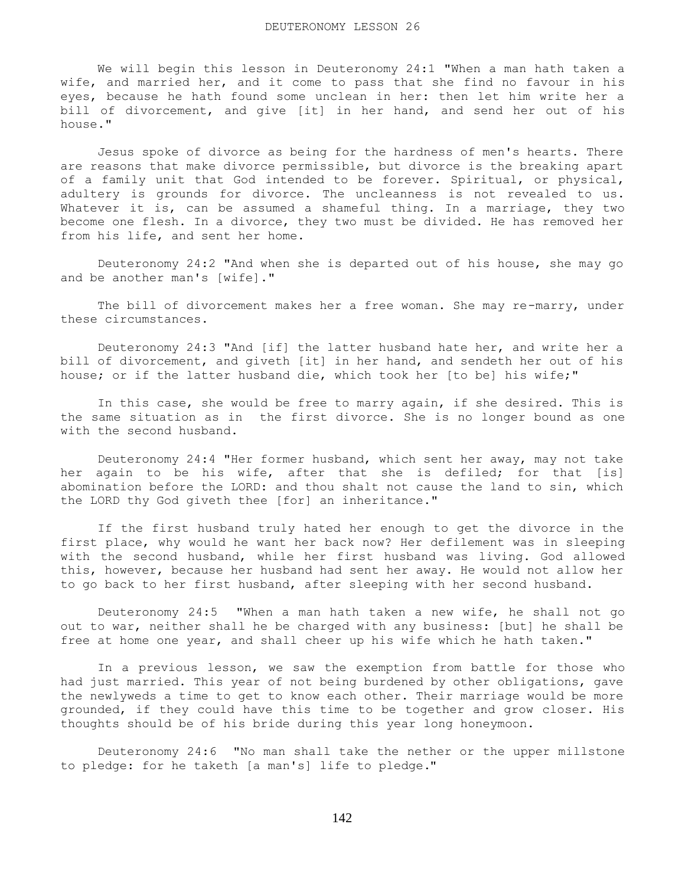We will begin this lesson in Deuteronomy 24:1 "When a man hath taken a wife, and married her, and it come to pass that she find no favour in his eyes, because he hath found some unclean in her: then let him write her a bill of divorcement, and give [it] in her hand, and send her out of his house."

 Jesus spoke of divorce as being for the hardness of men's hearts. There are reasons that make divorce permissible, but divorce is the breaking apart of a family unit that God intended to be forever. Spiritual, or physical, adultery is grounds for divorce. The uncleanness is not revealed to us. Whatever it is, can be assumed a shameful thing. In a marriage, they two become one flesh. In a divorce, they two must be divided. He has removed her from his life, and sent her home.

 Deuteronomy 24:2 "And when she is departed out of his house, she may go and be another man's [wife]."

 The bill of divorcement makes her a free woman. She may re-marry, under these circumstances.

 Deuteronomy 24:3 "And [if] the latter husband hate her, and write her a bill of divorcement, and giveth [it] in her hand, and sendeth her out of his house; or if the latter husband die, which took her [to be] his wife;"

 In this case, she would be free to marry again, if she desired. This is the same situation as in the first divorce. She is no longer bound as one with the second husband.

 Deuteronomy 24:4 "Her former husband, which sent her away, may not take her again to be his wife, after that she is defiled; for that [is] abomination before the LORD: and thou shalt not cause the land to sin, which the LORD thy God giveth thee [for] an inheritance."

 If the first husband truly hated her enough to get the divorce in the first place, why would he want her back now? Her defilement was in sleeping with the second husband, while her first husband was living. God allowed this, however, because her husband had sent her away. He would not allow her to go back to her first husband, after sleeping with her second husband.

 Deuteronomy 24:5 "When a man hath taken a new wife, he shall not go out to war, neither shall he be charged with any business: [but] he shall be free at home one year, and shall cheer up his wife which he hath taken."

 In a previous lesson, we saw the exemption from battle for those who had just married. This year of not being burdened by other obligations, gave the newlyweds a time to get to know each other. Their marriage would be more grounded, if they could have this time to be together and grow closer. His thoughts should be of his bride during this year long honeymoon.

 Deuteronomy 24:6 "No man shall take the nether or the upper millstone to pledge: for he taketh [a man's] life to pledge."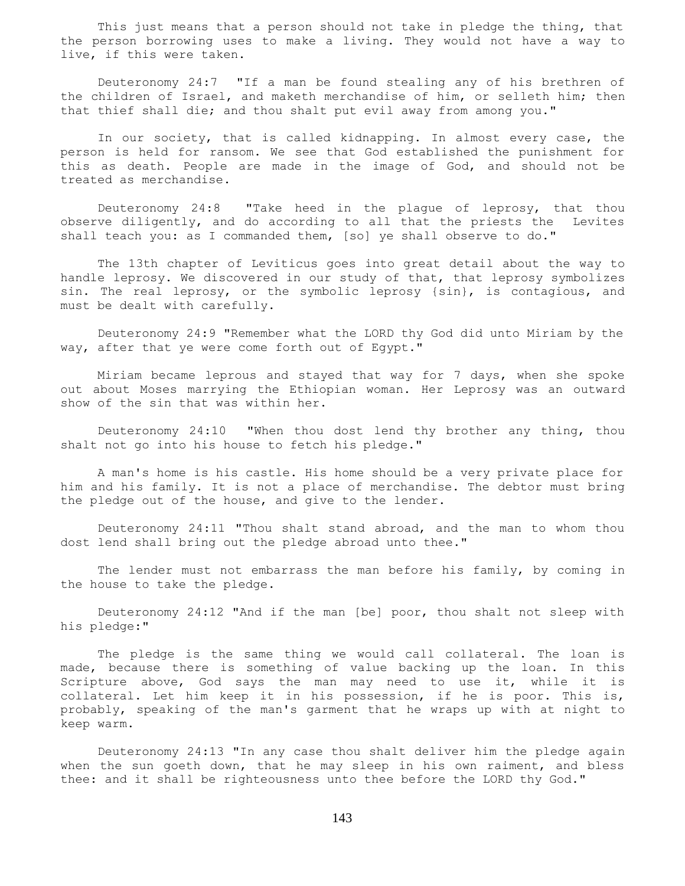This just means that a person should not take in pledge the thing, that the person borrowing uses to make a living. They would not have a way to live, if this were taken.

 Deuteronomy 24:7 "If a man be found stealing any of his brethren of the children of Israel, and maketh merchandise of him, or selleth him; then that thief shall die; and thou shalt put evil away from among you."

 In our society, that is called kidnapping. In almost every case, the person is held for ransom. We see that God established the punishment for this as death. People are made in the image of God, and should not be treated as merchandise.

 Deuteronomy 24:8 "Take heed in the plague of leprosy, that thou observe diligently, and do according to all that the priests the Levites shall teach you: as I commanded them, [so] ye shall observe to do."

 The 13th chapter of Leviticus goes into great detail about the way to handle leprosy. We discovered in our study of that, that leprosy symbolizes sin. The real leprosy, or the symbolic leprosy {sin}, is contagious, and must be dealt with carefully.

 Deuteronomy 24:9 "Remember what the LORD thy God did unto Miriam by the way, after that ye were come forth out of Egypt."

 Miriam became leprous and stayed that way for 7 days, when she spoke out about Moses marrying the Ethiopian woman. Her Leprosy was an outward show of the sin that was within her.

 Deuteronomy 24:10 "When thou dost lend thy brother any thing, thou shalt not go into his house to fetch his pledge."

 A man's home is his castle. His home should be a very private place for him and his family. It is not a place of merchandise. The debtor must bring the pledge out of the house, and give to the lender.

 Deuteronomy 24:11 "Thou shalt stand abroad, and the man to whom thou dost lend shall bring out the pledge abroad unto thee."

 The lender must not embarrass the man before his family, by coming in the house to take the pledge.

 Deuteronomy 24:12 "And if the man [be] poor, thou shalt not sleep with his pledge:"

 The pledge is the same thing we would call collateral. The loan is made, because there is something of value backing up the loan. In this Scripture above, God says the man may need to use it, while it is collateral. Let him keep it in his possession, if he is poor. This is, probably, speaking of the man's garment that he wraps up with at night to keep warm.

 Deuteronomy 24:13 "In any case thou shalt deliver him the pledge again when the sun goeth down, that he may sleep in his own raiment, and bless thee: and it shall be righteousness unto thee before the LORD thy God."

143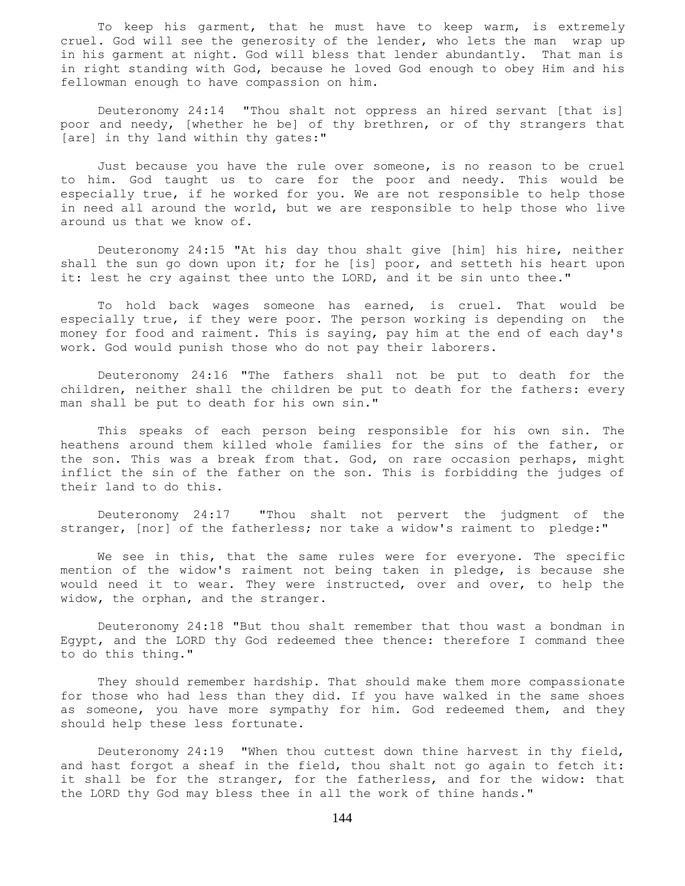To keep his garment, that he must have to keep warm, is extremely cruel. God will see the generosity of the lender, who lets the man wrap up in his garment at night. God will bless that lender abundantly. That man is in right standing with God, because he loved God enough to obey Him and his fellowman enough to have compassion on him.

 Deuteronomy 24:14 "Thou shalt not oppress an hired servant [that is] poor and needy, [whether he be] of thy brethren, or of thy strangers that [are] in thy land within thy gates:"

Just because you have the rule over someone, is no reason to be cruel to him. God taught us to care for the poor and needy. This would be especially true, if he worked for you. We are not responsible to help those in need all around the world, but we are responsible to help those who live around us that we know of.

 Deuteronomy 24:15 "At his day thou shalt give [him] his hire, neither shall the sun go down upon it; for he [is] poor, and setteth his heart upon it: lest he cry against thee unto the LORD, and it be sin unto thee."

 To hold back wages someone has earned, is cruel. That would be especially true, if they were poor. The person working is depending on the money for food and raiment. This is saying, pay him at the end of each day's work. God would punish those who do not pay their laborers.

 Deuteronomy 24:16 "The fathers shall not be put to death for the children, neither shall the children be put to death for the fathers: every man shall be put to death for his own sin."

 This speaks of each person being responsible for his own sin. The heathens around them killed whole families for the sins of the father, or the son. This was a break from that. God, on rare occasion perhaps, might inflict the sin of the father on the son. This is forbidding the judges of their land to do this.

 Deuteronomy 24:17 "Thou shalt not pervert the judgment of the stranger, [nor] of the fatherless; nor take a widow's raiment to pledge:"

We see in this, that the same rules were for everyone. The specific mention of the widow's raiment not being taken in pledge, is because she would need it to wear. They were instructed, over and over, to help the widow, the orphan, and the stranger.

 Deuteronomy 24:18 "But thou shalt remember that thou wast a bondman in Egypt, and the LORD thy God redeemed thee thence: therefore I command thee to do this thing."

 They should remember hardship. That should make them more compassionate for those who had less than they did. If you have walked in the same shoes as someone, you have more sympathy for him. God redeemed them, and they should help these less fortunate.

 Deuteronomy 24:19 "When thou cuttest down thine harvest in thy field, and hast forgot a sheaf in the field, thou shalt not go again to fetch it: it shall be for the stranger, for the fatherless, and for the widow: that the LORD thy God may bless thee in all the work of thine hands."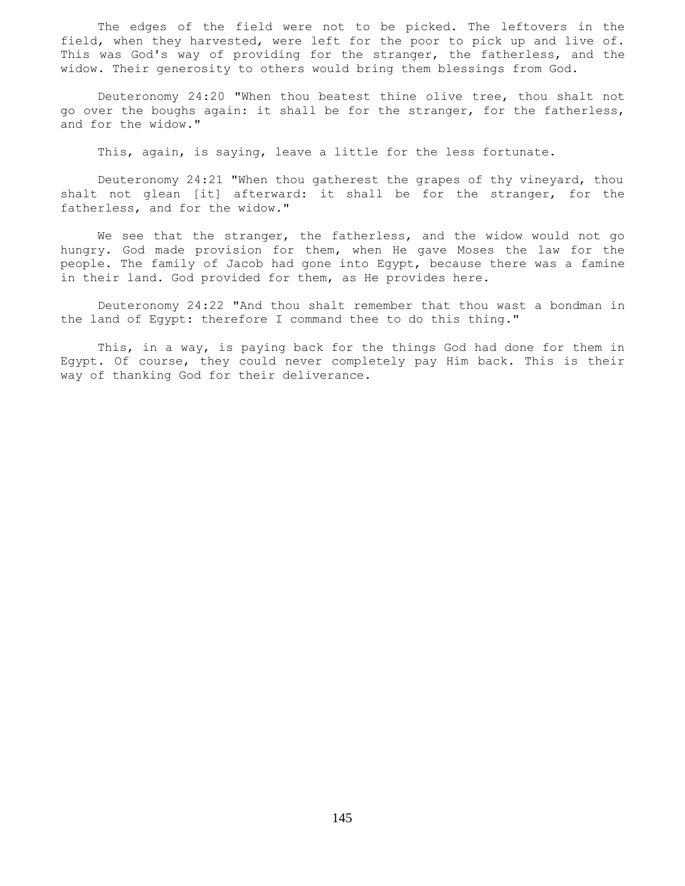The edges of the field were not to be picked. The leftovers in the field, when they harvested, were left for the poor to pick up and live of. This was God's way of providing for the stranger, the fatherless, and the widow. Their generosity to others would bring them blessings from God.

 Deuteronomy 24:20 "When thou beatest thine olive tree, thou shalt not go over the boughs again: it shall be for the stranger, for the fatherless, and for the widow."

This, again, is saying, leave a little for the less fortunate.

 Deuteronomy 24:21 "When thou gatherest the grapes of thy vineyard, thou shalt not glean [it] afterward: it shall be for the stranger, for the fatherless, and for the widow."

We see that the stranger, the fatherless, and the widow would not go hungry. God made provision for them, when He gave Moses the law for the people. The family of Jacob had gone into Egypt, because there was a famine in their land. God provided for them, as He provides here.

 Deuteronomy 24:22 "And thou shalt remember that thou wast a bondman in the land of Egypt: therefore I command thee to do this thing."

 This, in a way, is paying back for the things God had done for them in Egypt. Of course, they could never completely pay Him back. This is their way of thanking God for their deliverance.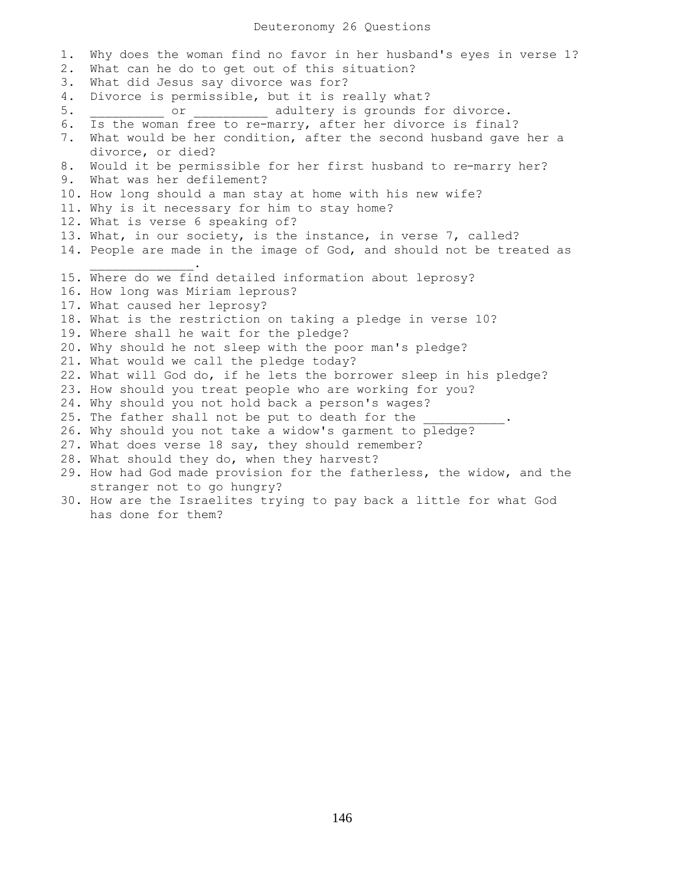## Deuteronomy 26 Questions

1. Why does the woman find no favor in her husband's eyes in verse 1? 2. What can he do to get out of this situation? 3. What did Jesus say divorce was for? 4. Divorce is permissible, but it is really what? 5. \_\_\_\_\_\_\_\_\_\_\_ or \_\_\_\_\_\_\_\_\_\_ adultery is grounds for divorce. 6. Is the woman free to re-marry, after her divorce is final? 7. What would be her condition, after the second husband gave her a divorce, or died? 8. Would it be permissible for her first husband to re-marry her? 9. What was her defilement? 10. How long should a man stay at home with his new wife? 11. Why is it necessary for him to stay home? 12. What is verse 6 speaking of? 13. What, in our society, is the instance, in verse 7, called? 14. People are made in the image of God, and should not be treated as  $\overline{\phantom{a}}$  ,  $\overline{\phantom{a}}$  ,  $\overline{\phantom{a}}$  ,  $\overline{\phantom{a}}$  ,  $\overline{\phantom{a}}$  ,  $\overline{\phantom{a}}$  ,  $\overline{\phantom{a}}$  ,  $\overline{\phantom{a}}$  ,  $\overline{\phantom{a}}$  ,  $\overline{\phantom{a}}$  ,  $\overline{\phantom{a}}$  ,  $\overline{\phantom{a}}$  ,  $\overline{\phantom{a}}$  ,  $\overline{\phantom{a}}$  ,  $\overline{\phantom{a}}$  ,  $\overline{\phantom{a}}$ 15. Where do we find detailed information about leprosy? 16. How long was Miriam leprous? 17. What caused her leprosy? 18. What is the restriction on taking a pledge in verse 10? 19. Where shall he wait for the pledge? 20. Why should he not sleep with the poor man's pledge? 21. What would we call the pledge today? 22. What will God do, if he lets the borrower sleep in his pledge? 23. How should you treat people who are working for you? 24. Why should you not hold back a person's wages? 25. The father shall not be put to death for the 26. Why should you not take a widow's garment to pledge? 27. What does verse 18 say, they should remember? 28. What should they do, when they harvest? 29. How had God made provision for the fatherless, the widow, and the stranger not to go hungry? 30. How are the Israelites trying to pay back a little for what God has done for them?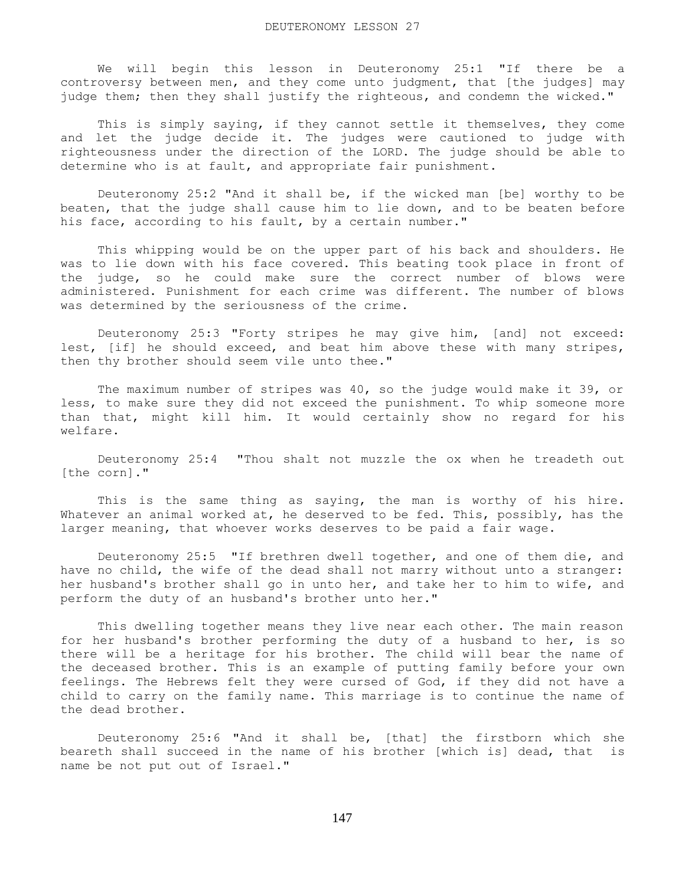We will begin this lesson in Deuteronomy 25:1 "If there be a controversy between men, and they come unto judgment, that [the judges] may judge them; then they shall justify the righteous, and condemn the wicked."

 This is simply saying, if they cannot settle it themselves, they come and let the judge decide it. The judges were cautioned to judge with righteousness under the direction of the LORD. The judge should be able to determine who is at fault, and appropriate fair punishment.

 Deuteronomy 25:2 "And it shall be, if the wicked man [be] worthy to be beaten, that the judge shall cause him to lie down, and to be beaten before his face, according to his fault, by a certain number."

 This whipping would be on the upper part of his back and shoulders. He was to lie down with his face covered. This beating took place in front of the judge, so he could make sure the correct number of blows were administered. Punishment for each crime was different. The number of blows was determined by the seriousness of the crime.

 Deuteronomy 25:3 "Forty stripes he may give him, [and] not exceed: lest, [if] he should exceed, and beat him above these with many stripes, then thy brother should seem vile unto thee."

 The maximum number of stripes was 40, so the judge would make it 39, or less, to make sure they did not exceed the punishment. To whip someone more than that, might kill him. It would certainly show no regard for his welfare.

 Deuteronomy 25:4 "Thou shalt not muzzle the ox when he treadeth out [the corn]."

 This is the same thing as saying, the man is worthy of his hire. Whatever an animal worked at, he deserved to be fed. This, possibly, has the larger meaning, that whoever works deserves to be paid a fair wage.

 Deuteronomy 25:5 "If brethren dwell together, and one of them die, and have no child, the wife of the dead shall not marry without unto a stranger: her husband's brother shall go in unto her, and take her to him to wife, and perform the duty of an husband's brother unto her."

 This dwelling together means they live near each other. The main reason for her husband's brother performing the duty of a husband to her, is so there will be a heritage for his brother. The child will bear the name of the deceased brother. This is an example of putting family before your own feelings. The Hebrews felt they were cursed of God, if they did not have a child to carry on the family name. This marriage is to continue the name of the dead brother.

 Deuteronomy 25:6 "And it shall be, [that] the firstborn which she beareth shall succeed in the name of his brother [which is] dead, that is name be not put out of Israel."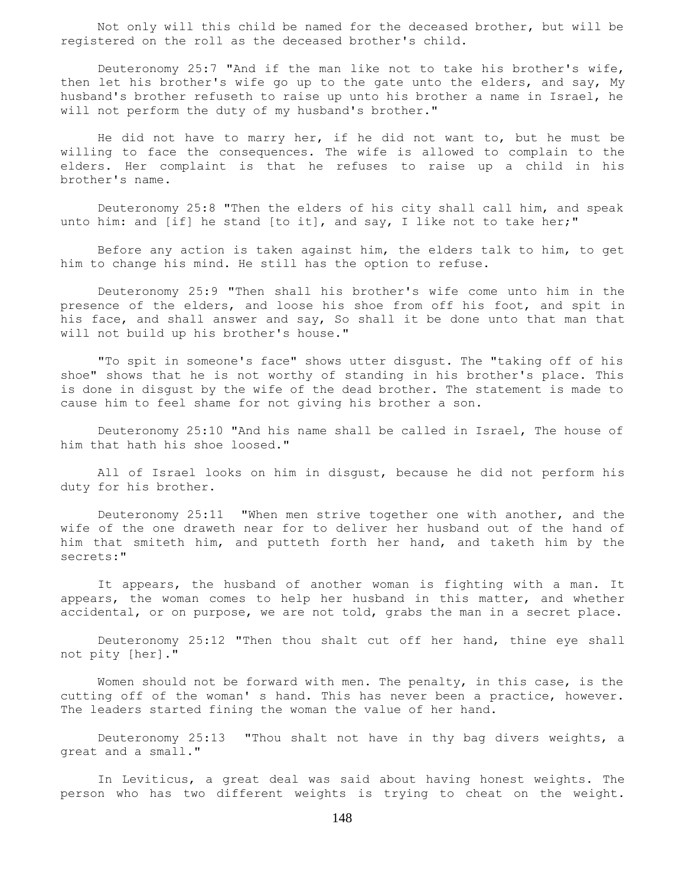Not only will this child be named for the deceased brother, but will be registered on the roll as the deceased brother's child.

 Deuteronomy 25:7 "And if the man like not to take his brother's wife, then let his brother's wife go up to the gate unto the elders, and say, My husband's brother refuseth to raise up unto his brother a name in Israel, he will not perform the duty of my husband's brother."

 He did not have to marry her, if he did not want to, but he must be willing to face the consequences. The wife is allowed to complain to the elders. Her complaint is that he refuses to raise up a child in his brother's name.

 Deuteronomy 25:8 "Then the elders of his city shall call him, and speak unto him: and [if] he stand [to it], and say, I like not to take her;"

 Before any action is taken against him, the elders talk to him, to get him to change his mind. He still has the option to refuse.

 Deuteronomy 25:9 "Then shall his brother's wife come unto him in the presence of the elders, and loose his shoe from off his foot, and spit in his face, and shall answer and say, So shall it be done unto that man that will not build up his brother's house."

 "To spit in someone's face" shows utter disgust. The "taking off of his shoe" shows that he is not worthy of standing in his brother's place. This is done in disgust by the wife of the dead brother. The statement is made to cause him to feel shame for not giving his brother a son.

 Deuteronomy 25:10 "And his name shall be called in Israel, The house of him that hath his shoe loosed."

 All of Israel looks on him in disgust, because he did not perform his duty for his brother.

 Deuteronomy 25:11 "When men strive together one with another, and the wife of the one draweth near for to deliver her husband out of the hand of him that smiteth him, and putteth forth her hand, and taketh him by the secrets:"

 It appears, the husband of another woman is fighting with a man. It appears, the woman comes to help her husband in this matter, and whether accidental, or on purpose, we are not told, grabs the man in a secret place.

 Deuteronomy 25:12 "Then thou shalt cut off her hand, thine eye shall not pity [her]."

 Women should not be forward with men. The penalty, in this case, is the cutting off of the woman' s hand. This has never been a practice, however. The leaders started fining the woman the value of her hand.

 Deuteronomy 25:13 "Thou shalt not have in thy bag divers weights, a great and a small."

 In Leviticus, a great deal was said about having honest weights. The person who has two different weights is trying to cheat on the weight.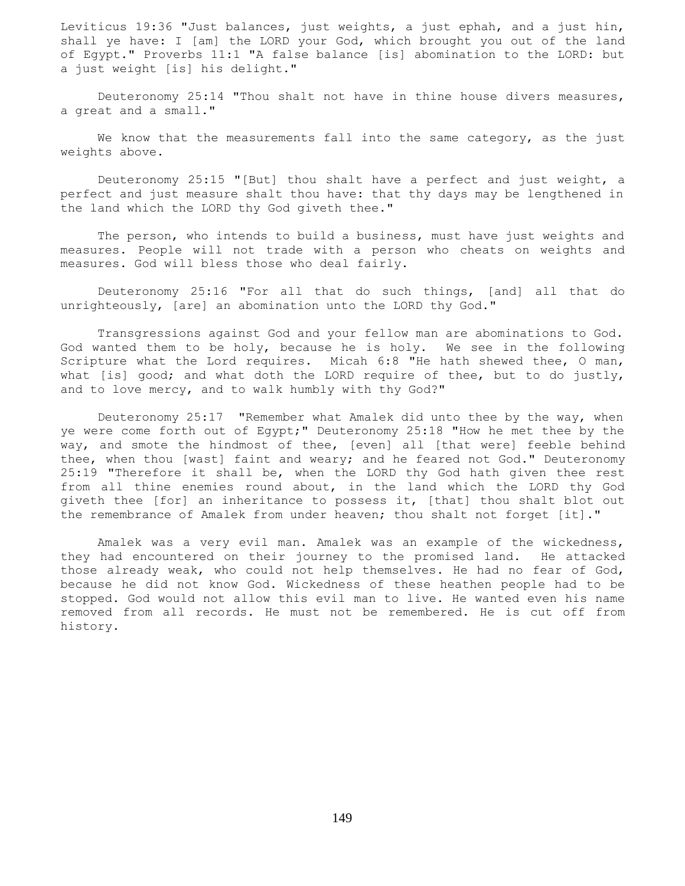Leviticus 19:36 "Just balances, just weights, a just ephah, and a just hin, shall ye have: I [am] the LORD your God, which brought you out of the land of Egypt." Proverbs 11:1 "A false balance [is] abomination to the LORD: but a just weight [is] his delight."

 Deuteronomy 25:14 "Thou shalt not have in thine house divers measures, a great and a small."

We know that the measurements fall into the same category, as the just weights above.

 Deuteronomy 25:15 "[But] thou shalt have a perfect and just weight, a perfect and just measure shalt thou have: that thy days may be lengthened in the land which the LORD thy God giveth thee."

 The person, who intends to build a business, must have just weights and measures. People will not trade with a person who cheats on weights and measures. God will bless those who deal fairly.

 Deuteronomy 25:16 "For all that do such things, [and] all that do unrighteously, [are] an abomination unto the LORD thy God."

 Transgressions against God and your fellow man are abominations to God. God wanted them to be holy, because he is holy. We see in the following Scripture what the Lord requires. Micah 6:8 "He hath shewed thee, O man, what [is] good; and what doth the LORD require of thee, but to do justly, and to love mercy, and to walk humbly with thy God?"

 Deuteronomy 25:17 "Remember what Amalek did unto thee by the way, when ye were come forth out of Egypt;" Deuteronomy 25:18 "How he met thee by the way, and smote the hindmost of thee, [even] all [that were] feeble behind thee, when thou [wast] faint and weary; and he feared not God." Deuteronomy 25:19 "Therefore it shall be, when the LORD thy God hath given thee rest from all thine enemies round about, in the land which the LORD thy God giveth thee [for] an inheritance to possess it, [that] thou shalt blot out the remembrance of Amalek from under heaven; thou shalt not forget [it]."

 Amalek was a very evil man. Amalek was an example of the wickedness, they had encountered on their journey to the promised land. He attacked those already weak, who could not help themselves. He had no fear of God, because he did not know God. Wickedness of these heathen people had to be stopped. God would not allow this evil man to live. He wanted even his name removed from all records. He must not be remembered. He is cut off from history.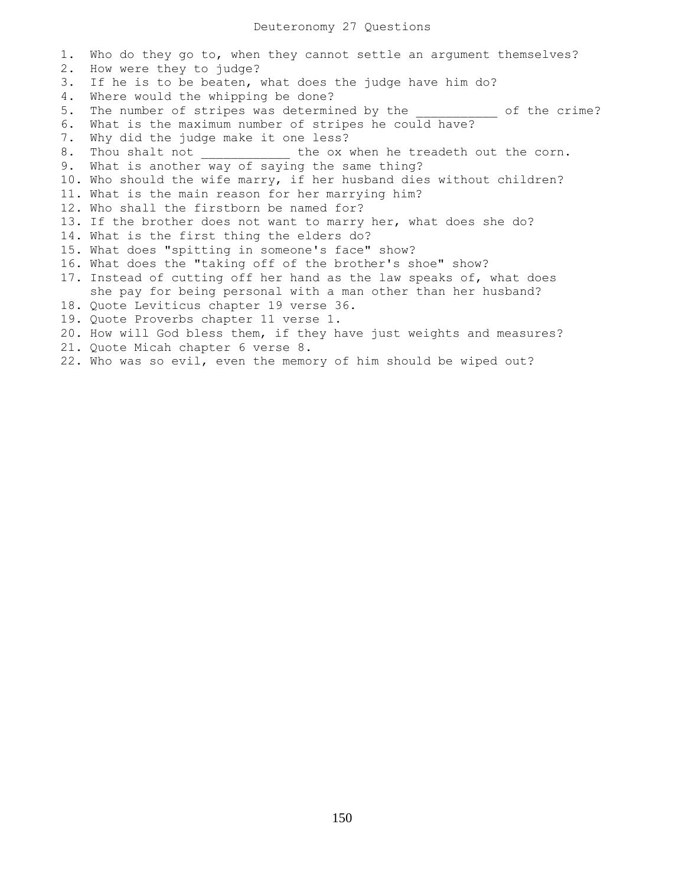1. Who do they go to, when they cannot settle an argument themselves? 2. How were they to judge? 3. If he is to be beaten, what does the judge have him do? 4. Where would the whipping be done? 5. The number of stripes was determined by the \_\_\_\_\_\_\_\_\_\_ of the crime? 6. What is the maximum number of stripes he could have? 7. Why did the judge make it one less? 8. Thou shalt not \_\_\_\_\_\_\_\_\_\_\_\_ the ox when he treadeth out the corn. 9. What is another way of saying the same thing? 10. Who should the wife marry, if her husband dies without children? 11. What is the main reason for her marrying him? 12. Who shall the firstborn be named for? 13. If the brother does not want to marry her, what does she do? 14. What is the first thing the elders do? 15. What does "spitting in someone's face" show? 16. What does the "taking off of the brother's shoe" show? 17. Instead of cutting off her hand as the law speaks of, what does she pay for being personal with a man other than her husband? 18. Quote Leviticus chapter 19 verse 36. 19. Quote Proverbs chapter 11 verse 1. 20. How will God bless them, if they have just weights and measures? 21. Quote Micah chapter 6 verse 8. 22. Who was so evil, even the memory of him should be wiped out?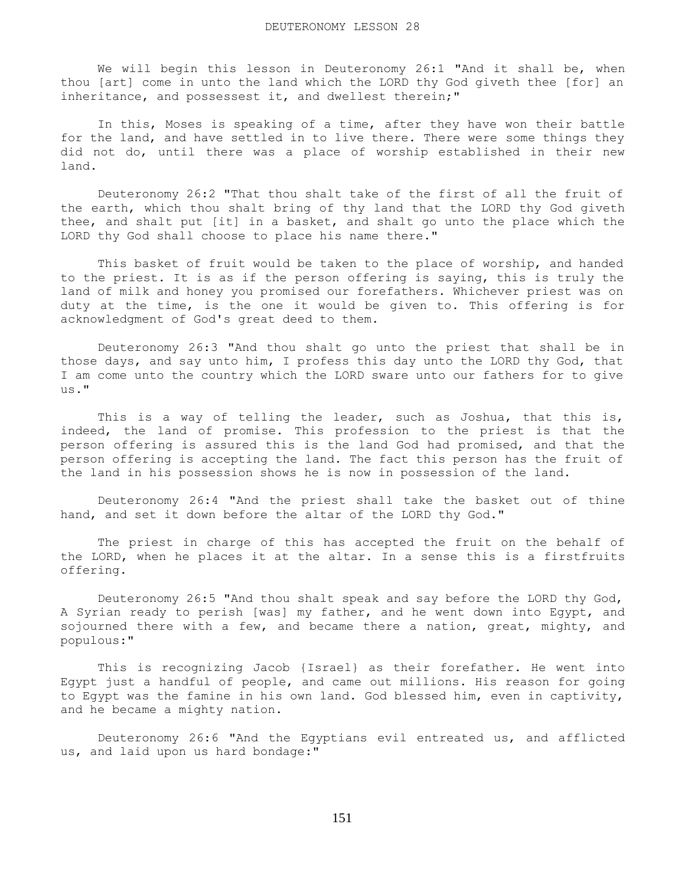We will begin this lesson in Deuteronomy 26:1 "And it shall be, when thou [art] come in unto the land which the LORD thy God giveth thee [for] an inheritance, and possessest it, and dwellest therein;"

 In this, Moses is speaking of a time, after they have won their battle for the land, and have settled in to live there. There were some things they did not do, until there was a place of worship established in their new land.

 Deuteronomy 26:2 "That thou shalt take of the first of all the fruit of the earth, which thou shalt bring of thy land that the LORD thy God giveth thee, and shalt put [it] in a basket, and shalt go unto the place which the LORD thy God shall choose to place his name there."

 This basket of fruit would be taken to the place of worship, and handed to the priest. It is as if the person offering is saying, this is truly the land of milk and honey you promised our forefathers. Whichever priest was on duty at the time, is the one it would be given to. This offering is for acknowledgment of God's great deed to them.

 Deuteronomy 26:3 "And thou shalt go unto the priest that shall be in those days, and say unto him, I profess this day unto the LORD thy God, that I am come unto the country which the LORD sware unto our fathers for to give us."

This is a way of telling the leader, such as Joshua, that this is, indeed, the land of promise. This profession to the priest is that the person offering is assured this is the land God had promised, and that the person offering is accepting the land. The fact this person has the fruit of the land in his possession shows he is now in possession of the land.

 Deuteronomy 26:4 "And the priest shall take the basket out of thine hand, and set it down before the altar of the LORD thy God."

 The priest in charge of this has accepted the fruit on the behalf of the LORD, when he places it at the altar. In a sense this is a firstfruits offering.

 Deuteronomy 26:5 "And thou shalt speak and say before the LORD thy God, A Syrian ready to perish [was] my father, and he went down into Egypt, and sojourned there with a few, and became there a nation, great, mighty, and populous:"

 This is recognizing Jacob {Israel} as their forefather. He went into Egypt just a handful of people, and came out millions. His reason for going to Egypt was the famine in his own land. God blessed him, even in captivity, and he became a mighty nation.

 Deuteronomy 26:6 "And the Egyptians evil entreated us, and afflicted us, and laid upon us hard bondage:"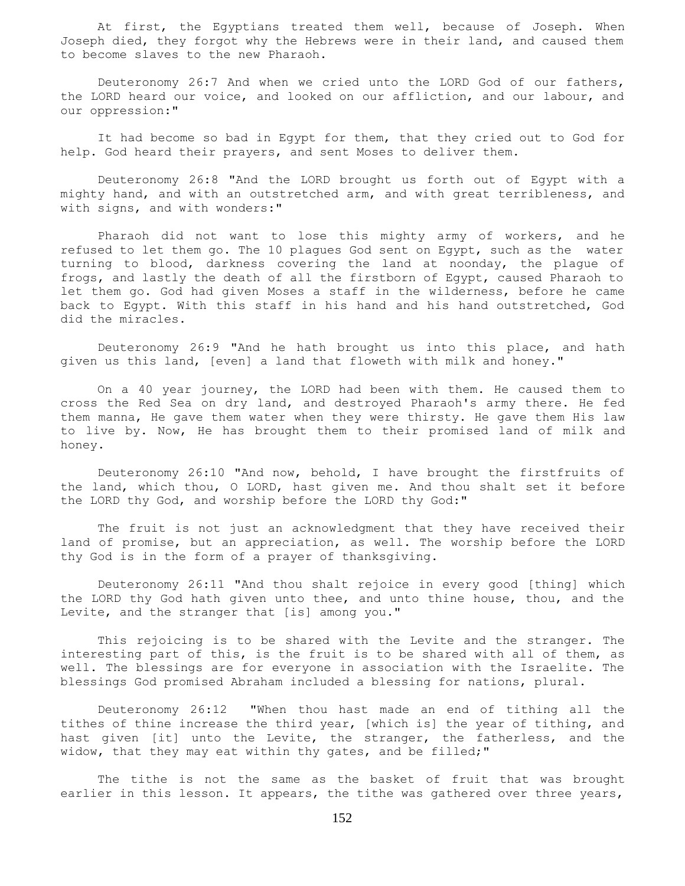At first, the Egyptians treated them well, because of Joseph. When Joseph died, they forgot why the Hebrews were in their land, and caused them to become slaves to the new Pharaoh.

 Deuteronomy 26:7 And when we cried unto the LORD God of our fathers, the LORD heard our voice, and looked on our affliction, and our labour, and our oppression:"

 It had become so bad in Egypt for them, that they cried out to God for help. God heard their prayers, and sent Moses to deliver them.

 Deuteronomy 26:8 "And the LORD brought us forth out of Egypt with a mighty hand, and with an outstretched arm, and with great terribleness, and with signs, and with wonders:"

 Pharaoh did not want to lose this mighty army of workers, and he refused to let them go. The 10 plagues God sent on Egypt, such as the water turning to blood, darkness covering the land at noonday, the plague of frogs, and lastly the death of all the firstborn of Egypt, caused Pharaoh to let them go. God had given Moses a staff in the wilderness, before he came back to Egypt. With this staff in his hand and his hand outstretched, God did the miracles.

 Deuteronomy 26:9 "And he hath brought us into this place, and hath given us this land, [even] a land that floweth with milk and honey."

 On a 40 year journey, the LORD had been with them. He caused them to cross the Red Sea on dry land, and destroyed Pharaoh's army there. He fed them manna, He gave them water when they were thirsty. He gave them His law to live by. Now, He has brought them to their promised land of milk and honey.

 Deuteronomy 26:10 "And now, behold, I have brought the firstfruits of the land, which thou, O LORD, hast given me. And thou shalt set it before the LORD thy God, and worship before the LORD thy God:"

 The fruit is not just an acknowledgment that they have received their land of promise, but an appreciation, as well. The worship before the LORD thy God is in the form of a prayer of thanksgiving.

 Deuteronomy 26:11 "And thou shalt rejoice in every good [thing] which the LORD thy God hath given unto thee, and unto thine house, thou, and the Levite, and the stranger that [is] among you."

 This rejoicing is to be shared with the Levite and the stranger. The interesting part of this, is the fruit is to be shared with all of them, as well. The blessings are for everyone in association with the Israelite. The blessings God promised Abraham included a blessing for nations, plural.

 Deuteronomy 26:12 "When thou hast made an end of tithing all the tithes of thine increase the third year, [which is] the year of tithing, and hast given [it] unto the Levite, the stranger, the fatherless, and the widow, that they may eat within thy gates, and be filled;"

 The tithe is not the same as the basket of fruit that was brought earlier in this lesson. It appears, the tithe was gathered over three years,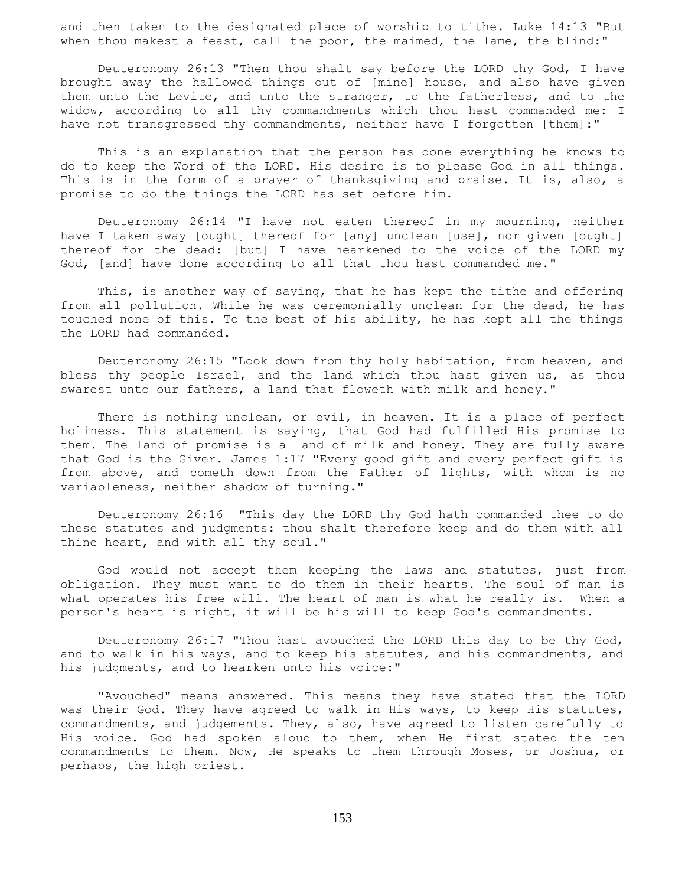and then taken to the designated place of worship to tithe. Luke 14:13 "But when thou makest a feast, call the poor, the maimed, the lame, the blind:"

 Deuteronomy 26:13 "Then thou shalt say before the LORD thy God, I have brought away the hallowed things out of [mine] house, and also have given them unto the Levite, and unto the stranger, to the fatherless, and to the widow, according to all thy commandments which thou hast commanded me: I have not transgressed thy commandments, neither have I forgotten [them]:"

 This is an explanation that the person has done everything he knows to do to keep the Word of the LORD. His desire is to please God in all things. This is in the form of a prayer of thanksgiving and praise. It is, also, a promise to do the things the LORD has set before him.

 Deuteronomy 26:14 "I have not eaten thereof in my mourning, neither have I taken away [ought] thereof for [any] unclean [use], nor given [ought] thereof for the dead: [but] I have hearkened to the voice of the LORD my God, [and] have done according to all that thou hast commanded me."

 This, is another way of saying, that he has kept the tithe and offering from all pollution. While he was ceremonially unclean for the dead, he has touched none of this. To the best of his ability, he has kept all the things the LORD had commanded.

 Deuteronomy 26:15 "Look down from thy holy habitation, from heaven, and bless thy people Israel, and the land which thou hast given us, as thou swarest unto our fathers, a land that floweth with milk and honey."

 There is nothing unclean, or evil, in heaven. It is a place of perfect holiness. This statement is saying, that God had fulfilled His promise to them. The land of promise is a land of milk and honey. They are fully aware that God is the Giver. James 1:17 "Every good gift and every perfect gift is from above, and cometh down from the Father of lights, with whom is no variableness, neither shadow of turning."

 Deuteronomy 26:16 "This day the LORD thy God hath commanded thee to do these statutes and judgments: thou shalt therefore keep and do them with all thine heart, and with all thy soul."

 God would not accept them keeping the laws and statutes, just from obligation. They must want to do them in their hearts. The soul of man is what operates his free will. The heart of man is what he really is. When a person's heart is right, it will be his will to keep God's commandments.

 Deuteronomy 26:17 "Thou hast avouched the LORD this day to be thy God, and to walk in his ways, and to keep his statutes, and his commandments, and his judgments, and to hearken unto his voice:"

 "Avouched" means answered. This means they have stated that the LORD was their God. They have agreed to walk in His ways, to keep His statutes, commandments, and judgements. They, also, have agreed to listen carefully to His voice. God had spoken aloud to them, when He first stated the ten commandments to them. Now, He speaks to them through Moses, or Joshua, or perhaps, the high priest.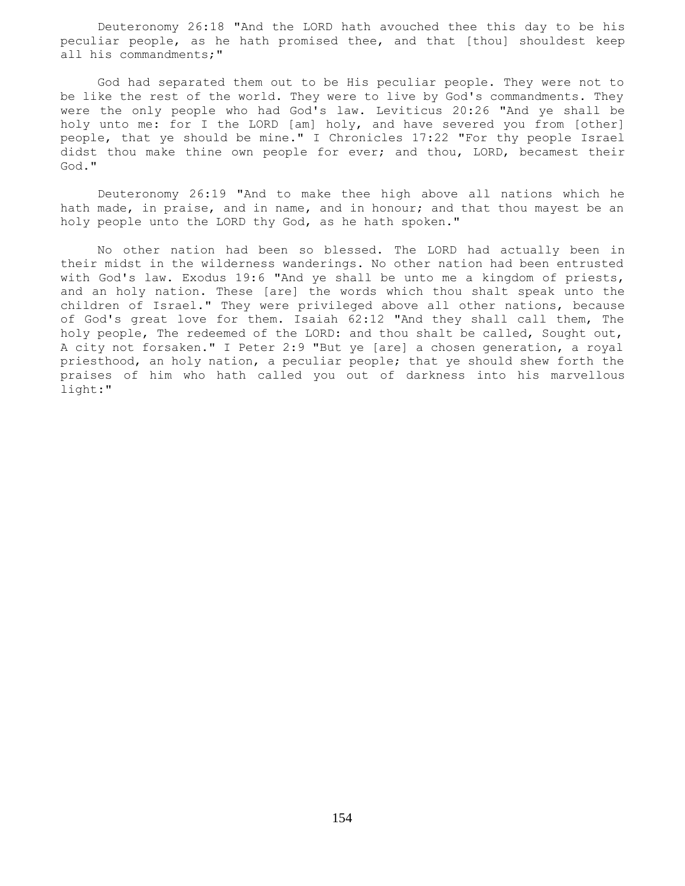Deuteronomy 26:18 "And the LORD hath avouched thee this day to be his peculiar people, as he hath promised thee, and that [thou] shouldest keep all his commandments;"

 God had separated them out to be His peculiar people. They were not to be like the rest of the world. They were to live by God's commandments. They were the only people who had God's law. Leviticus 20:26 "And ye shall be holy unto me: for I the LORD [am] holy, and have severed you from [other] people, that ye should be mine." I Chronicles 17:22 "For thy people Israel didst thou make thine own people for ever; and thou, LORD, becamest their God."

 Deuteronomy 26:19 "And to make thee high above all nations which he hath made, in praise, and in name, and in honour; and that thou mayest be an holy people unto the LORD thy God, as he hath spoken."

 No other nation had been so blessed. The LORD had actually been in their midst in the wilderness wanderings. No other nation had been entrusted with God's law. Exodus 19:6 "And ye shall be unto me a kingdom of priests, and an holy nation. These [are] the words which thou shalt speak unto the children of Israel." They were privileged above all other nations, because of God's great love for them. Isaiah 62:12 "And they shall call them, The holy people, The redeemed of the LORD: and thou shalt be called, Sought out, A city not forsaken." I Peter 2:9 "But ye [are] a chosen generation, a royal priesthood, an holy nation, a peculiar people; that ye should shew forth the praises of him who hath called you out of darkness into his marvellous light:"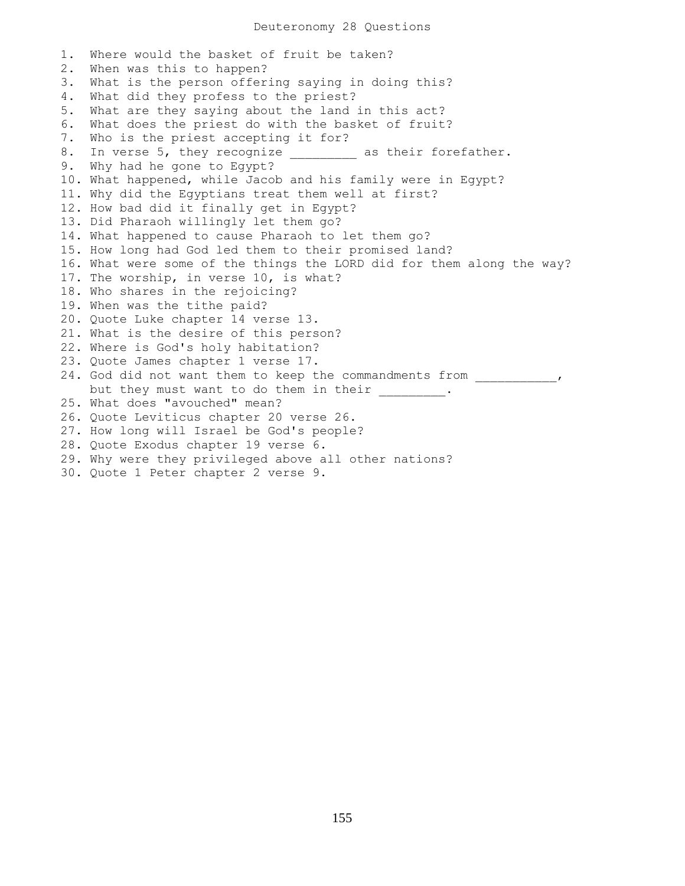1. Where would the basket of fruit be taken? 2. When was this to happen? 3. What is the person offering saying in doing this? 4. What did they profess to the priest? 5. What are they saying about the land in this act? 6. What does the priest do with the basket of fruit? 7. Who is the priest accepting it for? 8. In verse 5, they recognize \_\_\_\_\_\_\_\_ as their forefather. 9. Why had he gone to Egypt? 10. What happened, while Jacob and his family were in Egypt? 11. Why did the Egyptians treat them well at first? 12. How bad did it finally get in Egypt? 13. Did Pharaoh willingly let them go? 14. What happened to cause Pharaoh to let them go? 15. How long had God led them to their promised land? 16. What were some of the things the LORD did for them along the way? 17. The worship, in verse 10, is what? 18. Who shares in the rejoicing? 19. When was the tithe paid? 20. Quote Luke chapter 14 verse 13. 21. What is the desire of this person? 22. Where is God's holy habitation? 23. Quote James chapter 1 verse 17. 24. God did not want them to keep the commandments from \_\_\_\_\_\_\_\_\_\_\_, but they must want to do them in their . 25. What does "avouched" mean? 26. Quote Leviticus chapter 20 verse 26. 27. How long will Israel be God's people? 28. Quote Exodus chapter 19 verse 6. 29. Why were they privileged above all other nations? 30. Quote 1 Peter chapter 2 verse 9.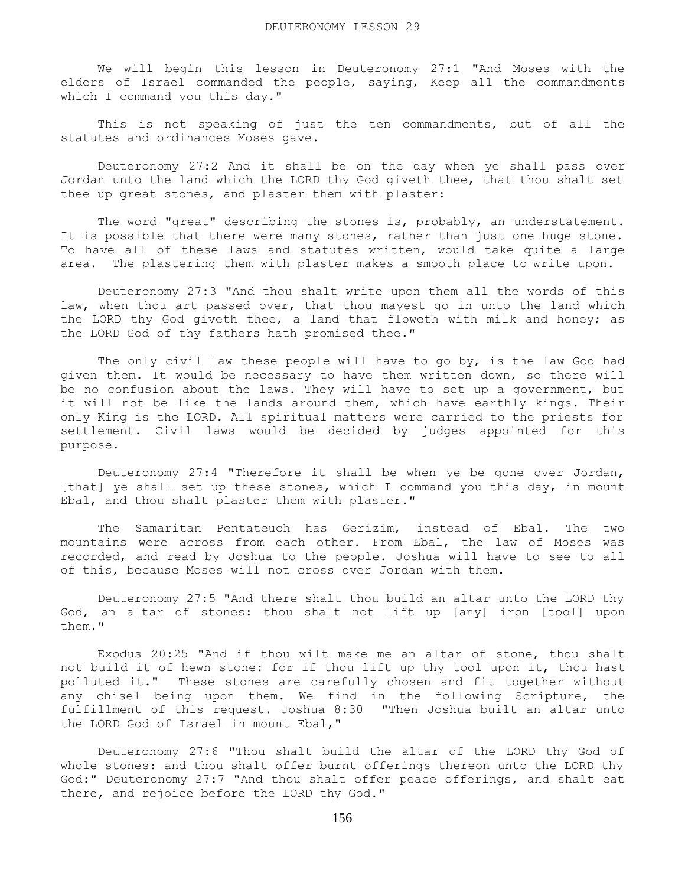We will begin this lesson in Deuteronomy 27:1 "And Moses with the elders of Israel commanded the people, saying, Keep all the commandments which I command you this day."

 This is not speaking of just the ten commandments, but of all the statutes and ordinances Moses gave.

 Deuteronomy 27:2 And it shall be on the day when ye shall pass over Jordan unto the land which the LORD thy God giveth thee, that thou shalt set thee up great stones, and plaster them with plaster:

 The word "great" describing the stones is, probably, an understatement. It is possible that there were many stones, rather than just one huge stone. To have all of these laws and statutes written, would take quite a large area. The plastering them with plaster makes a smooth place to write upon.

 Deuteronomy 27:3 "And thou shalt write upon them all the words of this law, when thou art passed over, that thou mayest go in unto the land which the LORD thy God giveth thee, a land that floweth with milk and honey; as the LORD God of thy fathers hath promised thee."

 The only civil law these people will have to go by, is the law God had given them. It would be necessary to have them written down, so there will be no confusion about the laws. They will have to set up a government, but it will not be like the lands around them, which have earthly kings. Their only King is the LORD. All spiritual matters were carried to the priests for settlement. Civil laws would be decided by judges appointed for this purpose.

 Deuteronomy 27:4 "Therefore it shall be when ye be gone over Jordan, [that] ye shall set up these stones, which I command you this day, in mount Ebal, and thou shalt plaster them with plaster."

 The Samaritan Pentateuch has Gerizim, instead of Ebal. The two mountains were across from each other. From Ebal, the law of Moses was recorded, and read by Joshua to the people. Joshua will have to see to all of this, because Moses will not cross over Jordan with them.

 Deuteronomy 27:5 "And there shalt thou build an altar unto the LORD thy God, an altar of stones: thou shalt not lift up [any] iron [tool] upon them."

 Exodus 20:25 "And if thou wilt make me an altar of stone, thou shalt not build it of hewn stone: for if thou lift up thy tool upon it, thou hast polluted it." These stones are carefully chosen and fit together without any chisel being upon them. We find in the following Scripture, the fulfillment of this request. Joshua 8:30 "Then Joshua built an altar unto the LORD God of Israel in mount Ebal,"

 Deuteronomy 27:6 "Thou shalt build the altar of the LORD thy God of whole stones: and thou shalt offer burnt offerings thereon unto the LORD thy God:" Deuteronomy 27:7 "And thou shalt offer peace offerings, and shalt eat there, and rejoice before the LORD thy God."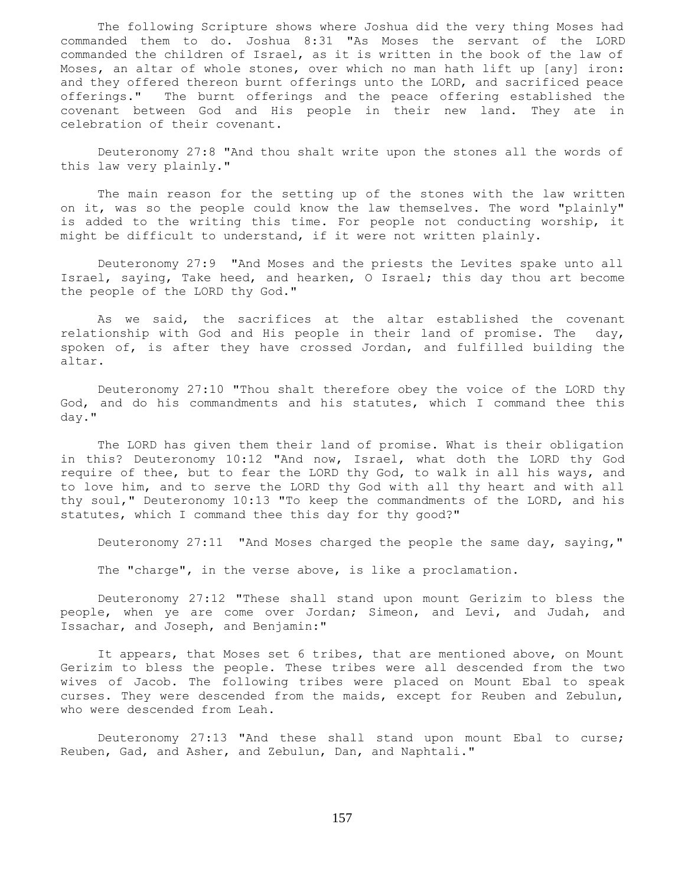The following Scripture shows where Joshua did the very thing Moses had commanded them to do. Joshua 8:31 "As Moses the servant of the LORD commanded the children of Israel, as it is written in the book of the law of Moses, an altar of whole stones, over which no man hath lift up [any] iron: and they offered thereon burnt offerings unto the LORD, and sacrificed peace offerings." The burnt offerings and the peace offering established the covenant between God and His people in their new land. They ate in celebration of their covenant.

 Deuteronomy 27:8 "And thou shalt write upon the stones all the words of this law very plainly."

 The main reason for the setting up of the stones with the law written on it, was so the people could know the law themselves. The word "plainly" is added to the writing this time. For people not conducting worship, it might be difficult to understand, if it were not written plainly.

 Deuteronomy 27:9 "And Moses and the priests the Levites spake unto all Israel, saying, Take heed, and hearken, O Israel; this day thou art become the people of the LORD thy God."

 As we said, the sacrifices at the altar established the covenant relationship with God and His people in their land of promise. The day, spoken of, is after they have crossed Jordan, and fulfilled building the altar.

 Deuteronomy 27:10 "Thou shalt therefore obey the voice of the LORD thy God, and do his commandments and his statutes, which I command thee this day."

 The LORD has given them their land of promise. What is their obligation in this? Deuteronomy 10:12 "And now, Israel, what doth the LORD thy God require of thee, but to fear the LORD thy God, to walk in all his ways, and to love him, and to serve the LORD thy God with all thy heart and with all thy soul," Deuteronomy 10:13 "To keep the commandments of the LORD, and his statutes, which I command thee this day for thy good?"

Deuteronomy 27:11 "And Moses charged the people the same day, saying,"

The "charge", in the verse above, is like a proclamation.

 Deuteronomy 27:12 "These shall stand upon mount Gerizim to bless the people, when ye are come over Jordan; Simeon, and Levi, and Judah, and Issachar, and Joseph, and Benjamin:"

 It appears, that Moses set 6 tribes, that are mentioned above, on Mount Gerizim to bless the people. These tribes were all descended from the two wives of Jacob. The following tribes were placed on Mount Ebal to speak curses. They were descended from the maids, except for Reuben and Zebulun, who were descended from Leah.

 Deuteronomy 27:13 "And these shall stand upon mount Ebal to curse; Reuben, Gad, and Asher, and Zebulun, Dan, and Naphtali."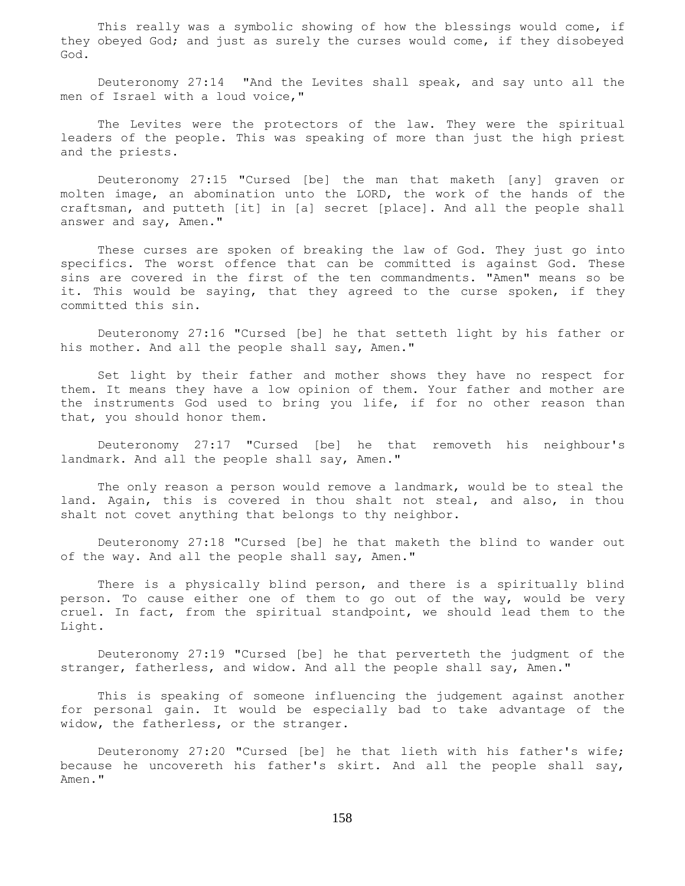This really was a symbolic showing of how the blessings would come, if they obeyed God; and just as surely the curses would come, if they disobeyed God.

 Deuteronomy 27:14 "And the Levites shall speak, and say unto all the men of Israel with a loud voice,"

The Levites were the protectors of the law. They were the spiritual leaders of the people. This was speaking of more than just the high priest and the priests.

 Deuteronomy 27:15 "Cursed [be] the man that maketh [any] graven or molten image, an abomination unto the LORD, the work of the hands of the craftsman, and putteth [it] in [a] secret [place]. And all the people shall answer and say, Amen."

 These curses are spoken of breaking the law of God. They just go into specifics. The worst offence that can be committed is against God. These sins are covered in the first of the ten commandments. "Amen" means so be it. This would be saying, that they agreed to the curse spoken, if they committed this sin.

 Deuteronomy 27:16 "Cursed [be] he that setteth light by his father or his mother. And all the people shall say, Amen."

 Set light by their father and mother shows they have no respect for them. It means they have a low opinion of them. Your father and mother are the instruments God used to bring you life, if for no other reason than that, you should honor them.

 Deuteronomy 27:17 "Cursed [be] he that removeth his neighbour's landmark. And all the people shall say, Amen."

 The only reason a person would remove a landmark, would be to steal the land. Again, this is covered in thou shalt not steal, and also, in thou shalt not covet anything that belongs to thy neighbor.

 Deuteronomy 27:18 "Cursed [be] he that maketh the blind to wander out of the way. And all the people shall say, Amen."

There is a physically blind person, and there is a spiritually blind person. To cause either one of them to go out of the way, would be very cruel. In fact, from the spiritual standpoint, we should lead them to the Light.

 Deuteronomy 27:19 "Cursed [be] he that perverteth the judgment of the stranger, fatherless, and widow. And all the people shall say, Amen."

 This is speaking of someone influencing the judgement against another for personal gain. It would be especially bad to take advantage of the widow, the fatherless, or the stranger.

 Deuteronomy 27:20 "Cursed [be] he that lieth with his father's wife; because he uncovereth his father's skirt. And all the people shall say, Amen."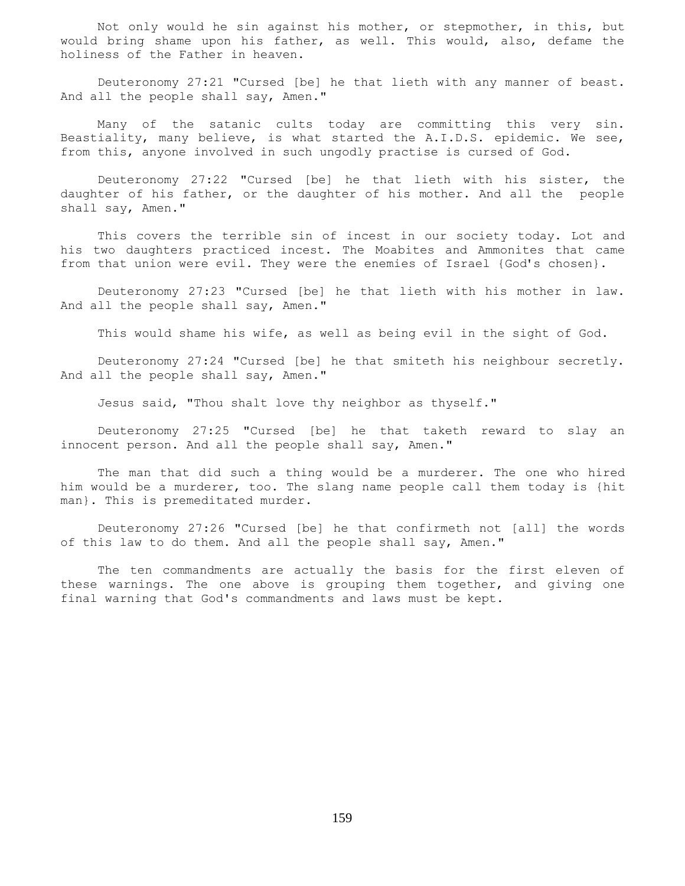Not only would he sin against his mother, or stepmother, in this, but would bring shame upon his father, as well. This would, also, defame the holiness of the Father in heaven.

 Deuteronomy 27:21 "Cursed [be] he that lieth with any manner of beast. And all the people shall say, Amen."

 Many of the satanic cults today are committing this very sin. Beastiality, many believe, is what started the A.I.D.S. epidemic. We see, from this, anyone involved in such ungodly practise is cursed of God.

 Deuteronomy 27:22 "Cursed [be] he that lieth with his sister, the daughter of his father, or the daughter of his mother. And all the people shall say, Amen."

This covers the terrible sin of incest in our society today. Lot and his two daughters practiced incest. The Moabites and Ammonites that came from that union were evil. They were the enemies of Israel {God's chosen}.

 Deuteronomy 27:23 "Cursed [be] he that lieth with his mother in law. And all the people shall say, Amen."

This would shame his wife, as well as being evil in the sight of God.

 Deuteronomy 27:24 "Cursed [be] he that smiteth his neighbour secretly. And all the people shall say, Amen."

Jesus said, "Thou shalt love thy neighbor as thyself."

 Deuteronomy 27:25 "Cursed [be] he that taketh reward to slay an innocent person. And all the people shall say, Amen."

 The man that did such a thing would be a murderer. The one who hired him would be a murderer, too. The slang name people call them today is {hit man}. This is premeditated murder.

 Deuteronomy 27:26 "Cursed [be] he that confirmeth not [all] the words of this law to do them. And all the people shall say, Amen."

 The ten commandments are actually the basis for the first eleven of these warnings. The one above is grouping them together, and giving one final warning that God's commandments and laws must be kept.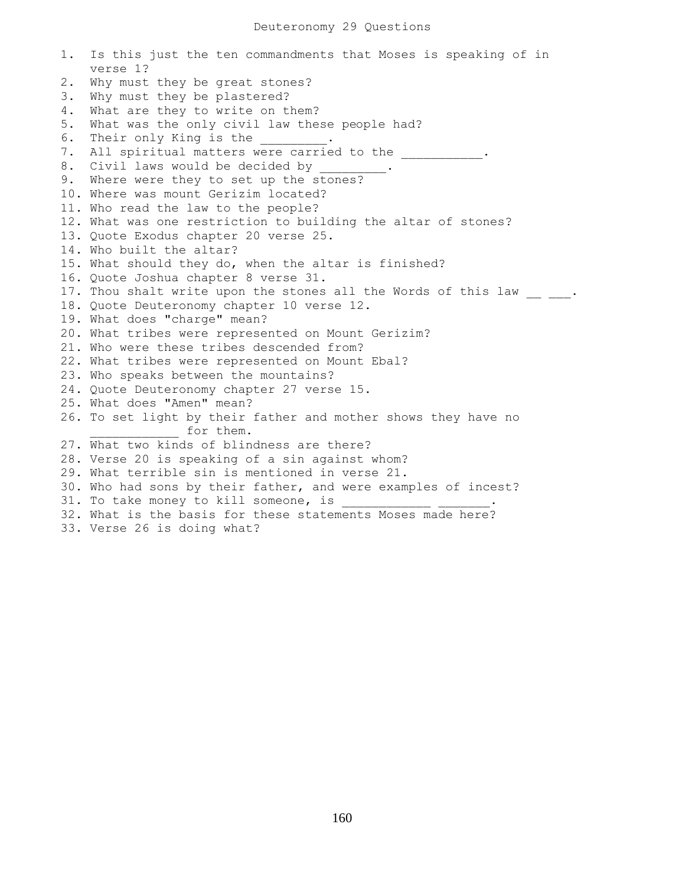1. Is this just the ten commandments that Moses is speaking of in verse 1? 2. Why must they be great stones? 3. Why must they be plastered? 4. What are they to write on them? 5. What was the only civil law these people had? 6. Their only King is the 7. All spiritual matters were carried to the  $\qquad \qquad$ 8. Civil laws would be decided by 9. Where were they to set up the stones? 10. Where was mount Gerizim located? 11. Who read the law to the people? 12. What was one restriction to building the altar of stones? 13. Quote Exodus chapter 20 verse 25. 14. Who built the altar? 15. What should they do, when the altar is finished? 16. Quote Joshua chapter 8 verse 31. 17. Thou shalt write upon the stones all the Words of this law  $\frac{1}{\sqrt{2}}$ 18. Quote Deuteronomy chapter 10 verse 12. 19. What does "charge" mean? 20. What tribes were represented on Mount Gerizim? 21. Who were these tribes descended from? 22. What tribes were represented on Mount Ebal? 23. Who speaks between the mountains? 24. Quote Deuteronomy chapter 27 verse 15. 25. What does "Amen" mean? 26. To set light by their father and mother shows they have no \_\_\_\_\_\_ for them. 27. What two kinds of blindness are there? 28. Verse 20 is speaking of a sin against whom? 29. What terrible sin is mentioned in verse 21. 30. Who had sons by their father, and were examples of incest? 31. To take money to kill someone, is \_\_\_\_\_\_\_\_\_\_\_\_\_\_\_\_. 32. What is the basis for these statements Moses made here?

33. Verse 26 is doing what?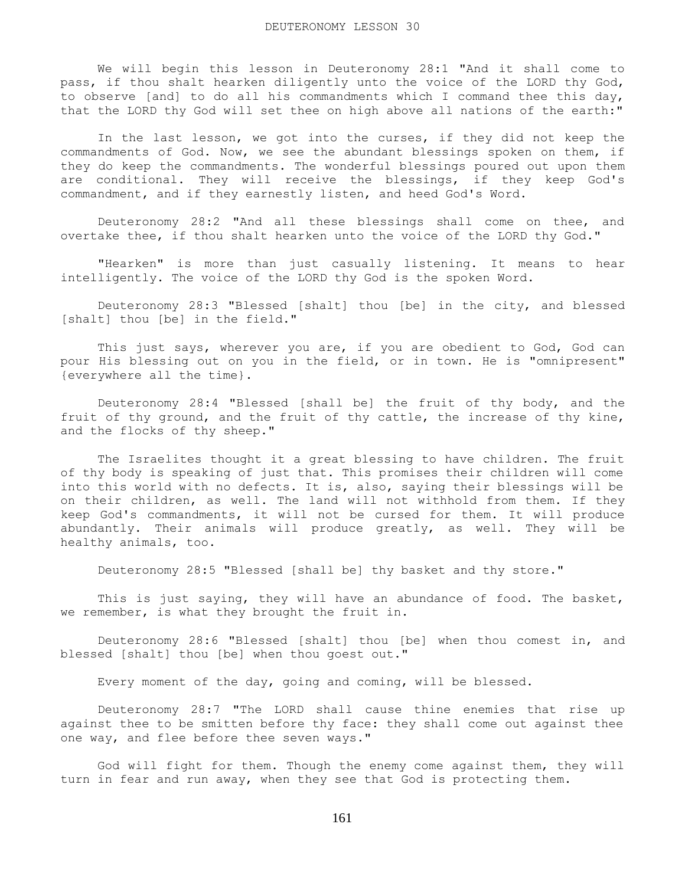We will begin this lesson in Deuteronomy 28:1 "And it shall come to pass, if thou shalt hearken diligently unto the voice of the LORD thy God, to observe [and] to do all his commandments which I command thee this day, that the LORD thy God will set thee on high above all nations of the earth:"

 In the last lesson, we got into the curses, if they did not keep the commandments of God. Now, we see the abundant blessings spoken on them, if they do keep the commandments. The wonderful blessings poured out upon them are conditional. They will receive the blessings, if they keep God's commandment, and if they earnestly listen, and heed God's Word.

 Deuteronomy 28:2 "And all these blessings shall come on thee, and overtake thee, if thou shalt hearken unto the voice of the LORD thy God."

 "Hearken" is more than just casually listening. It means to hear intelligently. The voice of the LORD thy God is the spoken Word.

 Deuteronomy 28:3 "Blessed [shalt] thou [be] in the city, and blessed [shalt] thou [be] in the field."

 This just says, wherever you are, if you are obedient to God, God can pour His blessing out on you in the field, or in town. He is "omnipresent" {everywhere all the time}.

 Deuteronomy 28:4 "Blessed [shall be] the fruit of thy body, and the fruit of thy ground, and the fruit of thy cattle, the increase of thy kine, and the flocks of thy sheep."

 The Israelites thought it a great blessing to have children. The fruit of thy body is speaking of just that. This promises their children will come into this world with no defects. It is, also, saying their blessings will be on their children, as well. The land will not withhold from them. If they keep God's commandments, it will not be cursed for them. It will produce abundantly. Their animals will produce greatly, as well. They will be healthy animals, too.

Deuteronomy 28:5 "Blessed [shall be] thy basket and thy store."

 This is just saying, they will have an abundance of food. The basket, we remember, is what they brought the fruit in.

 Deuteronomy 28:6 "Blessed [shalt] thou [be] when thou comest in, and blessed [shalt] thou [be] when thou goest out."

Every moment of the day, going and coming, will be blessed.

 Deuteronomy 28:7 "The LORD shall cause thine enemies that rise up against thee to be smitten before thy face: they shall come out against thee one way, and flee before thee seven ways."

 God will fight for them. Though the enemy come against them, they will turn in fear and run away, when they see that God is protecting them.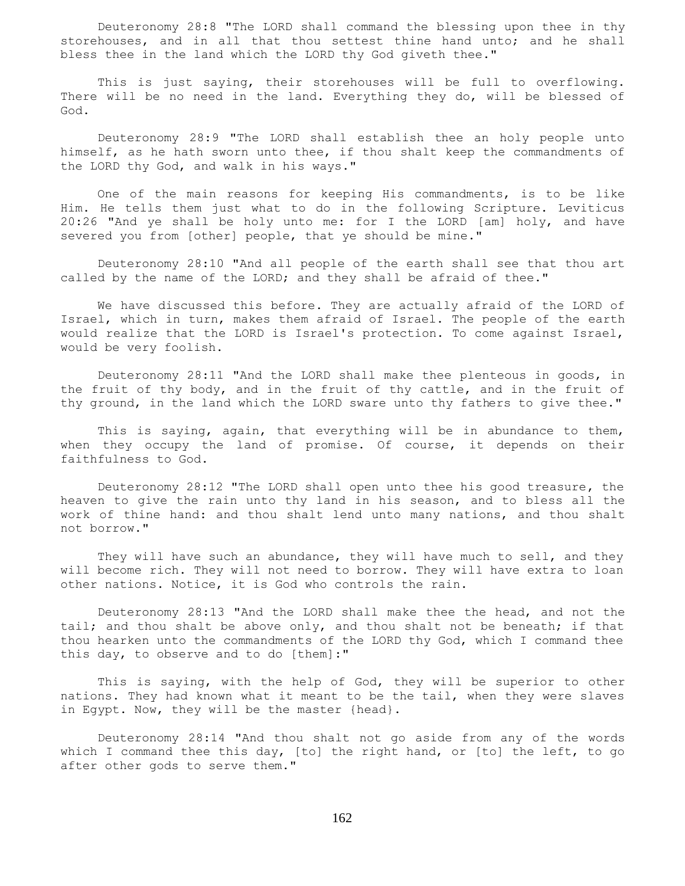Deuteronomy 28:8 "The LORD shall command the blessing upon thee in thy storehouses, and in all that thou settest thine hand unto; and he shall bless thee in the land which the LORD thy God giveth thee."

 This is just saying, their storehouses will be full to overflowing. There will be no need in the land. Everything they do, will be blessed of God.

 Deuteronomy 28:9 "The LORD shall establish thee an holy people unto himself, as he hath sworn unto thee, if thou shalt keep the commandments of the LORD thy God, and walk in his ways."

 One of the main reasons for keeping His commandments, is to be like Him. He tells them just what to do in the following Scripture. Leviticus 20:26 "And ye shall be holy unto me: for I the LORD [am] holy, and have severed you from [other] people, that ye should be mine."

 Deuteronomy 28:10 "And all people of the earth shall see that thou art called by the name of the LORD; and they shall be afraid of thee."

 We have discussed this before. They are actually afraid of the LORD of Israel, which in turn, makes them afraid of Israel. The people of the earth would realize that the LORD is Israel's protection. To come against Israel, would be very foolish.

 Deuteronomy 28:11 "And the LORD shall make thee plenteous in goods, in the fruit of thy body, and in the fruit of thy cattle, and in the fruit of thy ground, in the land which the LORD sware unto thy fathers to give thee."

This is saying, again, that everything will be in abundance to them, when they occupy the land of promise. Of course, it depends on their faithfulness to God.

 Deuteronomy 28:12 "The LORD shall open unto thee his good treasure, the heaven to give the rain unto thy land in his season, and to bless all the work of thine hand: and thou shalt lend unto many nations, and thou shalt not borrow."

They will have such an abundance, they will have much to sell, and they will become rich. They will not need to borrow. They will have extra to loan other nations. Notice, it is God who controls the rain.

 Deuteronomy 28:13 "And the LORD shall make thee the head, and not the tail; and thou shalt be above only, and thou shalt not be beneath; if that thou hearken unto the commandments of the LORD thy God, which I command thee this day, to observe and to do [them]:"

 This is saying, with the help of God, they will be superior to other nations. They had known what it meant to be the tail, when they were slaves in Egypt. Now, they will be the master {head}.

 Deuteronomy 28:14 "And thou shalt not go aside from any of the words which I command thee this day, [to] the right hand, or [to] the left, to go after other gods to serve them."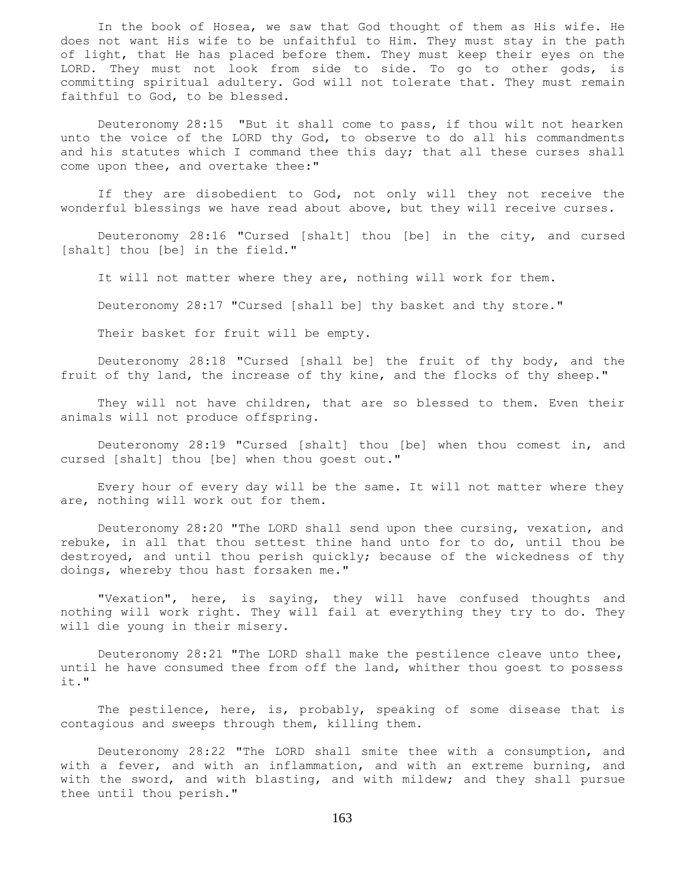In the book of Hosea, we saw that God thought of them as His wife. He does not want His wife to be unfaithful to Him. They must stay in the path of light, that He has placed before them. They must keep their eyes on the LORD. They must not look from side to side. To go to other gods, is committing spiritual adultery. God will not tolerate that. They must remain faithful to God, to be blessed.

 Deuteronomy 28:15 "But it shall come to pass, if thou wilt not hearken unto the voice of the LORD thy God, to observe to do all his commandments and his statutes which I command thee this day; that all these curses shall come upon thee, and overtake thee:"

 If they are disobedient to God, not only will they not receive the wonderful blessings we have read about above, but they will receive curses.

 Deuteronomy 28:16 "Cursed [shalt] thou [be] in the city, and cursed [shalt] thou [be] in the field."

It will not matter where they are, nothing will work for them.

Deuteronomy 28:17 "Cursed [shall be] thy basket and thy store."

Their basket for fruit will be empty.

 Deuteronomy 28:18 "Cursed [shall be] the fruit of thy body, and the fruit of thy land, the increase of thy kine, and the flocks of thy sheep."

 They will not have children, that are so blessed to them. Even their animals will not produce offspring.

 Deuteronomy 28:19 "Cursed [shalt] thou [be] when thou comest in, and cursed [shalt] thou [be] when thou goest out."

 Every hour of every day will be the same. It will not matter where they are, nothing will work out for them.

 Deuteronomy 28:20 "The LORD shall send upon thee cursing, vexation, and rebuke, in all that thou settest thine hand unto for to do, until thou be destroyed, and until thou perish quickly; because of the wickedness of thy doings, whereby thou hast forsaken me."

 "Vexation", here, is saying, they will have confused thoughts and nothing will work right. They will fail at everything they try to do. They will die young in their misery.

 Deuteronomy 28:21 "The LORD shall make the pestilence cleave unto thee, until he have consumed thee from off the land, whither thou goest to possess it."

 The pestilence, here, is, probably, speaking of some disease that is contagious and sweeps through them, killing them.

 Deuteronomy 28:22 "The LORD shall smite thee with a consumption, and with a fever, and with an inflammation, and with an extreme burning, and with the sword, and with blasting, and with mildew; and they shall pursue thee until thou perish."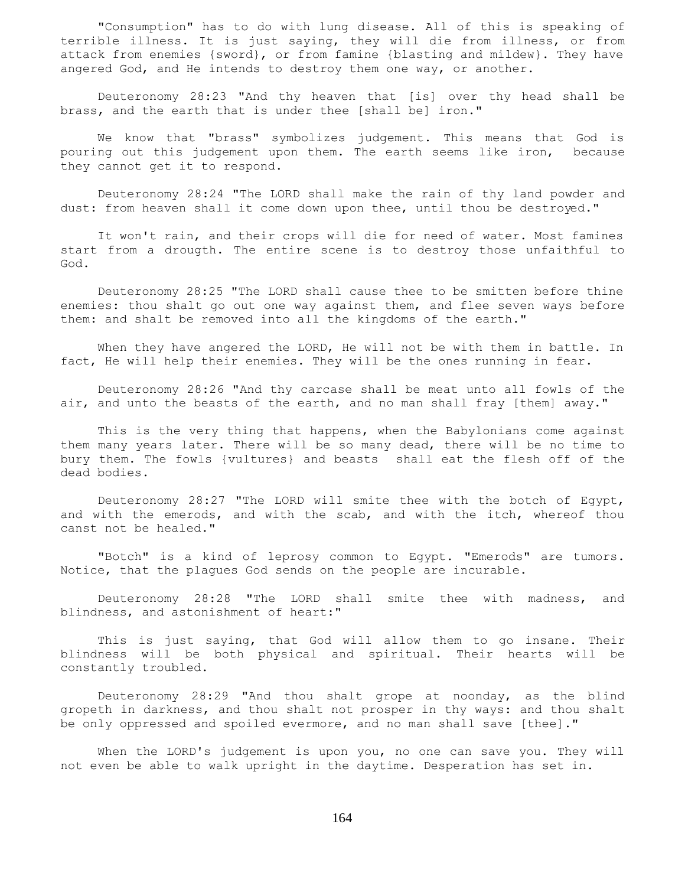"Consumption" has to do with lung disease. All of this is speaking of terrible illness. It is just saying, they will die from illness, or from attack from enemies {sword}, or from famine {blasting and mildew}. They have angered God, and He intends to destroy them one way, or another.

 Deuteronomy 28:23 "And thy heaven that [is] over thy head shall be brass, and the earth that is under thee [shall be] iron."

 We know that "brass" symbolizes judgement. This means that God is pouring out this judgement upon them. The earth seems like iron, because they cannot get it to respond.

 Deuteronomy 28:24 "The LORD shall make the rain of thy land powder and dust: from heaven shall it come down upon thee, until thou be destroyed."

 It won't rain, and their crops will die for need of water. Most famines start from a drougth. The entire scene is to destroy those unfaithful to God.

 Deuteronomy 28:25 "The LORD shall cause thee to be smitten before thine enemies: thou shalt go out one way against them, and flee seven ways before them: and shalt be removed into all the kingdoms of the earth."

 When they have angered the LORD, He will not be with them in battle. In fact, He will help their enemies. They will be the ones running in fear.

 Deuteronomy 28:26 "And thy carcase shall be meat unto all fowls of the air, and unto the beasts of the earth, and no man shall fray [them] away."

 This is the very thing that happens, when the Babylonians come against them many years later. There will be so many dead, there will be no time to bury them. The fowls {vultures} and beasts shall eat the flesh off of the dead bodies.

 Deuteronomy 28:27 "The LORD will smite thee with the botch of Egypt, and with the emerods, and with the scab, and with the itch, whereof thou canst not be healed."

 "Botch" is a kind of leprosy common to Egypt. "Emerods" are tumors. Notice, that the plagues God sends on the people are incurable.

 Deuteronomy 28:28 "The LORD shall smite thee with madness, and blindness, and astonishment of heart:"

 This is just saying, that God will allow them to go insane. Their blindness will be both physical and spiritual. Their hearts will be constantly troubled.

 Deuteronomy 28:29 "And thou shalt grope at noonday, as the blind gropeth in darkness, and thou shalt not prosper in thy ways: and thou shalt be only oppressed and spoiled evermore, and no man shall save [thee]."

 When the LORD's judgement is upon you, no one can save you. They will not even be able to walk upright in the daytime. Desperation has set in.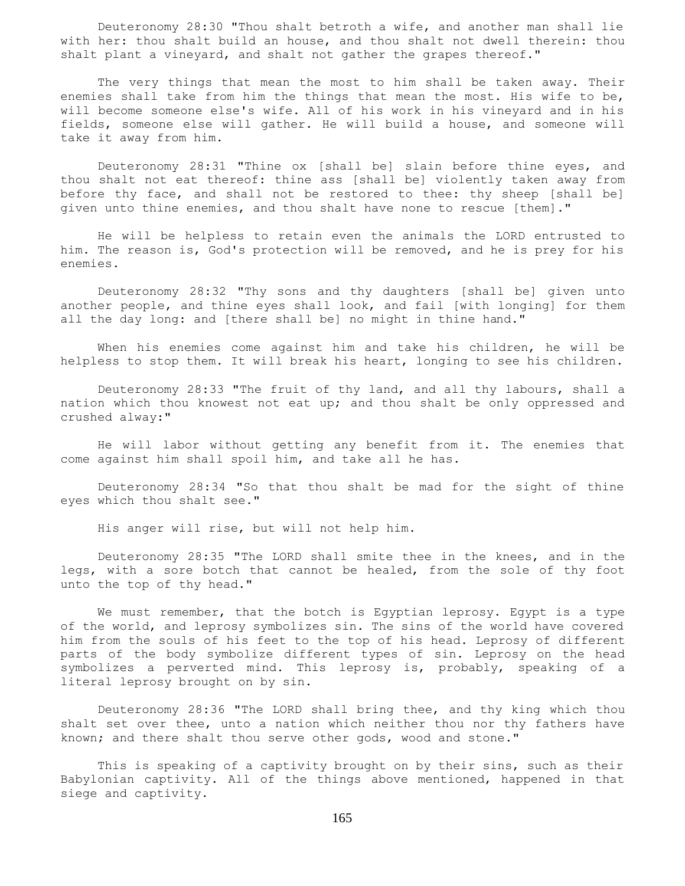Deuteronomy 28:30 "Thou shalt betroth a wife, and another man shall lie with her: thou shalt build an house, and thou shalt not dwell therein: thou shalt plant a vineyard, and shalt not gather the grapes thereof."

 The very things that mean the most to him shall be taken away. Their enemies shall take from him the things that mean the most. His wife to be, will become someone else's wife. All of his work in his vineyard and in his fields, someone else will gather. He will build a house, and someone will take it away from him.

 Deuteronomy 28:31 "Thine ox [shall be] slain before thine eyes, and thou shalt not eat thereof: thine ass [shall be] violently taken away from before thy face, and shall not be restored to thee: thy sheep [shall be] given unto thine enemies, and thou shalt have none to rescue [them]."

 He will be helpless to retain even the animals the LORD entrusted to him. The reason is, God's protection will be removed, and he is prey for his enemies.

 Deuteronomy 28:32 "Thy sons and thy daughters [shall be] given unto another people, and thine eyes shall look, and fail [with longing] for them all the day long: and [there shall be] no might in thine hand."

 When his enemies come against him and take his children, he will be helpless to stop them. It will break his heart, longing to see his children.

 Deuteronomy 28:33 "The fruit of thy land, and all thy labours, shall a nation which thou knowest not eat up; and thou shalt be only oppressed and crushed alway:"

 He will labor without getting any benefit from it. The enemies that come against him shall spoil him, and take all he has.

 Deuteronomy 28:34 "So that thou shalt be mad for the sight of thine eyes which thou shalt see."

His anger will rise, but will not help him.

 Deuteronomy 28:35 "The LORD shall smite thee in the knees, and in the legs, with a sore botch that cannot be healed, from the sole of thy foot unto the top of thy head."

We must remember, that the botch is Egyptian leprosy. Egypt is a type of the world, and leprosy symbolizes sin. The sins of the world have covered him from the souls of his feet to the top of his head. Leprosy of different parts of the body symbolize different types of sin. Leprosy on the head symbolizes a perverted mind. This leprosy is, probably, speaking of a literal leprosy brought on by sin.

 Deuteronomy 28:36 "The LORD shall bring thee, and thy king which thou shalt set over thee, unto a nation which neither thou nor thy fathers have known; and there shalt thou serve other gods, wood and stone."

 This is speaking of a captivity brought on by their sins, such as their Babylonian captivity. All of the things above mentioned, happened in that siege and captivity.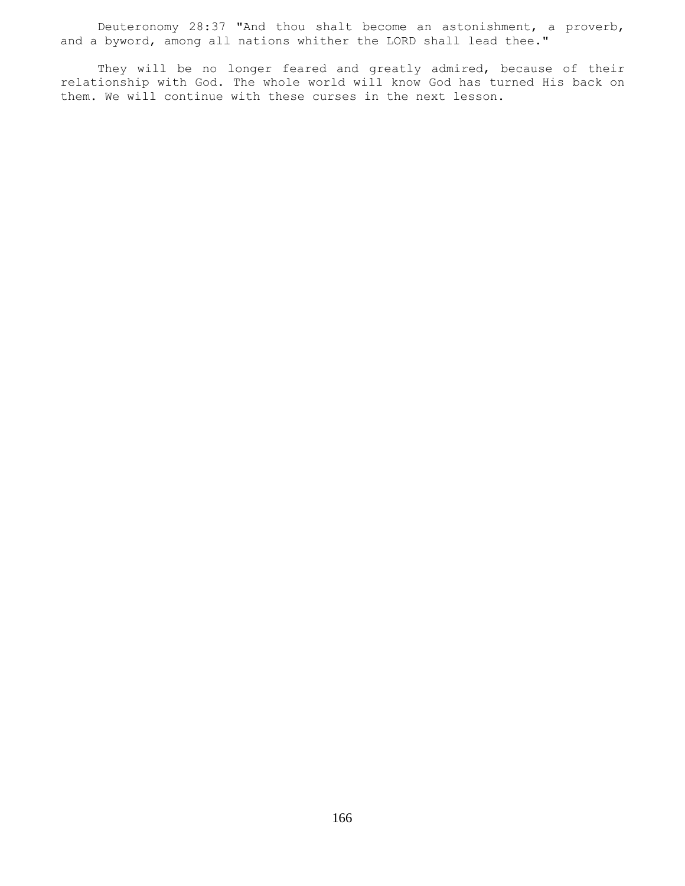Deuteronomy 28:37 "And thou shalt become an astonishment, a proverb, and a byword, among all nations whither the LORD shall lead thee."

They will be no longer feared and greatly admired, because of their relationship with God. The whole world will know God has turned His back on them. We will continue with these curses in the next lesson.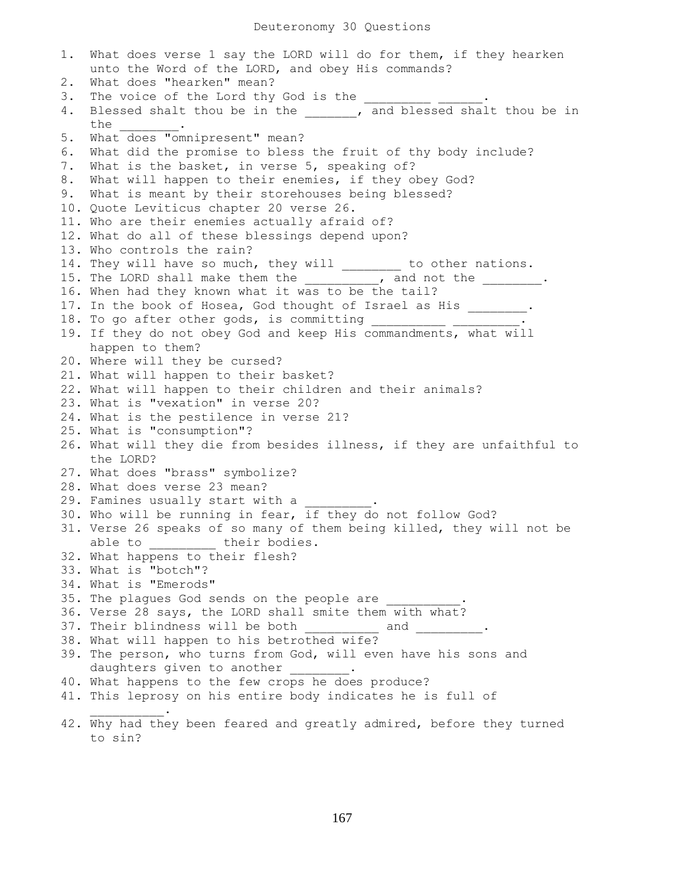1. What does verse 1 say the LORD will do for them, if they hearken unto the Word of the LORD, and obey His commands? 2. What does "hearken" mean? 3. The voice of the Lord thy God is the 4. Blessed shalt thou be in the \_\_\_\_\_\_, and blessed shalt thou be in the \_\_\_\_\_\_\_\_. 5. What does "omnipresent" mean? 6. What did the promise to bless the fruit of thy body include? 7. What is the basket, in verse 5, speaking of? 8. What will happen to their enemies, if they obey God? 9. What is meant by their storehouses being blessed? 10. Quote Leviticus chapter 20 verse 26. 11. Who are their enemies actually afraid of? 12. What do all of these blessings depend upon? 13. Who controls the rain? 14. They will have so much, they will \_\_\_\_\_\_\_ to other nations. 15. The LORD shall make them the them the stand not the the state of the state of the state of the state of the 16. When had they known what it was to be the tail? 17. In the book of Hosea, God thought of Israel as His . 18. To go after other gods, is committing 19. If they do not obey God and keep His commandments, what will happen to them? 20. Where will they be cursed? 21. What will happen to their basket? 22. What will happen to their children and their animals? 23. What is "vexation" in verse 20? 24. What is the pestilence in verse 21? 25. What is "consumption"? 26. What will they die from besides illness, if they are unfaithful to the LORD? 27. What does "brass" symbolize? 28. What does verse 23 mean? 29. Famines usually start with a 30. Who will be running in fear, if they do not follow God? 31. Verse 26 speaks of so many of them being killed, they will not be able to \_\_\_\_\_\_\_\_ their bodies. 32. What happens to their flesh? 33. What is "botch"? 34. What is "Emerods" 35. The plagues God sends on the people are 36. Verse 28 says, the LORD shall smite them with what? 37. Their blindness will be both and 38. What will happen to his betrothed wife? 39. The person, who turns from God, will even have his sons and daughters given to another . 40. What happens to the few crops he does produce? 41. This leprosy on his entire body indicates he is full of  $\overline{\phantom{a}}$  ,  $\overline{\phantom{a}}$  ,  $\overline{\phantom{a}}$  ,  $\overline{\phantom{a}}$  ,  $\overline{\phantom{a}}$ 42. Why had they been feared and greatly admired, before they turned

to sin?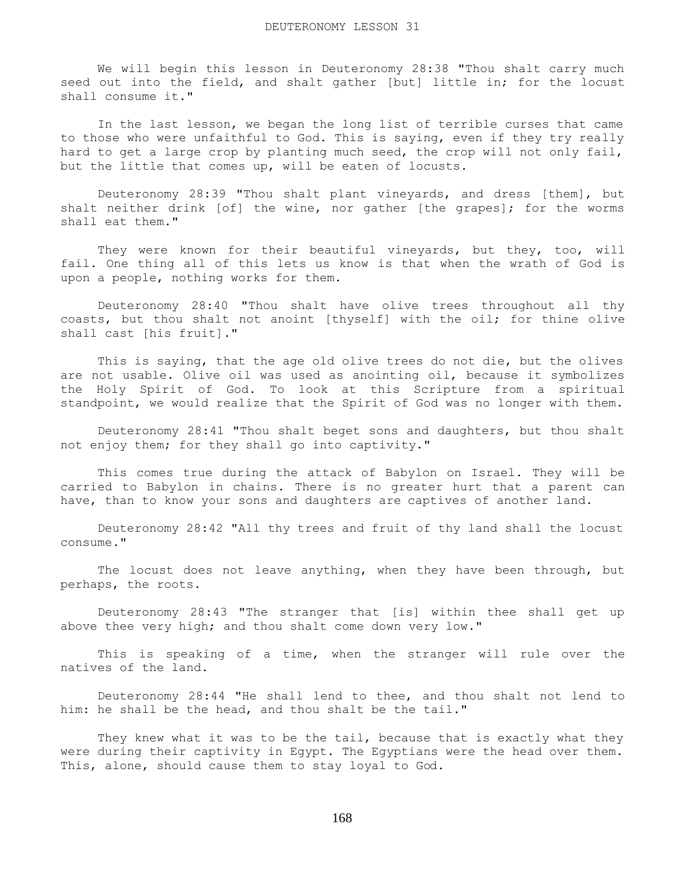We will begin this lesson in Deuteronomy 28:38 "Thou shalt carry much seed out into the field, and shalt gather [but] little in; for the locust shall consume it."

 In the last lesson, we began the long list of terrible curses that came to those who were unfaithful to God. This is saying, even if they try really hard to get a large crop by planting much seed, the crop will not only fail, but the little that comes up, will be eaten of locusts.

 Deuteronomy 28:39 "Thou shalt plant vineyards, and dress [them], but shalt neither drink [of] the wine, nor gather [the grapes]; for the worms shall eat them."

 They were known for their beautiful vineyards, but they, too, will fail. One thing all of this lets us know is that when the wrath of God is upon a people, nothing works for them.

 Deuteronomy 28:40 "Thou shalt have olive trees throughout all thy coasts, but thou shalt not anoint [thyself] with the oil; for thine olive shall cast [his fruit]."

 This is saying, that the age old olive trees do not die, but the olives are not usable. Olive oil was used as anointing oil, because it symbolizes the Holy Spirit of God. To look at this Scripture from a spiritual standpoint, we would realize that the Spirit of God was no longer with them.

 Deuteronomy 28:41 "Thou shalt beget sons and daughters, but thou shalt not enjoy them; for they shall go into captivity."

 This comes true during the attack of Babylon on Israel. They will be carried to Babylon in chains. There is no greater hurt that a parent can have, than to know your sons and daughters are captives of another land.

 Deuteronomy 28:42 "All thy trees and fruit of thy land shall the locust consume."

The locust does not leave anything, when they have been through, but perhaps, the roots.

 Deuteronomy 28:43 "The stranger that [is] within thee shall get up above thee very high; and thou shalt come down very low."

 This is speaking of a time, when the stranger will rule over the natives of the land.

 Deuteronomy 28:44 "He shall lend to thee, and thou shalt not lend to him: he shall be the head, and thou shalt be the tail."

They knew what it was to be the tail, because that is exactly what they were during their captivity in Egypt. The Egyptians were the head over them. This, alone, should cause them to stay loyal to God.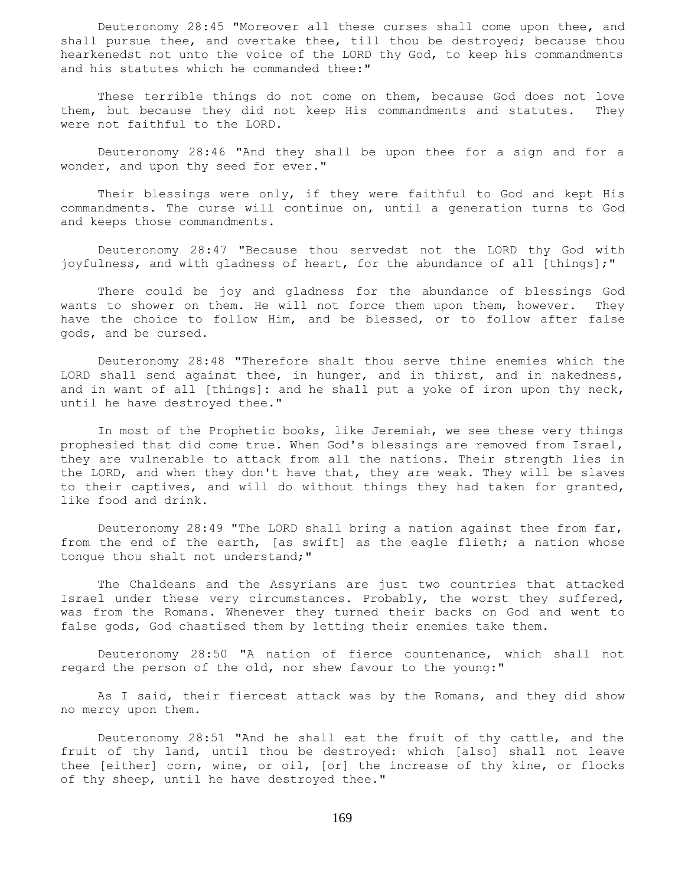Deuteronomy 28:45 "Moreover all these curses shall come upon thee, and shall pursue thee, and overtake thee, till thou be destroyed; because thou hearkenedst not unto the voice of the LORD thy God, to keep his commandments and his statutes which he commanded thee:"

 These terrible things do not come on them, because God does not love them, but because they did not keep His commandments and statutes. They were not faithful to the LORD.

 Deuteronomy 28:46 "And they shall be upon thee for a sign and for a wonder, and upon thy seed for ever."

 Their blessings were only, if they were faithful to God and kept His commandments. The curse will continue on, until a generation turns to God and keeps those commandments.

 Deuteronomy 28:47 "Because thou servedst not the LORD thy God with joyfulness, and with gladness of heart, for the abundance of all [things];"

 There could be joy and gladness for the abundance of blessings God wants to shower on them. He will not force them upon them, however. They have the choice to follow Him, and be blessed, or to follow after false gods, and be cursed.

 Deuteronomy 28:48 "Therefore shalt thou serve thine enemies which the LORD shall send against thee, in hunger, and in thirst, and in nakedness, and in want of all [things]: and he shall put a yoke of iron upon thy neck, until he have destroyed thee."

 In most of the Prophetic books, like Jeremiah, we see these very things prophesied that did come true. When God's blessings are removed from Israel, they are vulnerable to attack from all the nations. Their strength lies in the LORD, and when they don't have that, they are weak. They will be slaves to their captives, and will do without things they had taken for granted, like food and drink.

 Deuteronomy 28:49 "The LORD shall bring a nation against thee from far, from the end of the earth, [as swift] as the eagle flieth; a nation whose tongue thou shalt not understand;"

 The Chaldeans and the Assyrians are just two countries that attacked Israel under these very circumstances. Probably, the worst they suffered, was from the Romans. Whenever they turned their backs on God and went to false gods, God chastised them by letting their enemies take them.

 Deuteronomy 28:50 "A nation of fierce countenance, which shall not regard the person of the old, nor shew favour to the young:"

 As I said, their fiercest attack was by the Romans, and they did show no mercy upon them.

 Deuteronomy 28:51 "And he shall eat the fruit of thy cattle, and the fruit of thy land, until thou be destroyed: which [also] shall not leave thee [either] corn, wine, or oil, [or] the increase of thy kine, or flocks of thy sheep, until he have destroyed thee."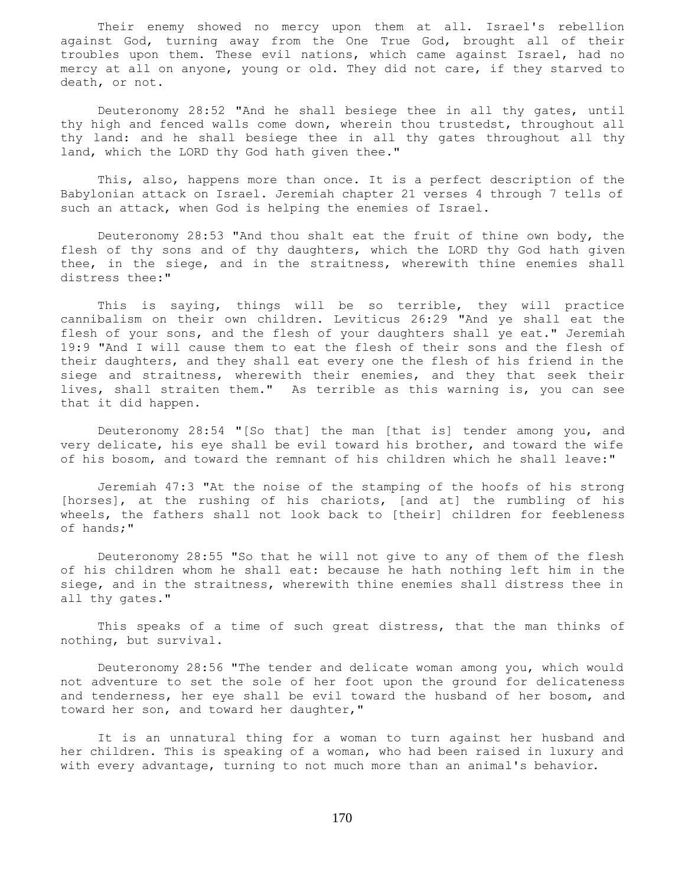Their enemy showed no mercy upon them at all. Israel's rebellion against God, turning away from the One True God, brought all of their troubles upon them. These evil nations, which came against Israel, had no mercy at all on anyone, young or old. They did not care, if they starved to death, or not.

 Deuteronomy 28:52 "And he shall besiege thee in all thy gates, until thy high and fenced walls come down, wherein thou trustedst, throughout all thy land: and he shall besiege thee in all thy gates throughout all thy land, which the LORD thy God hath given thee."

 This, also, happens more than once. It is a perfect description of the Babylonian attack on Israel. Jeremiah chapter 21 verses 4 through 7 tells of such an attack, when God is helping the enemies of Israel.

 Deuteronomy 28:53 "And thou shalt eat the fruit of thine own body, the flesh of thy sons and of thy daughters, which the LORD thy God hath given thee, in the siege, and in the straitness, wherewith thine enemies shall distress thee:"

 This is saying, things will be so terrible, they will practice cannibalism on their own children. Leviticus 26:29 "And ye shall eat the flesh of your sons, and the flesh of your daughters shall ye eat." Jeremiah 19:9 "And I will cause them to eat the flesh of their sons and the flesh of their daughters, and they shall eat every one the flesh of his friend in the siege and straitness, wherewith their enemies, and they that seek their lives, shall straiten them." As terrible as this warning is, you can see that it did happen.

 Deuteronomy 28:54 "[So that] the man [that is] tender among you, and very delicate, his eye shall be evil toward his brother, and toward the wife of his bosom, and toward the remnant of his children which he shall leave:"

 Jeremiah 47:3 "At the noise of the stamping of the hoofs of his strong [horses], at the rushing of his chariots, [and at] the rumbling of his wheels, the fathers shall not look back to [their] children for feebleness of hands;"

 Deuteronomy 28:55 "So that he will not give to any of them of the flesh of his children whom he shall eat: because he hath nothing left him in the siege, and in the straitness, wherewith thine enemies shall distress thee in all thy gates."

 This speaks of a time of such great distress, that the man thinks of nothing, but survival.

 Deuteronomy 28:56 "The tender and delicate woman among you, which would not adventure to set the sole of her foot upon the ground for delicateness and tenderness, her eye shall be evil toward the husband of her bosom, and toward her son, and toward her daughter,"

 It is an unnatural thing for a woman to turn against her husband and her children. This is speaking of a woman, who had been raised in luxury and with every advantage, turning to not much more than an animal's behavior.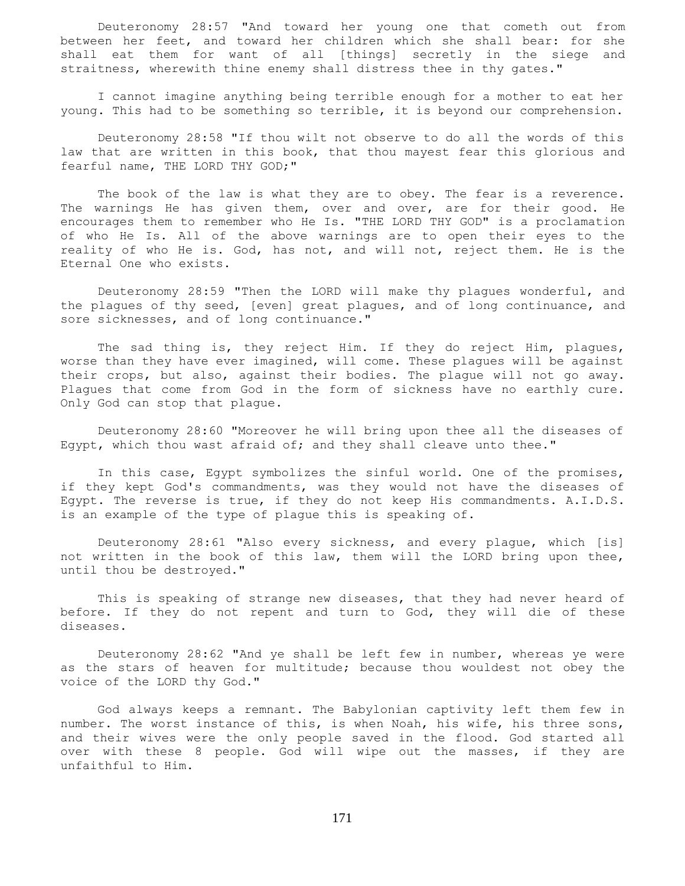Deuteronomy 28:57 "And toward her young one that cometh out from between her feet, and toward her children which she shall bear: for she shall eat them for want of all [things] secretly in the siege and straitness, wherewith thine enemy shall distress thee in thy gates."

 I cannot imagine anything being terrible enough for a mother to eat her young. This had to be something so terrible, it is beyond our comprehension.

 Deuteronomy 28:58 "If thou wilt not observe to do all the words of this law that are written in this book, that thou mayest fear this glorious and fearful name, THE LORD THY GOD;"

The book of the law is what they are to obey. The fear is a reverence. The warnings He has given them, over and over, are for their good. He encourages them to remember who He Is. "THE LORD THY GOD" is a proclamation of who He Is. All of the above warnings are to open their eyes to the reality of who He is. God, has not, and will not, reject them. He is the Eternal One who exists.

 Deuteronomy 28:59 "Then the LORD will make thy plagues wonderful, and the plagues of thy seed, [even] great plagues, and of long continuance, and sore sicknesses, and of long continuance."

 The sad thing is, they reject Him. If they do reject Him, plagues, worse than they have ever imagined, will come. These plagues will be against their crops, but also, against their bodies. The plague will not go away. Plagues that come from God in the form of sickness have no earthly cure. Only God can stop that plague.

 Deuteronomy 28:60 "Moreover he will bring upon thee all the diseases of Egypt, which thou wast afraid of; and they shall cleave unto thee."

 In this case, Egypt symbolizes the sinful world. One of the promises, if they kept God's commandments, was they would not have the diseases of Egypt. The reverse is true, if they do not keep His commandments. A.I.D.S. is an example of the type of plague this is speaking of.

 Deuteronomy 28:61 "Also every sickness, and every plague, which [is] not written in the book of this law, them will the LORD bring upon thee, until thou be destroyed."

 This is speaking of strange new diseases, that they had never heard of before. If they do not repent and turn to God, they will die of these diseases.

 Deuteronomy 28:62 "And ye shall be left few in number, whereas ye were as the stars of heaven for multitude; because thou wouldest not obey the voice of the LORD thy God."

 God always keeps a remnant. The Babylonian captivity left them few in number. The worst instance of this, is when Noah, his wife, his three sons, and their wives were the only people saved in the flood. God started all over with these 8 people. God will wipe out the masses, if they are unfaithful to Him.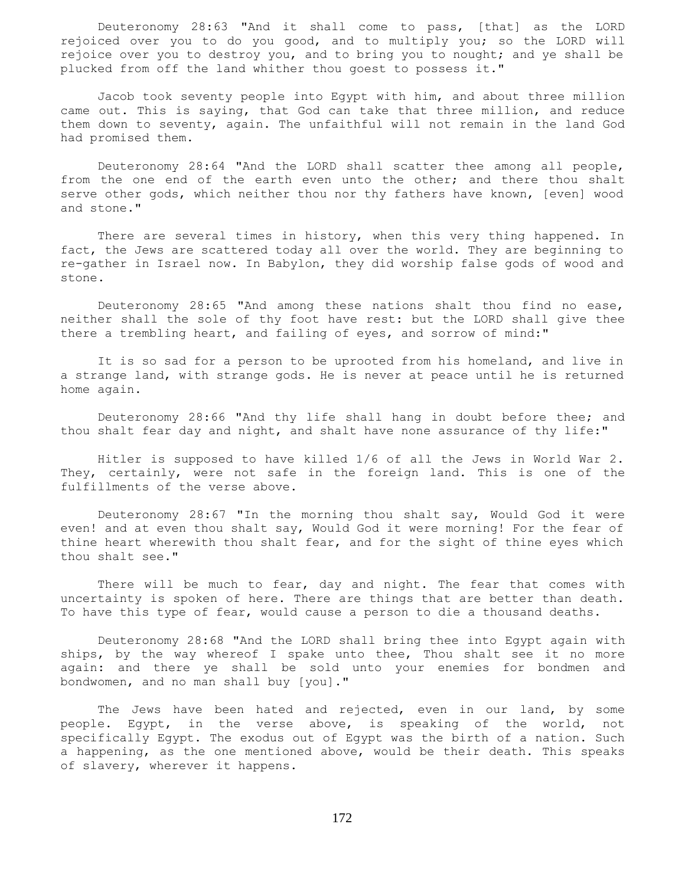Deuteronomy 28:63 "And it shall come to pass, [that] as the LORD rejoiced over you to do you good, and to multiply you; so the LORD will rejoice over you to destroy you, and to bring you to nought; and ye shall be plucked from off the land whither thou goest to possess it."

 Jacob took seventy people into Egypt with him, and about three million came out. This is saying, that God can take that three million, and reduce them down to seventy, again. The unfaithful will not remain in the land God had promised them.

 Deuteronomy 28:64 "And the LORD shall scatter thee among all people, from the one end of the earth even unto the other; and there thou shalt serve other gods, which neither thou nor thy fathers have known, [even] wood and stone."

 There are several times in history, when this very thing happened. In fact, the Jews are scattered today all over the world. They are beginning to re-gather in Israel now. In Babylon, they did worship false gods of wood and stone.

 Deuteronomy 28:65 "And among these nations shalt thou find no ease, neither shall the sole of thy foot have rest: but the LORD shall give thee there a trembling heart, and failing of eyes, and sorrow of mind:"

 It is so sad for a person to be uprooted from his homeland, and live in a strange land, with strange gods. He is never at peace until he is returned home again.

 Deuteronomy 28:66 "And thy life shall hang in doubt before thee; and thou shalt fear day and night, and shalt have none assurance of thy life:"

 Hitler is supposed to have killed 1/6 of all the Jews in World War 2. They, certainly, were not safe in the foreign land. This is one of the fulfillments of the verse above.

 Deuteronomy 28:67 "In the morning thou shalt say, Would God it were even! and at even thou shalt say, Would God it were morning! For the fear of thine heart wherewith thou shalt fear, and for the sight of thine eyes which thou shalt see."

There will be much to fear, day and night. The fear that comes with uncertainty is spoken of here. There are things that are better than death. To have this type of fear, would cause a person to die a thousand deaths.

 Deuteronomy 28:68 "And the LORD shall bring thee into Egypt again with ships, by the way whereof I spake unto thee, Thou shalt see it no more again: and there ye shall be sold unto your enemies for bondmen and bondwomen, and no man shall buy [you]."

 The Jews have been hated and rejected, even in our land, by some people. Egypt, in the verse above, is speaking of the world, not specifically Egypt. The exodus out of Egypt was the birth of a nation. Such a happening, as the one mentioned above, would be their death. This speaks of slavery, wherever it happens.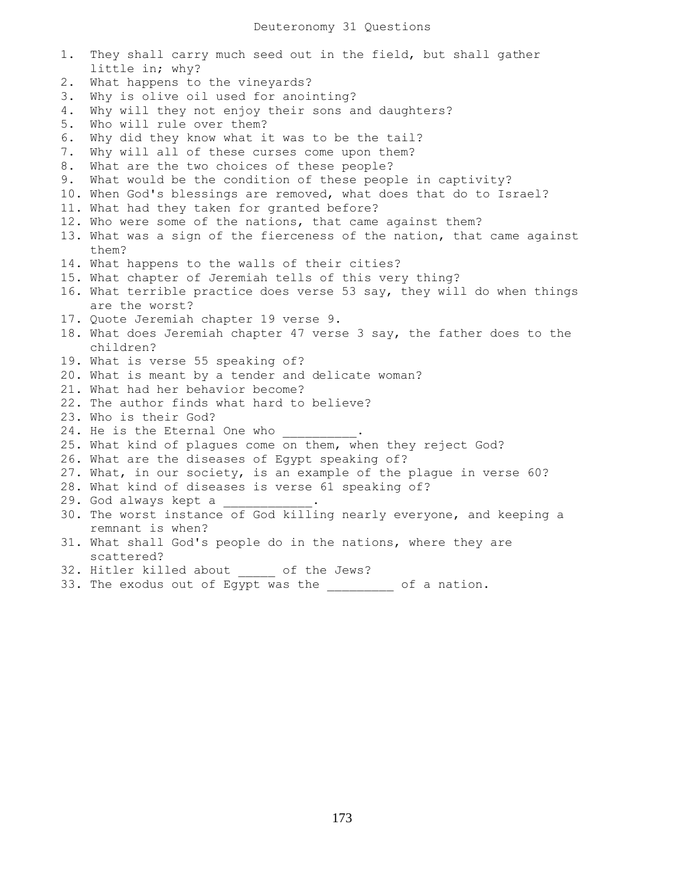1. They shall carry much seed out in the field, but shall gather little in; why? 2. What happens to the vineyards? 3. Why is olive oil used for anointing? 4. Why will they not enjoy their sons and daughters? 5. Who will rule over them? 6. Why did they know what it was to be the tail? 7. Why will all of these curses come upon them? 8. What are the two choices of these people? 9. What would be the condition of these people in captivity? 10. When God's blessings are removed, what does that do to Israel? 11. What had they taken for granted before? 12. Who were some of the nations, that came against them? 13. What was a sign of the fierceness of the nation, that came against them? 14. What happens to the walls of their cities? 15. What chapter of Jeremiah tells of this very thing? 16. What terrible practice does verse 53 say, they will do when things are the worst? 17. Quote Jeremiah chapter 19 verse 9. 18. What does Jeremiah chapter 47 verse 3 say, the father does to the children? 19. What is verse 55 speaking of? 20. What is meant by a tender and delicate woman? 21. What had her behavior become? 22. The author finds what hard to believe? 23. Who is their God? 24. He is the Eternal One who 25. What kind of plagues come on them, when they reject God? 26. What are the diseases of Egypt speaking of? 27. What, in our society, is an example of the plague in verse 60? 28. What kind of diseases is verse 61 speaking of? 29. God always kept a 30. The worst instance of God killing nearly everyone, and keeping a remnant is when? 31. What shall God's people do in the nations, where they are scattered? 32. Hitler killed about of the Jews?

33. The exodus out of Egypt was the  $\qquad \qquad$  of a nation.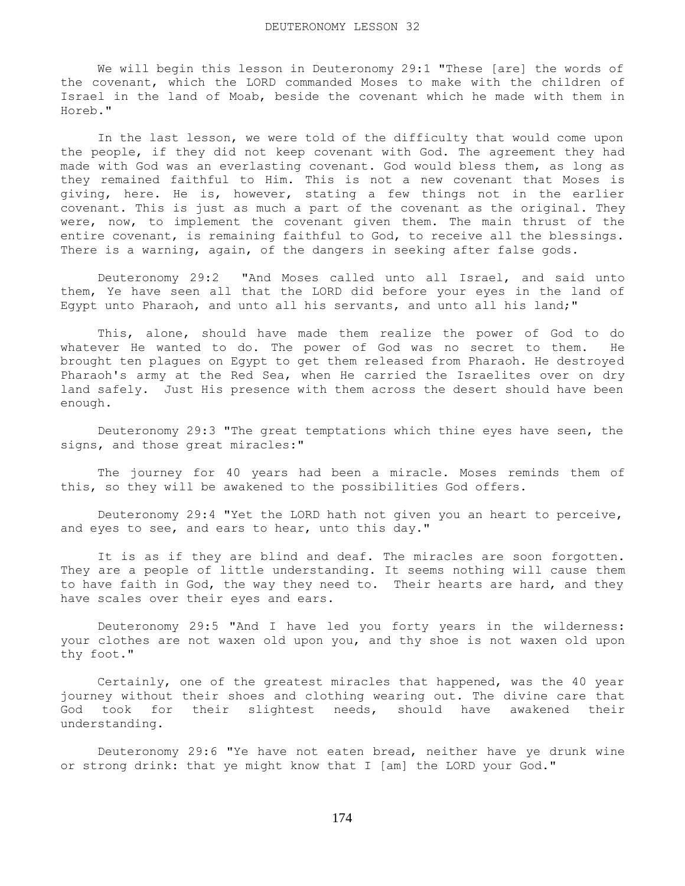We will begin this lesson in Deuteronomy 29:1 "These [are] the words of the covenant, which the LORD commanded Moses to make with the children of Israel in the land of Moab, beside the covenant which he made with them in Horeb."

 In the last lesson, we were told of the difficulty that would come upon the people, if they did not keep covenant with God. The agreement they had made with God was an everlasting covenant. God would bless them, as long as they remained faithful to Him. This is not a new covenant that Moses is giving, here. He is, however, stating a few things not in the earlier covenant. This is just as much a part of the covenant as the original. They were, now, to implement the covenant given them. The main thrust of the entire covenant, is remaining faithful to God, to receive all the blessings. There is a warning, again, of the dangers in seeking after false gods.

 Deuteronomy 29:2 "And Moses called unto all Israel, and said unto them, Ye have seen all that the LORD did before your eyes in the land of Egypt unto Pharaoh, and unto all his servants, and unto all his land;"

 This, alone, should have made them realize the power of God to do whatever He wanted to do. The power of God was no secret to them. He brought ten plagues on Egypt to get them released from Pharaoh. He destroyed Pharaoh's army at the Red Sea, when He carried the Israelites over on dry land safely. Just His presence with them across the desert should have been enough.

 Deuteronomy 29:3 "The great temptations which thine eyes have seen, the signs, and those great miracles:"

 The journey for 40 years had been a miracle. Moses reminds them of this, so they will be awakened to the possibilities God offers.

 Deuteronomy 29:4 "Yet the LORD hath not given you an heart to perceive, and eyes to see, and ears to hear, unto this day."

 It is as if they are blind and deaf. The miracles are soon forgotten. They are a people of little understanding. It seems nothing will cause them to have faith in God, the way they need to. Their hearts are hard, and they have scales over their eyes and ears.

 Deuteronomy 29:5 "And I have led you forty years in the wilderness: your clothes are not waxen old upon you, and thy shoe is not waxen old upon thy foot."

 Certainly, one of the greatest miracles that happened, was the 40 year journey without their shoes and clothing wearing out. The divine care that God took for their slightest needs, should have awakened their understanding.

 Deuteronomy 29:6 "Ye have not eaten bread, neither have ye drunk wine or strong drink: that ye might know that I [am] the LORD your God."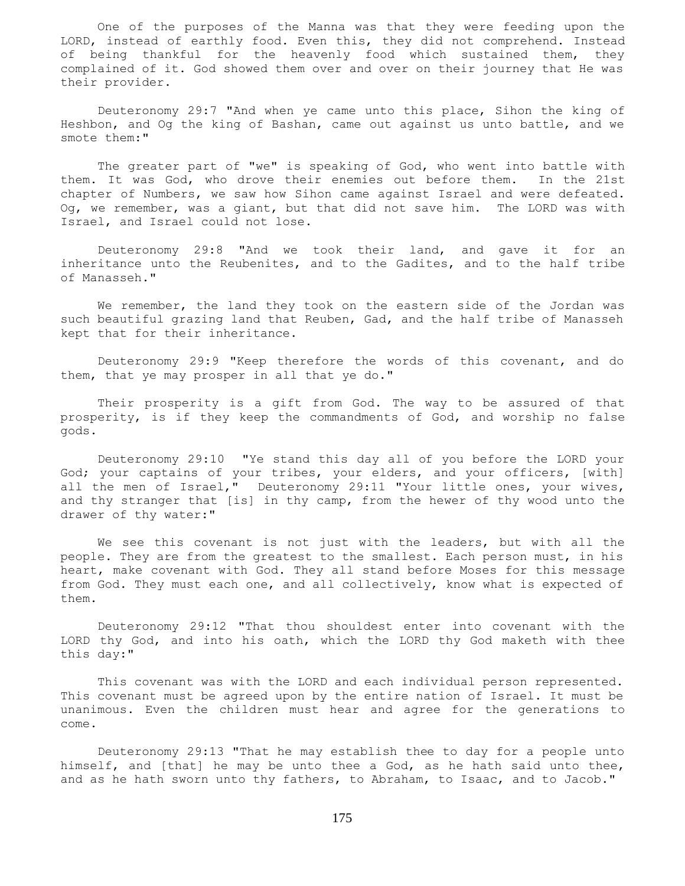One of the purposes of the Manna was that they were feeding upon the LORD, instead of earthly food. Even this, they did not comprehend. Instead of being thankful for the heavenly food which sustained them, they complained of it. God showed them over and over on their journey that He was their provider.

 Deuteronomy 29:7 "And when ye came unto this place, Sihon the king of Heshbon, and Og the king of Bashan, came out against us unto battle, and we smote them:"

 The greater part of "we" is speaking of God, who went into battle with them. It was God, who drove their enemies out before them. In the 21st chapter of Numbers, we saw how Sihon came against Israel and were defeated. Og, we remember, was a giant, but that did not save him. The LORD was with Israel, and Israel could not lose.

 Deuteronomy 29:8 "And we took their land, and gave it for an inheritance unto the Reubenites, and to the Gadites, and to the half tribe of Manasseh."

We remember, the land they took on the eastern side of the Jordan was such beautiful grazing land that Reuben, Gad, and the half tribe of Manasseh kept that for their inheritance.

 Deuteronomy 29:9 "Keep therefore the words of this covenant, and do them, that ye may prosper in all that ye do."

 Their prosperity is a gift from God. The way to be assured of that prosperity, is if they keep the commandments of God, and worship no false gods.

 Deuteronomy 29:10 "Ye stand this day all of you before the LORD your God; your captains of your tribes, your elders, and your officers, [with] all the men of Israel," Deuteronomy 29:11 "Your little ones, your wives, and thy stranger that [is] in thy camp, from the hewer of thy wood unto the drawer of thy water:"

 We see this covenant is not just with the leaders, but with all the people. They are from the greatest to the smallest. Each person must, in his heart, make covenant with God. They all stand before Moses for this message from God. They must each one, and all collectively, know what is expected of them.

 Deuteronomy 29:12 "That thou shouldest enter into covenant with the LORD thy God, and into his oath, which the LORD thy God maketh with thee this day:"

 This covenant was with the LORD and each individual person represented. This covenant must be agreed upon by the entire nation of Israel. It must be unanimous. Even the children must hear and agree for the generations to come.

 Deuteronomy 29:13 "That he may establish thee to day for a people unto himself, and [that] he may be unto thee a God, as he hath said unto thee, and as he hath sworn unto thy fathers, to Abraham, to Isaac, and to Jacob."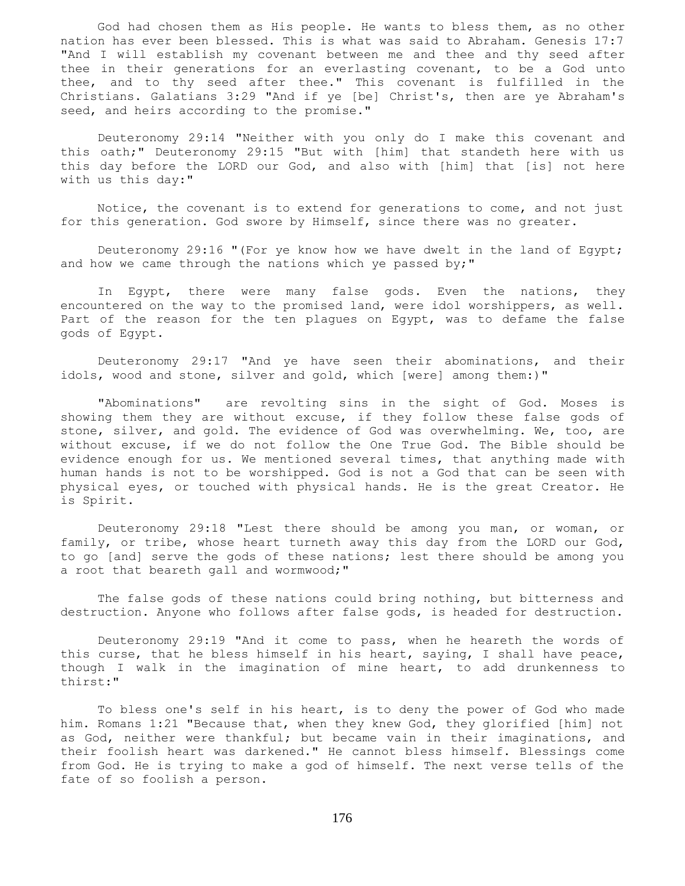God had chosen them as His people. He wants to bless them, as no other nation has ever been blessed. This is what was said to Abraham. Genesis 17:7 "And I will establish my covenant between me and thee and thy seed after thee in their generations for an everlasting covenant, to be a God unto thee, and to thy seed after thee." This covenant is fulfilled in the Christians. Galatians 3:29 "And if ye [be] Christ's, then are ye Abraham's seed, and heirs according to the promise."

 Deuteronomy 29:14 "Neither with you only do I make this covenant and this oath;" Deuteronomy 29:15 "But with [him] that standeth here with us this day before the LORD our God, and also with [him] that [is] not here with us this day:"

 Notice, the covenant is to extend for generations to come, and not just for this generation. God swore by Himself, since there was no greater.

 Deuteronomy 29:16 "(For ye know how we have dwelt in the land of Egypt; and how we came through the nations which ye passed by;"

 In Egypt, there were many false gods. Even the nations, they encountered on the way to the promised land, were idol worshippers, as well. Part of the reason for the ten plagues on Egypt, was to defame the false gods of Egypt.

 Deuteronomy 29:17 "And ye have seen their abominations, and their idols, wood and stone, silver and gold, which [were] among them:)"

 "Abominations" are revolting sins in the sight of God. Moses is showing them they are without excuse, if they follow these false gods of stone, silver, and gold. The evidence of God was overwhelming. We, too, are without excuse, if we do not follow the One True God. The Bible should be evidence enough for us. We mentioned several times, that anything made with human hands is not to be worshipped. God is not a God that can be seen with physical eyes, or touched with physical hands. He is the great Creator. He is Spirit.

 Deuteronomy 29:18 "Lest there should be among you man, or woman, or family, or tribe, whose heart turneth away this day from the LORD our God, to go [and] serve the gods of these nations; lest there should be among you a root that beareth gall and wormwood;"

 The false gods of these nations could bring nothing, but bitterness and destruction. Anyone who follows after false gods, is headed for destruction.

 Deuteronomy 29:19 "And it come to pass, when he heareth the words of this curse, that he bless himself in his heart, saying, I shall have peace, though I walk in the imagination of mine heart, to add drunkenness to thirst:"

 To bless one's self in his heart, is to deny the power of God who made him. Romans 1:21 "Because that, when they knew God, they glorified [him] not as God, neither were thankful; but became vain in their imaginations, and their foolish heart was darkened." He cannot bless himself. Blessings come from God. He is trying to make a god of himself. The next verse tells of the fate of so foolish a person.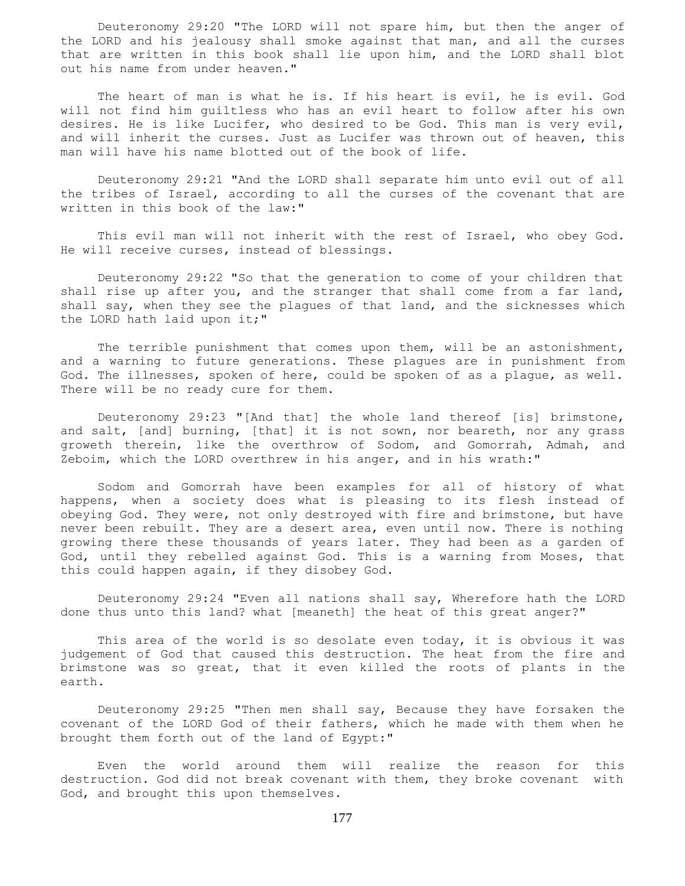Deuteronomy 29:20 "The LORD will not spare him, but then the anger of the LORD and his jealousy shall smoke against that man, and all the curses that are written in this book shall lie upon him, and the LORD shall blot out his name from under heaven."

 The heart of man is what he is. If his heart is evil, he is evil. God will not find him guiltless who has an evil heart to follow after his own desires. He is like Lucifer, who desired to be God. This man is very evil, and will inherit the curses. Just as Lucifer was thrown out of heaven, this man will have his name blotted out of the book of life.

 Deuteronomy 29:21 "And the LORD shall separate him unto evil out of all the tribes of Israel, according to all the curses of the covenant that are written in this book of the law:"

 This evil man will not inherit with the rest of Israel, who obey God. He will receive curses, instead of blessings.

 Deuteronomy 29:22 "So that the generation to come of your children that shall rise up after you, and the stranger that shall come from a far land, shall say, when they see the plagues of that land, and the sicknesses which the LORD hath laid upon it;"

 The terrible punishment that comes upon them, will be an astonishment, and a warning to future generations. These plagues are in punishment from God. The illnesses, spoken of here, could be spoken of as a plague, as well. There will be no ready cure for them.

 Deuteronomy 29:23 "[And that] the whole land thereof [is] brimstone, and salt, [and] burning, [that] it is not sown, nor beareth, nor any grass groweth therein, like the overthrow of Sodom, and Gomorrah, Admah, and Zeboim, which the LORD overthrew in his anger, and in his wrath:"

 Sodom and Gomorrah have been examples for all of history of what happens, when a society does what is pleasing to its flesh instead of obeying God. They were, not only destroyed with fire and brimstone, but have never been rebuilt. They are a desert area, even until now. There is nothing growing there these thousands of years later. They had been as a garden of God, until they rebelled against God. This is a warning from Moses, that this could happen again, if they disobey God.

 Deuteronomy 29:24 "Even all nations shall say, Wherefore hath the LORD done thus unto this land? what [meaneth] the heat of this great anger?"

 This area of the world is so desolate even today, it is obvious it was judgement of God that caused this destruction. The heat from the fire and brimstone was so great, that it even killed the roots of plants in the earth.

 Deuteronomy 29:25 "Then men shall say, Because they have forsaken the covenant of the LORD God of their fathers, which he made with them when he brought them forth out of the land of Egypt:"

 Even the world around them will realize the reason for this destruction. God did not break covenant with them, they broke covenant with God, and brought this upon themselves.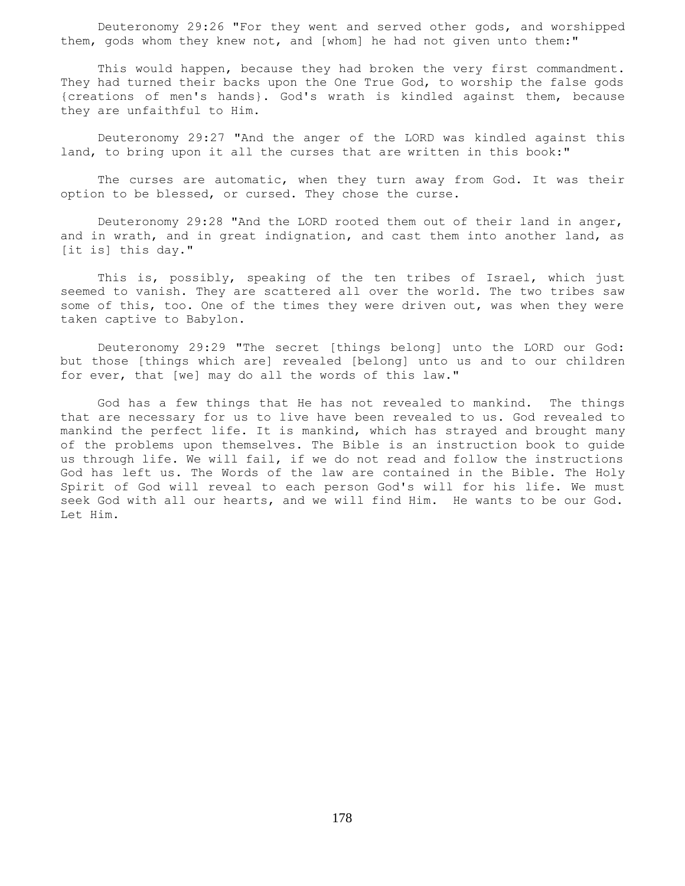Deuteronomy 29:26 "For they went and served other gods, and worshipped them, gods whom they knew not, and [whom] he had not given unto them:"

 This would happen, because they had broken the very first commandment. They had turned their backs upon the One True God, to worship the false gods {creations of men's hands}. God's wrath is kindled against them, because they are unfaithful to Him.

 Deuteronomy 29:27 "And the anger of the LORD was kindled against this land, to bring upon it all the curses that are written in this book:"

 The curses are automatic, when they turn away from God. It was their option to be blessed, or cursed. They chose the curse.

 Deuteronomy 29:28 "And the LORD rooted them out of their land in anger, and in wrath, and in great indignation, and cast them into another land, as [it is] this day."

This is, possibly, speaking of the ten tribes of Israel, which just seemed to vanish. They are scattered all over the world. The two tribes saw some of this, too. One of the times they were driven out, was when they were taken captive to Babylon.

 Deuteronomy 29:29 "The secret [things belong] unto the LORD our God: but those [things which are] revealed [belong] unto us and to our children for ever, that [we] may do all the words of this law."

 God has a few things that He has not revealed to mankind. The things that are necessary for us to live have been revealed to us. God revealed to mankind the perfect life. It is mankind, which has strayed and brought many of the problems upon themselves. The Bible is an instruction book to guide us through life. We will fail, if we do not read and follow the instructions God has left us. The Words of the law are contained in the Bible. The Holy Spirit of God will reveal to each person God's will for his life. We must seek God with all our hearts, and we will find Him. He wants to be our God. Let Him.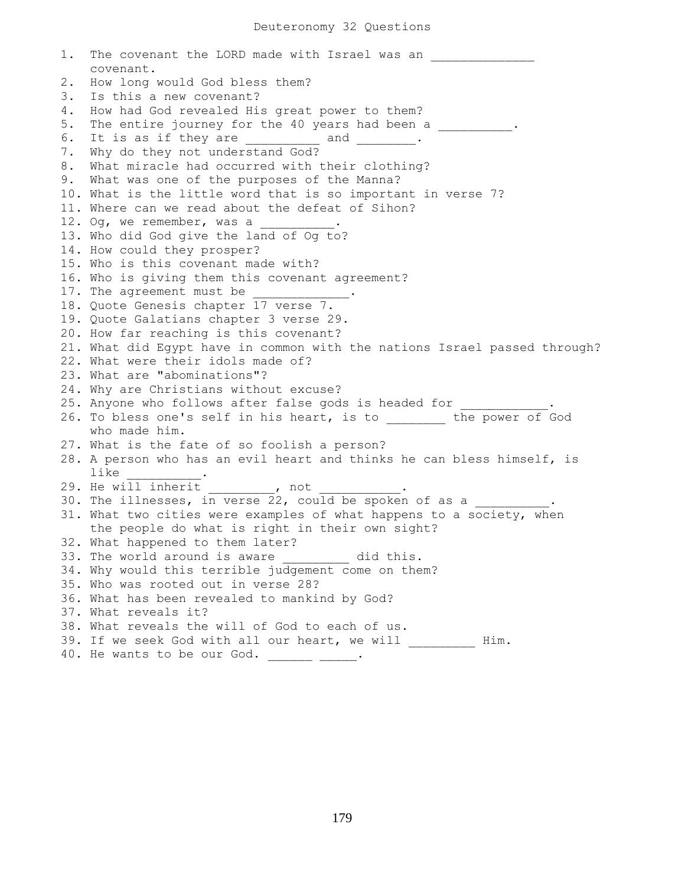1. The covenant the LORD made with Israel was an covenant. 2. How long would God bless them? 3. Is this a new covenant? 4. How had God revealed His great power to them? 5. The entire journey for the 40 years had been a \_\_\_\_\_\_\_\_\_\_. 6. It is as if they are  $\qquad \qquad$  and  $\qquad \qquad$ . 7. Why do they not understand God? 8. What miracle had occurred with their clothing? 9. What was one of the purposes of the Manna? 10. What is the little word that is so important in verse 7? 11. Where can we read about the defeat of Sihon? 12. Og, we remember, was a 13. Who did God give the land of Og to? 14. How could they prosper? 15. Who is this covenant made with? 16. Who is giving them this covenant agreement? 17. The agreement must be 18. Quote Genesis chapter 17 verse 7. 19. Quote Galatians chapter 3 verse 29. 20. How far reaching is this covenant? 21. What did Egypt have in common with the nations Israel passed through? 22. What were their idols made of? 23. What are "abominations"? 24. Why are Christians without excuse? 25. Anyone who follows after false gods is headed for 26. To bless one's self in his heart, is to \_\_\_\_\_\_\_\_ the power of God who made him. 27. What is the fate of so foolish a person? 28. A person who has an evil heart and thinks he can bless himself, is like \_\_\_\_\_\_\_\_\_\_. 29. He will inherit the post of the not 30. The illnesses, in verse 22, could be spoken of as a 31. What two cities were examples of what happens to a society, when the people do what is right in their own sight? 32. What happened to them later? 33. The world around is aware \_\_\_\_\_\_\_\_ did this. 34. Why would this terrible judgement come on them? 35. Who was rooted out in verse 28? 36. What has been revealed to mankind by God? 37. What reveals it? 38. What reveals the will of God to each of us. 39. If we seek God with all our heart, we will \_\_\_\_\_\_\_\_\_ Him. 40. He wants to be our God. \_\_\_\_\_\_\_ \_\_\_\_.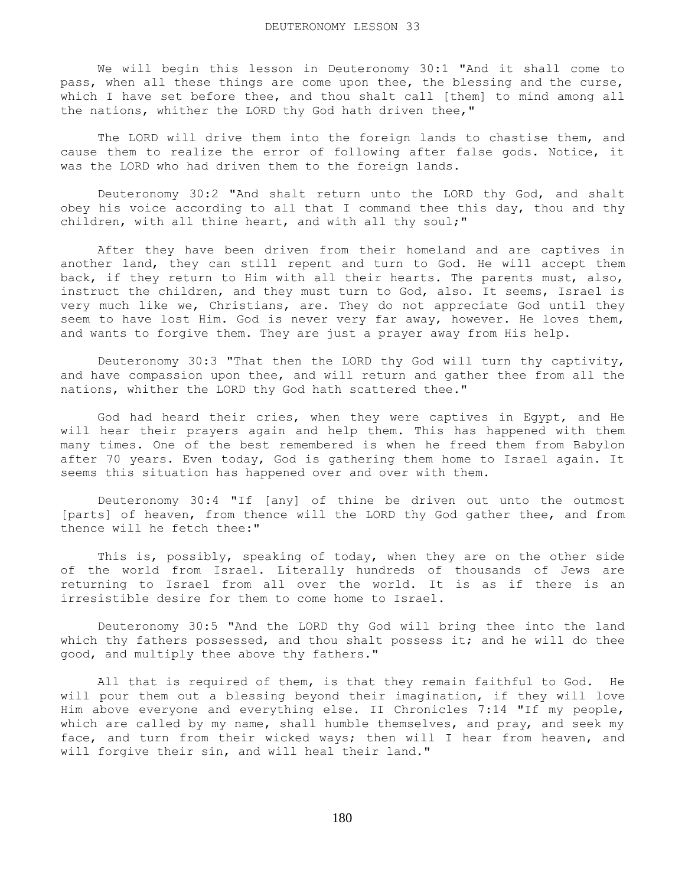We will begin this lesson in Deuteronomy 30:1 "And it shall come to pass, when all these things are come upon thee, the blessing and the curse, which I have set before thee, and thou shalt call [them] to mind among all the nations, whither the LORD thy God hath driven thee,"

 The LORD will drive them into the foreign lands to chastise them, and cause them to realize the error of following after false gods. Notice, it was the LORD who had driven them to the foreign lands.

 Deuteronomy 30:2 "And shalt return unto the LORD thy God, and shalt obey his voice according to all that I command thee this day, thou and thy children, with all thine heart, and with all thy soul;"

 After they have been driven from their homeland and are captives in another land, they can still repent and turn to God. He will accept them back, if they return to Him with all their hearts. The parents must, also, instruct the children, and they must turn to God, also. It seems, Israel is very much like we, Christians, are. They do not appreciate God until they seem to have lost Him. God is never very far away, however. He loves them, and wants to forgive them. They are just a prayer away from His help.

 Deuteronomy 30:3 "That then the LORD thy God will turn thy captivity, and have compassion upon thee, and will return and gather thee from all the nations, whither the LORD thy God hath scattered thee."

 God had heard their cries, when they were captives in Egypt, and He will hear their prayers again and help them. This has happened with them many times. One of the best remembered is when he freed them from Babylon after 70 years. Even today, God is gathering them home to Israel again. It seems this situation has happened over and over with them.

 Deuteronomy 30:4 "If [any] of thine be driven out unto the outmost [parts] of heaven, from thence will the LORD thy God gather thee, and from thence will he fetch thee:"

 This is, possibly, speaking of today, when they are on the other side of the world from Israel. Literally hundreds of thousands of Jews are returning to Israel from all over the world. It is as if there is an irresistible desire for them to come home to Israel.

 Deuteronomy 30:5 "And the LORD thy God will bring thee into the land which thy fathers possessed, and thou shalt possess it; and he will do thee good, and multiply thee above thy fathers."

 All that is required of them, is that they remain faithful to God. He will pour them out a blessing beyond their imagination, if they will love Him above everyone and everything else. II Chronicles 7:14 "If my people, which are called by my name, shall humble themselves, and pray, and seek my face, and turn from their wicked ways; then will I hear from heaven, and will forgive their sin, and will heal their land."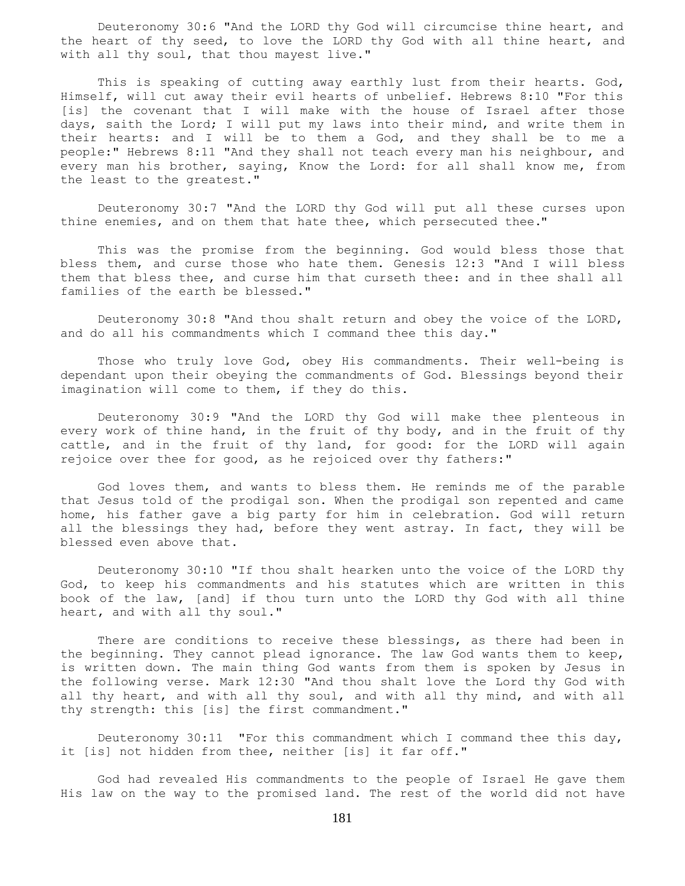Deuteronomy 30:6 "And the LORD thy God will circumcise thine heart, and the heart of thy seed, to love the LORD thy God with all thine heart, and with all thy soul, that thou mayest live."

 This is speaking of cutting away earthly lust from their hearts. God, Himself, will cut away their evil hearts of unbelief. Hebrews 8:10 "For this [is] the covenant that I will make with the house of Israel after those days, saith the Lord; I will put my laws into their mind, and write them in their hearts: and I will be to them a God, and they shall be to me a people:" Hebrews 8:11 "And they shall not teach every man his neighbour, and every man his brother, saying, Know the Lord: for all shall know me, from the least to the greatest."

 Deuteronomy 30:7 "And the LORD thy God will put all these curses upon thine enemies, and on them that hate thee, which persecuted thee."

 This was the promise from the beginning. God would bless those that bless them, and curse those who hate them. Genesis 12:3 "And I will bless them that bless thee, and curse him that curseth thee: and in thee shall all families of the earth be blessed."

 Deuteronomy 30:8 "And thou shalt return and obey the voice of the LORD, and do all his commandments which I command thee this day."

 Those who truly love God, obey His commandments. Their well-being is dependant upon their obeying the commandments of God. Blessings beyond their imagination will come to them, if they do this.

 Deuteronomy 30:9 "And the LORD thy God will make thee plenteous in every work of thine hand, in the fruit of thy body, and in the fruit of thy cattle, and in the fruit of thy land, for good: for the LORD will again rejoice over thee for good, as he rejoiced over thy fathers:"

 God loves them, and wants to bless them. He reminds me of the parable that Jesus told of the prodigal son. When the prodigal son repented and came home, his father gave a big party for him in celebration. God will return all the blessings they had, before they went astray. In fact, they will be blessed even above that.

 Deuteronomy 30:10 "If thou shalt hearken unto the voice of the LORD thy God, to keep his commandments and his statutes which are written in this book of the law, [and] if thou turn unto the LORD thy God with all thine heart, and with all thy soul."

 There are conditions to receive these blessings, as there had been in the beginning. They cannot plead ignorance. The law God wants them to keep, is written down. The main thing God wants from them is spoken by Jesus in the following verse. Mark 12:30 "And thou shalt love the Lord thy God with all thy heart, and with all thy soul, and with all thy mind, and with all thy strength: this [is] the first commandment."

Deuteronomy  $30:11$  "For this commandment which I command thee this day, it [is] not hidden from thee, neither [is] it far off."

 God had revealed His commandments to the people of Israel He gave them His law on the way to the promised land. The rest of the world did not have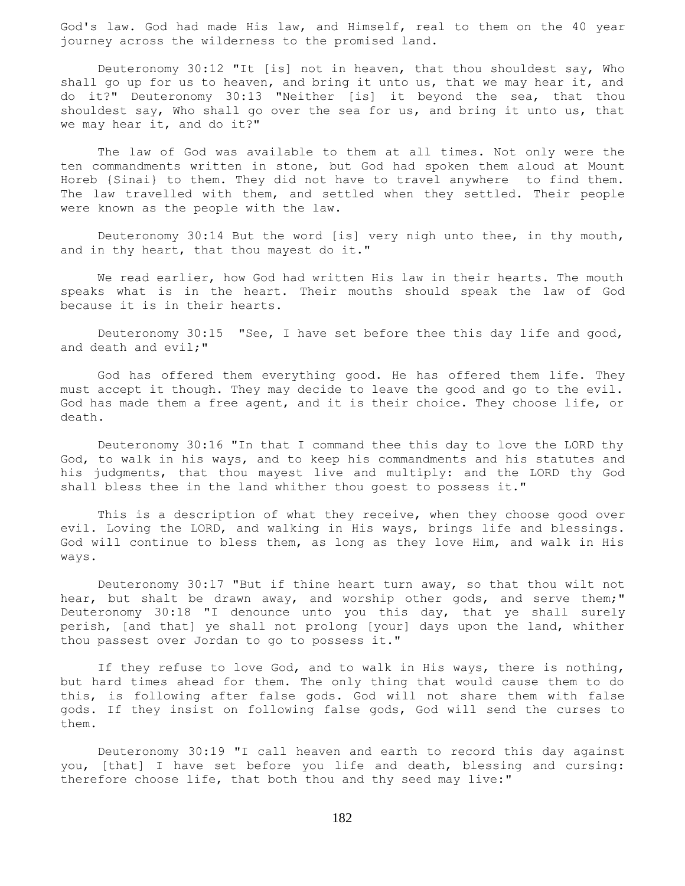God's law. God had made His law, and Himself, real to them on the 40 year journey across the wilderness to the promised land.

 Deuteronomy 30:12 "It [is] not in heaven, that thou shouldest say, Who shall go up for us to heaven, and bring it unto us, that we may hear it, and do it?" Deuteronomy 30:13 "Neither [is] it beyond the sea, that thou shouldest say, Who shall go over the sea for us, and bring it unto us, that we may hear it, and do it?"

 The law of God was available to them at all times. Not only were the ten commandments written in stone, but God had spoken them aloud at Mount Horeb {Sinai} to them. They did not have to travel anywhere to find them. The law travelled with them, and settled when they settled. Their people were known as the people with the law.

 Deuteronomy 30:14 But the word [is] very nigh unto thee, in thy mouth, and in thy heart, that thou mayest do it."

We read earlier, how God had written His law in their hearts. The mouth speaks what is in the heart. Their mouths should speak the law of God because it is in their hearts.

 Deuteronomy 30:15 "See, I have set before thee this day life and good, and death and evil;"

 God has offered them everything good. He has offered them life. They must accept it though. They may decide to leave the good and go to the evil. God has made them a free agent, and it is their choice. They choose life, or death.

 Deuteronomy 30:16 "In that I command thee this day to love the LORD thy God, to walk in his ways, and to keep his commandments and his statutes and his judgments, that thou mayest live and multiply: and the LORD thy God shall bless thee in the land whither thou goest to possess it."

 This is a description of what they receive, when they choose good over evil. Loving the LORD, and walking in His ways, brings life and blessings. God will continue to bless them, as long as they love Him, and walk in His ways.

 Deuteronomy 30:17 "But if thine heart turn away, so that thou wilt not hear, but shalt be drawn away, and worship other gods, and serve them;" Deuteronomy 30:18 "I denounce unto you this day, that ye shall surely perish, [and that] ye shall not prolong [your] days upon the land, whither thou passest over Jordan to go to possess it."

 If they refuse to love God, and to walk in His ways, there is nothing, but hard times ahead for them. The only thing that would cause them to do this, is following after false gods. God will not share them with false gods. If they insist on following false gods, God will send the curses to them.

 Deuteronomy 30:19 "I call heaven and earth to record this day against you, [that] I have set before you life and death, blessing and cursing: therefore choose life, that both thou and thy seed may live:"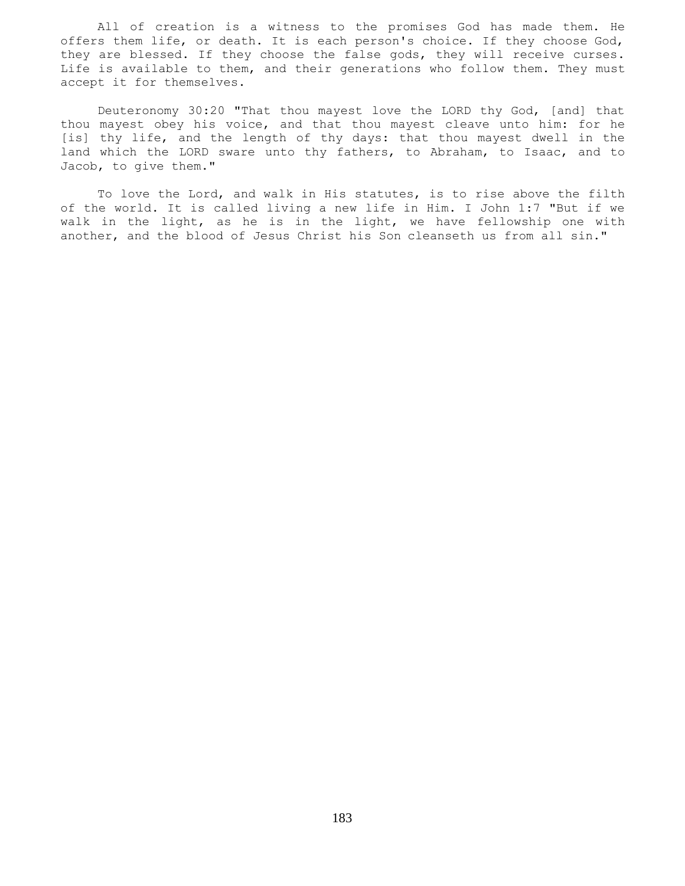All of creation is a witness to the promises God has made them. He offers them life, or death. It is each person's choice. If they choose God, they are blessed. If they choose the false gods, they will receive curses. Life is available to them, and their generations who follow them. They must accept it for themselves.

 Deuteronomy 30:20 "That thou mayest love the LORD thy God, [and] that thou mayest obey his voice, and that thou mayest cleave unto him: for he [is] thy life, and the length of thy days: that thou mayest dwell in the land which the LORD sware unto thy fathers, to Abraham, to Isaac, and to Jacob, to give them."

 To love the Lord, and walk in His statutes, is to rise above the filth of the world. It is called living a new life in Him. I John 1:7 "But if we walk in the light, as he is in the light, we have fellowship one with another, and the blood of Jesus Christ his Son cleanseth us from all sin."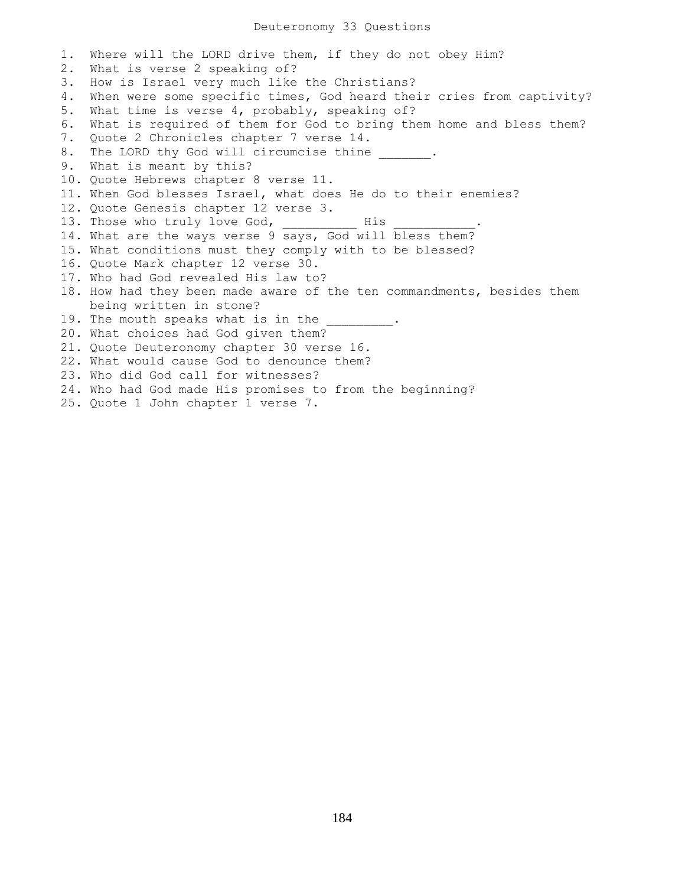1. Where will the LORD drive them, if they do not obey Him? 2. What is verse 2 speaking of? 3. How is Israel very much like the Christians? 4. When were some specific times, God heard their cries from captivity? 5. What time is verse 4, probably, speaking of? 6. What is required of them for God to bring them home and bless them? 7. Quote 2 Chronicles chapter 7 verse 14. 8. The LORD thy God will circumcise thine \_\_\_\_\_\_. 9. What is meant by this? 10. Quote Hebrews chapter 8 verse 11. 11. When God blesses Israel, what does He do to their enemies? 12. Quote Genesis chapter 12 verse 3. 13. Those who truly love God, \_\_\_\_\_\_\_\_\_\_ His \_\_\_\_\_\_\_\_\_\_\_. 14. What are the ways verse 9 says, God will bless them? 15. What conditions must they comply with to be blessed? 16. Quote Mark chapter 12 verse 30. 17. Who had God revealed His law to? 18. How had they been made aware of the ten commandments, besides them being written in stone? 19. The mouth speaks what is in the 20. What choices had God given them? 21. Quote Deuteronomy chapter 30 verse 16. 22. What would cause God to denounce them? 23. Who did God call for witnesses? 24. Who had God made His promises to from the beginning? 25. Quote 1 John chapter 1 verse 7.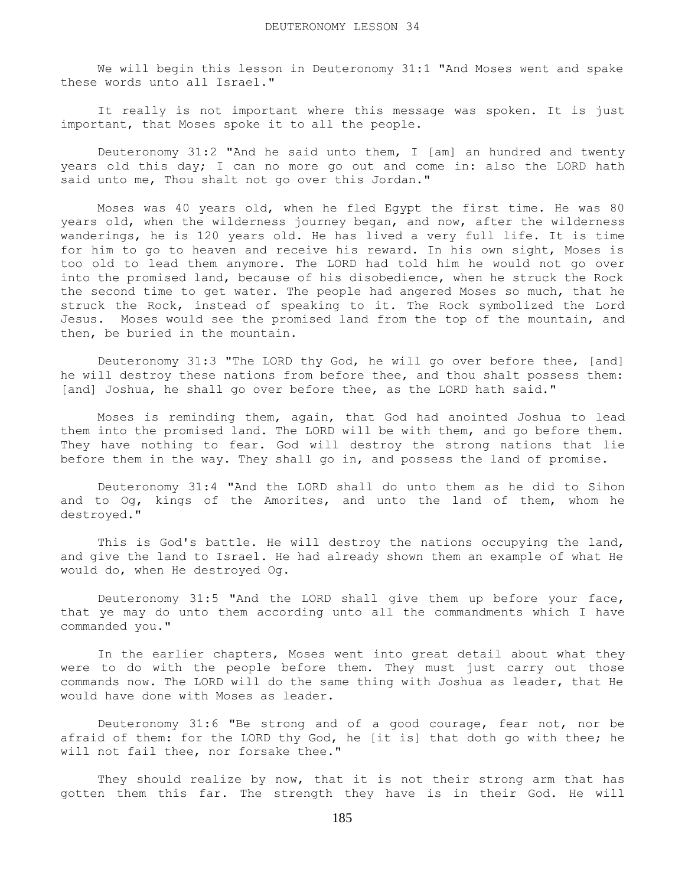We will begin this lesson in Deuteronomy 31:1 "And Moses went and spake these words unto all Israel."

 It really is not important where this message was spoken. It is just important, that Moses spoke it to all the people.

 Deuteronomy 31:2 "And he said unto them, I [am] an hundred and twenty years old this day; I can no more go out and come in: also the LORD hath said unto me, Thou shalt not go over this Jordan."

 Moses was 40 years old, when he fled Egypt the first time. He was 80 years old, when the wilderness journey began, and now, after the wilderness wanderings, he is 120 years old. He has lived a very full life. It is time for him to go to heaven and receive his reward. In his own sight, Moses is too old to lead them anymore. The LORD had told him he would not go over into the promised land, because of his disobedience, when he struck the Rock the second time to get water. The people had angered Moses so much, that he struck the Rock, instead of speaking to it. The Rock symbolized the Lord Jesus. Moses would see the promised land from the top of the mountain, and then, be buried in the mountain.

 Deuteronomy 31:3 "The LORD thy God, he will go over before thee, [and] he will destroy these nations from before thee, and thou shalt possess them: [and] Joshua, he shall go over before thee, as the LORD hath said."

 Moses is reminding them, again, that God had anointed Joshua to lead them into the promised land. The LORD will be with them, and go before them. They have nothing to fear. God will destroy the strong nations that lie before them in the way. They shall go in, and possess the land of promise.

 Deuteronomy 31:4 "And the LORD shall do unto them as he did to Sihon and to Og, kings of the Amorites, and unto the land of them, whom he destroyed."

 This is God's battle. He will destroy the nations occupying the land, and give the land to Israel. He had already shown them an example of what He would do, when He destroyed Og.

 Deuteronomy 31:5 "And the LORD shall give them up before your face, that ye may do unto them according unto all the commandments which I have commanded you."

 In the earlier chapters, Moses went into great detail about what they were to do with the people before them. They must just carry out those commands now. The LORD will do the same thing with Joshua as leader, that He would have done with Moses as leader.

 Deuteronomy 31:6 "Be strong and of a good courage, fear not, nor be afraid of them: for the LORD thy God, he [it is] that doth go with thee; he will not fail thee, nor forsake thee."

They should realize by now, that it is not their strong arm that has gotten them this far. The strength they have is in their God. He will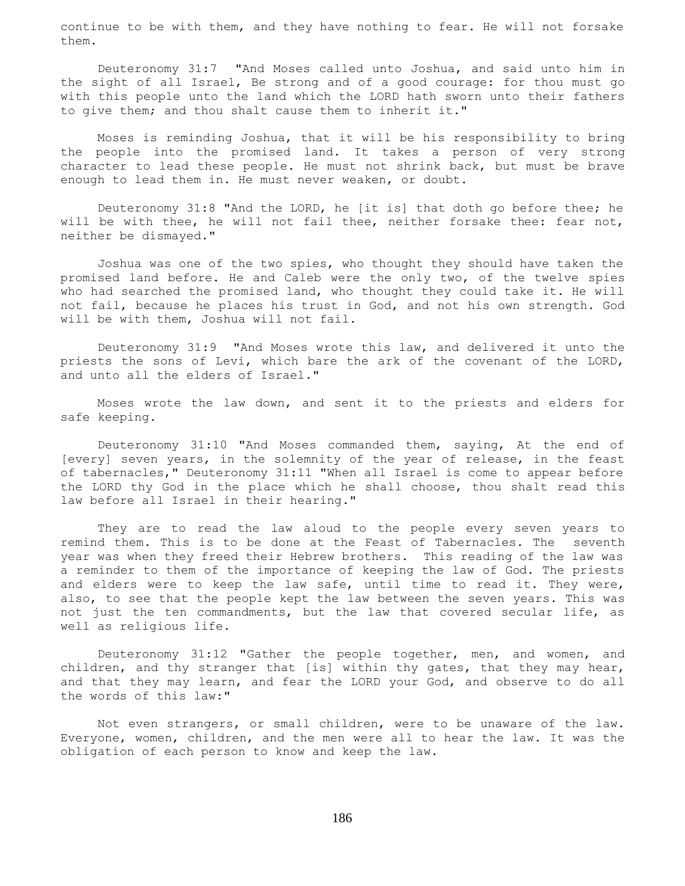continue to be with them, and they have nothing to fear. He will not forsake them.

 Deuteronomy 31:7 "And Moses called unto Joshua, and said unto him in the sight of all Israel, Be strong and of a good courage: for thou must go with this people unto the land which the LORD hath sworn unto their fathers to give them; and thou shalt cause them to inherit it."

 Moses is reminding Joshua, that it will be his responsibility to bring the people into the promised land. It takes a person of very strong character to lead these people. He must not shrink back, but must be brave enough to lead them in. He must never weaken, or doubt.

 Deuteronomy 31:8 "And the LORD, he [it is] that doth go before thee; he will be with thee, he will not fail thee, neither forsake thee: fear not, neither be dismayed."

 Joshua was one of the two spies, who thought they should have taken the promised land before. He and Caleb were the only two, of the twelve spies who had searched the promised land, who thought they could take it. He will not fail, because he places his trust in God, and not his own strength. God will be with them, Joshua will not fail.

 Deuteronomy 31:9 "And Moses wrote this law, and delivered it unto the priests the sons of Levi, which bare the ark of the covenant of the LORD, and unto all the elders of Israel."

 Moses wrote the law down, and sent it to the priests and elders for safe keeping.

 Deuteronomy 31:10 "And Moses commanded them, saying, At the end of [every] seven years, in the solemnity of the year of release, in the feast of tabernacles," Deuteronomy 31:11 "When all Israel is come to appear before the LORD thy God in the place which he shall choose, thou shalt read this law before all Israel in their hearing."

 They are to read the law aloud to the people every seven years to remind them. This is to be done at the Feast of Tabernacles. The seventh year was when they freed their Hebrew brothers. This reading of the law was a reminder to them of the importance of keeping the law of God. The priests and elders were to keep the law safe, until time to read it. They were, also, to see that the people kept the law between the seven years. This was not just the ten commandments, but the law that covered secular life, as well as religious life.

 Deuteronomy 31:12 "Gather the people together, men, and women, and children, and thy stranger that [is] within thy gates, that they may hear, and that they may learn, and fear the LORD your God, and observe to do all the words of this law:"

 Not even strangers, or small children, were to be unaware of the law. Everyone, women, children, and the men were all to hear the law. It was the obligation of each person to know and keep the law.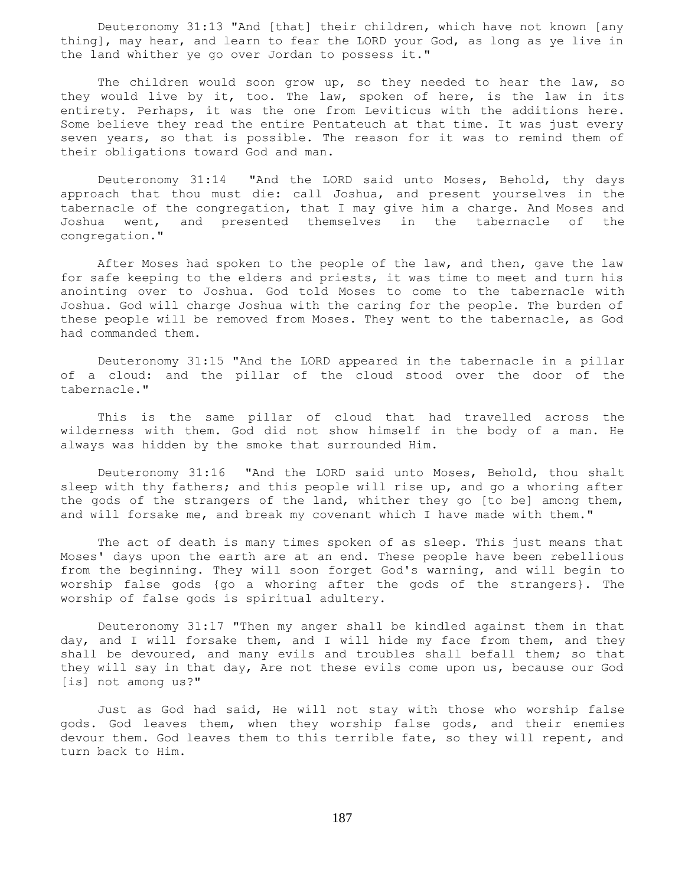Deuteronomy 31:13 "And [that] their children, which have not known [any thing], may hear, and learn to fear the LORD your God, as long as ye live in the land whither ye go over Jordan to possess it."

The children would soon grow up, so they needed to hear the law, so they would live by it, too. The law, spoken of here, is the law in its entirety. Perhaps, it was the one from Leviticus with the additions here. Some believe they read the entire Pentateuch at that time. It was just every seven years, so that is possible. The reason for it was to remind them of their obligations toward God and man.

 Deuteronomy 31:14 "And the LORD said unto Moses, Behold, thy days approach that thou must die: call Joshua, and present yourselves in the tabernacle of the congregation, that I may give him a charge. And Moses and Joshua went, and presented themselves in the tabernacle of the congregation."

 After Moses had spoken to the people of the law, and then, gave the law for safe keeping to the elders and priests, it was time to meet and turn his anointing over to Joshua. God told Moses to come to the tabernacle with Joshua. God will charge Joshua with the caring for the people. The burden of these people will be removed from Moses. They went to the tabernacle, as God had commanded them.

 Deuteronomy 31:15 "And the LORD appeared in the tabernacle in a pillar of a cloud: and the pillar of the cloud stood over the door of the tabernacle."

 This is the same pillar of cloud that had travelled across the wilderness with them. God did not show himself in the body of a man. He always was hidden by the smoke that surrounded Him.

 Deuteronomy 31:16 "And the LORD said unto Moses, Behold, thou shalt sleep with thy fathers; and this people will rise up, and go a whoring after the gods of the strangers of the land, whither they go [to be] among them, and will forsake me, and break my covenant which I have made with them."

 The act of death is many times spoken of as sleep. This just means that Moses' days upon the earth are at an end. These people have been rebellious from the beginning. They will soon forget God's warning, and will begin to worship false gods {go a whoring after the gods of the strangers}. The worship of false gods is spiritual adultery.

 Deuteronomy 31:17 "Then my anger shall be kindled against them in that day, and I will forsake them, and I will hide my face from them, and they shall be devoured, and many evils and troubles shall befall them; so that they will say in that day, Are not these evils come upon us, because our God [is] not among us?"

 Just as God had said, He will not stay with those who worship false gods. God leaves them, when they worship false gods, and their enemies devour them. God leaves them to this terrible fate, so they will repent, and turn back to Him.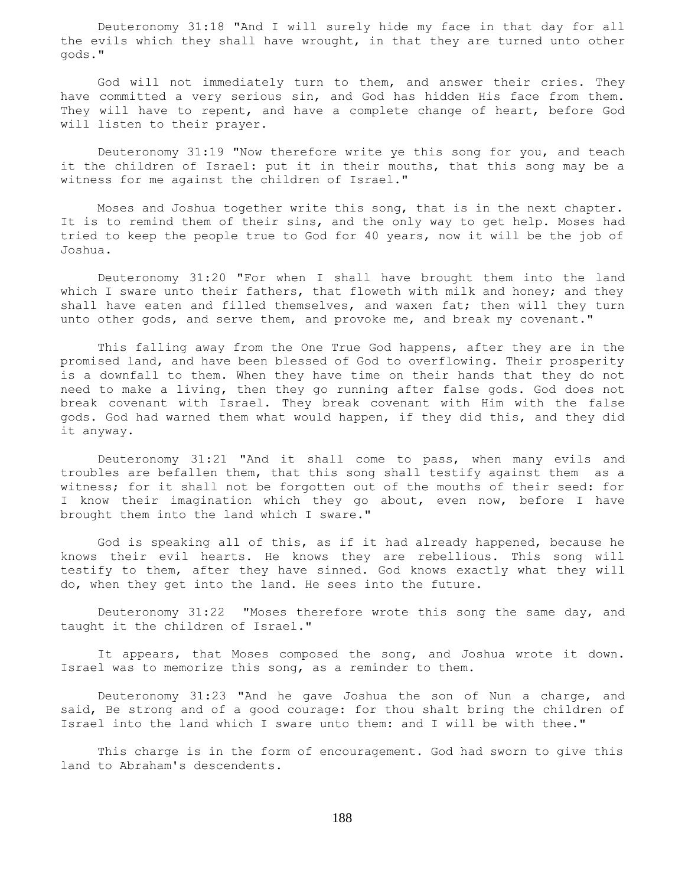Deuteronomy 31:18 "And I will surely hide my face in that day for all the evils which they shall have wrought, in that they are turned unto other gods."

 God will not immediately turn to them, and answer their cries. They have committed a very serious sin, and God has hidden His face from them. They will have to repent, and have a complete change of heart, before God will listen to their prayer.

 Deuteronomy 31:19 "Now therefore write ye this song for you, and teach it the children of Israel: put it in their mouths, that this song may be a witness for me against the children of Israel."

 Moses and Joshua together write this song, that is in the next chapter. It is to remind them of their sins, and the only way to get help. Moses had tried to keep the people true to God for 40 years, now it will be the job of Joshua.

 Deuteronomy 31:20 "For when I shall have brought them into the land which I sware unto their fathers, that floweth with milk and honey; and they shall have eaten and filled themselves, and waxen fat; then will they turn unto other gods, and serve them, and provoke me, and break my covenant."

 This falling away from the One True God happens, after they are in the promised land, and have been blessed of God to overflowing. Their prosperity is a downfall to them. When they have time on their hands that they do not need to make a living, then they go running after false gods. God does not break covenant with Israel. They break covenant with Him with the false gods. God had warned them what would happen, if they did this, and they did it anyway.

 Deuteronomy 31:21 "And it shall come to pass, when many evils and troubles are befallen them, that this song shall testify against them as a witness; for it shall not be forgotten out of the mouths of their seed: for I know their imagination which they go about, even now, before I have brought them into the land which I sware."

 God is speaking all of this, as if it had already happened, because he knows their evil hearts. He knows they are rebellious. This song will testify to them, after they have sinned. God knows exactly what they will do, when they get into the land. He sees into the future.

 Deuteronomy 31:22 "Moses therefore wrote this song the same day, and taught it the children of Israel."

 It appears, that Moses composed the song, and Joshua wrote it down. Israel was to memorize this song, as a reminder to them.

 Deuteronomy 31:23 "And he gave Joshua the son of Nun a charge, and said, Be strong and of a good courage: for thou shalt bring the children of Israel into the land which I sware unto them: and I will be with thee."

 This charge is in the form of encouragement. God had sworn to give this land to Abraham's descendents.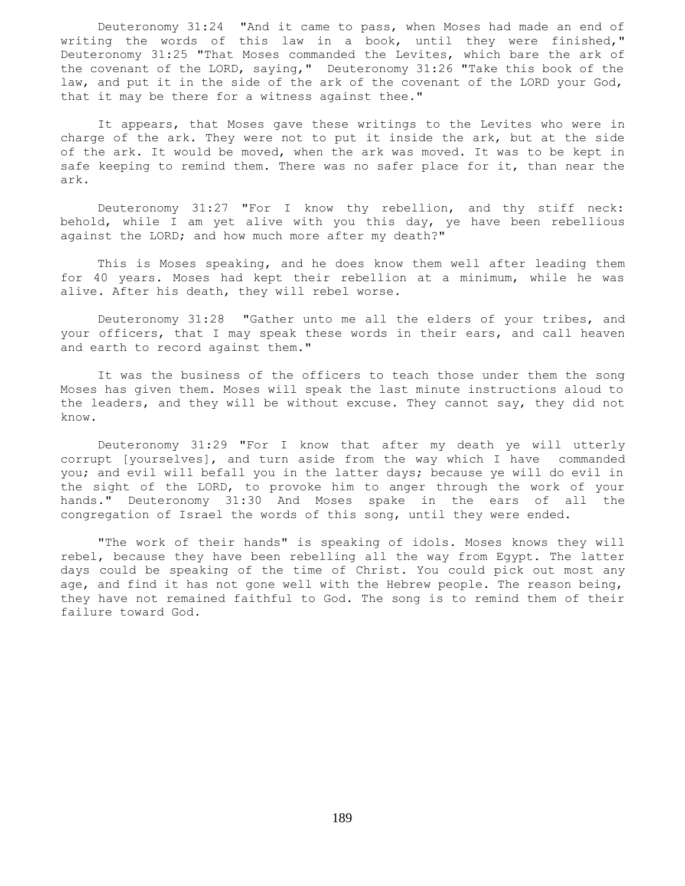Deuteronomy 31:24 "And it came to pass, when Moses had made an end of writing the words of this law in a book, until they were finished," Deuteronomy 31:25 "That Moses commanded the Levites, which bare the ark of the covenant of the LORD, saying," Deuteronomy 31:26 "Take this book of the law, and put it in the side of the ark of the covenant of the LORD your God, that it may be there for a witness against thee."

 It appears, that Moses gave these writings to the Levites who were in charge of the ark. They were not to put it inside the ark, but at the side of the ark. It would be moved, when the ark was moved. It was to be kept in safe keeping to remind them. There was no safer place for it, than near the ark.

 Deuteronomy 31:27 "For I know thy rebellion, and thy stiff neck: behold, while I am yet alive with you this day, ye have been rebellious against the LORD; and how much more after my death?"

 This is Moses speaking, and he does know them well after leading them for 40 years. Moses had kept their rebellion at a minimum, while he was alive. After his death, they will rebel worse.

 Deuteronomy 31:28 "Gather unto me all the elders of your tribes, and your officers, that I may speak these words in their ears, and call heaven and earth to record against them."

 It was the business of the officers to teach those under them the song Moses has given them. Moses will speak the last minute instructions aloud to the leaders, and they will be without excuse. They cannot say, they did not know.

 Deuteronomy 31:29 "For I know that after my death ye will utterly corrupt [yourselves], and turn aside from the way which I have commanded you; and evil will befall you in the latter days; because ye will do evil in the sight of the LORD, to provoke him to anger through the work of your hands." Deuteronomy 31:30 And Moses spake in the ears of all the congregation of Israel the words of this song, until they were ended.

 "The work of their hands" is speaking of idols. Moses knows they will rebel, because they have been rebelling all the way from Egypt. The latter days could be speaking of the time of Christ. You could pick out most any age, and find it has not gone well with the Hebrew people. The reason being, they have not remained faithful to God. The song is to remind them of their failure toward God.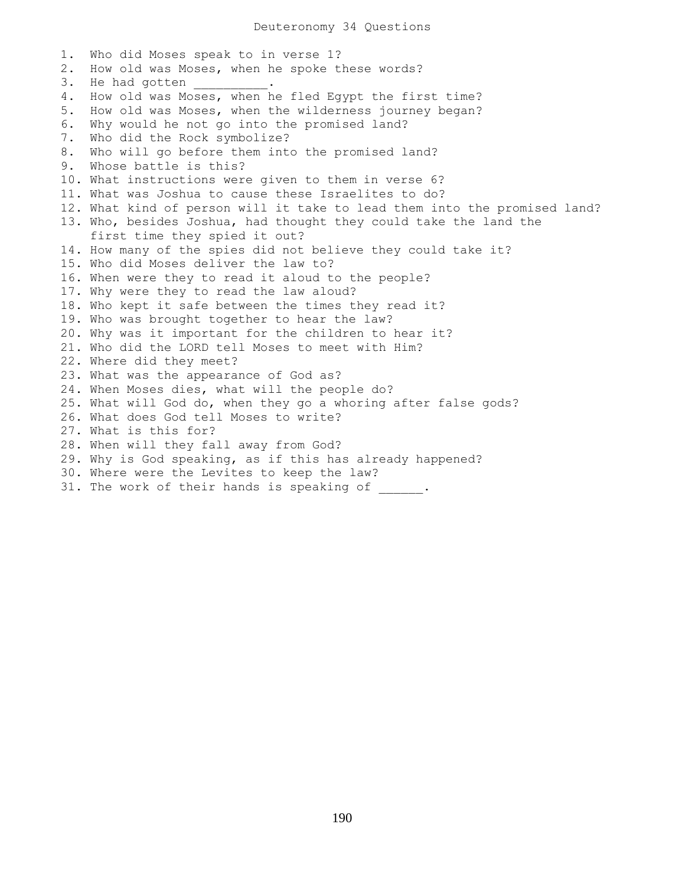1. Who did Moses speak to in verse 1? 2. How old was Moses, when he spoke these words? 3. He had gotten 4. How old was Moses, when he fled Egypt the first time? 5. How old was Moses, when the wilderness journey began? 6. Why would he not go into the promised land? 7. Who did the Rock symbolize? 8. Who will go before them into the promised land? 9. Whose battle is this? 10. What instructions were given to them in verse 6? 11. What was Joshua to cause these Israelites to do? 12. What kind of person will it take to lead them into the promised land? 13. Who, besides Joshua, had thought they could take the land the first time they spied it out? 14. How many of the spies did not believe they could take it? 15. Who did Moses deliver the law to? 16. When were they to read it aloud to the people? 17. Why were they to read the law aloud? 18. Who kept it safe between the times they read it? 19. Who was brought together to hear the law? 20. Why was it important for the children to hear it? 21. Who did the LORD tell Moses to meet with Him? 22. Where did they meet? 23. What was the appearance of God as? 24. When Moses dies, what will the people do? 25. What will God do, when they go a whoring after false gods? 26. What does God tell Moses to write? 27. What is this for? 28. When will they fall away from God? 29. Why is God speaking, as if this has already happened? 30. Where were the Levites to keep the law? 31. The work of their hands is speaking of \_\_\_\_\_\_.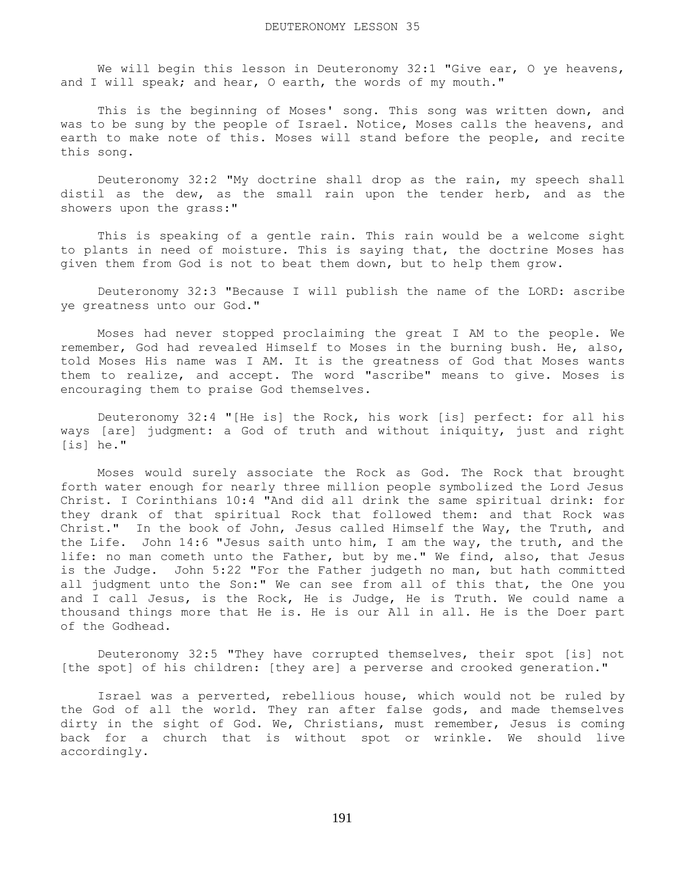We will begin this lesson in Deuteronomy 32:1 "Give ear, O ye heavens, and I will speak; and hear, O earth, the words of my mouth."

 This is the beginning of Moses' song. This song was written down, and was to be sung by the people of Israel. Notice, Moses calls the heavens, and earth to make note of this. Moses will stand before the people, and recite this song.

 Deuteronomy 32:2 "My doctrine shall drop as the rain, my speech shall distil as the dew, as the small rain upon the tender herb, and as the showers upon the grass:"

 This is speaking of a gentle rain. This rain would be a welcome sight to plants in need of moisture. This is saying that, the doctrine Moses has given them from God is not to beat them down, but to help them grow.

 Deuteronomy 32:3 "Because I will publish the name of the LORD: ascribe ye greatness unto our God."

 Moses had never stopped proclaiming the great I AM to the people. We remember, God had revealed Himself to Moses in the burning bush. He, also, told Moses His name was I AM. It is the greatness of God that Moses wants them to realize, and accept. The word "ascribe" means to give. Moses is encouraging them to praise God themselves.

 Deuteronomy 32:4 "[He is] the Rock, his work [is] perfect: for all his ways [are] judgment: a God of truth and without iniquity, just and right [is] he."

 Moses would surely associate the Rock as God. The Rock that brought forth water enough for nearly three million people symbolized the Lord Jesus Christ. I Corinthians 10:4 "And did all drink the same spiritual drink: for they drank of that spiritual Rock that followed them: and that Rock was Christ." In the book of John, Jesus called Himself the Way, the Truth, and the Life. John 14:6 "Jesus saith unto him, I am the way, the truth, and the life: no man cometh unto the Father, but by me." We find, also, that Jesus is the Judge. John 5:22 "For the Father judgeth no man, but hath committed all judgment unto the Son:" We can see from all of this that, the One you and I call Jesus, is the Rock, He is Judge, He is Truth. We could name a thousand things more that He is. He is our All in all. He is the Doer part of the Godhead.

 Deuteronomy 32:5 "They have corrupted themselves, their spot [is] not [the spot] of his children: [they are] a perverse and crooked generation."

 Israel was a perverted, rebellious house, which would not be ruled by the God of all the world. They ran after false gods, and made themselves dirty in the sight of God. We, Christians, must remember, Jesus is coming back for a church that is without spot or wrinkle. We should live accordingly.

191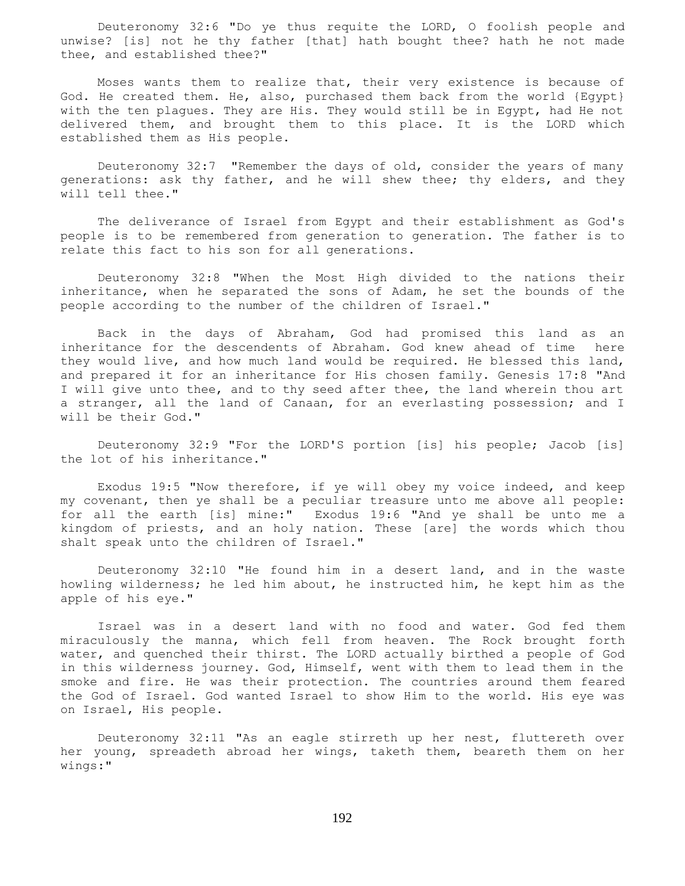Deuteronomy 32:6 "Do ye thus requite the LORD, O foolish people and unwise? [is] not he thy father [that] hath bought thee? hath he not made thee, and established thee?"

 Moses wants them to realize that, their very existence is because of God. He created them. He, also, purchased them back from the world {Egypt} with the ten plagues. They are His. They would still be in Egypt, had He not delivered them, and brought them to this place. It is the LORD which established them as His people.

 Deuteronomy 32:7 "Remember the days of old, consider the years of many generations: ask thy father, and he will shew thee; thy elders, and they will tell thee."

 The deliverance of Israel from Egypt and their establishment as God's people is to be remembered from generation to generation. The father is to relate this fact to his son for all generations.

 Deuteronomy 32:8 "When the Most High divided to the nations their inheritance, when he separated the sons of Adam, he set the bounds of the people according to the number of the children of Israel."

 Back in the days of Abraham, God had promised this land as an inheritance for the descendents of Abraham. God knew ahead of time here they would live, and how much land would be required. He blessed this land, and prepared it for an inheritance for His chosen family. Genesis 17:8 "And I will give unto thee, and to thy seed after thee, the land wherein thou art a stranger, all the land of Canaan, for an everlasting possession; and I will be their God."

 Deuteronomy 32:9 "For the LORD'S portion [is] his people; Jacob [is] the lot of his inheritance."

 Exodus 19:5 "Now therefore, if ye will obey my voice indeed, and keep my covenant, then ye shall be a peculiar treasure unto me above all people: for all the earth [is] mine:" Exodus 19:6 "And ye shall be unto me a kingdom of priests, and an holy nation. These [are] the words which thou shalt speak unto the children of Israel."

 Deuteronomy 32:10 "He found him in a desert land, and in the waste howling wilderness; he led him about, he instructed him, he kept him as the apple of his eye."

 Israel was in a desert land with no food and water. God fed them miraculously the manna, which fell from heaven. The Rock brought forth water, and quenched their thirst. The LORD actually birthed a people of God in this wilderness journey. God, Himself, went with them to lead them in the smoke and fire. He was their protection. The countries around them feared the God of Israel. God wanted Israel to show Him to the world. His eye was on Israel, His people.

 Deuteronomy 32:11 "As an eagle stirreth up her nest, fluttereth over her young, spreadeth abroad her wings, taketh them, beareth them on her wings:"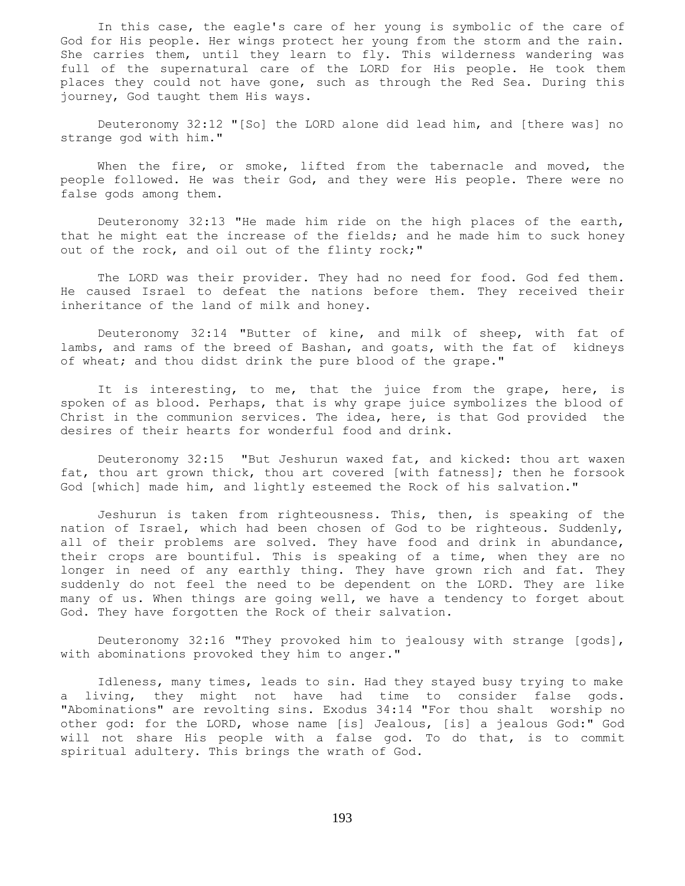In this case, the eagle's care of her young is symbolic of the care of God for His people. Her wings protect her young from the storm and the rain. She carries them, until they learn to fly. This wilderness wandering was full of the supernatural care of the LORD for His people. He took them places they could not have gone, such as through the Red Sea. During this journey, God taught them His ways.

 Deuteronomy 32:12 "[So] the LORD alone did lead him, and [there was] no strange god with him."

When the fire, or smoke, lifted from the tabernacle and moved, the people followed. He was their God, and they were His people. There were no false gods among them.

 Deuteronomy 32:13 "He made him ride on the high places of the earth, that he might eat the increase of the fields; and he made him to suck honey out of the rock, and oil out of the flinty rock;"

 The LORD was their provider. They had no need for food. God fed them. He caused Israel to defeat the nations before them. They received their inheritance of the land of milk and honey.

 Deuteronomy 32:14 "Butter of kine, and milk of sheep, with fat of lambs, and rams of the breed of Bashan, and goats, with the fat of kidneys of wheat; and thou didst drink the pure blood of the grape."

 It is interesting, to me, that the juice from the grape, here, is spoken of as blood. Perhaps, that is why grape juice symbolizes the blood of Christ in the communion services. The idea, here, is that God provided the desires of their hearts for wonderful food and drink.

 Deuteronomy 32:15 "But Jeshurun waxed fat, and kicked: thou art waxen fat, thou art grown thick, thou art covered [with fatness]; then he forsook God [which] made him, and lightly esteemed the Rock of his salvation."

 Jeshurun is taken from righteousness. This, then, is speaking of the nation of Israel, which had been chosen of God to be righteous. Suddenly, all of their problems are solved. They have food and drink in abundance, their crops are bountiful. This is speaking of a time, when they are no longer in need of any earthly thing. They have grown rich and fat. They suddenly do not feel the need to be dependent on the LORD. They are like many of us. When things are going well, we have a tendency to forget about God. They have forgotten the Rock of their salvation.

 Deuteronomy 32:16 "They provoked him to jealousy with strange [gods], with abominations provoked they him to anger."

 Idleness, many times, leads to sin. Had they stayed busy trying to make a living, they might not have had time to consider false gods. "Abominations" are revolting sins. Exodus 34:14 "For thou shalt worship no other god: for the LORD, whose name [is] Jealous, [is] a jealous God:" God will not share His people with a false god. To do that, is to commit spiritual adultery. This brings the wrath of God.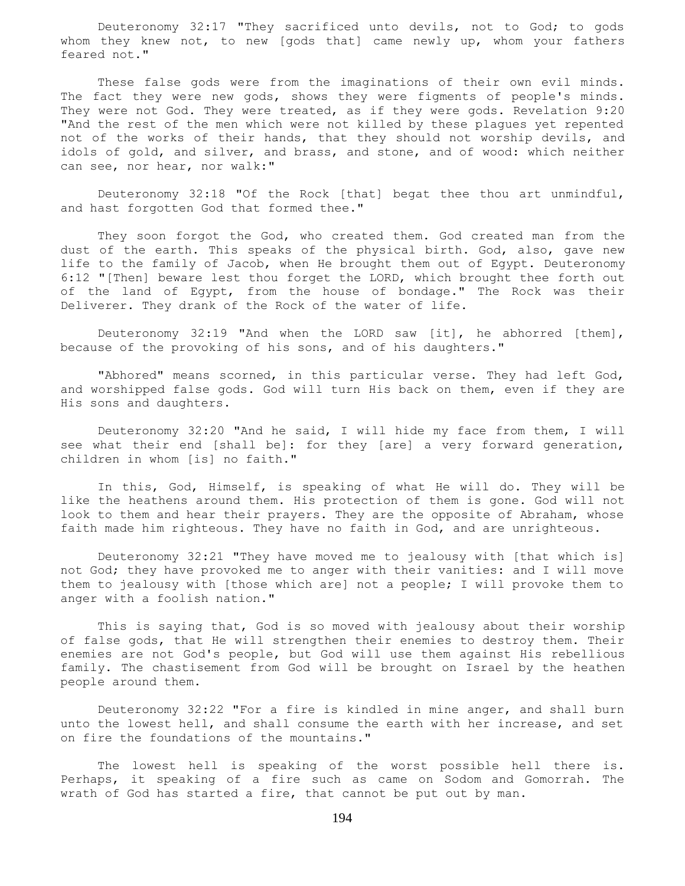Deuteronomy 32:17 "They sacrificed unto devils, not to God; to gods whom they knew not, to new [gods that] came newly up, whom your fathers feared not."

 These false gods were from the imaginations of their own evil minds. The fact they were new gods, shows they were figments of people's minds. They were not God. They were treated, as if they were gods. Revelation 9:20 "And the rest of the men which were not killed by these plagues yet repented not of the works of their hands, that they should not worship devils, and idols of gold, and silver, and brass, and stone, and of wood: which neither can see, nor hear, nor walk:"

 Deuteronomy 32:18 "Of the Rock [that] begat thee thou art unmindful, and hast forgotten God that formed thee."

 They soon forgot the God, who created them. God created man from the dust of the earth. This speaks of the physical birth. God, also, gave new life to the family of Jacob, when He brought them out of Egypt. Deuteronomy 6:12 "[Then] beware lest thou forget the LORD, which brought thee forth out of the land of Egypt, from the house of bondage." The Rock was their Deliverer. They drank of the Rock of the water of life.

 Deuteronomy 32:19 "And when the LORD saw [it], he abhorred [them], because of the provoking of his sons, and of his daughters."

"Abhored" means scorned, in this particular verse. They had left God, and worshipped false gods. God will turn His back on them, even if they are His sons and daughters.

 Deuteronomy 32:20 "And he said, I will hide my face from them, I will see what their end [shall be]: for they [are] a very forward generation, children in whom [is] no faith."

 In this, God, Himself, is speaking of what He will do. They will be like the heathens around them. His protection of them is gone. God will not look to them and hear their prayers. They are the opposite of Abraham, whose faith made him righteous. They have no faith in God, and are unrighteous.

 Deuteronomy 32:21 "They have moved me to jealousy with [that which is] not God; they have provoked me to anger with their vanities: and I will move them to jealousy with [those which are] not a people; I will provoke them to anger with a foolish nation."

 This is saying that, God is so moved with jealousy about their worship of false gods, that He will strengthen their enemies to destroy them. Their enemies are not God's people, but God will use them against His rebellious family. The chastisement from God will be brought on Israel by the heathen people around them.

 Deuteronomy 32:22 "For a fire is kindled in mine anger, and shall burn unto the lowest hell, and shall consume the earth with her increase, and set on fire the foundations of the mountains."

 The lowest hell is speaking of the worst possible hell there is. Perhaps, it speaking of a fire such as came on Sodom and Gomorrah. The wrath of God has started a fire, that cannot be put out by man.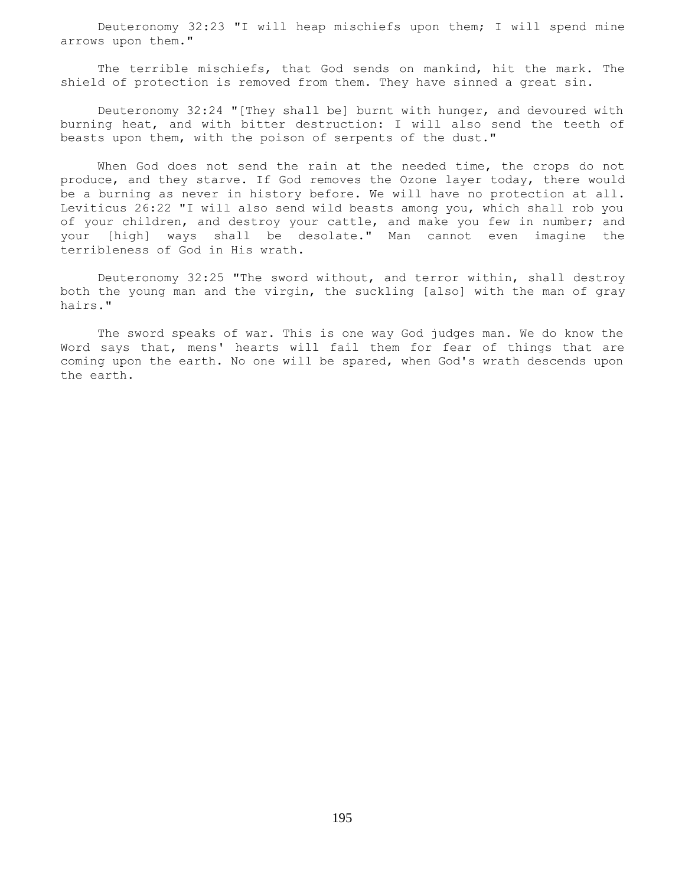Deuteronomy 32:23 "I will heap mischiefs upon them; I will spend mine arrows upon them."

 The terrible mischiefs, that God sends on mankind, hit the mark. The shield of protection is removed from them. They have sinned a great sin.

 Deuteronomy 32:24 "[They shall be] burnt with hunger, and devoured with burning heat, and with bitter destruction: I will also send the teeth of beasts upon them, with the poison of serpents of the dust."

When God does not send the rain at the needed time, the crops do not produce, and they starve. If God removes the Ozone layer today, there would be a burning as never in history before. We will have no protection at all. Leviticus 26:22 "I will also send wild beasts among you, which shall rob you of your children, and destroy your cattle, and make you few in number; and your [high] ways shall be desolate." Man cannot even imagine the terribleness of God in His wrath.

 Deuteronomy 32:25 "The sword without, and terror within, shall destroy both the young man and the virgin, the suckling [also] with the man of gray hairs."

 The sword speaks of war. This is one way God judges man. We do know the Word says that, mens' hearts will fail them for fear of things that are coming upon the earth. No one will be spared, when God's wrath descends upon the earth.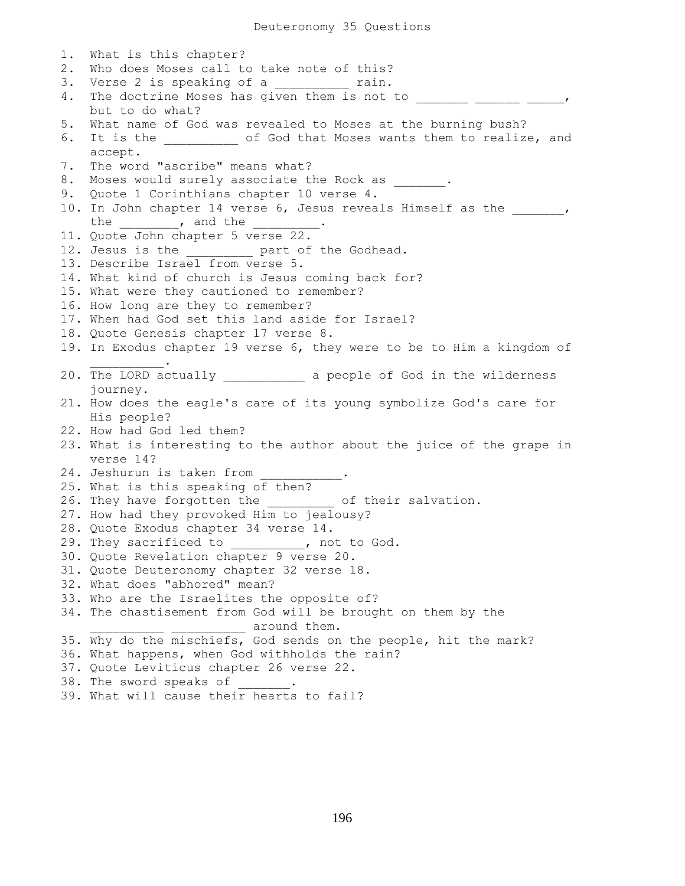1. What is this chapter? 2. Who does Moses call to take note of this? 3. Verse 2 is speaking of a \_\_\_\_\_\_\_\_ rain. 4. The doctrine Moses has given them is not to \_\_\_\_\_\_\_ \_\_\_\_\_\_ \_\_\_\_\_, but to do what? 5. What name of God was revealed to Moses at the burning bush? 6. It is the \_\_\_\_\_\_\_\_\_\_ of God that Moses wants them to realize, and accept. 7. The word "ascribe" means what? 8. Moses would surely associate the Rock as \_\_\_\_\_\_. 9. Quote 1 Corinthians chapter 10 verse 4. 10. In John chapter 14 verse 6, Jesus reveals Himself as the  $\qquad \qquad ,$ the , and the \_\_\_\_\_\_\_ 11. Quote John chapter 5 verse 22. 12. Jesus is the \_\_\_\_\_\_\_\_\_ part of the Godhead. 13. Describe Israel from verse 5. 14. What kind of church is Jesus coming back for? 15. What were they cautioned to remember? 16. How long are they to remember? 17. When had God set this land aside for Israel? 18. Quote Genesis chapter 17 verse 8. 19. In Exodus chapter 19 verse 6, they were to be to Him a kingdom of  $\mathcal{L}=\mathcal{L}=\mathcal{L}=\mathcal{L}=\mathcal{L}=\mathcal{L}$ 20. The LORD actually \_\_\_\_\_\_\_\_\_\_\_ a people of God in the wilderness journey. 21. How does the eagle's care of its young symbolize God's care for His people? 22. How had God led them? 23. What is interesting to the author about the juice of the grape in verse 14? 24. Jeshurun is taken from 25. What is this speaking of then? 26. They have forgotten the \_\_\_\_\_\_\_\_\_ of their salvation. 27. How had they provoked Him to jealousy? 28. Quote Exodus chapter 34 verse 14. 29. They sacrificed to \_\_\_\_\_\_\_\_\_\_, not to God. 30. Quote Revelation chapter 9 verse 20. 31. Quote Deuteronomy chapter 32 verse 18. 32. What does "abhored" mean? 33. Who are the Israelites the opposite of? 34. The chastisement from God will be brought on them by the \_ around them. 35. Why do the mischiefs, God sends on the people, hit the mark? 36. What happens, when God withholds the rain? 37. Quote Leviticus chapter 26 verse 22. 38. The sword speaks of

39. What will cause their hearts to fail?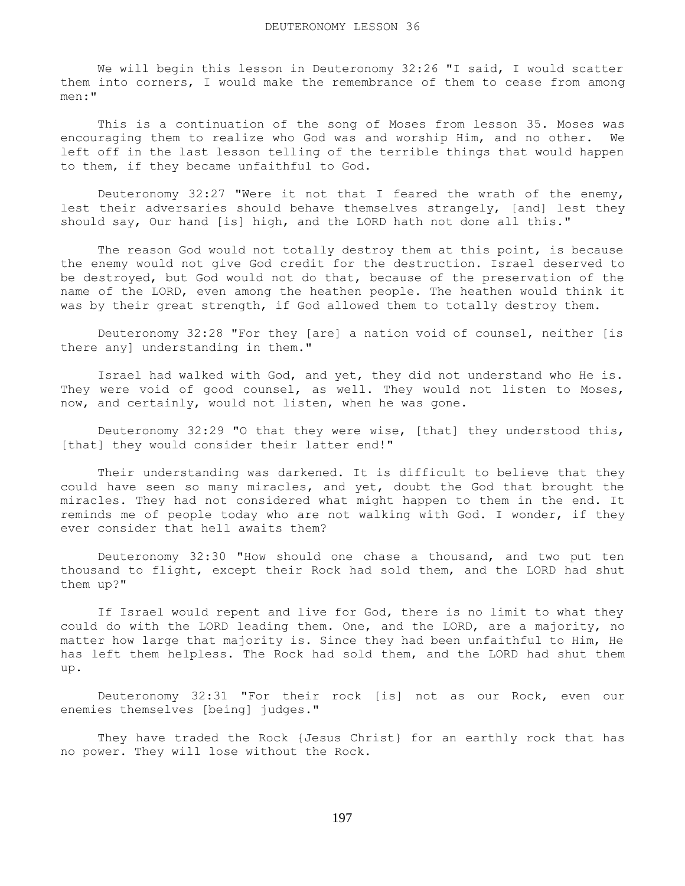We will begin this lesson in Deuteronomy 32:26 "I said, I would scatter them into corners, I would make the remembrance of them to cease from among men:"

 This is a continuation of the song of Moses from lesson 35. Moses was encouraging them to realize who God was and worship Him, and no other. We left off in the last lesson telling of the terrible things that would happen to them, if they became unfaithful to God.

 Deuteronomy 32:27 "Were it not that I feared the wrath of the enemy, lest their adversaries should behave themselves strangely, [and] lest they should say, Our hand [is] high, and the LORD hath not done all this."

 The reason God would not totally destroy them at this point, is because the enemy would not give God credit for the destruction. Israel deserved to be destroyed, but God would not do that, because of the preservation of the name of the LORD, even among the heathen people. The heathen would think it was by their great strength, if God allowed them to totally destroy them.

 Deuteronomy 32:28 "For they [are] a nation void of counsel, neither [is there any] understanding in them."

 Israel had walked with God, and yet, they did not understand who He is. They were void of good counsel, as well. They would not listen to Moses, now, and certainly, would not listen, when he was gone.

 Deuteronomy 32:29 "O that they were wise, [that] they understood this, [that] they would consider their latter end!"

 Their understanding was darkened. It is difficult to believe that they could have seen so many miracles, and yet, doubt the God that brought the miracles. They had not considered what might happen to them in the end. It reminds me of people today who are not walking with God. I wonder, if they ever consider that hell awaits them?

 Deuteronomy 32:30 "How should one chase a thousand, and two put ten thousand to flight, except their Rock had sold them, and the LORD had shut them up?"

 If Israel would repent and live for God, there is no limit to what they could do with the LORD leading them. One, and the LORD, are a majority, no matter how large that majority is. Since they had been unfaithful to Him, He has left them helpless. The Rock had sold them, and the LORD had shut them up.

 Deuteronomy 32:31 "For their rock [is] not as our Rock, even our enemies themselves [being] judges."

 They have traded the Rock {Jesus Christ} for an earthly rock that has no power. They will lose without the Rock.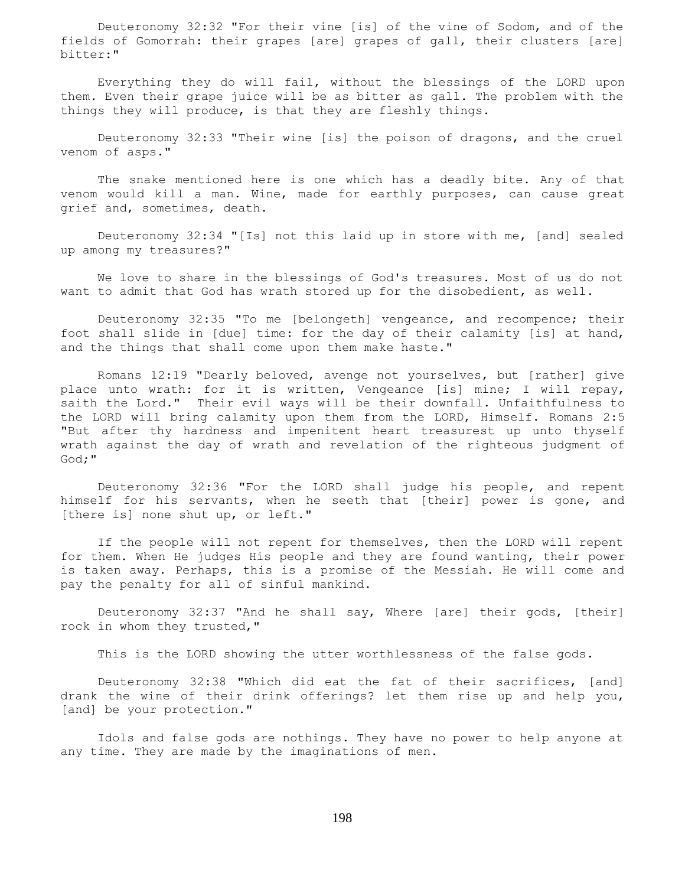Deuteronomy 32:32 "For their vine [is] of the vine of Sodom, and of the fields of Gomorrah: their grapes [are] grapes of gall, their clusters [are] bitter:"

 Everything they do will fail, without the blessings of the LORD upon them. Even their grape juice will be as bitter as gall. The problem with the things they will produce, is that they are fleshly things.

 Deuteronomy 32:33 "Their wine [is] the poison of dragons, and the cruel venom of asps."

 The snake mentioned here is one which has a deadly bite. Any of that venom would kill a man. Wine, made for earthly purposes, can cause great grief and, sometimes, death.

 Deuteronomy 32:34 "[Is] not this laid up in store with me, [and] sealed up among my treasures?"

 We love to share in the blessings of God's treasures. Most of us do not want to admit that God has wrath stored up for the disobedient, as well.

 Deuteronomy 32:35 "To me [belongeth] vengeance, and recompence; their foot shall slide in [due] time: for the day of their calamity [is] at hand, and the things that shall come upon them make haste."

 Romans 12:19 "Dearly beloved, avenge not yourselves, but [rather] give place unto wrath: for it is written, Vengeance [is] mine; I will repay, saith the Lord." Their evil ways will be their downfall. Unfaithfulness to the LORD will bring calamity upon them from the LORD, Himself. Romans 2:5 "But after thy hardness and impenitent heart treasurest up unto thyself wrath against the day of wrath and revelation of the righteous judgment of God;"

 Deuteronomy 32:36 "For the LORD shall judge his people, and repent himself for his servants, when he seeth that [their] power is gone, and [there is] none shut up, or left."

 If the people will not repent for themselves, then the LORD will repent for them. When He judges His people and they are found wanting, their power is taken away. Perhaps, this is a promise of the Messiah. He will come and pay the penalty for all of sinful mankind.

 Deuteronomy 32:37 "And he shall say, Where [are] their gods, [their] rock in whom they trusted,"

This is the LORD showing the utter worthlessness of the false gods.

 Deuteronomy 32:38 "Which did eat the fat of their sacrifices, [and] drank the wine of their drink offerings? let them rise up and help you, [and] be your protection."

 Idols and false gods are nothings. They have no power to help anyone at any time. They are made by the imaginations of men.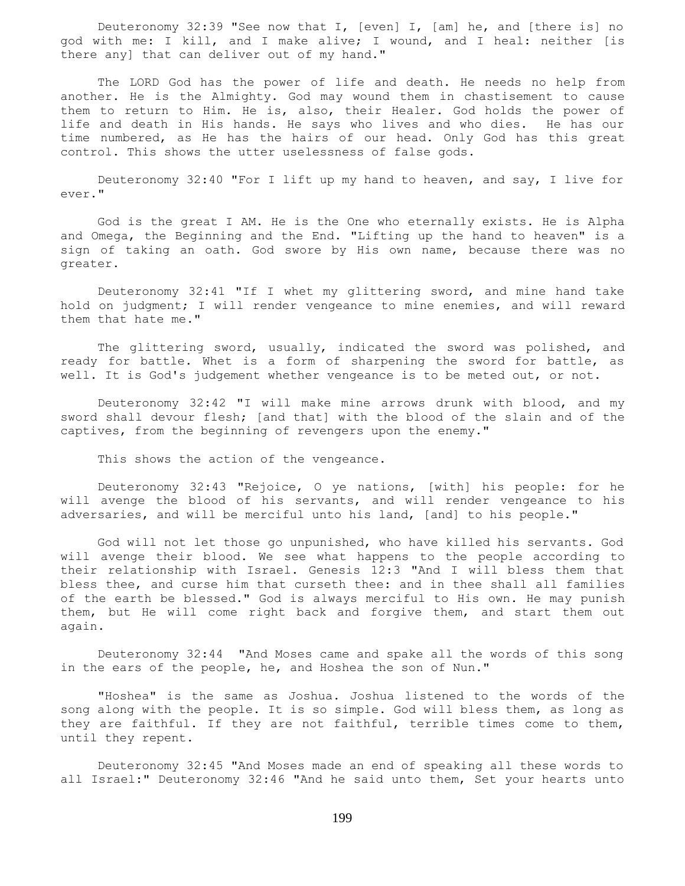Deuteronomy 32:39 "See now that I, [even] I, [am] he, and [there is] no god with me: I kill, and I make alive; I wound, and I heal: neither [is there any] that can deliver out of my hand."

 The LORD God has the power of life and death. He needs no help from another. He is the Almighty. God may wound them in chastisement to cause them to return to Him. He is, also, their Healer. God holds the power of life and death in His hands. He says who lives and who dies. He has our time numbered, as He has the hairs of our head. Only God has this great control. This shows the utter uselessness of false gods.

 Deuteronomy 32:40 "For I lift up my hand to heaven, and say, I live for ever."

 God is the great I AM. He is the One who eternally exists. He is Alpha and Omega, the Beginning and the End. "Lifting up the hand to heaven" is a sign of taking an oath. God swore by His own name, because there was no greater.

 Deuteronomy 32:41 "If I whet my glittering sword, and mine hand take hold on judgment; I will render vengeance to mine enemies, and will reward them that hate me."

 The glittering sword, usually, indicated the sword was polished, and ready for battle. Whet is a form of sharpening the sword for battle, as well. It is God's judgement whether vengeance is to be meted out, or not.

 Deuteronomy 32:42 "I will make mine arrows drunk with blood, and my sword shall devour flesh; [and that] with the blood of the slain and of the captives, from the beginning of revengers upon the enemy."

This shows the action of the vengeance.

 Deuteronomy 32:43 "Rejoice, O ye nations, [with] his people: for he will avenge the blood of his servants, and will render vengeance to his adversaries, and will be merciful unto his land, [and] to his people."

 God will not let those go unpunished, who have killed his servants. God will avenge their blood. We see what happens to the people according to their relationship with Israel. Genesis 12:3 "And I will bless them that bless thee, and curse him that curseth thee: and in thee shall all families of the earth be blessed." God is always merciful to His own. He may punish them, but He will come right back and forgive them, and start them out again.

 Deuteronomy 32:44 "And Moses came and spake all the words of this song in the ears of the people, he, and Hoshea the son of Nun."

 "Hoshea" is the same as Joshua. Joshua listened to the words of the song along with the people. It is so simple. God will bless them, as long as they are faithful. If they are not faithful, terrible times come to them, until they repent.

 Deuteronomy 32:45 "And Moses made an end of speaking all these words to all Israel:" Deuteronomy 32:46 "And he said unto them, Set your hearts unto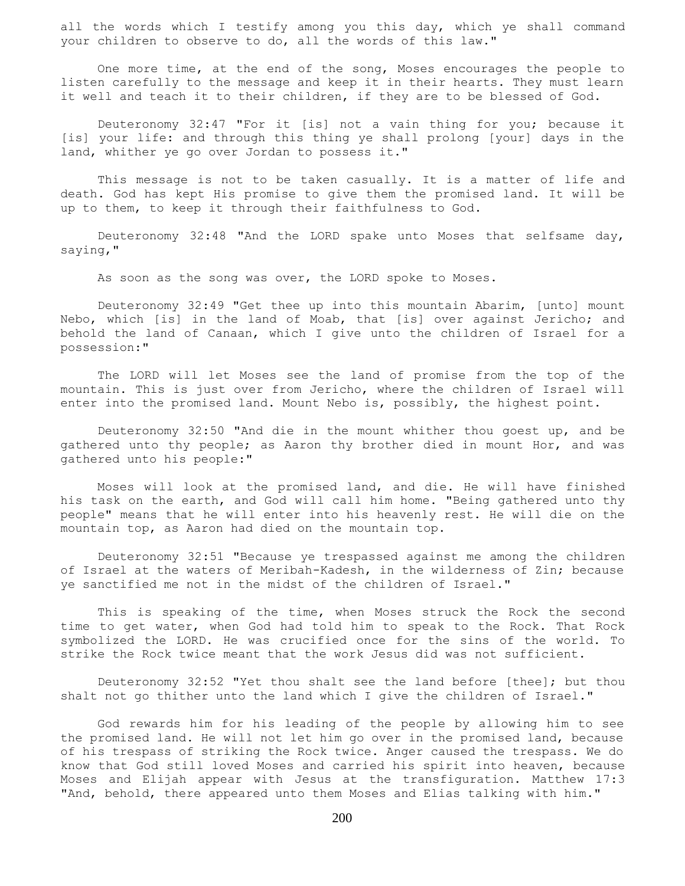all the words which I testify among you this day, which ye shall command your children to observe to do, all the words of this law."

 One more time, at the end of the song, Moses encourages the people to listen carefully to the message and keep it in their hearts. They must learn it well and teach it to their children, if they are to be blessed of God.

 Deuteronomy 32:47 "For it [is] not a vain thing for you; because it [is] your life: and through this thing ye shall prolong [your] days in the land, whither ye go over Jordan to possess it."

 This message is not to be taken casually. It is a matter of life and death. God has kept His promise to give them the promised land. It will be up to them, to keep it through their faithfulness to God.

 Deuteronomy 32:48 "And the LORD spake unto Moses that selfsame day, saying,"

As soon as the song was over, the LORD spoke to Moses.

 Deuteronomy 32:49 "Get thee up into this mountain Abarim, [unto] mount Nebo, which [is] in the land of Moab, that [is] over against Jericho; and behold the land of Canaan, which I give unto the children of Israel for a possession:"

 The LORD will let Moses see the land of promise from the top of the mountain. This is just over from Jericho, where the children of Israel will enter into the promised land. Mount Nebo is, possibly, the highest point.

 Deuteronomy 32:50 "And die in the mount whither thou goest up, and be gathered unto thy people; as Aaron thy brother died in mount Hor, and was gathered unto his people:"

 Moses will look at the promised land, and die. He will have finished his task on the earth, and God will call him home. "Being gathered unto thy people" means that he will enter into his heavenly rest. He will die on the mountain top, as Aaron had died on the mountain top.

 Deuteronomy 32:51 "Because ye trespassed against me among the children of Israel at the waters of Meribah-Kadesh, in the wilderness of Zin; because ye sanctified me not in the midst of the children of Israel."

 This is speaking of the time, when Moses struck the Rock the second time to get water, when God had told him to speak to the Rock. That Rock symbolized the LORD. He was crucified once for the sins of the world. To strike the Rock twice meant that the work Jesus did was not sufficient.

 Deuteronomy 32:52 "Yet thou shalt see the land before [thee]; but thou shalt not go thither unto the land which I give the children of Israel."

 God rewards him for his leading of the people by allowing him to see the promised land. He will not let him go over in the promised land, because of his trespass of striking the Rock twice. Anger caused the trespass. We do know that God still loved Moses and carried his spirit into heaven, because Moses and Elijah appear with Jesus at the transfiguration. Matthew 17:3 "And, behold, there appeared unto them Moses and Elias talking with him."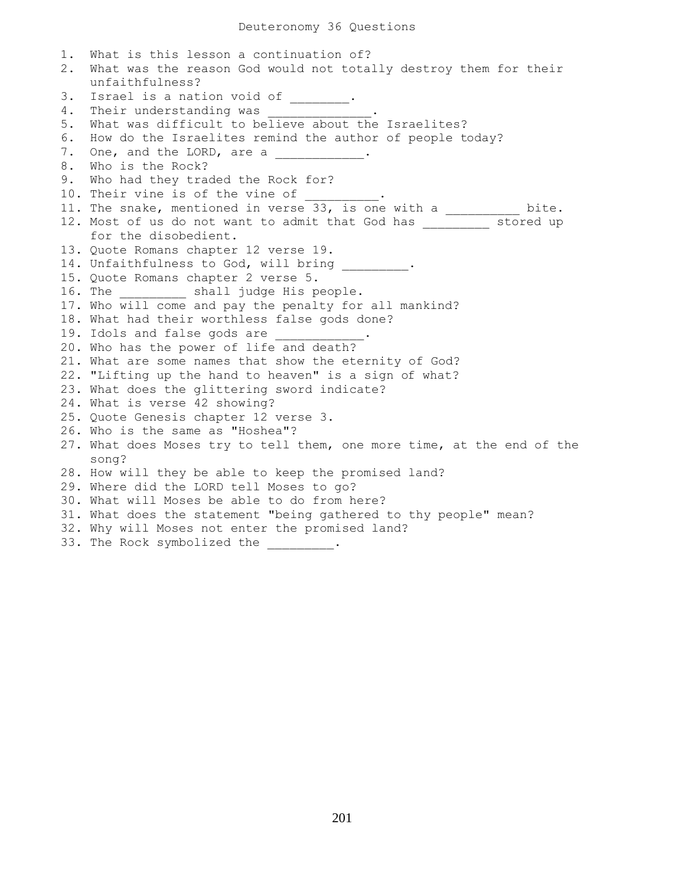1. What is this lesson a continuation of? 2. What was the reason God would not totally destroy them for their unfaithfulness? 3. Israel is a nation void of \_\_\_\_\_\_\_. 4. Their understanding was 5. What was difficult to believe about the Israelites? 6. How do the Israelites remind the author of people today? 7. One, and the LORD, are a 8. Who is the Rock? 9. Who had they traded the Rock for? 10. Their vine is of the vine of 11. The snake, mentioned in verse 33, is one with a \_\_\_\_\_\_\_\_\_ bite. 12. Most of us do not want to admit that God has stored up for the disobedient. 13. Quote Romans chapter 12 verse 19. 14. Unfaithfulness to God, will bring \_\_\_\_\_\_\_\_\_. 15. Quote Romans chapter 2 verse 5. 16. The \_\_\_\_\_\_\_\_\_\_\_ shall judge His people. 17. Who will come and pay the penalty for all mankind? 18. What had their worthless false gods done? 19. Idols and false gods are 20. Who has the power of life and death? 21. What are some names that show the eternity of God? 22. "Lifting up the hand to heaven" is a sign of what? 23. What does the glittering sword indicate? 24. What is verse 42 showing? 25. Quote Genesis chapter 12 verse 3. 26. Who is the same as "Hoshea"? 27. What does Moses try to tell them, one more time, at the end of the song? 28. How will they be able to keep the promised land? 29. Where did the LORD tell Moses to go? 30. What will Moses be able to do from here? 31. What does the statement "being gathered to thy people" mean? 32. Why will Moses not enter the promised land? 33. The Rock symbolized the \_\_\_\_\_\_\_\_.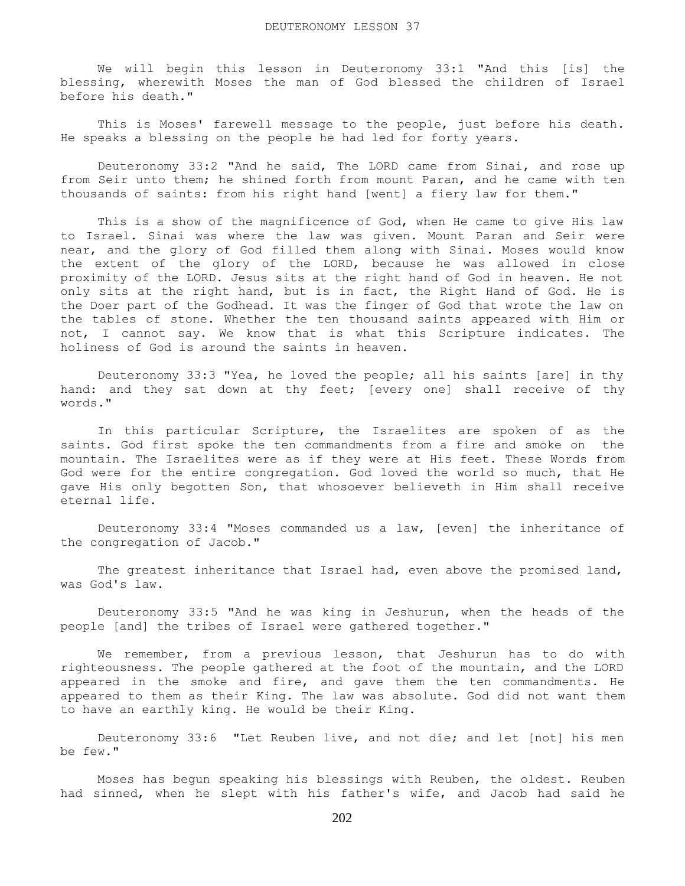We will begin this lesson in Deuteronomy 33:1 "And this [is] the blessing, wherewith Moses the man of God blessed the children of Israel before his death."

This is Moses' farewell message to the people, just before his death. He speaks a blessing on the people he had led for forty years.

 Deuteronomy 33:2 "And he said, The LORD came from Sinai, and rose up from Seir unto them; he shined forth from mount Paran, and he came with ten thousands of saints: from his right hand [went] a fiery law for them."

 This is a show of the magnificence of God, when He came to give His law to Israel. Sinai was where the law was given. Mount Paran and Seir were near, and the glory of God filled them along with Sinai. Moses would know the extent of the glory of the LORD, because he was allowed in close proximity of the LORD. Jesus sits at the right hand of God in heaven. He not only sits at the right hand, but is in fact, the Right Hand of God. He is the Doer part of the Godhead. It was the finger of God that wrote the law on the tables of stone. Whether the ten thousand saints appeared with Him or not, I cannot say. We know that is what this Scripture indicates. The holiness of God is around the saints in heaven.

 Deuteronomy 33:3 "Yea, he loved the people; all his saints [are] in thy hand: and they sat down at thy feet; [every one] shall receive of thy words."

 In this particular Scripture, the Israelites are spoken of as the saints. God first spoke the ten commandments from a fire and smoke on the mountain. The Israelites were as if they were at His feet. These Words from God were for the entire congregation. God loved the world so much, that He gave His only begotten Son, that whosoever believeth in Him shall receive eternal life.

 Deuteronomy 33:4 "Moses commanded us a law, [even] the inheritance of the congregation of Jacob."

 The greatest inheritance that Israel had, even above the promised land, was God's law.

 Deuteronomy 33:5 "And he was king in Jeshurun, when the heads of the people [and] the tribes of Israel were gathered together."

 We remember, from a previous lesson, that Jeshurun has to do with righteousness. The people gathered at the foot of the mountain, and the LORD appeared in the smoke and fire, and gave them the ten commandments. He appeared to them as their King. The law was absolute. God did not want them to have an earthly king. He would be their King.

 Deuteronomy 33:6 "Let Reuben live, and not die; and let [not] his men be few."

 Moses has begun speaking his blessings with Reuben, the oldest. Reuben had sinned, when he slept with his father's wife, and Jacob had said he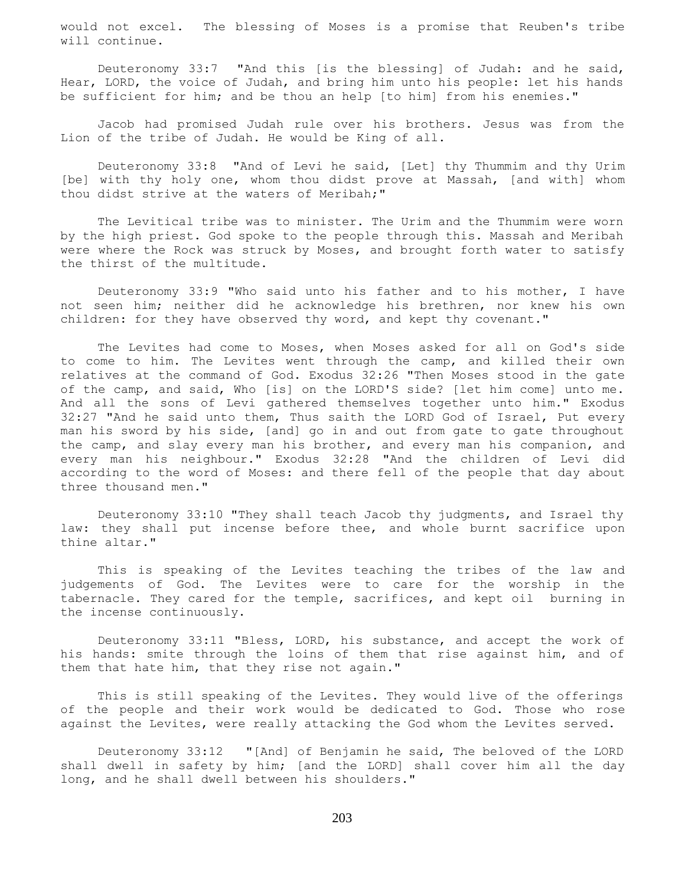would not excel. The blessing of Moses is a promise that Reuben's tribe will continue.

 Deuteronomy 33:7 "And this [is the blessing] of Judah: and he said, Hear, LORD, the voice of Judah, and bring him unto his people: let his hands be sufficient for him; and be thou an help [to him] from his enemies."

 Jacob had promised Judah rule over his brothers. Jesus was from the Lion of the tribe of Judah. He would be King of all.

 Deuteronomy 33:8 "And of Levi he said, [Let] thy Thummim and thy Urim [be] with thy holy one, whom thou didst prove at Massah, [and with] whom thou didst strive at the waters of Meribah;"

 The Levitical tribe was to minister. The Urim and the Thummim were worn by the high priest. God spoke to the people through this. Massah and Meribah were where the Rock was struck by Moses, and brought forth water to satisfy the thirst of the multitude.

 Deuteronomy 33:9 "Who said unto his father and to his mother, I have not seen him; neither did he acknowledge his brethren, nor knew his own children: for they have observed thy word, and kept thy covenant."

 The Levites had come to Moses, when Moses asked for all on God's side to come to him. The Levites went through the camp, and killed their own relatives at the command of God. Exodus 32:26 "Then Moses stood in the gate of the camp, and said, Who [is] on the LORD'S side? [let him come] unto me. And all the sons of Levi gathered themselves together unto him." Exodus 32:27 "And he said unto them, Thus saith the LORD God of Israel, Put every man his sword by his side, [and] go in and out from gate to gate throughout the camp, and slay every man his brother, and every man his companion, and every man his neighbour." Exodus 32:28 "And the children of Levi did according to the word of Moses: and there fell of the people that day about three thousand men."

 Deuteronomy 33:10 "They shall teach Jacob thy judgments, and Israel thy law: they shall put incense before thee, and whole burnt sacrifice upon thine altar."

 This is speaking of the Levites teaching the tribes of the law and judgements of God. The Levites were to care for the worship in the tabernacle. They cared for the temple, sacrifices, and kept oil burning in the incense continuously.

 Deuteronomy 33:11 "Bless, LORD, his substance, and accept the work of his hands: smite through the loins of them that rise against him, and of them that hate him, that they rise not again."

 This is still speaking of the Levites. They would live of the offerings of the people and their work would be dedicated to God. Those who rose against the Levites, were really attacking the God whom the Levites served.

 Deuteronomy 33:12 "[And] of Benjamin he said, The beloved of the LORD shall dwell in safety by him; [and the LORD] shall cover him all the day long, and he shall dwell between his shoulders."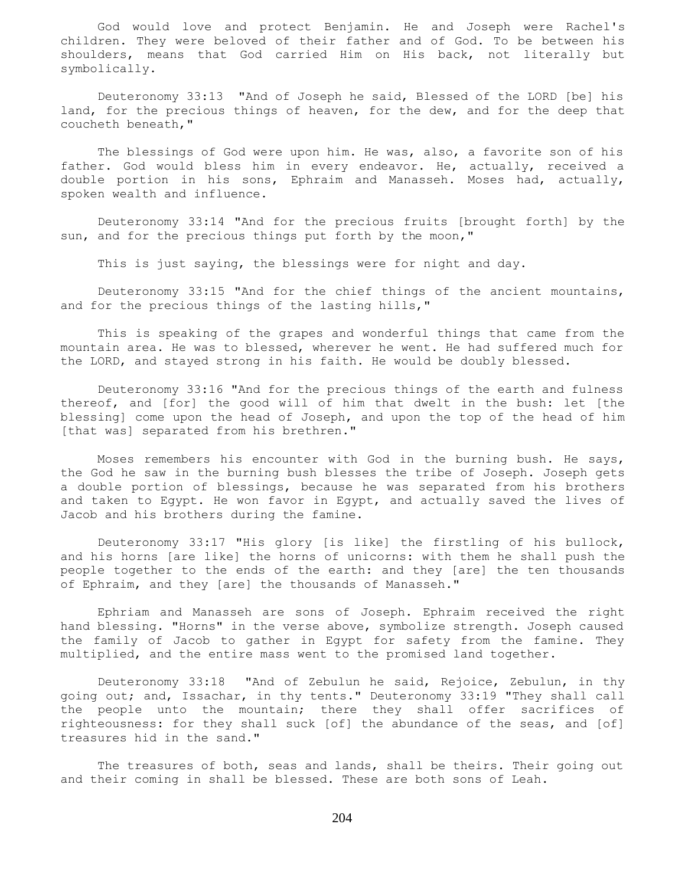God would love and protect Benjamin. He and Joseph were Rachel's children. They were beloved of their father and of God. To be between his shoulders, means that God carried Him on His back, not literally but symbolically.

 Deuteronomy 33:13 "And of Joseph he said, Blessed of the LORD [be] his land, for the precious things of heaven, for the dew, and for the deep that coucheth beneath,"

 The blessings of God were upon him. He was, also, a favorite son of his father. God would bless him in every endeavor. He, actually, received a double portion in his sons, Ephraim and Manasseh. Moses had, actually, spoken wealth and influence.

 Deuteronomy 33:14 "And for the precious fruits [brought forth] by the sun, and for the precious things put forth by the moon,"

This is just saying, the blessings were for night and day.

 Deuteronomy 33:15 "And for the chief things of the ancient mountains, and for the precious things of the lasting hills,"

 This is speaking of the grapes and wonderful things that came from the mountain area. He was to blessed, wherever he went. He had suffered much for the LORD, and stayed strong in his faith. He would be doubly blessed.

 Deuteronomy 33:16 "And for the precious things of the earth and fulness thereof, and [for] the good will of him that dwelt in the bush: let [the blessing] come upon the head of Joseph, and upon the top of the head of him [that was] separated from his brethren."

 Moses remembers his encounter with God in the burning bush. He says, the God he saw in the burning bush blesses the tribe of Joseph. Joseph gets a double portion of blessings, because he was separated from his brothers and taken to Egypt. He won favor in Egypt, and actually saved the lives of Jacob and his brothers during the famine.

 Deuteronomy 33:17 "His glory [is like] the firstling of his bullock, and his horns [are like] the horns of unicorns: with them he shall push the people together to the ends of the earth: and they [are] the ten thousands of Ephraim, and they [are] the thousands of Manasseh."

 Ephriam and Manasseh are sons of Joseph. Ephraim received the right hand blessing. "Horns" in the verse above, symbolize strength. Joseph caused the family of Jacob to gather in Egypt for safety from the famine. They multiplied, and the entire mass went to the promised land together.

 Deuteronomy 33:18 "And of Zebulun he said, Rejoice, Zebulun, in thy going out; and, Issachar, in thy tents." Deuteronomy 33:19 "They shall call the people unto the mountain; there they shall offer sacrifices of righteousness: for they shall suck [of] the abundance of the seas, and [of] treasures hid in the sand."

 The treasures of both, seas and lands, shall be theirs. Their going out and their coming in shall be blessed. These are both sons of Leah.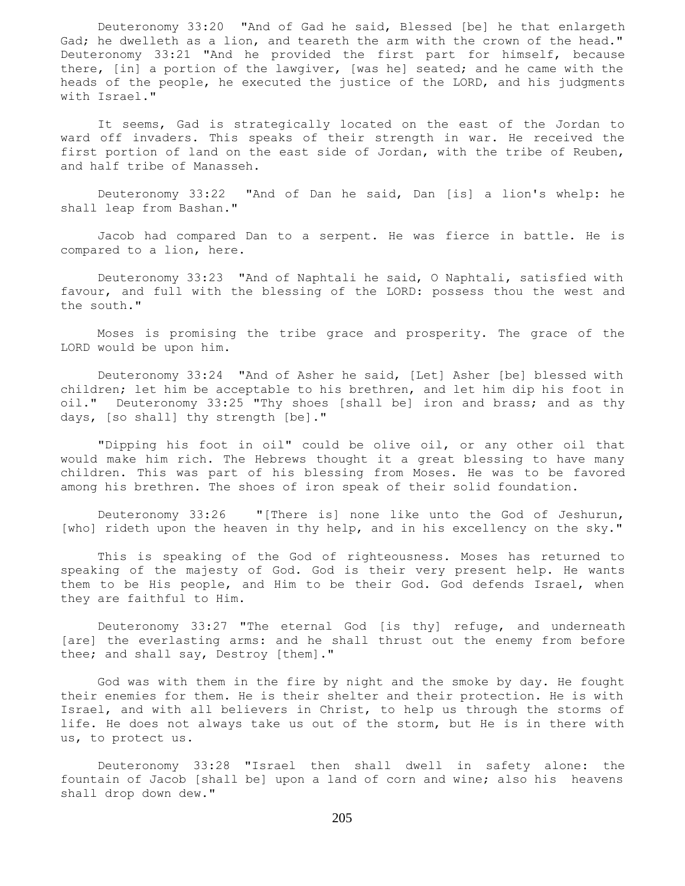Deuteronomy 33:20 "And of Gad he said, Blessed [be] he that enlargeth Gad; he dwelleth as a lion, and teareth the arm with the crown of the head." Deuteronomy 33:21 "And he provided the first part for himself, because there, [in] a portion of the lawgiver, [was he] seated; and he came with the heads of the people, he executed the justice of the LORD, and his judgments with Israel."

 It seems, Gad is strategically located on the east of the Jordan to ward off invaders. This speaks of their strength in war. He received the first portion of land on the east side of Jordan, with the tribe of Reuben, and half tribe of Manasseh.

 Deuteronomy 33:22 "And of Dan he said, Dan [is] a lion's whelp: he shall leap from Bashan."

 Jacob had compared Dan to a serpent. He was fierce in battle. He is compared to a lion, here.

 Deuteronomy 33:23 "And of Naphtali he said, O Naphtali, satisfied with favour, and full with the blessing of the LORD: possess thou the west and the south."

 Moses is promising the tribe grace and prosperity. The grace of the LORD would be upon him.

 Deuteronomy 33:24 "And of Asher he said, [Let] Asher [be] blessed with children; let him be acceptable to his brethren, and let him dip his foot in oil." Deuteronomy 33:25 "Thy shoes [shall be] iron and brass; and as thy days, [so shall] thy strength [be]."

 "Dipping his foot in oil" could be olive oil, or any other oil that would make him rich. The Hebrews thought it a great blessing to have many children. This was part of his blessing from Moses. He was to be favored among his brethren. The shoes of iron speak of their solid foundation.

 Deuteronomy 33:26 "[There is] none like unto the God of Jeshurun, [who] rideth upon the heaven in thy help, and in his excellency on the sky."

 This is speaking of the God of righteousness. Moses has returned to speaking of the majesty of God. God is their very present help. He wants them to be His people, and Him to be their God. God defends Israel, when they are faithful to Him.

 Deuteronomy 33:27 "The eternal God [is thy] refuge, and underneath [are] the everlasting arms: and he shall thrust out the enemy from before thee; and shall say, Destroy [them]."

 God was with them in the fire by night and the smoke by day. He fought their enemies for them. He is their shelter and their protection. He is with Israel, and with all believers in Christ, to help us through the storms of life. He does not always take us out of the storm, but He is in there with us, to protect us.

 Deuteronomy 33:28 "Israel then shall dwell in safety alone: the fountain of Jacob [shall be] upon a land of corn and wine; also his heavens shall drop down dew."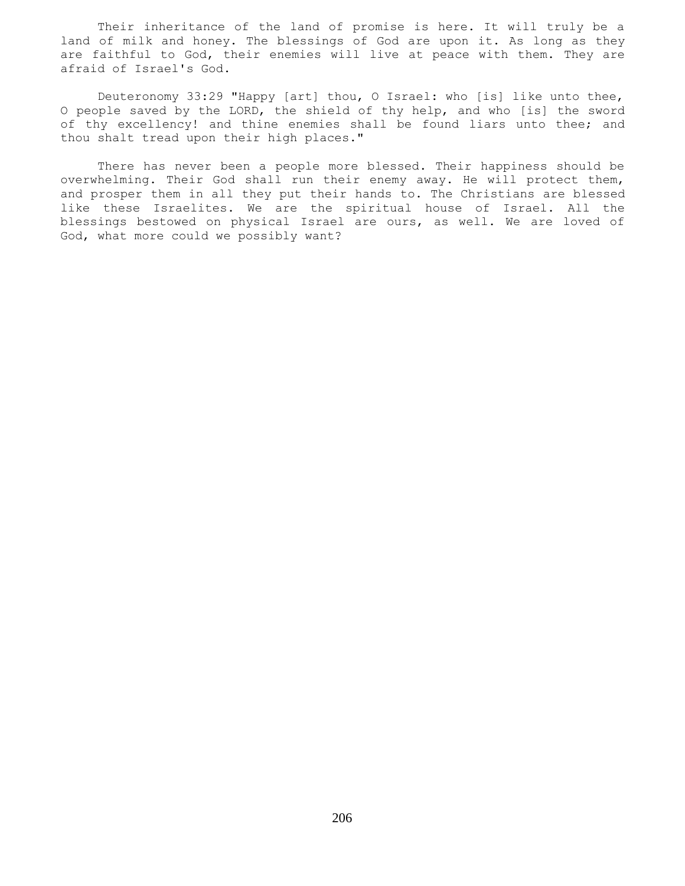Their inheritance of the land of promise is here. It will truly be a land of milk and honey. The blessings of God are upon it. As long as they are faithful to God, their enemies will live at peace with them. They are afraid of Israel's God.

 Deuteronomy 33:29 "Happy [art] thou, O Israel: who [is] like unto thee, O people saved by the LORD, the shield of thy help, and who [is] the sword of thy excellency! and thine enemies shall be found liars unto thee; and thou shalt tread upon their high places."

 There has never been a people more blessed. Their happiness should be overwhelming. Their God shall run their enemy away. He will protect them, and prosper them in all they put their hands to. The Christians are blessed like these Israelites. We are the spiritual house of Israel. All the blessings bestowed on physical Israel are ours, as well. We are loved of God, what more could we possibly want?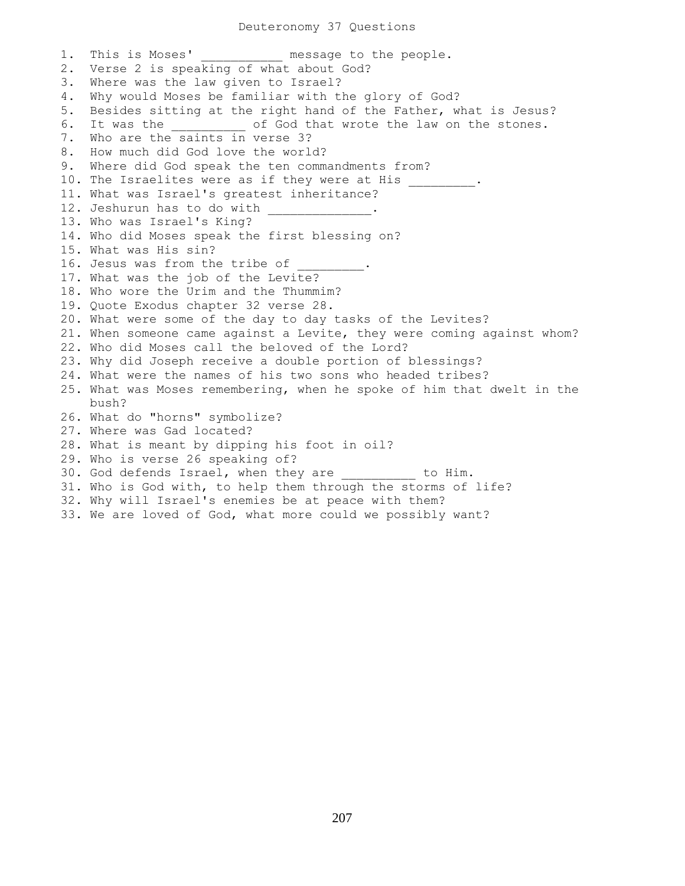## Deuteronomy 37 Questions

1. This is Moses' **Exercise Sens** message to the people. 2. Verse 2 is speaking of what about God? 3. Where was the law given to Israel? 4. Why would Moses be familiar with the glory of God? 5. Besides sitting at the right hand of the Father, what is Jesus? 6. It was the \_\_\_\_\_\_\_\_\_\_ of God that wrote the law on the stones. 7. Who are the saints in verse 3? 8. How much did God love the world? 9. Where did God speak the ten commandments from? 10. The Israelites were as if they were at His \_\_\_\_\_\_\_\_. 11. What was Israel's greatest inheritance? 12. Jeshurun has to do with 13. Who was Israel's King? 14. Who did Moses speak the first blessing on? 15. What was His sin? 16. Jesus was from the tribe of 17. What was the job of the Levite? 18. Who wore the Urim and the Thummim? 19. Quote Exodus chapter 32 verse 28. 20. What were some of the day to day tasks of the Levites? 21. When someone came against a Levite, they were coming against whom? 22. Who did Moses call the beloved of the Lord? 23. Why did Joseph receive a double portion of blessings? 24. What were the names of his two sons who headed tribes? 25. What was Moses remembering, when he spoke of him that dwelt in the bush? 26. What do "horns" symbolize? 27. Where was Gad located? 28. What is meant by dipping his foot in oil? 29. Who is verse 26 speaking of? 30. God defends Israel, when they are \_\_\_\_\_\_\_\_\_\_ to Him. 31. Who is God with, to help them through the storms of life? 32. Why will Israel's enemies be at peace with them? 33. We are loved of God, what more could we possibly want?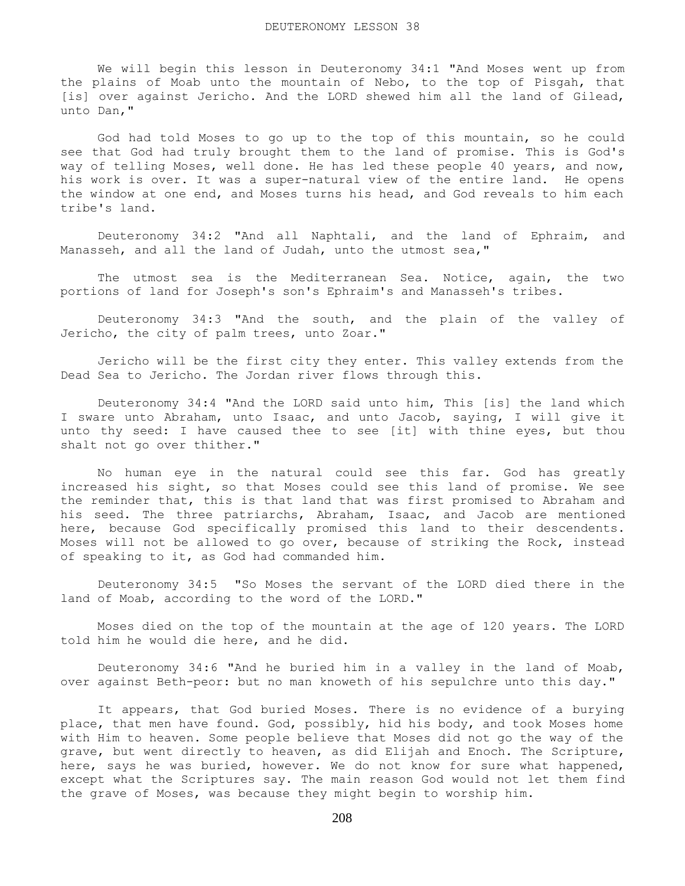We will begin this lesson in Deuteronomy 34:1 "And Moses went up from the plains of Moab unto the mountain of Nebo, to the top of Pisgah, that [is] over against Jericho. And the LORD shewed him all the land of Gilead, unto Dan,"

 God had told Moses to go up to the top of this mountain, so he could see that God had truly brought them to the land of promise. This is God's way of telling Moses, well done. He has led these people 40 years, and now, his work is over. It was a super-natural view of the entire land. He opens the window at one end, and Moses turns his head, and God reveals to him each tribe's land.

 Deuteronomy 34:2 "And all Naphtali, and the land of Ephraim, and Manasseh, and all the land of Judah, unto the utmost sea,"

The utmost sea is the Mediterranean Sea. Notice, again, the two portions of land for Joseph's son's Ephraim's and Manasseh's tribes.

 Deuteronomy 34:3 "And the south, and the plain of the valley of Jericho, the city of palm trees, unto Zoar."

 Jericho will be the first city they enter. This valley extends from the Dead Sea to Jericho. The Jordan river flows through this.

 Deuteronomy 34:4 "And the LORD said unto him, This [is] the land which I sware unto Abraham, unto Isaac, and unto Jacob, saying, I will give it unto thy seed: I have caused thee to see [it] with thine eyes, but thou shalt not go over thither."

 No human eye in the natural could see this far. God has greatly increased his sight, so that Moses could see this land of promise. We see the reminder that, this is that land that was first promised to Abraham and his seed. The three patriarchs, Abraham, Isaac, and Jacob are mentioned here, because God specifically promised this land to their descendents. Moses will not be allowed to go over, because of striking the Rock, instead of speaking to it, as God had commanded him.

 Deuteronomy 34:5 "So Moses the servant of the LORD died there in the land of Moab, according to the word of the LORD."

 Moses died on the top of the mountain at the age of 120 years. The LORD told him he would die here, and he did.

 Deuteronomy 34:6 "And he buried him in a valley in the land of Moab, over against Beth-peor: but no man knoweth of his sepulchre unto this day."

 It appears, that God buried Moses. There is no evidence of a burying place, that men have found. God, possibly, hid his body, and took Moses home with Him to heaven. Some people believe that Moses did not go the way of the grave, but went directly to heaven, as did Elijah and Enoch. The Scripture, here, says he was buried, however. We do not know for sure what happened, except what the Scriptures say. The main reason God would not let them find the grave of Moses, was because they might begin to worship him.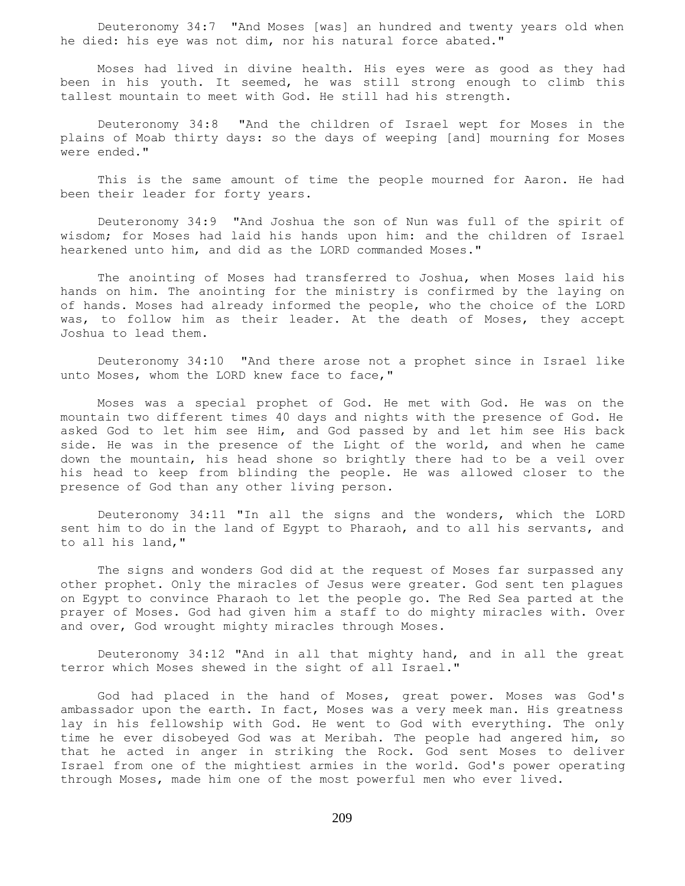Deuteronomy 34:7 "And Moses [was] an hundred and twenty years old when he died: his eye was not dim, nor his natural force abated."

 Moses had lived in divine health. His eyes were as good as they had been in his youth. It seemed, he was still strong enough to climb this tallest mountain to meet with God. He still had his strength.

 Deuteronomy 34:8 "And the children of Israel wept for Moses in the plains of Moab thirty days: so the days of weeping [and] mourning for Moses were ended."

 This is the same amount of time the people mourned for Aaron. He had been their leader for forty years.

 Deuteronomy 34:9 "And Joshua the son of Nun was full of the spirit of wisdom; for Moses had laid his hands upon him: and the children of Israel hearkened unto him, and did as the LORD commanded Moses."

 The anointing of Moses had transferred to Joshua, when Moses laid his hands on him. The anointing for the ministry is confirmed by the laying on of hands. Moses had already informed the people, who the choice of the LORD was, to follow him as their leader. At the death of Moses, they accept Joshua to lead them.

 Deuteronomy 34:10 "And there arose not a prophet since in Israel like unto Moses, whom the LORD knew face to face,"

 Moses was a special prophet of God. He met with God. He was on the mountain two different times 40 days and nights with the presence of God. He asked God to let him see Him, and God passed by and let him see His back side. He was in the presence of the Light of the world, and when he came down the mountain, his head shone so brightly there had to be a veil over his head to keep from blinding the people. He was allowed closer to the presence of God than any other living person.

 Deuteronomy 34:11 "In all the signs and the wonders, which the LORD sent him to do in the land of Egypt to Pharaoh, and to all his servants, and to all his land,"

 The signs and wonders God did at the request of Moses far surpassed any other prophet. Only the miracles of Jesus were greater. God sent ten plagues on Egypt to convince Pharaoh to let the people go. The Red Sea parted at the prayer of Moses. God had given him a staff to do mighty miracles with. Over and over, God wrought mighty miracles through Moses.

 Deuteronomy 34:12 "And in all that mighty hand, and in all the great terror which Moses shewed in the sight of all Israel."

 God had placed in the hand of Moses, great power. Moses was God's ambassador upon the earth. In fact, Moses was a very meek man. His greatness lay in his fellowship with God. He went to God with everything. The only time he ever disobeyed God was at Meribah. The people had angered him, so that he acted in anger in striking the Rock. God sent Moses to deliver Israel from one of the mightiest armies in the world. God's power operating through Moses, made him one of the most powerful men who ever lived.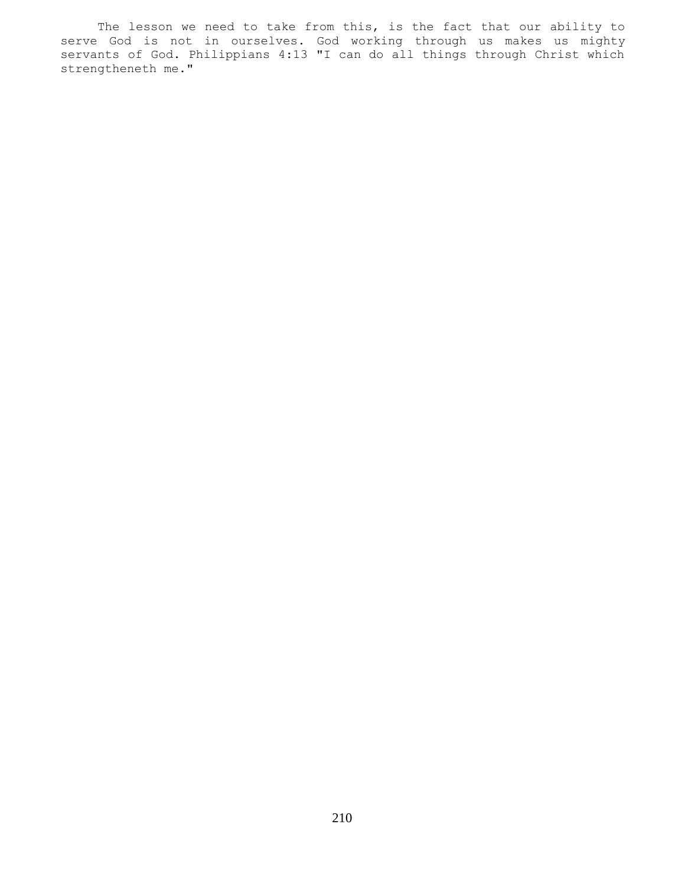The lesson we need to take from this, is the fact that our ability to serve God is not in ourselves. God working through us makes us mighty servants of God. Philippians 4:13 "I can do all things through Christ which strengtheneth me."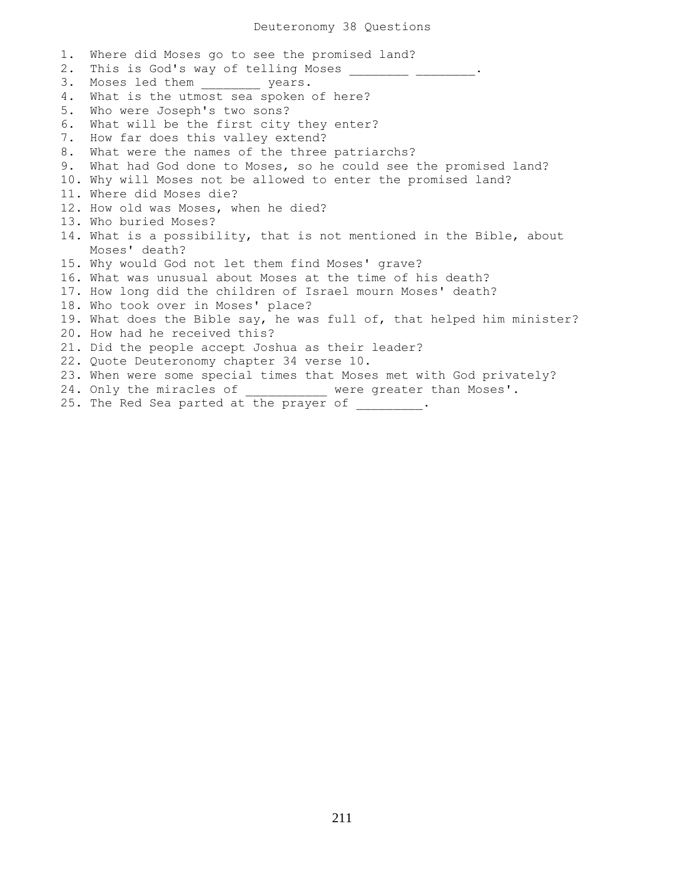1. Where did Moses go to see the promised land? 2. This is God's way of telling Moses \_\_\_\_\_\_\_\_\_ \_\_\_\_\_\_\_\_\_. 3. Moses led them \_\_\_\_\_\_\_\_ years. 4. What is the utmost sea spoken of here? 5. Who were Joseph's two sons? 6. What will be the first city they enter? 7. How far does this valley extend? 8. What were the names of the three patriarchs? 9. What had God done to Moses, so he could see the promised land? 10. Why will Moses not be allowed to enter the promised land? 11. Where did Moses die? 12. How old was Moses, when he died? 13. Who buried Moses? 14. What is a possibility, that is not mentioned in the Bible, about Moses' death? 15. Why would God not let them find Moses' grave? 16. What was unusual about Moses at the time of his death? 17. How long did the children of Israel mourn Moses' death? 18. Who took over in Moses' place? 19. What does the Bible say, he was full of, that helped him minister? 20. How had he received this? 21. Did the people accept Joshua as their leader? 22. Quote Deuteronomy chapter 34 verse 10. 23. When were some special times that Moses met with God privately? 24. Only the miracles of \_\_\_\_\_\_\_\_\_\_\_ were greater than Moses'. 25. The Red Sea parted at the prayer of \_\_\_\_\_\_\_\_.

211